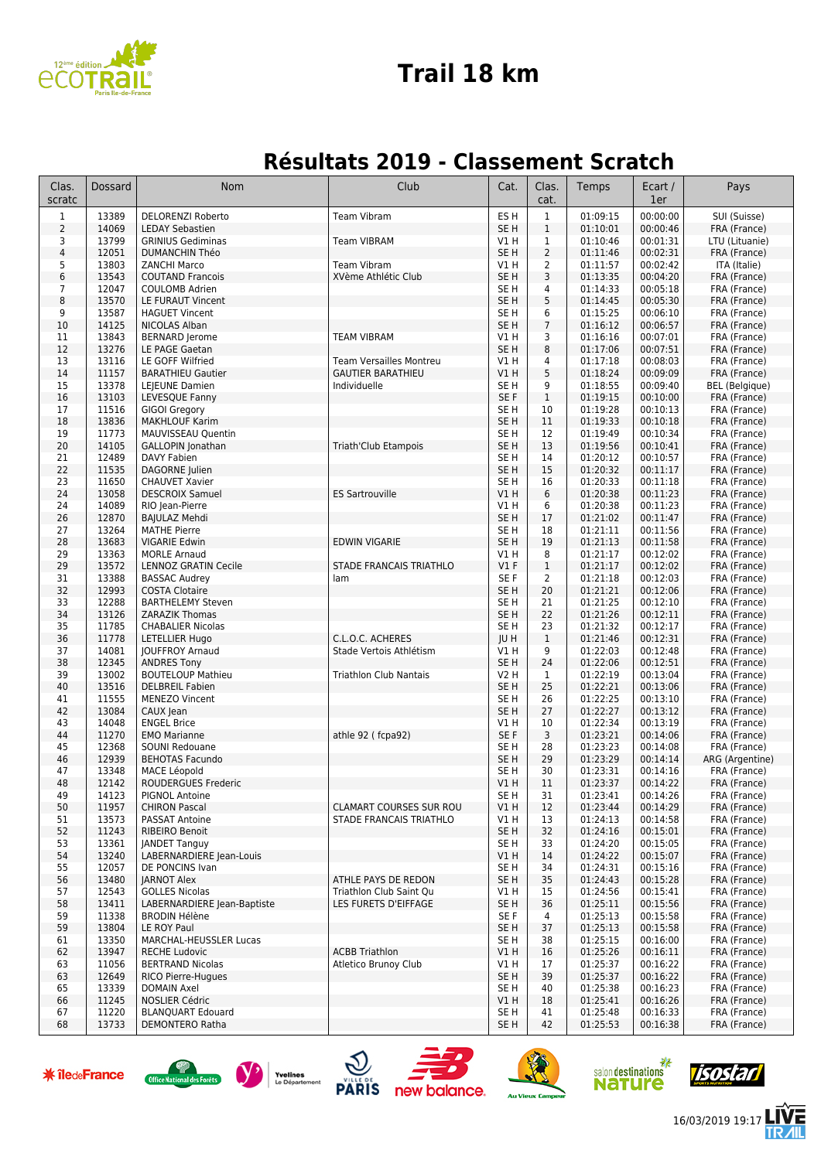

#### **Trail 18 km**

#### **Résultats 2019 - Classement Scratch**

| Clas.<br>scratc | Dossard        | Nom                                               | Club                                                       | Cat.                               | Clas.<br>cat.                    | Temps                | Ecart /<br>1er       | Pays                         |
|-----------------|----------------|---------------------------------------------------|------------------------------------------------------------|------------------------------------|----------------------------------|----------------------|----------------------|------------------------------|
| $\mathbf 1$     | 13389          | <b>DELORENZI Roberto</b>                          | <b>Team Vibram</b>                                         | ES <sub>H</sub>                    | $1\,$                            | 01:09:15             | 00:00:00             | SUI (Suisse)                 |
| $\overline{2}$  | 14069          | <b>LEDAY Sebastien</b>                            |                                                            | SE <sub>H</sub>                    | $\mathbf{1}$                     | 01:10:01             | 00:00:46             | FRA (France)                 |
| 3               | 13799          | <b>GRINIUS Gediminas</b>                          | <b>Team VIBRAM</b>                                         | V1 H                               | 1                                | 01:10:46             | 00:01:31             | LTU (Lituanie)               |
| 4               | 12051<br>13803 | <b>DUMANCHIN Théo</b>                             | <b>Team Vibram</b>                                         | SE <sub>H</sub>                    | $\overline{2}$<br>$\overline{2}$ | 01:11:46             | 00:02:31<br>00:02:42 | FRA (France)                 |
| 5<br>6          | 13543          | <b>ZANCHI Marco</b><br><b>COUTAND Francois</b>    | XVème Athlétic Club                                        | V1 H<br>SE <sub>H</sub>            | 3                                | 01:11:57<br>01:13:35 | 00:04:20             | ITA (Italie)<br>FRA (France) |
| $\overline{7}$  | 12047          | <b>COULOMB Adrien</b>                             |                                                            | SE <sub>H</sub>                    | $\overline{4}$                   | 01:14:33             | 00:05:18             | FRA (France)                 |
| 8               | 13570          | LE FURAUT Vincent                                 |                                                            | SE <sub>H</sub>                    | 5                                | 01:14:45             | 00:05:30             | FRA (France)                 |
| 9               | 13587          | <b>HAGUET Vincent</b>                             |                                                            | SE <sub>H</sub>                    | 6                                | 01:15:25             | 00:06:10             | FRA (France)                 |
| 10              | 14125          | NICOLAS Alban                                     |                                                            | SE <sub>H</sub>                    | $7\phantom{.0}$                  | 01:16:12             | 00:06:57             | FRA (France)                 |
| 11              | 13843          | <b>BERNARD Jerome</b>                             | <b>TEAM VIBRAM</b>                                         | V1 H                               | 3                                | 01:16:16             | 00:07:01             | FRA (France)                 |
| 12              | 13276          | LE PAGE Gaetan                                    |                                                            | SE <sub>H</sub>                    | 8                                | 01:17:06             | 00:07:51             | FRA (France)                 |
| 13<br>14        | 13116<br>11157 | LE GOFF Wilfried<br><b>BARATHIEU Gautier</b>      | <b>Team Versailles Montreu</b><br><b>GAUTIER BARATHIEU</b> | V1 H<br>V1H                        | $\overline{4}$<br>5              | 01:17:18<br>01:18:24 | 00:08:03<br>00:09:09 | FRA (France)<br>FRA (France) |
| 15              | 13378          | LEJEUNE Damien                                    | Individuelle                                               | SE <sub>H</sub>                    | 9                                | 01:18:55             | 00:09:40             | <b>BEL</b> (Belgique)        |
| 16              | 13103          | LEVESQUE Fanny                                    |                                                            | SE F                               | $\mathbf{1}$                     | 01:19:15             | 00:10:00             | FRA (France)                 |
| 17              | 11516          | GIGOI Gregory                                     |                                                            | SE H                               | 10                               | 01:19:28             | 00:10:13             | FRA (France)                 |
| 18              | 13836          | <b>MAKHLOUF Karim</b>                             |                                                            | SE <sub>H</sub>                    | 11                               | 01:19:33             | 00:10:18             | FRA (France)                 |
| 19              | 11773          | MAUVISSEAU Quentin                                |                                                            | SE H                               | 12                               | 01:19:49             | 00:10:34             | FRA (France)                 |
| 20              | 14105          | <b>GALLOPIN</b> Jonathan                          | Triath'Club Etampois                                       | SE <sub>H</sub>                    | 13                               | 01:19:56             | 00:10:41             | FRA (France)                 |
| 21              | 12489          | DAVY Fabien                                       |                                                            | SE <sub>H</sub>                    | 14                               | 01:20:12             | 00:10:57             | FRA (France)                 |
| 22              | 11535          | DAGORNE Julien                                    |                                                            | SE <sub>H</sub>                    | 15                               | 01:20:32             | 00:11:17             | FRA (France)                 |
| 23<br>24        | 11650<br>13058 | <b>CHAUVET Xavier</b><br><b>DESCROIX Samuel</b>   | <b>ES Sartrouville</b>                                     | SE <sub>H</sub><br>V1H             | 16<br>6                          | 01:20:33<br>01:20:38 | 00:11:18<br>00:11:23 | FRA (France)<br>FRA (France) |
| 24              | 14089          | RIO Jean-Pierre                                   |                                                            | V1H                                | 6                                | 01:20:38             | 00:11:23             | FRA (France)                 |
| 26              | 12870          | <b>BAJULAZ Mehdi</b>                              |                                                            | SE <sub>H</sub>                    | 17                               | 01:21:02             | 00:11:47             | FRA (France)                 |
| 27              | 13264          | <b>MATHE Pierre</b>                               |                                                            | SE <sub>H</sub>                    | 18                               | 01:21:11             | 00:11:56             | FRA (France)                 |
| 28              | 13683          | <b>VIGARIE Edwin</b>                              | <b>EDWIN VIGARIE</b>                                       | SE <sub>H</sub>                    | 19                               | 01:21:13             | 00:11:58             | FRA (France)                 |
| 29              | 13363          | <b>MORLE Arnaud</b>                               |                                                            | V1 H                               | 8                                | 01:21:17             | 00:12:02             | FRA (France)                 |
| 29              | 13572          | <b>LENNOZ GRATIN Cecile</b>                       | STADE FRANCAIS TRIATHLO                                    | V1F                                | $\mathbf{1}$                     | 01:21:17             | 00:12:02             | FRA (France)                 |
| 31              | 13388          | <b>BASSAC Audrey</b>                              | lam                                                        | SE F                               | 2                                | 01:21:18             | 00:12:03             | FRA (France)                 |
| 32<br>33        | 12993<br>12288 | <b>COSTA Clotaire</b><br><b>BARTHELEMY Steven</b> |                                                            | SE <sub>H</sub><br>SE <sub>H</sub> | 20<br>21                         | 01:21:21<br>01:21:25 | 00:12:06<br>00:12:10 | FRA (France)<br>FRA (France) |
| 34              | 13126          | ZARAZIK Thomas                                    |                                                            | SE <sub>H</sub>                    | 22                               | 01:21:26             | 00:12:11             | FRA (France)                 |
| 35              | 11785          | <b>CHABALIER Nicolas</b>                          |                                                            | SE <sub>H</sub>                    | 23                               | 01:21:32             | 00:12:17             | FRA (France)                 |
| 36              | 11778          | LETELLIER Hugo                                    | C.L.O.C. ACHERES                                           | JU H                               | $\mathbf{1}$                     | 01:21:46             | 00:12:31             | FRA (France)                 |
| 37              | 14081          | <b>JOUFFROY Arnaud</b>                            | Stade Vertois Athlétism                                    | V1 H                               | 9                                | 01:22:03             | 00:12:48             | FRA (France)                 |
| 38              | 12345          | <b>ANDRES Tony</b>                                |                                                            | SE <sub>H</sub>                    | 24                               | 01:22:06             | 00:12:51             | FRA (France)                 |
| 39              | 13002          | <b>BOUTELOUP Mathieu</b>                          | <b>Triathlon Club Nantais</b>                              | V2 H                               | $\mathbf{1}$                     | 01:22:19             | 00:13:04             | FRA (France)                 |
| 40              | 13516          | <b>DELBREIL Fabien</b>                            |                                                            | SE <sub>H</sub>                    | 25                               | 01:22:21             | 00:13:06             | FRA (France)                 |
| 41<br>42        | 11555<br>13084 | <b>MENEZO Vincent</b><br>CAUX Jean                |                                                            | SE H<br>SE <sub>H</sub>            | 26<br>27                         | 01:22:25<br>01:22:27 | 00:13:10<br>00:13:12 | FRA (France)<br>FRA (France) |
| 43              | 14048          | <b>ENGEL Brice</b>                                |                                                            | V1 H                               | 10                               | 01:22:34             | 00:13:19             | FRA (France)                 |
| 44              | 11270          | <b>EMO Marianne</b>                               | athle 92 (fcpa92)                                          | SE F                               | 3                                | 01:23:21             | 00:14:06             | FRA (France)                 |
| 45              | 12368          | SOUNI Redouane                                    |                                                            | SE <sub>H</sub>                    | 28                               | 01:23:23             | 00:14:08             | FRA (France)                 |
| 46              | 12939          | <b>BEHOTAS Facundo</b>                            |                                                            | SE <sub>H</sub>                    | 29                               | 01:23:29             | 00:14:14             | ARG (Argentine)              |
| 47              | 13348          | MACE Léopold                                      |                                                            | SE <sub>H</sub>                    | 30                               | 01:23:31             | 00:14:16             | FRA (France)                 |
| 48              | 12142          | <b>ROUDERGUES Frederic</b>                        |                                                            | <b>V1 H</b>                        | 11                               | 01:23:37             | 00:14:22             | FRA (France)                 |
| 49              | 14123          | <b>PIGNOL Antoine</b>                             |                                                            | SE <sub>H</sub>                    | 31                               | 01:23:41             | 00:14:26             | FRA (France)                 |
| 50<br>51        | 11957<br>13573 | <b>CHIRON Pascal</b><br>PASSAT Antoine            | <b>CLAMART COURSES SUR ROU</b><br>STADE FRANCAIS TRIATHLO  | V1H<br>V1H                         | 12<br>13                         | 01:23:44<br>01:24:13 | 00:14:29<br>00:14:58 | FRA (France)<br>FRA (France) |
| 52              | 11243          | <b>RIBEIRO Benoit</b>                             |                                                            | SE <sub>H</sub>                    | 32                               | 01:24:16             | 00:15:01             | FRA (France)                 |
| 53              | 13361          | <b>JANDET Tanguy</b>                              |                                                            | SE H                               | 33                               | 01:24:20             | 00:15:05             | FRA (France)                 |
| 54              | 13240          | LABERNARDIERE Jean-Louis                          |                                                            | V1 H                               | 14                               | 01:24:22             | 00:15:07             | FRA (France)                 |
| 55              | 12057          | DE PONCINS Ivan                                   |                                                            | SE H                               | 34                               | 01:24:31             | 00:15:16             | FRA (France)                 |
| 56              | 13480          | <b>JARNOT Alex</b>                                | ATHLE PAYS DE REDON                                        | SE <sub>H</sub>                    | 35                               | 01:24:43             | 00:15:28             | FRA (France)                 |
| 57              | 12543          | <b>GOLLES Nicolas</b>                             | Triathlon Club Saint Qu                                    | V1 H                               | 15                               | 01:24:56             | 00:15:41             | FRA (France)                 |
| 58              | 13411          | LABERNARDIERE Jean-Baptiste                       | LES FURETS D'EIFFAGE                                       | SE <sub>H</sub>                    | 36                               | 01:25:11             | 00:15:56             | FRA (France)                 |
| 59              | 11338          | <b>BRODIN Hélène</b>                              |                                                            | SE F<br>SE <sub>H</sub>            | 4                                | 01:25:13<br>01:25:13 | 00:15:58<br>00:15:58 | FRA (France)<br>FRA (France) |
| 59<br>61        | 13804<br>13350 | LE ROY Paul<br>MARCHAL-HEUSSLER Lucas             |                                                            | SE H                               | 37<br>38                         | 01:25:15             | 00:16:00             | FRA (France)                 |
| 62              | 13947          | <b>RECHE Ludovic</b>                              | <b>ACBB Triathlon</b>                                      | V1 H                               | 16                               | 01:25:26             | 00:16:11             | FRA (France)                 |
| 63              | 11056          | <b>BERTRAND Nicolas</b>                           | Atletico Brunoy Club                                       | V1 H                               | 17                               | 01:25:37             | 00:16:22             | FRA (France)                 |
| 63              | 12649          | <b>RICO Pierre-Hugues</b>                         |                                                            | SE <sub>H</sub>                    | 39                               | 01:25:37             | 00:16:22             | FRA (France)                 |
| 65              | 13339          | DOMAIN Axel                                       |                                                            | SE H                               | 40                               | 01:25:38             | 00:16:23             | FRA (France)                 |
| 66              | 11245          | <b>NOSLIER Cédric</b>                             |                                                            | V1 H                               | 18                               | 01:25:41             | 00:16:26             | FRA (France)                 |
| 67              | 11220          | <b>BLANQUART Edouard</b>                          |                                                            | SE H                               | 41                               | 01:25:48             | 00:16:33             | FRA (France)                 |
| 68              | 13733          | DEMONTERO Ratha                                   |                                                            | SE <sub>H</sub>                    | 42                               | 01:25:53             | 00:16:38             | FRA (France)                 |













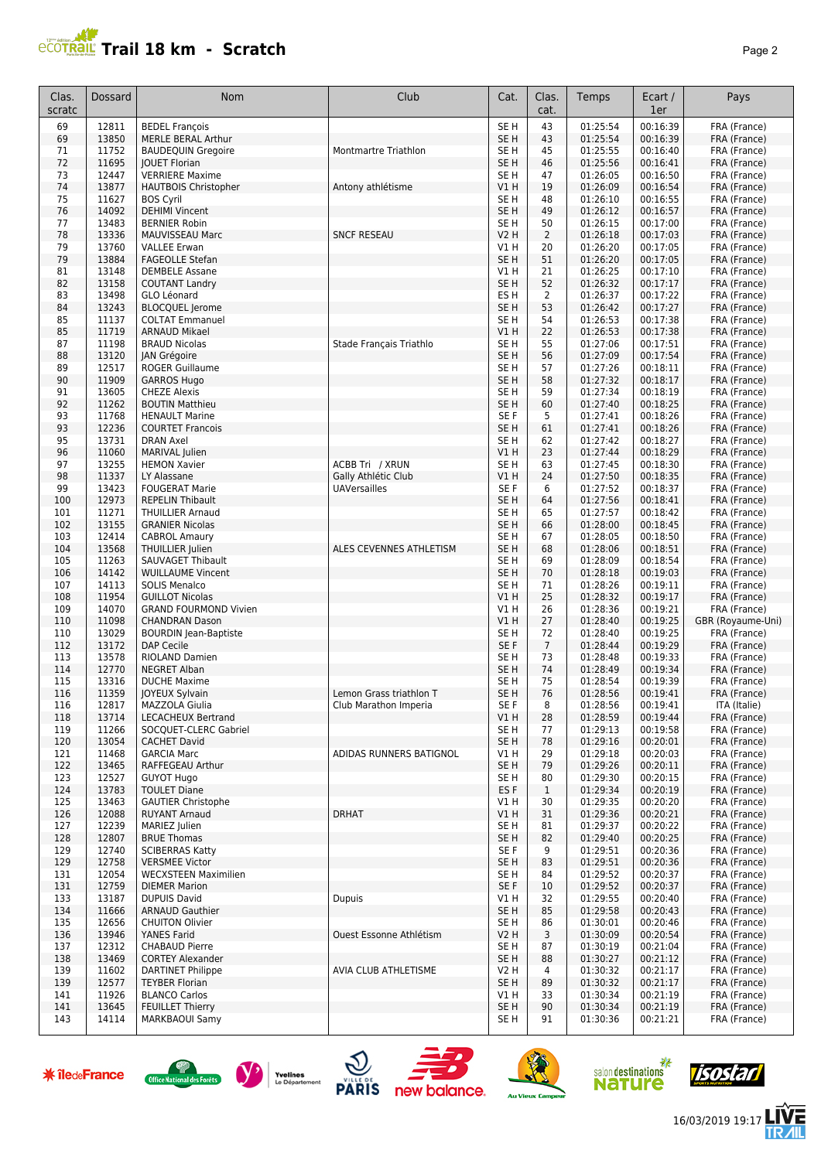## **PCOTRAL Trail 18 km - Scratch**

|--|--|--|

| Clas.<br>scratc | Dossard        | Nom                                              | Club                           | Cat.                               | Clas.<br>cat.      | Temps                | Ecart /<br>1er       | Pays                         |
|-----------------|----------------|--------------------------------------------------|--------------------------------|------------------------------------|--------------------|----------------------|----------------------|------------------------------|
| 69              | 12811          | <b>BEDEL François</b>                            |                                | SE <sub>H</sub>                    | 43                 | 01:25:54             | 00:16:39             | FRA (France)                 |
| 69              | 13850          | MERLE BERAL Arthur                               |                                | SE <sub>H</sub>                    | 43                 | 01:25:54             | 00:16:39             | FRA (France)                 |
| 71              | 11752          | <b>BAUDEQUIN Gregoire</b>                        | Montmartre Triathlon           | SE <sub>H</sub>                    | 45                 | 01:25:55             | 00:16:40             | FRA (France)                 |
| 72              | 11695          | <b>IOUET Florian</b>                             |                                | SE <sub>H</sub>                    | 46                 | 01:25:56             | 00:16:41             | FRA (France)                 |
| 73              | 12447          | <b>VERRIERE Maxime</b>                           |                                | SE <sub>H</sub>                    | 47                 | 01:26:05             | 00:16:50             | FRA (France)                 |
| 74<br>75        | 13877<br>11627 | <b>HAUTBOIS Christopher</b>                      | Antony athlétisme              | V1 H<br>SE <sub>H</sub>            | 19<br>48           | 01:26:09<br>01:26:10 | 00:16:54<br>00:16:55 | FRA (France)                 |
| 76              | 14092          | <b>BOS Cyril</b><br><b>DEHIMI Vincent</b>        |                                | SE <sub>H</sub>                    | 49                 | 01:26:12             | 00:16:57             | FRA (France)<br>FRA (France) |
| 77              | 13483          | <b>BERNIER Robin</b>                             |                                | SE H                               | 50                 | 01:26:15             | 00:17:00             | FRA (France)                 |
| 78              | 13336          | MAUVISSEAU Marc                                  | <b>SNCF RESEAU</b>             | V2 H                               | $\overline{2}$     | 01:26:18             | 00:17:03             | FRA (France)                 |
| 79              | 13760          | <b>VALLEE Erwan</b>                              |                                | V1 H                               | 20                 | 01:26:20             | 00:17:05             | FRA (France)                 |
| 79              | 13884          | <b>FAGEOLLE Stefan</b>                           |                                | SE <sub>H</sub>                    | 51                 | 01:26:20             | 00:17:05             | FRA (France)                 |
| 81              | 13148          | <b>DEMBELE Assane</b>                            |                                | V1 H                               | 21                 | 01:26:25             | 00:17:10             | FRA (France)                 |
| 82              | 13158          | <b>COUTANT Landry</b>                            |                                | SE <sub>H</sub>                    | 52                 | 01:26:32             | 00:17:17             | FRA (France)                 |
| 83              | 13498          | GLO Léonard                                      |                                | ES H                               | $\overline{2}$     | 01:26:37             | 00:17:22             | FRA (France)                 |
| 84<br>85        | 13243<br>11137 | <b>BLOCQUEL Jerome</b><br><b>COLTAT Emmanuel</b> |                                | SE <sub>H</sub><br>SE <sub>H</sub> | 53<br>54           | 01:26:42<br>01:26:53 | 00:17:27<br>00:17:38 | FRA (France)<br>FRA (France) |
| 85              | 11719          | <b>ARNAUD Mikael</b>                             |                                | V1 H                               | 22                 | 01:26:53             | 00:17:38             | FRA (France)                 |
| 87              | 11198          | <b>BRAUD Nicolas</b>                             | Stade Français Triathlo        | SE H                               | 55                 | 01:27:06             | 00:17:51             | FRA (France)                 |
| 88              | 13120          | JAN Grégoire                                     |                                | SE <sub>H</sub>                    | 56                 | 01:27:09             | 00:17:54             | FRA (France)                 |
| 89              | 12517          | <b>ROGER Guillaume</b>                           |                                | SE H                               | 57                 | 01:27:26             | 00:18:11             | FRA (France)                 |
| 90              | 11909          | <b>GARROS Hugo</b>                               |                                | SE <sub>H</sub>                    | 58                 | 01:27:32             | 00:18:17             | FRA (France)                 |
| 91              | 13605          | <b>CHEZE Alexis</b>                              |                                | SE <sub>H</sub>                    | 59                 | 01:27:34             | 00:18:19             | FRA (France)                 |
| 92              | 11262          | <b>BOUTIN Matthieu</b>                           |                                | SE <sub>H</sub>                    | 60                 | 01:27:40             | 00:18:25             | FRA (France)                 |
| 93              | 11768          | <b>HENAULT Marine</b>                            |                                | SE F                               | 5                  | 01:27:41             | 00:18:26             | FRA (France)                 |
| 93<br>95        | 12236<br>13731 | <b>COURTET Francois</b><br><b>DRAN Axel</b>      |                                | SE <sub>H</sub><br>SE <sub>H</sub> | 61<br>62           | 01:27:41<br>01:27:42 | 00:18:26<br>00:18:27 | FRA (France)<br>FRA (France) |
| 96              | 11060          | MARIVAL Julien                                   |                                | V1H                                | 23                 | 01:27:44             | 00:18:29             | FRA (France)                 |
| 97              | 13255          | <b>HEMON Xavier</b>                              | ACBB Tri / XRUN                | SE <sub>H</sub>                    | 63                 | 01:27:45             | 00:18:30             | FRA (France)                 |
| 98              | 11337          | LY Alassane                                      | Gally Athlétic Club            | VIH                                | 24                 | 01:27:50             | 00:18:35             | FRA (France)                 |
| 99              | 13423          | <b>FOUGERAT Marie</b>                            | <b>UAVersailles</b>            | SE F                               | 6                  | 01:27:52             | 00:18:37             | FRA (France)                 |
| 100             | 12973          | <b>REPELIN Thibault</b>                          |                                | SE <sub>H</sub>                    | 64                 | 01:27:56             | 00:18:41             | FRA (France)                 |
| 101             | 11271          | <b>THUILLIER Arnaud</b>                          |                                | SE H                               | 65                 | 01:27:57             | 00:18:42             | FRA (France)                 |
| 102             | 13155          | <b>GRANIER Nicolas</b>                           |                                | SE H                               | 66                 | 01:28:00             | 00:18:45             | FRA (France)                 |
| 103             | 12414          | <b>CABROL Amaury</b>                             |                                | SE H                               | 67                 | 01:28:05             | 00:18:50             | FRA (France)                 |
| 104<br>105      | 13568<br>11263 | THUILLIER Julien<br>SAUVAGET Thibault            | ALES CEVENNES ATHLETISM        | SE <sub>H</sub><br>SE <sub>H</sub> | 68<br>69           | 01:28:06<br>01:28:09 | 00:18:51<br>00:18:54 | FRA (France)<br>FRA (France) |
| 106             | 14142          | <b>WUILLAUME Vincent</b>                         |                                | SE <sub>H</sub>                    | 70                 | 01:28:18             | 00:19:03             | FRA (France)                 |
| 107             | 14113          | <b>SOLIS Menalco</b>                             |                                | SE <sub>H</sub>                    | 71                 | 01:28:26             | 00:19:11             | FRA (France)                 |
| 108             | 11954          | <b>GUILLOT Nicolas</b>                           |                                | V1H                                | 25                 | 01:28:32             | 00:19:17             | FRA (France)                 |
| 109             | 14070          | <b>GRAND FOURMOND Vivien</b>                     |                                | V1H                                | 26                 | 01:28:36             | 00:19:21             | FRA (France)                 |
| 110             | 11098          | <b>CHANDRAN Dason</b>                            |                                | VIH                                | 27                 | 01:28:40             | 00:19:25             | GBR (Royaume-Uni)            |
| 110             | 13029          | <b>BOURDIN</b> Jean-Baptiste                     |                                | SE <sub>H</sub>                    | 72                 | 01:28:40             | 00:19:25             | FRA (France)                 |
| 112             | 13172          | DAP Cecile                                       |                                | SE F                               | $\overline{7}$     | 01:28:44             | 00:19:29             | FRA (France)                 |
| 113<br>114      | 13578<br>12770 | RIOLAND Damien<br><b>NEGRET Alban</b>            |                                | SE H<br>SE H                       | 73<br>74           | 01:28:48<br>01:28:49 | 00:19:33<br>00:19:34 | FRA (France)<br>FRA (France) |
| 115             | 13316          | <b>DUCHE Maxime</b>                              |                                | SE H                               | 75                 | 01:28:54             | 00:19:39             | FRA (France)                 |
| 116             | 11359          | JOYEUX Sylvain                                   | Lemon Grass triathlon T        | SE H                               | 76                 | 01:28:56             | 00:19:41             | FRA (France)                 |
| 116             | 12817          | MAZZOLA Giulia                                   | Club Marathon Imperia          | SE F                               | 8                  | 01:28:56             | 00:19:41             | TTA (Italie)                 |
| 118             | 13714          | <b>LECACHEUX Bertrand</b>                        |                                | V1H                                | 28                 | 01:28:59             | 00:19:44             | FRA (France)                 |
| 119             | 11266          | SOCQUET-CLERC Gabriel                            |                                | SE H                               | 77                 | 01:29:13             | 00:19:58             | FRA (France)                 |
| 120             | 13054          | <b>CACHET David</b>                              |                                | SE H                               | 78                 | 01:29:16             | 00:20:01             | FRA (France)                 |
| 121             | 11468          | <b>GARCIA Marc</b>                               | ADIDAS RUNNERS BATIGNOL        | V1 H                               | 29                 | 01:29:18             | 00:20:03             | FRA (France)                 |
| 122             | 13465          | RAFFEGEAU Arthur                                 |                                | SE <sub>H</sub><br>SE <sub>H</sub> | 79                 | 01:29:26<br>01:29:30 | 00:20:11<br>00:20:15 | FRA (France)<br>FRA (France) |
| 123<br>124      | 12527<br>13783 | <b>GUYOT Hugo</b><br><b>TOULET Diane</b>         |                                | ES F                               | 80<br>$\mathbf{1}$ | 01:29:34             | 00:20:19             | FRA (France)                 |
| 125             | 13463          | <b>GAUTIER Christophe</b>                        |                                | V1 H                               | 30                 | 01:29:35             | 00:20:20             | FRA (France)                 |
| 126             | 12088          | <b>RUYANT Arnaud</b>                             | <b>DRHAT</b>                   | V1 H                               | 31                 | 01:29:36             | 00:20:21             | FRA (France)                 |
| 127             | 12239          | MARIEZ Julien                                    |                                | SE H                               | 81                 | 01:29:37             | 00:20:22             | FRA (France)                 |
| 128             | 12807          | <b>BRUE Thomas</b>                               |                                | SE <sub>H</sub>                    | 82                 | 01:29:40             | 00:20:25             | FRA (France)                 |
| 129             | 12740          | <b>SCIBERRAS Katty</b>                           |                                | SE F                               | 9                  | 01:29:51             | 00:20:36             | FRA (France)                 |
| 129             | 12758          | <b>VERSMEE Victor</b>                            |                                | SE <sub>H</sub>                    | 83                 | 01:29:51             | 00:20:36             | FRA (France)                 |
| 131             | 12054          | <b>WECXSTEEN Maximilien</b>                      |                                | SE H                               | 84                 | 01:29:52             | 00:20:37             | FRA (France)                 |
| 131<br>133      | 12759<br>13187 | <b>DIEMER Marion</b><br><b>DUPUIS David</b>      | <b>Dupuis</b>                  | SE F<br>V1 H                       | 10<br>32           | 01:29:52<br>01:29:55 | 00:20:37<br>00:20:40 | FRA (France)<br>FRA (France) |
| 134             | 11666          | <b>ARNAUD Gauthier</b>                           |                                | SE H                               | 85                 | 01:29:58             | 00:20:43             | FRA (France)                 |
| 135             | 12656          | <b>CHUITON Olivier</b>                           |                                | SE H                               | 86                 | 01:30:01             | 00:20:46             | FRA (France)                 |
| 136             | 13946          | YANES Farid                                      | <b>Ouest Essonne Athlétism</b> | V2 H                               | 3                  | 01:30:09             | 00:20:54             | FRA (France)                 |
| 137             | 12312          | <b>CHABAUD Pierre</b>                            |                                | SE H                               | 87                 | 01:30:19             | 00:21:04             | FRA (France)                 |
| 138             | 13469          | <b>CORTEY Alexander</b>                          |                                | SE H                               | 88                 | 01:30:27             | 00:21:12             | FRA (France)                 |
| 139             | 11602          | <b>DARTINET Philippe</b>                         | AVIA CLUB ATHLETISME           | V2 H                               | 4                  | 01:30:32             | 00:21:17             | FRA (France)                 |
| 139             | 12577          | <b>TEYBER Florian</b>                            |                                | SE H                               | 89                 | 01:30:32             | 00:21:17             | FRA (France)                 |
| 141<br>141      | 11926<br>13645 | <b>BLANCO Carlos</b><br><b>FEUILLET Thierry</b>  |                                | V1 H<br>SE <sub>H</sub>            | 33<br>90           | 01:30:34<br>01:30:34 | 00:21:19<br>00:21:19 | FRA (France)<br>FRA (France) |
| 143             | 14114          | <b>MARKBAOUI Samy</b>                            |                                | SE H                               | 91                 | 01:30:36             | 00:21:21             | FRA (France)                 |

















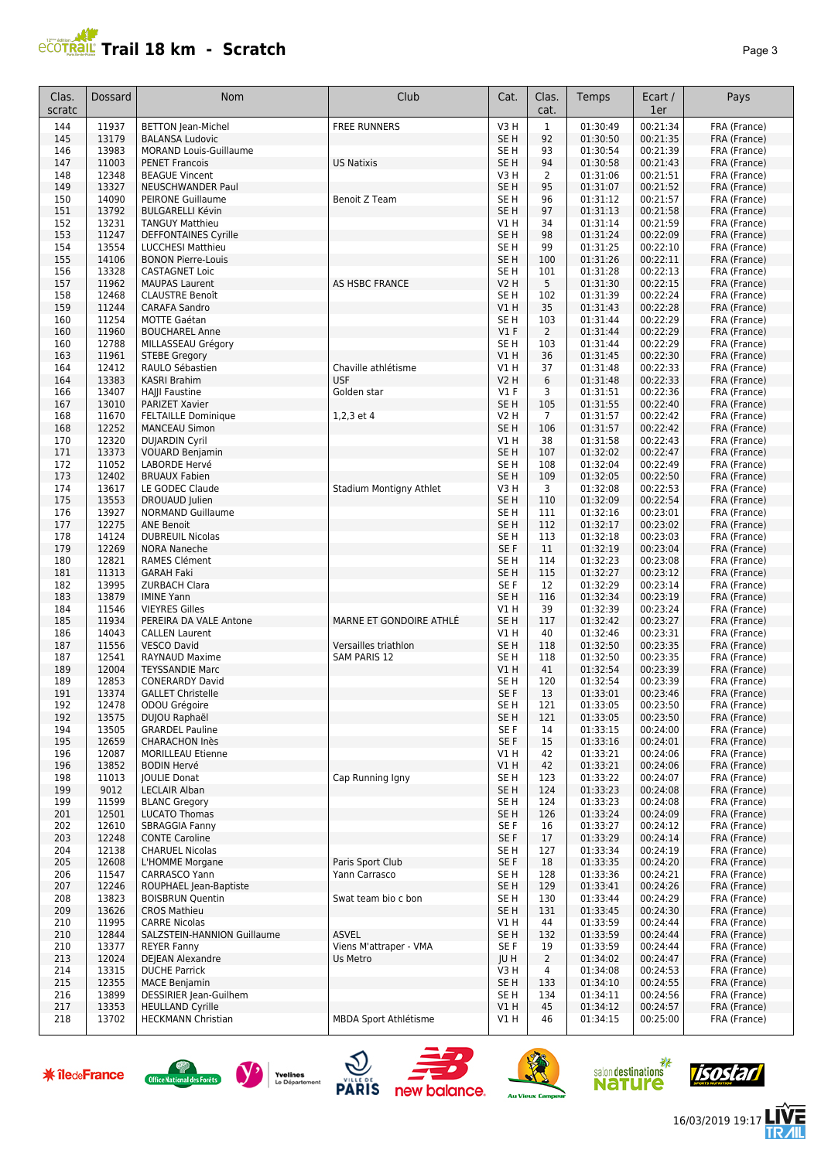# **PROTRAIL Trail 18 km - Scratch**

|--|--|

| Clas.<br>scratc | Dossard        | Nom                                                 | Club                    | Cat.                           | Clas.<br>cat.        | Temps                | Ecart /<br>1er       | Pays                         |
|-----------------|----------------|-----------------------------------------------------|-------------------------|--------------------------------|----------------------|----------------------|----------------------|------------------------------|
| 144             | 11937          | <b>BETTON Jean-Michel</b>                           | <b>FREE RUNNERS</b>     | V3H                            | $1\,$                | 01:30:49             | 00:21:34             | FRA (France)                 |
| 145             | 13179          | <b>BALANSA Ludovic</b>                              |                         | SE <sub>H</sub>                | 92                   | 01:30:50             | 00:21:35             | FRA (France)                 |
| 146             | 13983          | <b>MORAND Louis-Guillaume</b>                       |                         | SE <sub>H</sub>                | 93                   | 01:30:54             | 00:21:39             | FRA (France)                 |
| 147             | 11003          | <b>PENET Francois</b>                               | <b>US Natixis</b>       | SE <sub>H</sub>                | 94                   | 01:30:58             | 00:21:43             | FRA (France)                 |
| 148<br>149      | 12348<br>13327 | <b>BEAGUE Vincent</b><br>NEUSCHWANDER Paul          |                         | V3H<br>SE H                    | $\overline{2}$<br>95 | 01:31:06<br>01:31:07 | 00:21:51<br>00:21:52 | FRA (France)<br>FRA (France) |
| 150             | 14090          | <b>PEIRONE Guillaume</b>                            | Benoit Z Team           | SE H                           | 96                   | 01:31:12             | 00:21:57             | FRA (France)                 |
| 151             | 13792          | <b>BULGARELLI Kévin</b>                             |                         | SE H                           | 97                   | 01:31:13             | 00:21:58             | FRA (France)                 |
| 152             | 13231          | <b>TANGUY Matthieu</b>                              |                         | V1 H                           | 34                   | 01:31:14             | 00:21:59             | FRA (France)                 |
| 153             | 11247          | DEFFONTAINES Cyrille                                |                         | SE <sub>H</sub>                | 98                   | 01:31:24             | 00:22:09             | FRA (France)                 |
| 154             | 13554          | LUCCHESI Matthieu                                   |                         | SE <sub>H</sub>                | 99                   | 01:31:25             | 00:22:10             | FRA (France)                 |
| 155             | 14106          | <b>BONON Pierre-Louis</b>                           |                         | SE <sub>H</sub>                | 100                  | 01:31:26             | 00:22:11             | FRA (France)                 |
| 156             | 13328          | <b>CASTAGNET Loic</b>                               |                         | SE <sub>H</sub>                | 101                  | 01:31:28             | 00:22:13             | FRA (France)                 |
| 157<br>158      | 11962<br>12468 | <b>MAUPAS Laurent</b><br><b>CLAUSTRE Benoît</b>     | <b>AS HSBC FRANCE</b>   | <b>V2 H</b><br>SE <sub>H</sub> | 5<br>102             | 01:31:30<br>01:31:39 | 00:22:15<br>00:22:24 | FRA (France)<br>FRA (France) |
| 159             | 11244          | <b>CARAFA Sandro</b>                                |                         | VIH                            | 35                   | 01:31:43             | 00:22:28             | FRA (France)                 |
| 160             | 11254          | MOTTE Gaétan                                        |                         | SE <sub>H</sub>                | 103                  | 01:31:44             | 00:22:29             | FRA (France)                 |
| 160             | 11960          | <b>BOUCHAREL Anne</b>                               |                         | $VI$ F                         | $\overline{2}$       | 01:31:44             | 00:22:29             | FRA (France)                 |
| 160             | 12788          | MILLASSEAU Grégory                                  |                         | SE H                           | 103                  | 01:31:44             | 00:22:29             | FRA (France)                 |
| 163             | 11961          | <b>STEBE Gregory</b>                                |                         | VIH                            | 36                   | 01:31:45             | 00:22:30             | FRA (France)                 |
| 164             | 12412          | RAULO Sébastien                                     | Chaville athlétisme     | V1 H                           | 37                   | 01:31:48             | 00:22:33             | FRA (France)                 |
| 164             | 13383          | KASRI Brahim                                        | <b>USF</b>              | <b>V2 H</b>                    | 6                    | 01:31:48             | 00:22:33             | FRA (France)                 |
| 166<br>167      | 13407<br>13010 | HAJJI Faustine<br><b>PARIZET Xavier</b>             | Golden star             | $VI$ F<br>SE <sub>H</sub>      | 3<br>105             | 01:31:51<br>01:31:55 | 00:22:36<br>00:22:40 | FRA (France)                 |
| 168             | 11670          | <b>FELTAILLE Dominique</b>                          | 1,2,3 et 4              | V2 H                           | 7                    | 01:31:57             | 00:22:42             | FRA (France)<br>FRA (France) |
| 168             | 12252          | <b>MANCEAU Simon</b>                                |                         | SE <sub>H</sub>                | 106                  | 01:31:57             | 00:22:42             | FRA (France)                 |
| 170             | 12320          | <b>DUJARDIN Cyril</b>                               |                         | V1H                            | 38                   | 01:31:58             | 00:22:43             | FRA (France)                 |
| 171             | 13373          | <b>VOUARD Benjamin</b>                              |                         | SE <sub>H</sub>                | 107                  | 01:32:02             | 00:22:47             | FRA (France)                 |
| 172             | 11052          | <b>LABORDE Hervé</b>                                |                         | SE H                           | 108                  | 01:32:04             | 00:22:49             | FRA (France)                 |
| 173             | 12402          | <b>BRUAUX Fabien</b>                                |                         | SE <sub>H</sub>                | 109                  | 01:32:05             | 00:22:50             | FRA (France)                 |
| 174             | 13617          | LE GODEC Claude                                     | Stadium Montigny Athlet | V3H                            | 3                    | 01:32:08             | 00:22:53             | FRA (France)                 |
| 175             | 13553          | DROUAUD Julien                                      |                         | SE <sub>H</sub>                | 110                  | 01:32:09             | 00:22:54             | FRA (France)                 |
| 176<br>177      | 13927<br>12275 | <b>NORMAND Guillaume</b><br><b>ANE Benoit</b>       |                         | SE H<br>SE <sub>H</sub>        | 111<br>112           | 01:32:16<br>01:32:17 | 00:23:01<br>00:23:02 | FRA (France)<br>FRA (France) |
| 178             | 14124          | <b>DUBREUIL Nicolas</b>                             |                         | SE <sub>H</sub>                | 113                  | 01:32:18             | 00:23:03             | FRA (France)                 |
| 179             | 12269          | <b>NORA Naneche</b>                                 |                         | SE F                           | 11                   | 01:32:19             | 00:23:04             | FRA (France)                 |
| 180             | 12821          | RAMES Clément                                       |                         | SE <sub>H</sub>                | 114                  | 01:32:23             | 00:23:08             | FRA (France)                 |
| 181             | 11313          | <b>GARAH Faki</b>                                   |                         | SE <sub>H</sub>                | 115                  | 01:32:27             | 00:23:12             | FRA (France)                 |
| 182             | 13995          | <b>ZURBACH Clara</b>                                |                         | SE F                           | 12                   | 01:32:29             | 00:23:14             | FRA (France)                 |
| 183             | 13879          | <b>IMINE Yann</b>                                   |                         | SE <sub>H</sub>                | 116                  | 01:32:34             | 00:23:19             | FRA (France)                 |
| 184             | 11546<br>11934 | <b>VIEYRES Gilles</b><br>PEREIRA DA VALE Antone     | MARNE ET GONDOIRE ATHLÉ | V1 H<br>SE <sub>H</sub>        | 39                   | 01:32:39<br>01:32:42 | 00:23:24<br>00:23:27 | FRA (France)                 |
| 185<br>186      | 14043          | <b>CALLEN Laurent</b>                               |                         | V1 H                           | 117<br>40            | 01:32:46             | 00:23:31             | FRA (France)<br>FRA (France) |
| 187             | 11556          | <b>VESCO David</b>                                  | Versailles triathlon    | SE H                           | 118                  | 01:32:50             | 00:23:35             | FRA (France)                 |
| 187             | 12541          | RAYNAUD Maxime                                      | SAM PARIS 12            | SE H                           | 118                  | 01:32:50             | 00:23:35             | FRA (France)                 |
| 189             | 12004          | <b>TEYSSANDIE Marc</b>                              |                         | V1 H                           | 41                   | 01:32:54             | 00:23:39             | FRA (France)                 |
| 189             | 12853          | <b>CONERARDY David</b>                              |                         | SE <sub>H</sub>                | 120                  | 01:32:54             | 00:23:39             | FRA (France)                 |
| 191             | 13374          | <b>GALLET Christelle</b>                            |                         | SE F                           | 13                   | 01:33:01             | 00:23:46             | FRA (France)                 |
| 192             | 12478          | ODOU Grégoire                                       |                         | SE H                           | 121                  | 01:33:05             | 00:23:50             | FRA (France)                 |
| 192<br>194      | 13575<br>13505 | DUJOU Raphaël<br><b>GRARDEL Pauline</b>             |                         | SE H<br>SE F                   | 121<br>14            | 01:33:05<br>01:33:15 | 00:23:50<br>00:24:00 | FRA (France)<br>FRA (France) |
| 195             | 12659          | <b>CHARACHON Inès</b>                               |                         | SE F                           | 15                   | 01:33:16             | 00:24:01             | FRA (France)                 |
| 196             | 12087          | MORILLEAU Etienne                                   |                         | V1 H                           | 42                   | 01:33:21             | 00:24:06             | FRA (France)                 |
| 196             | 13852          | <b>BODIN Hervé</b>                                  |                         | V1H                            | 42                   | 01:33:21             | 00:24:06             | FRA (France)                 |
| 198             | 11013          | <b>JOULIE Donat</b>                                 | Cap Running Igny        | SE H                           | 123                  | 01:33:22             | 00:24:07             | FRA (France)                 |
| 199             | 9012           | <b>LECLAIR Alban</b>                                |                         | SE H                           | 124                  | 01:33:23             | 00:24:08             | FRA (France)                 |
| 199             | 11599          | <b>BLANC Gregory</b>                                |                         | SE H                           | 124                  | 01:33:23             | 00:24:08             | FRA (France)                 |
| 201<br>202      | 12501<br>12610 | <b>LUCATO Thomas</b><br><b>SBRAGGIA Fanny</b>       |                         | SE <sub>H</sub><br>SE F        | 126<br>16            | 01:33:24<br>01:33:27 | 00:24:09<br>00:24:12 | FRA (France)<br>FRA (France) |
| 203             | 12248          | <b>CONTE Caroline</b>                               |                         | SE F                           | 17                   | 01:33:29             | 00:24:14             | FRA (France)                 |
| 204             | 12138          | <b>CHARUEL Nicolas</b>                              |                         | SE H                           | 127                  | 01:33:34             | 00:24:19             | FRA (France)                 |
| 205             | 12608          | L'HOMME Morgane                                     | Paris Sport Club        | SE F                           | 18                   | 01:33:35             | 00:24:20             | FRA (France)                 |
| 206             | 11547          | CARRASCO Yann                                       | Yann Carrasco           | SE H                           | 128                  | 01:33:36             | 00:24:21             | FRA (France)                 |
| 207             | 12246          | ROUPHAEL Jean-Baptiste                              |                         | SE H                           | 129                  | 01:33:41             | 00:24:26             | FRA (France)                 |
| 208             | 13823          | <b>BOISBRUN Quentin</b>                             | Swat team bio c bon     | SE H                           | 130                  | 01:33:44             | 00:24:29             | FRA (France)                 |
| 209             | 13626          | <b>CROS Mathieu</b>                                 |                         | SE H                           | 131                  | 01:33:45             | 00:24:30             | FRA (France)                 |
| 210             | 11995          | <b>CARRE Nicolas</b><br>SALZSTEIN-HANNION Guillaume | <b>ASVEL</b>            | V1 H                           | 44                   | 01:33:59             | 00:24:44             | FRA (France)                 |
| 210<br>210      | 12844<br>13377 | <b>REYER Fanny</b>                                  | Viens M'attraper - VMA  | SE H<br>SE F                   | 132<br>19            | 01:33:59<br>01:33:59 | 00:24:44<br>00:24:44 | FRA (France)<br>FRA (France) |
| 213             | 12024          | DEJEAN Alexandre                                    | Us Metro                | JU H                           | $\overline{2}$       | 01:34:02             | 00:24:47             | FRA (France)                 |
| 214             | 13315          | <b>DUCHE Parrick</b>                                |                         | V3H                            | 4                    | 01:34:08             | 00:24:53             | FRA (France)                 |
| 215             | 12355          | <b>MACE Benjamin</b>                                |                         | SE <sub>H</sub>                | 133                  | 01:34:10             | 00:24:55             | FRA (France)                 |
| 216             | 13899          | DESSIRIER Jean-Guilhem                              |                         | SE H                           | 134                  | 01:34:11             | 00:24:56             | FRA (France)                 |
| 217             | 13353          | <b>HEULLAND Cyrille</b>                             |                         | VIH                            | 45                   | 01:34:12             | 00:24:57             | FRA (France)                 |
| 218             | 13702          | <b>HECKMANN Christian</b>                           | MBDA Sport Athlétisme   | V1 H                           | 46                   | 01:34:15             | 00:25:00             | FRA (France)                 |
|                 |                |                                                     |                         |                                |                      |                      |                      |                              |













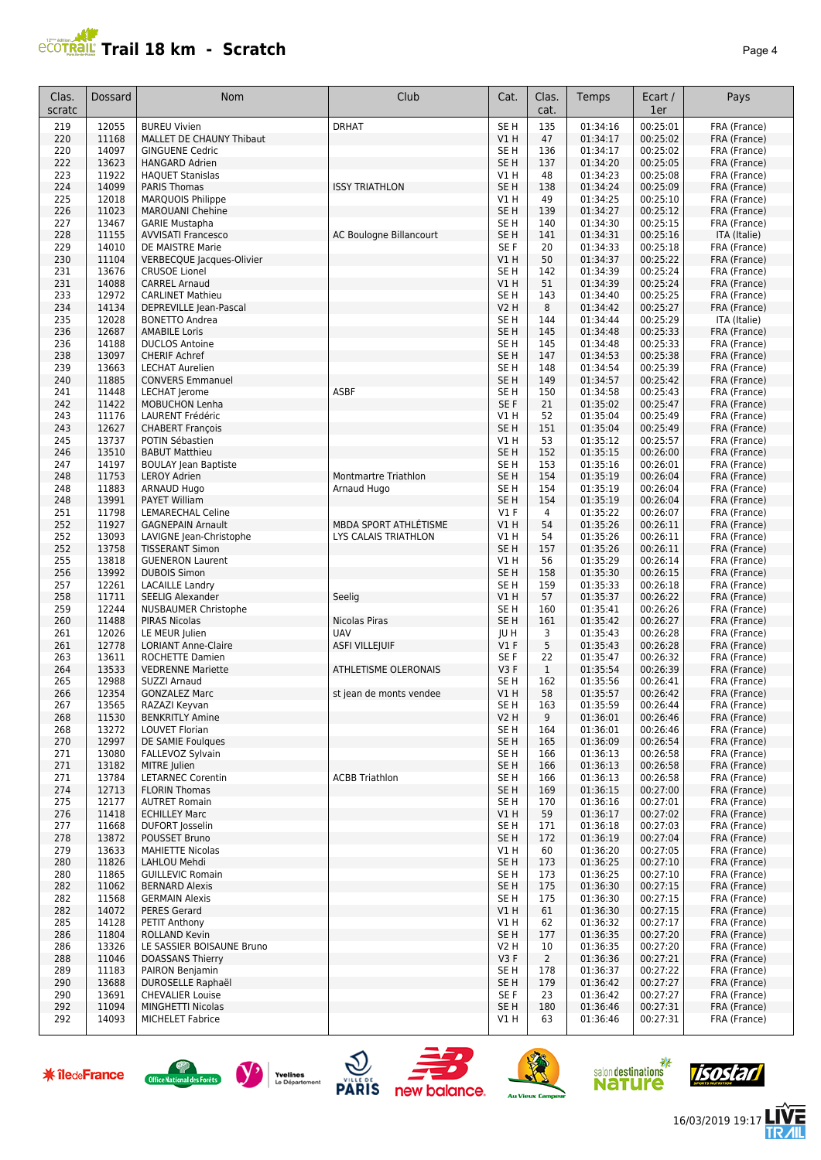# **PROTRAIL Trail 18 km - Scratch**

| I |  |
|---|--|
|---|--|

| Clas.<br>scratc      | Dossard        | Nom                                                      | Club                         | Cat.                               | Clas.<br>cat.          | Temps                        | Ecart /<br>1er       | Pays                         |
|----------------------|----------------|----------------------------------------------------------|------------------------------|------------------------------------|------------------------|------------------------------|----------------------|------------------------------|
| 219                  | 12055          | <b>BUREU Vivien</b>                                      | <b>DRHAT</b>                 | SE <sub>H</sub>                    | 135                    | 01:34:16                     | 00:25:01             | FRA (France)                 |
| 220                  | 11168          | MALLET DE CHAUNY Thibaut                                 |                              | VIH                                | 47                     | 01:34:17                     | 00:25:02             | FRA (France)                 |
| 220                  | 14097          | <b>GINGUENE Cedric</b>                                   |                              | SE <sub>H</sub>                    | 136                    | 01:34:17                     | 00:25:02             | FRA (France)                 |
| 222<br>223           | 13623<br>11922 | <b>HANGARD Adrien</b><br><b>HAQUET Stanislas</b>         |                              | SE <sub>H</sub><br>V1 H            | 137<br>48              | 01:34:20<br>01:34:23         | 00:25:05<br>00:25:08 | FRA (France)<br>FRA (France) |
| 224                  | 14099          | <b>PARIS Thomas</b>                                      | <b>ISSY TRIATHLON</b>        | SE <sub>H</sub>                    | 138                    | 01:34:24                     | 00:25:09             | FRA (France)                 |
| 225                  | 12018          | MARQUOIS Philippe                                        |                              | V1H                                | 49                     | 01:34:25                     | 00:25:10             | FRA (France)                 |
| 226                  | 11023          | MAROUANI Chehine                                         |                              | SE <sub>H</sub>                    | 139                    | 01:34:27                     | 00:25:12             | FRA (France)                 |
| 227                  | 13467          | <b>GARIE Mustapha</b>                                    |                              | SE H                               | 140                    | 01:34:30                     | 00:25:15             | FRA (France)                 |
| 228                  | 11155          | <b>AVVISATI Francesco</b>                                | AC Boulogne Billancourt      | SE <sub>H</sub>                    | 141                    | 01:34:31                     | 00:25:16             | ITA (Italie)                 |
| 229<br>230           | 14010<br>11104 | DE MAISTRE Marie<br>VERBECQUE Jacques-Olivier            |                              | SE F<br>VIH                        | 20<br>50               | 01:34:33<br>01:34:37         | 00:25:18<br>00:25:22 | FRA (France)<br>FRA (France) |
| 231                  | 13676          | <b>CRUSOE Lionel</b>                                     |                              | SE <sub>H</sub>                    | 142                    | 01:34:39                     | 00:25:24             | FRA (France)                 |
| 231                  | 14088          | <b>CARREL Arnaud</b>                                     |                              | VIH                                | 51                     | 01:34:39                     | 00:25:24             | FRA (France)                 |
| 233                  | 12972          | <b>CARLINET Mathieu</b>                                  |                              | SE <sub>H</sub>                    | 143                    | 01:34:40                     | 00:25:25             | FRA (France)                 |
| 234                  | 14134          | DEPREVILLE Jean-Pascal                                   |                              | <b>V2 H</b>                        | 8                      | 01:34:42                     | 00:25:27             | FRA (France)                 |
| 235                  | 12028          | <b>BONETTO Andrea</b>                                    |                              | SE <sub>H</sub>                    | 144                    | 01:34:44                     | 00:25:29             | ITA (Italie)                 |
| 236<br>236           | 12687<br>14188 | <b>AMABILE Loris</b><br><b>DUCLOS Antoine</b>            |                              | SE <sub>H</sub><br>SE <sub>H</sub> | 145<br>145             | 01:34:48<br>01:34:48         | 00:25:33<br>00:25:33 | FRA (France)<br>FRA (France) |
| 238                  | 13097          | <b>CHERIF Achref</b>                                     |                              | SE <sub>H</sub>                    | 147                    | 01:34:53                     | 00:25:38             | FRA (France)                 |
| 239                  | 13663          | <b>LECHAT Aurelien</b>                                   |                              | SE H                               | 148                    | 01:34:54                     | 00:25:39             | FRA (France)                 |
| 240                  | 11885          | <b>CONVERS Emmanuel</b>                                  |                              | SE <sub>H</sub>                    | 149                    | 01:34:57                     | 00:25:42             | FRA (France)                 |
| 241                  | 11448          | <b>LECHAT Jerome</b>                                     | <b>ASBF</b>                  | SE <sub>H</sub>                    | 150                    | 01:34:58                     | 00:25:43             | FRA (France)                 |
| 242                  | 11422          | <b>MOBUCHON Lenha</b>                                    |                              | SE F                               | 21                     | 01:35:02                     | 00:25:47             | FRA (France)                 |
| 243<br>243           | 11176<br>12627 | LAURENT Frédéric<br><b>CHABERT François</b>              |                              | V1 H<br>SE <sub>H</sub>            | 52<br>151              | 01:35:04<br>01:35:04         | 00:25:49<br>00:25:49 | FRA (France)<br>FRA (France) |
| 245                  | 13737          | POTIN Sébastien                                          |                              | V1 H                               | 53                     | 01:35:12                     | 00:25:57             | FRA (France)                 |
| 246                  | 13510          | <b>BABUT Matthieu</b>                                    |                              | SE <sub>H</sub>                    | 152                    | 01:35:15                     | 00:26:00             | FRA (France)                 |
| 247                  | 14197          | <b>BOULAY Jean Baptiste</b>                              |                              | SE <sub>H</sub>                    | 153                    | 01:35:16                     | 00:26:01             | FRA (France)                 |
| 248                  | 11753          | <b>LEROY Adrien</b>                                      | Montmartre Triathlon         | SE <sub>H</sub>                    | 154                    | 01:35:19                     | 00:26:04             | FRA (France)                 |
| 248                  | 11883          | <b>ARNAUD Hugo</b>                                       | Arnaud Hugo                  | SE <sub>H</sub>                    | 154                    | 01:35:19                     | 00:26:04             | FRA (France)                 |
| 248<br>251           | 13991<br>11798 | <b>PAYET William</b><br><b>LEMARECHAL Celine</b>         |                              | SE <sub>H</sub><br>$VI$ F          | 154<br>4               | 01:35:19<br>01:35:22         | 00:26:04<br>00:26:07 | FRA (France)<br>FRA (France) |
| 252                  | 11927          | <b>GAGNEPAIN Arnault</b>                                 | MBDA SPORT ATHLÉTISME        | V1 H                               | 54                     | 01:35:26                     | 00:26:11             | FRA (France)                 |
| 252                  | 13093          | LAVIGNE Jean-Christophe                                  | LYS CALAIS TRIATHLON         | V1 H                               | 54                     | 01:35:26                     | 00:26:11             | FRA (France)                 |
| 252                  | 13758          | <b>TISSERANT Simon</b>                                   |                              | SE <sub>H</sub>                    | 157                    | 01:35:26                     | 00:26:11             | FRA (France)                 |
| 255                  | 13818          | <b>GUENERON Laurent</b>                                  |                              | V1H                                | 56                     | 01:35:29                     | 00:26:14             | FRA (France)                 |
| 256                  | 13992          | <b>DUBOIS Simon</b>                                      |                              | SE <sub>H</sub>                    | 158                    | 01:35:30                     | 00:26:15             | FRA (France)                 |
| 257<br>258           | 12261<br>11711 | <b>LACAILLE Landry</b><br>SEELIG Alexander               | Seelig                       | SE <sub>H</sub><br>VIH             | 159<br>57              | 01:35:33<br>01:35:37         | 00:26:18<br>00:26:22 | FRA (France)<br>FRA (France) |
| 259                  | 12244          | NUSBAUMER Christophe                                     |                              | SE <sub>H</sub>                    | 160                    | 01:35:41                     | 00:26:26             | FRA (France)                 |
| 260                  | 11488          | <b>PIRAS Nicolas</b>                                     | Nicolas Piras                | SE <sub>H</sub>                    | 161                    | 01:35:42                     | 00:26:27             | FRA (France)                 |
| 261                  | 12026          | LE MEUR Julien                                           | <b>UAV</b>                   | JU H                               | 3                      | 01:35:43                     | 00:26:28             | FRA (France)                 |
| 261                  | 12778          | <b>LORIANT Anne-Claire</b>                               | <b>ASFI VILLEJUIF</b>        | $VI$ F                             | 5                      | 01:35:43                     | 00:26:28             | FRA (France)                 |
| 263                  | 13611          | ROCHETTE Damien                                          |                              | SE F                               | 22                     | 01:35:47                     | 00:26:32             | FRA (France)                 |
| 264<br>265           | 13533<br>12988 | <b>VEDRENNE Mariette</b><br>SUZZI Arnaud                 | <b>ATHLETISME OLERONAIS</b>  | V3F<br>SE H                        | $\mathbf{1}$<br>162    | 01:35:54<br>01:35:56         | 00:26:39<br>00:26:41 | FRA (France)<br>FRA (France) |
| 266                  | 12354          | <b>GONZALEZ Marc</b>                                     | st jean de monts vendee      | V1 H                               | 58                     | 01:35:57                     | 00:26:42             | FRA (France)                 |
| 267                  | 13565          | RAZAZI Keyvan                                            |                              | SE H                               | 163                    | 01:35:59                     | 00:26:44             | FRA (France)                 |
| 268                  | 11530          | <b>BENKRITLY Amine</b>                                   |                              | <b>V2 H</b>                        | 9                      | 01:36:01                     | 00:26:46             | FRA (France)                 |
| 268                  | 13272          | <b>LOUVET Florian</b>                                    |                              | SE H                               | 164                    | 01:36:01                     | 00:26:46             | FRA (France)                 |
| 270<br>271           | 12997<br>13080 | DE SAMIE Foulgues<br>FALLEVOZ Sylvain                    |                              | SE <sub>H</sub><br>SE H            | 165<br>166             | 01:36:09<br>01:36:13         | 00:26:54<br>00:26:58 | FRA (France)<br>FRA (France) |
| 271                  | 13182          | MITRE Julien                                             |                              | SE <sub>H</sub>                    | 166                    | 01:36:13                     | 00:26:58             | FRA (France)                 |
| 271                  | 13784          | <b>LETARNEC Corentin</b>                                 | <b>ACBB Triathlon</b>        | SE <sub>H</sub>                    | 166                    | 01:36:13                     | 00:26:58             | FRA (France)                 |
| 274                  | 12713          | <b>FLORIN Thomas</b>                                     |                              | SE <sub>H</sub>                    | 169                    | 01:36:15                     | 00:27:00             | FRA (France)                 |
| 275                  | 12177          | <b>AUTRET Romain</b>                                     |                              | SE <sub>H</sub>                    | 170                    | 01:36:16                     | 00:27:01             | FRA (France)                 |
| 276                  | 11418          | <b>ECHILLEY Marc</b>                                     |                              | VIH                                | 59                     | 01:36:17                     | 00:27:02             | FRA (France)                 |
| 277<br>278           | 11668<br>13872 | DUFORT Josselin<br>POUSSET Bruno                         |                              | SE H<br>SE <sub>H</sub>            | 171<br>172             | 01:36:18<br>01:36:19         | 00:27:03<br>00:27:04 | FRA (France)<br>FRA (France) |
| 279                  | 13633          | <b>MAHIETTE Nicolas</b>                                  |                              | V1 H                               | 60                     | 01:36:20                     | 00:27:05             | FRA (France)                 |
| 280                  | 11826          | <b>LAHLOU Mehdi</b>                                      |                              | SE <sub>H</sub>                    | 173                    | 01:36:25                     | 00:27:10             | FRA (France)                 |
| 280                  | 11865          | <b>GUILLEVIC Romain</b>                                  |                              | SE H                               | 173                    | 01:36:25                     | 00:27:10             | FRA (France)                 |
| 282                  | 11062          | <b>BERNARD Alexis</b>                                    |                              | SE <sub>H</sub>                    | 175                    | 01:36:30                     | 00:27:15             | FRA (France)                 |
| 282                  | 11568          | <b>GERMAIN Alexis</b>                                    |                              | SE H                               | 175                    | 01:36:30                     | 00:27:15             | FRA (France)                 |
| 282<br>285           | 14072<br>14128 | <b>PERES Gerard</b><br>PETIT Anthony                     |                              | V1 H<br>V1 H                       | 61<br>62               | 01:36:30<br>01:36:32         | 00:27:15<br>00:27:17 | FRA (France)<br>FRA (France) |
| 286                  | 11804          | ROLLAND Kevin                                            |                              | SE <sub>H</sub>                    | 177                    | 01:36:35                     | 00:27:20             | FRA (France)                 |
| 286                  | 13326          | LE SASSIER BOISAUNE Bruno                                |                              | V2 H                               | 10                     | 01:36:35                     | 00:27:20             | FRA (France)                 |
| 288                  | 11046          | DOASSANS Thierry                                         |                              | V3F                                | $\overline{2}$         | 01:36:36                     | 00:27:21             | FRA (France)                 |
| 289                  | 11183          | <b>PAIRON Benjamin</b>                                   |                              | SE H                               | 178                    | 01:36:37                     | 00:27:22             | FRA (France)                 |
| 290                  | 13688          | DUROSELLE Raphaël                                        |                              | SE H                               | 179                    | 01:36:42                     | 00:27:27             | FRA (France)                 |
| 290<br>292           | 13691<br>11094 | <b>CHEVALIER Louise</b><br><b>MINGHETTI Nicolas</b>      |                              | SE F<br>SE <sub>H</sub>            | 23<br>180              | 01:36:42<br>01:36:46         | 00:27:27<br>00:27:31 | FRA (France)<br>FRA (France) |
| 292                  | 14093          | <b>MICHELET Fabrice</b>                                  |                              | V1 H                               | 63                     | 01:36:46                     | 00:27:31             | FRA (France)                 |
|                      |                |                                                          |                              |                                    |                        |                              |                      |                              |
| <b>* îledeFrance</b> |                | Yvelines<br>Office National des Forêts<br>Le Département | <b>PARIS</b><br>new balance. |                                    |                        | salon destinations<br>nature | 器                    | <i><b>Isostan</b></i>        |
|                      |                |                                                          |                              |                                    | <b>Au Vieux Campeu</b> |                              |                      |                              |















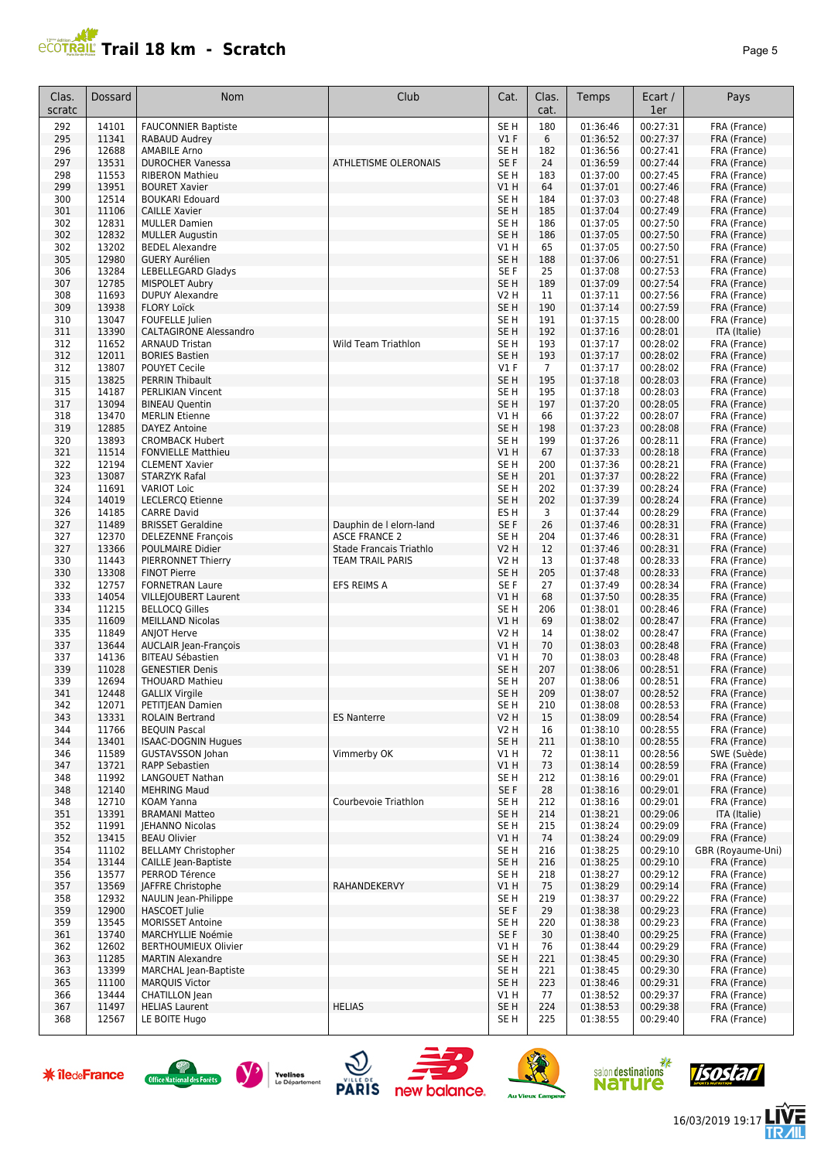# **PRAIL Trail 18 km - Scratch**

|--|

| Clas.      | Dossard        | Nom                                                 | Club                                            | Cat.                               | Clas.          | Temps                | Ecart /              | Pays                         |
|------------|----------------|-----------------------------------------------------|-------------------------------------------------|------------------------------------|----------------|----------------------|----------------------|------------------------------|
| scratc     |                |                                                     |                                                 |                                    | cat.           |                      | 1er                  |                              |
| 292        | 14101          | <b>FAUCONNIER Baptiste</b>                          |                                                 | SE <sub>H</sub>                    | 180            | 01:36:46             | 00:27:31             | FRA (France)                 |
| 295        | 11341          | RABAUD Audrey                                       |                                                 | V1F                                | 6              | 01:36:52             | 00:27:37             | FRA (France)                 |
| 296        | 12688          | <b>AMABILE Arno</b>                                 |                                                 | SE H                               | 182            | 01:36:56             | 00:27:41             | FRA (France)                 |
| 297<br>298 | 13531<br>11553 | <b>DUROCHER Vanessa</b><br><b>RIBERON Mathieu</b>   | <b>ATHLETISME OLERONAIS</b>                     | SE F<br>SE <sub>H</sub>            | 24<br>183      | 01:36:59<br>01:37:00 | 00:27:44<br>00:27:45 | FRA (France)<br>FRA (France) |
| 299        | 13951          | <b>BOURET Xavier</b>                                |                                                 | V1H                                | 64             | 01:37:01             | 00:27:46             | FRA (France)                 |
| 300        | 12514          | <b>BOUKARI Edouard</b>                              |                                                 | SE <sub>H</sub>                    | 184            | 01:37:03             | 00:27:48             | FRA (France)                 |
| 301        | 11106          | <b>CAILLE Xavier</b>                                |                                                 | SE <sub>H</sub>                    | 185            | 01:37:04             | 00:27:49             | FRA (France)                 |
| 302        | 12831          | <b>MULLER Damien</b>                                |                                                 | SE H                               | 186            | 01:37:05             | 00:27:50             | FRA (France)                 |
| 302        | 12832          | <b>MULLER Augustin</b>                              |                                                 | SE <sub>H</sub>                    | 186            | 01:37:05             | 00:27:50             | FRA (France)                 |
| 302        | 13202          | <b>BEDEL Alexandre</b>                              |                                                 | V1 H                               | 65             | 01:37:05             | 00:27:50             | FRA (France)                 |
| 305<br>306 | 12980<br>13284 | <b>GUERY Aurélien</b><br>LEBELLEGARD Gladys         |                                                 | SE <sub>H</sub><br>SE F            | 188<br>25      | 01:37:06<br>01:37:08 | 00:27:51<br>00:27:53 | FRA (France)<br>FRA (France) |
| 307        | 12785          | <b>MISPOLET Aubry</b>                               |                                                 | SE <sub>H</sub>                    | 189            | 01:37:09             | 00:27:54             | FRA (France)                 |
| 308        | 11693          | <b>DUPUY Alexandre</b>                              |                                                 | <b>V2 H</b>                        | 11             | 01:37:11             | 00:27:56             | FRA (France)                 |
| 309        | 13938          | <b>FLORY Loïck</b>                                  |                                                 | SE <sub>H</sub>                    | 190            | 01:37:14             | 00:27:59             | FRA (France)                 |
| 310        | 13047          | FOUFELLE Julien                                     |                                                 | SE H                               | 191            | 01:37:15             | 00:28:00             | FRA (France)                 |
| 311        | 13390          | <b>CALTAGIRONE Alessandro</b>                       |                                                 | SE <sub>H</sub>                    | 192            | 01:37:16             | 00:28:01             | ITA (Italie)                 |
| 312<br>312 | 11652<br>12011 | <b>ARNAUD Tristan</b><br><b>BORIES Bastien</b>      | Wild Team Triathlon                             | SE <sub>H</sub><br>SE <sub>H</sub> | 193<br>193     | 01:37:17<br>01:37:17 | 00:28:02<br>00:28:02 | FRA (France)<br>FRA (France) |
| 312        | 13807          | POUYET Cecile                                       |                                                 | $VI$ F                             | $\overline{7}$ | 01:37:17             | 00:28:02             | FRA (France)                 |
| 315        | 13825          | <b>PERRIN Thibault</b>                              |                                                 | SE <sub>H</sub>                    | 195            | 01:37:18             | 00:28:03             | FRA (France)                 |
| 315        | 14187          | PERLIKIAN Vincent                                   |                                                 | SE H                               | 195            | 01:37:18             | 00:28:03             | FRA (France)                 |
| 317        | 13094          | <b>BINEAU Quentin</b>                               |                                                 | SE <sub>H</sub>                    | 197            | 01:37:20             | 00:28:05             | FRA (France)                 |
| 318        | 13470          | <b>MERLIN Etienne</b>                               |                                                 | V1 H                               | 66             | 01:37:22             | 00:28:07             | FRA (France)                 |
| 319        | 12885          | DAYEZ Antoine                                       |                                                 | SE <sub>H</sub>                    | 198            | 01:37:23             | 00:28:08             | FRA (France)                 |
| 320<br>321 | 13893<br>11514 | <b>CROMBACK Hubert</b><br><b>FONVIELLE Matthieu</b> |                                                 | SE <sub>H</sub><br>V1H             | 199<br>67      | 01:37:26<br>01:37:33 | 00:28:11<br>00:28:18 | FRA (France)<br>FRA (France) |
| 322        | 12194          | <b>CLEMENT Xavier</b>                               |                                                 | SE H                               | 200            | 01:37:36             | 00:28:21             | FRA (France)                 |
| 323        | 13087          | <b>STARZYK Rafal</b>                                |                                                 | SE <sub>H</sub>                    | 201            | 01:37:37             | 00:28:22             | FRA (France)                 |
| 324        | 11691          | <b>VARIOT Loic</b>                                  |                                                 | SE H                               | 202            | 01:37:39             | 00:28:24             | FRA (France)                 |
| 324        | 14019          | <b>LECLERCQ Etienne</b>                             |                                                 | SE <sub>H</sub>                    | 202            | 01:37:39             | 00:28:24             | FRA (France)                 |
| 326        | 14185          | <b>CARRE David</b>                                  |                                                 | ES H                               | 3              | 01:37:44             | 00:28:29             | FRA (France)                 |
| 327        | 11489          | <b>BRISSET Geraldine</b>                            | Dauphin de I elorn-land                         | SE F                               | 26             | 01:37:46             | 00:28:31             | FRA (France)                 |
| 327<br>327 | 12370<br>13366 | <b>DELEZENNE François</b><br>POULMAIRE Didier       | <b>ASCE FRANCE 2</b><br>Stade Francais Triathlo | SE H<br><b>V2 H</b>                | 204<br>12      | 01:37:46<br>01:37:46 | 00:28:31<br>00:28:31 | FRA (France)<br>FRA (France) |
| 330        | 11443          | <b>PIERRONNET Thierry</b>                           | TEAM TRAIL PARIS                                | V2 H                               | 13             | 01:37:48             | 00:28:33             | FRA (France)                 |
| 330        | 13308          | <b>FINOT Pierre</b>                                 |                                                 | SE <sub>H</sub>                    | 205            | 01:37:48             | 00:28:33             | FRA (France)                 |
| 332        | 12757          | <b>FORNETRAN Laure</b>                              | EFS REIMS A                                     | SE F                               | 27             | 01:37:49             | 00:28:34             | FRA (France)                 |
| 333        | 14054          | VILLEJOUBERT Laurent                                |                                                 | VIH                                | 68             | 01:37:50             | 00:28:35             | FRA (France)                 |
| 334        | 11215          | <b>BELLOCQ Gilles</b>                               |                                                 | SE H                               | 206            | 01:38:01             | 00:28:46             | FRA (France)                 |
| 335<br>335 | 11609<br>11849 | <b>MEILLAND Nicolas</b><br><b>ANJOT Herve</b>       |                                                 | V1H<br>V2 H                        | 69<br>14       | 01:38:02<br>01:38:02 | 00:28:47<br>00:28:47 | FRA (France)<br>FRA (France) |
| 337        | 13644          | AUCLAIR Jean-François                               |                                                 | V1H                                | 70             | 01:38:03             | 00:28:48             | FRA (France)                 |
| 337        | 14136          | <b>BITEAU Sébastien</b>                             |                                                 | V1 H                               | 70             | 01:38:03             | 00:28:48             | FRA (France)                 |
| 339        | 11028          | <b>GENESTIER Denis</b>                              |                                                 | SE <sub>H</sub>                    | 207            | 01:38:06             | 00:28:51             | FRA (France)                 |
| 339        | 12694          | <b>THOUARD Mathieu</b>                              |                                                 | SE H                               | 207            | 01:38:06             | 00:28:51             | FRA (France)                 |
| 341        | 12448          | <b>GALLIX Virgile</b>                               |                                                 | SE <sub>H</sub>                    | 209            | 01:38:07             | 00:28:52             | FRA (France)                 |
| 342<br>343 | 12071<br>13331 | PETITJEAN Damien<br><b>ROLAIN Bertrand</b>          | <b>ES Nanterre</b>                              | SE <sub>H</sub><br><b>V2 H</b>     | 210<br>15      | 01:38:08<br>01:38:09 | 00:28:53<br>00:28:54 | FRA (France)<br>FRA (France) |
| 344        | 11766          | <b>BEQUIN Pascal</b>                                |                                                 | <b>V2 H</b>                        | 16             | 01:38:10             | 00:28:55             | FRA (France)                 |
| 344        | 13401          | <b>ISAAC-DOGNIN Hugues</b>                          |                                                 | SE <sub>H</sub>                    | 211            | 01:38:10             | 00:28:55             | FRA (France)                 |
| 346        | 11589          | <b>GUSTAVSSON Johan</b>                             | Vimmerby OK                                     | V1 H                               | 72             | 01:38:11             | 00:28:56             | SWE (Suède)                  |
| 347        | 13721          | <b>RAPP Sebastien</b>                               |                                                 | V1H                                | 73             | 01:38:14             | 00:28:59             | FRA (France)                 |
| 348        | 11992          | LANGOUET Nathan                                     |                                                 | SE H                               | 212            | 01:38:16             | 00:29:01             | FRA (France)                 |
| 348        | 12140          | <b>MEHRING Maud</b>                                 |                                                 | SE F                               | 28             | 01:38:16             | 00:29:01             | FRA (France)                 |
| 348<br>351 | 12710<br>13391 | KOAM Yanna<br><b>BRAMANI Matteo</b>                 | Courbevoie Triathlon                            | SE H<br>SE <sub>H</sub>            | 212<br>214     | 01:38:16<br>01:38:21 | 00:29:01<br>00:29:06 | FRA (France)<br>ITA (Italie) |
| 352        | 11991          | JEHANNO Nicolas                                     |                                                 | SE H                               | 215            | 01:38:24             | 00:29:09             | FRA (France)                 |
| 352        | 13415          | <b>BEAU Olivier</b>                                 |                                                 | V1H                                | 74             | 01:38:24             | 00:29:09             | FRA (France)                 |
| 354        | 11102          | <b>BELLAMY Christopher</b>                          |                                                 | SE H                               | 216            | 01:38:25             | 00:29:10             | GBR (Royaume-Uni)            |
| 354        | 13144          | <b>CAILLE lean-Baptiste</b>                         |                                                 | SE H                               | 216            | 01:38:25             | 00:29:10             | FRA (France)                 |
| 356        | 13577          | PERROD Térence                                      |                                                 | SE <sub>H</sub>                    | 218            | 01:38:27             | 00:29:12             | FRA (France)                 |
| 357<br>358 | 13569          | JAFFRE Christophe                                   | RAHANDEKERVY                                    | V1H                                | 75<br>219      | 01:38:29             | 00:29:14<br>00:29:22 | FRA (France)                 |
| 359        | 12932<br>12900 | NAULIN Jean-Philippe<br>HASCOET Julie               |                                                 | SE <sub>H</sub><br>SE F            | 29             | 01:38:37<br>01:38:38 | 00:29:23             | FRA (France)<br>FRA (France) |
| 359        | 13545          | <b>MORISSET Antoine</b>                             |                                                 | SE H                               | 220            | 01:38:38             | 00:29:23             | FRA (France)                 |
| 361        | 13740          | <b>MARCHYLLIE Noémie</b>                            |                                                 | SE F                               | 30             | 01:38:40             | 00:29:25             | FRA (France)                 |
| 362        | 12602          | <b>BERTHOUMIEUX Olivier</b>                         |                                                 | V1 H                               | 76             | 01:38:44             | 00:29:29             | FRA (France)                 |
| 363        | 11285          | <b>MARTIN Alexandre</b>                             |                                                 | SE <sub>H</sub>                    | 221            | 01:38:45             | 00:29:30             | FRA (France)                 |
| 363        | 13399          | <b>MARCHAL Jean-Baptiste</b>                        |                                                 | SE H                               | 221            | 01:38:45             | 00:29:30             | FRA (France)                 |
| 365<br>366 | 11100<br>13444 | <b>MARQUIS Victor</b><br>CHATILLON Jean             |                                                 | SE <sub>H</sub>                    | 223<br>77      | 01:38:46             | 00:29:31<br>00:29:37 | FRA (France)                 |
| 367        | 11497          | <b>HELIAS Laurent</b>                               | <b>HELIAS</b>                                   | V1 H<br>SE <sub>H</sub>            | 224            | 01:38:52<br>01:38:53 | 00:29:38             | FRA (France)<br>FRA (France) |
| 368        | 12567          | LE BOITE Hugo                                       |                                                 | SE H                               | 225            | 01:38:55             | 00:29:40             | FRA (France)                 |
|            |                |                                                     |                                                 |                                    |                |                      |                      |                              |















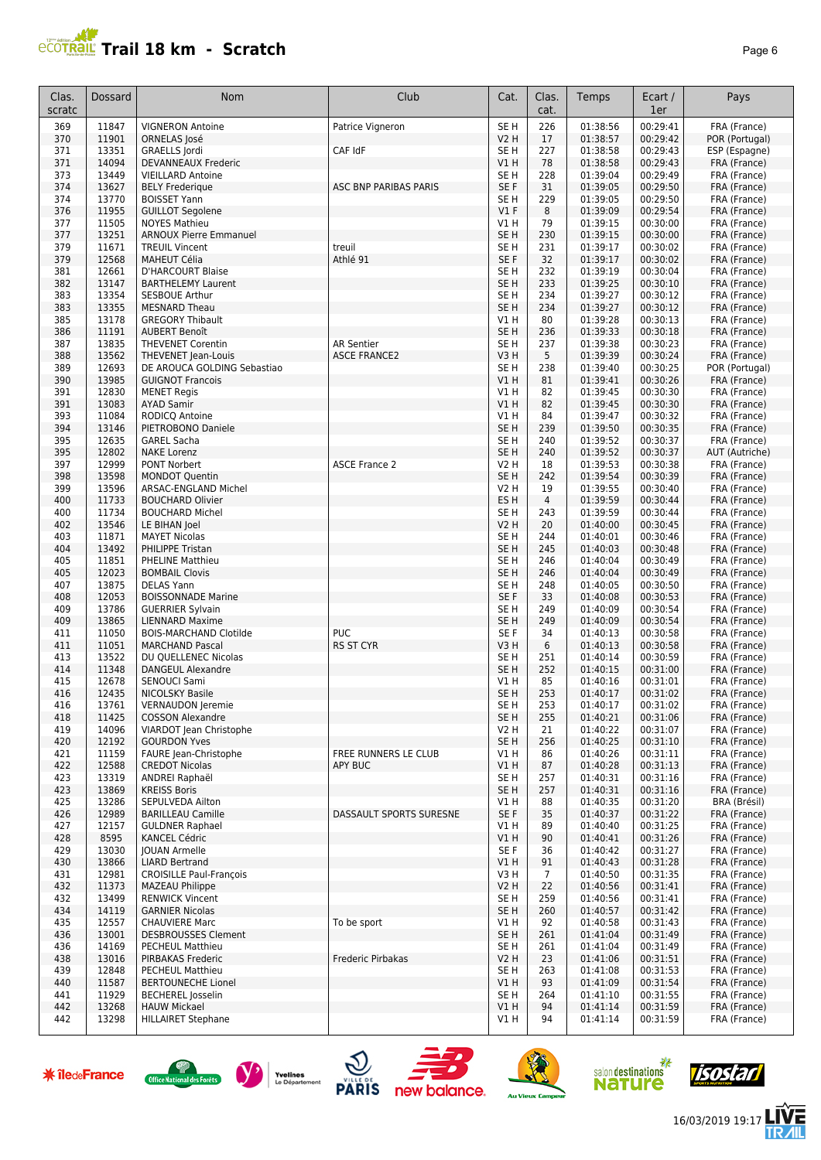## **PCOTRAL Trail 18 km - Scratch**

| Clas.<br>scratc | Dossard        | Nom                                                     | Club                         | Cat.                    | Clas.<br>cat.        | Temps                | Ecart /<br>1er       | Pays                          |
|-----------------|----------------|---------------------------------------------------------|------------------------------|-------------------------|----------------------|----------------------|----------------------|-------------------------------|
| 369             | 11847          | <b>VIGNERON Antoine</b>                                 | Patrice Vigneron             | SE <sub>H</sub>         | 226                  | 01:38:56             | 00:29:41             | FRA (France)                  |
| 370             | 11901          | ORNELAS José                                            |                              | <b>V2 H</b>             | 17                   | 01:38:57             | 00:29:42             | POR (Portugal)                |
| 371<br>371      | 13351<br>14094 | GRAELLS Jordi<br><b>DEVANNEAUX Frederic</b>             | CAF IdF                      | SE H<br>V1H             | 227<br>78            | 01:38:58<br>01:38:58 | 00:29:43<br>00:29:43 | ESP (Espagne)<br>FRA (France) |
| 373             | 13449          | <b>VIEILLARD Antoine</b>                                |                              | SE <sub>H</sub>         | 228                  | 01:39:04             | 00:29:49             | FRA (France)                  |
| 374             | 13627          | <b>BELY Frederique</b>                                  | <b>ASC BNP PARIBAS PARIS</b> | SE F                    | 31                   | 01:39:05             | 00:29:50             | FRA (France)                  |
| 374             | 13770          | <b>BOISSET Yann</b>                                     |                              | SE <sub>H</sub>         | 229                  | 01:39:05             | 00:29:50             | FRA (France)                  |
| 376             | 11955          | <b>GUILLOT Segolene</b>                                 |                              | $VI$ F                  | 8                    | 01:39:09             | 00:29:54             | FRA (France)                  |
| 377             | 11505          | <b>NOYES Mathieu</b>                                    |                              | V1H                     | 79                   | 01:39:15             | 00:30:00             | FRA (France)                  |
| 377<br>379      | 13251<br>11671 | <b>ARNOUX Pierre Emmanuel</b><br><b>TREUIL Vincent</b>  | treuil                       | SE <sub>H</sub>         | 230<br>231           | 01:39:15<br>01:39:17 | 00:30:00<br>00:30:02 | FRA (France)                  |
| 379             | 12568          | <b>MAHEUT Célia</b>                                     | Athlé 91                     | SE H<br>SE F            | 32                   | 01:39:17             | 00:30:02             | FRA (France)<br>FRA (France)  |
| 381             | 12661          | <b>D'HARCOURT Blaise</b>                                |                              | SE <sub>H</sub>         | 232                  | 01:39:19             | 00:30:04             | FRA (France)                  |
| 382             | 13147          | <b>BARTHELEMY Laurent</b>                               |                              | SE <sub>H</sub>         | 233                  | 01:39:25             | 00:30:10             | FRA (France)                  |
| 383             | 13354          | <b>SESBOUE Arthur</b>                                   |                              | SE H                    | 234                  | 01:39:27             | 00:30:12             | FRA (France)                  |
| 383             | 13355          | <b>MESNARD Theau</b>                                    |                              | SE <sub>H</sub>         | 234                  | 01:39:27             | 00:30:12             | FRA (France)                  |
| 385             | 13178<br>11191 | <b>GREGORY Thibault</b>                                 |                              | V1 H                    | 80<br>236            | 01:39:28<br>01:39:33 | 00:30:13<br>00:30:18 | FRA (France)                  |
| 386<br>387      | 13835          | AUBERT Benoît<br><b>THEVENET Corentin</b>               | <b>AR Sentier</b>            | SE H<br>SE H            | 237                  | 01:39:38             | 00:30:23             | FRA (France)<br>FRA (France)  |
| 388             | 13562          | THEVENET Jean-Louis                                     | <b>ASCE FRANCE2</b>          | V3 H                    | 5                    | 01:39:39             | 00:30:24             | FRA (France)                  |
| 389             | 12693          | DE AROUCA GOLDING Sebastiao                             |                              | SE <sub>H</sub>         | 238                  | 01:39:40             | 00:30:25             | POR (Portugal)                |
| 390             | 13985          | <b>GUIGNOT Francois</b>                                 |                              | V1 H                    | 81                   | 01:39:41             | 00:30:26             | FRA (France)                  |
| 391             | 12830          | <b>MENET Regis</b>                                      |                              | V1 H                    | 82                   | 01:39:45             | 00:30:30             | FRA (France)                  |
| 391             | 13083          | <b>AYAD Samir</b>                                       |                              | V1H                     | 82                   | 01:39:45             | 00:30:30             | FRA (France)                  |
| 393<br>394      | 11084<br>13146 | RODICQ Antoine<br>PIETROBONO Daniele                    |                              | V1 H<br>SE <sub>H</sub> | 84<br>239            | 01:39:47<br>01:39:50 | 00:30:32<br>00:30:35 | FRA (France)<br>FRA (France)  |
| 395             | 12635          | <b>GAREL Sacha</b>                                      |                              | SE <sub>H</sub>         | 240                  | 01:39:52             | 00:30:37             | FRA (France)                  |
| 395             | 12802          | <b>NAKE Lorenz</b>                                      |                              | SE <sub>H</sub>         | 240                  | 01:39:52             | 00:30:37             | AUT (Autriche)                |
| 397             | 12999          | PONT Norbert                                            | <b>ASCE France 2</b>         | <b>V2 H</b>             | 18                   | 01:39:53             | 00:30:38             | FRA (France)                  |
| 398             | 13598          | <b>MONDOT Quentin</b>                                   |                              | SE <sub>H</sub>         | 242                  | 01:39:54             | 00:30:39             | FRA (France)                  |
| 399             | 13596          | ARSAC-ENGLAND Michel                                    |                              | <b>V2 H</b>             | 19                   | 01:39:55             | 00:30:40             | FRA (France)                  |
| 400             | 11733          | <b>BOUCHARD Olivier</b>                                 |                              | ES H                    | $\overline{4}$       | 01:39:59             | 00:30:44             | FRA (France)                  |
| 400<br>402      | 11734<br>13546 | <b>BOUCHARD Michel</b><br>LE BIHAN Joel                 |                              | SE H<br><b>V2 H</b>     | 243<br>20            | 01:39:59<br>01:40:00 | 00:30:44<br>00:30:45 | FRA (France)<br>FRA (France)  |
| 403             | 11871          | <b>MAYET Nicolas</b>                                    |                              | SE <sub>H</sub>         | 244                  | 01:40:01             | 00:30:46             | FRA (France)                  |
| 404             | 13492          | PHILIPPE Tristan                                        |                              | SE <sub>H</sub>         | 245                  | 01:40:03             | 00:30:48             | FRA (France)                  |
| 405             | 11851          | <b>PHELINE Matthieu</b>                                 |                              | SE H                    | 246                  | 01:40:04             | 00:30:49             | FRA (France)                  |
| 405             | 12023          | <b>BOMBAIL Clovis</b>                                   |                              | SE <sub>H</sub>         | 246                  | 01:40:04             | 00:30:49             | FRA (France)                  |
| 407             | 13875          | <b>DELAS Yann</b>                                       |                              | SE H<br>SE <sub>F</sub> | 248                  | 01:40:05             | 00:30:50             | FRA (France)                  |
| 408<br>409      | 12053<br>13786 | <b>BOISSONNADE Marine</b><br><b>GUERRIER Sylvain</b>    |                              | SE <sub>H</sub>         | 33<br>249            | 01:40:08<br>01:40:09 | 00:30:53<br>00:30:54 | FRA (France)<br>FRA (France)  |
| 409             | 13865          | <b>LIENNARD Maxime</b>                                  |                              | SE <sub>H</sub>         | 249                  | 01:40:09             | 00:30:54             | FRA (France)                  |
| 411             | 11050          | <b>BOIS-MARCHAND Clotilde</b>                           | <b>PUC</b>                   | SE <sub>F</sub>         | 34                   | 01:40:13             | 00:30:58             | FRA (France)                  |
| 411             | 11051          | <b>MARCHAND Pascal</b>                                  | <b>RS ST CYR</b>             | V3 H                    | 6                    | 01:40:13             | 00:30:58             | FRA (France)                  |
| 413             | 13522          | DU QUELLENEC Nicolas                                    |                              | SE H                    | 251                  | 01:40:14             | 00:30:59             | FRA (France)                  |
| 414             | 11348          | <b>DANGEUL Alexandre</b>                                |                              | SE H                    | 252<br>85            | 01:40:15             | 00:31:00             | FRA (France)                  |
| 415<br>416      | 12678<br>12435 | SENOUCI Sami<br>NICOLSKY Basile                         |                              | V1 H<br>SE <sub>H</sub> | 253                  | 01:40:16<br>01:40:17 | 00:31:01<br>00:31:02 | FRA (France)<br>FRA (France)  |
| 416             | 13/61          | VERNAUDON Jeremie                                       |                              | SE H                    | 253                  | 01:40:17             | 00:31:02             | FRA (France)                  |
| 418             | 11425          | <b>COSSON Alexandre</b>                                 |                              | SE H                    | 255                  | 01:40:21             | 00:31:06             | FRA (France)                  |
| 419             | 14096          | VIARDOT Jean Christophe                                 |                              | V2 H                    | 21                   | 01:40:22             | 00:31:07             | FRA (France)                  |
| 420             | 12192          | <b>GOURDON Yves</b>                                     |                              | SE H                    | 256                  | 01:40:25             | 00:31:10             | FRA (France)                  |
| 421             | 11159          | FAURE Jean-Christophe                                   | FREE RUNNERS LE CLUB         | V1 H                    | 86                   | 01:40:26             | 00:31:11             | FRA (France)                  |
| 422<br>423      | 12588<br>13319 | <b>CREDOT Nicolas</b><br>ANDREI Raphaël                 | APY BUC                      | V1 H<br>SE H            | 87<br>257            | 01:40:28<br>01:40:31 | 00:31:13<br>00:31:16 | FRA (France)<br>FRA (France)  |
| 423             | 13869          | <b>KREISS Boris</b>                                     |                              | SE H                    | 257                  | 01:40:31             | 00:31:16             | FRA (France)                  |
| 425             | 13286          | SEPULVEDA Ailton                                        |                              | V1 H                    | 88                   | 01:40:35             | 00:31:20             | BRA (Brésil)                  |
| 426             | 12989          | <b>BARILLEAU Camille</b>                                | DASSAULT SPORTS SURESNE      | SE F                    | 35                   | 01:40:37             | 00:31:22             | FRA (France)                  |
| 427             | 12157          | <b>GULDNER Raphael</b>                                  |                              | V1 H                    | 89                   | 01:40:40             | 00:31:25             | FRA (France)                  |
| 428             | 8595           | KANCEL Cédric                                           |                              | V1H                     | 90                   | 01:40:41             | 00:31:26             | FRA (France)                  |
| 429             | 13030          | <b>JOUAN Armelle</b>                                    |                              | SE F                    | 36                   | 01:40:42             | 00:31:27             | FRA (France)                  |
| 430<br>431      | 13866<br>12981 | <b>LIARD Bertrand</b><br><b>CROISILLE Paul-François</b> |                              | V1H<br>V3H              | 91<br>$\overline{7}$ | 01:40:43<br>01:40:50 | 00:31:28<br>00:31:35 | FRA (France)<br>FRA (France)  |
| 432             | 11373          | <b>MAZEAU Philippe</b>                                  |                              | <b>V2 H</b>             | 22                   | 01:40:56             | 00:31:41             | FRA (France)                  |
| 432             | 13499          | <b>RENWICK Vincent</b>                                  |                              | SE H                    | 259                  | 01:40:56             | 00:31:41             | FRA (France)                  |
| 434             | 14119          | <b>GARNIER Nicolas</b>                                  |                              | SE <sub>H</sub>         | 260                  | 01:40:57             | 00:31:42             | FRA (France)                  |
| 435             | 12557          | <b>CHAUVIERE Marc</b>                                   | To be sport                  | V1 H                    | 92                   | 01:40:58             | 00:31:43             | FRA (France)                  |
| 436             | 13001          | <b>DESBROUSSES Clement</b>                              |                              | SE H                    | 261                  | 01:41:04             | 00:31:49             | FRA (France)                  |
| 436<br>438      | 14169<br>13016 | PECHEUL Matthieu<br>PIRBAKAS Frederic                   | Frederic Pirbakas            | SE H<br>V2 H            | 261<br>23            | 01:41:04<br>01:41:06 | 00:31:49<br>00:31:51 | FRA (France)<br>FRA (France)  |
| 439             | 12848          | <b>PECHEUL Matthieu</b>                                 |                              | SE H                    | 263                  | 01:41:08             | 00:31:53             | FRA (France)                  |
| 440             | 11587          | <b>BERTOUNECHE Lionel</b>                               |                              | V1 H                    | 93                   | 01:41:09             | 00:31:54             | FRA (France)                  |
| 441             | 11929          | <b>BECHEREL</b> Josselin                                |                              | SE H                    | 264                  | 01:41:10             | 00:31:55             | FRA (France)                  |
| 442             | 13268          | <b>HAUW Mickael</b>                                     |                              | VIH                     | 94                   | 01:41:14             | 00:31:59             | FRA (France)                  |
| 442             | 13298          | <b>HILLAIRET Stephane</b>                               |                              | V1 H                    | 94                   | 01:41:14             | 00:31:59             | FRA (France)                  |

















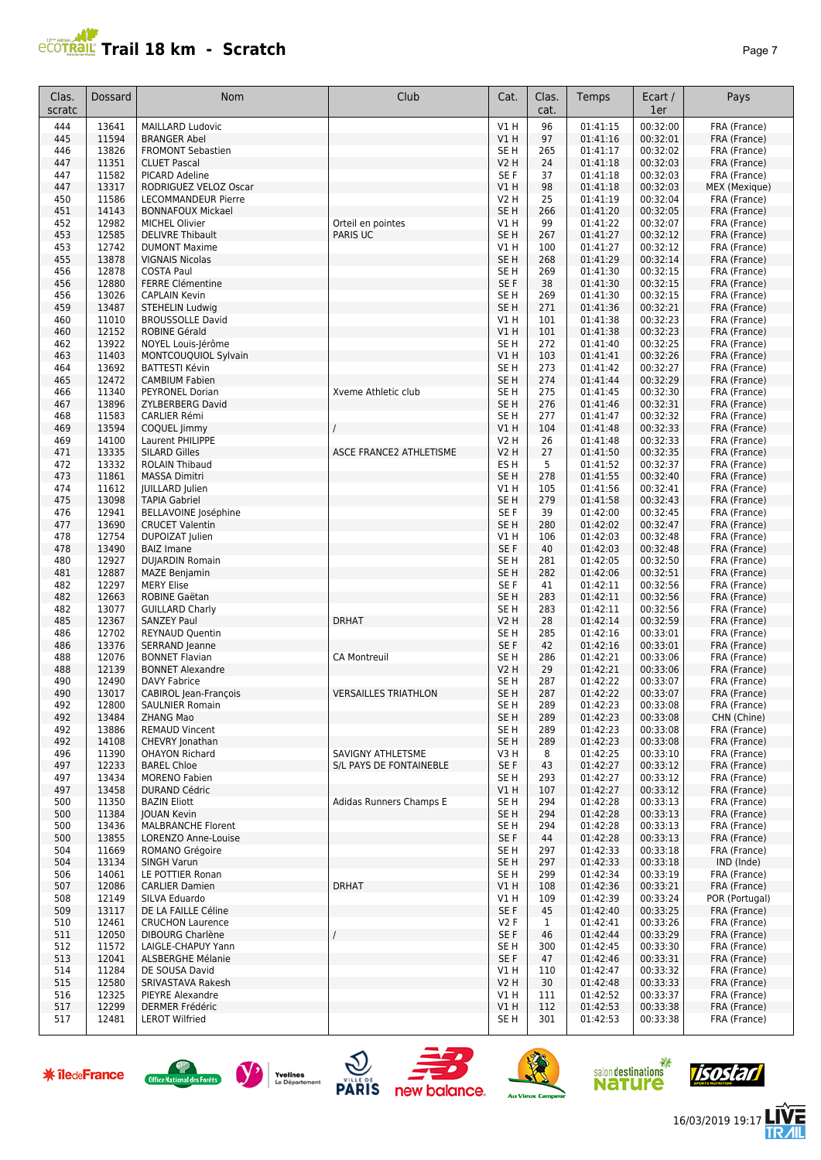#### JA 199 **PROPERTY SET AND THE PAGE 7 AND THE PAGE 7 AND THE PAGE 7 AND THE PAGE 7**

| Clas.<br>scratc | <b>Dossard</b> | <b>Nom</b>                                        | Club                                         | Cat.                               | Clas.<br>cat. | Temps                | Ecart /<br>1er       | Pays                           |
|-----------------|----------------|---------------------------------------------------|----------------------------------------------|------------------------------------|---------------|----------------------|----------------------|--------------------------------|
| 444             | 13641          | <b>MAILLARD Ludovic</b>                           |                                              | V1H                                | 96            | 01:41:15             | 00:32:00             | FRA (France)                   |
| 445             | 11594          | <b>BRANGER Abel</b>                               |                                              | V1H                                | 97            | 01:41:16             | 00:32:01             | FRA (France)                   |
| 446             | 13826          | <b>FROMONT Sebastien</b>                          |                                              | SE <sub>H</sub>                    | 265           | 01:41:17             | 00:32:02             | FRA (France)                   |
| 447<br>447      | 11351<br>11582 | <b>CLUET Pascal</b><br>PICARD Adeline             |                                              | <b>V2 H</b><br>SE <sub>F</sub>     | 24<br>37      | 01:41:18<br>01:41:18 | 00:32:03<br>00:32:03 | FRA (France)<br>FRA (France)   |
| 447             | 13317          | RODRIGUEZ VELOZ Oscar                             |                                              | V1H                                | 98            | 01:41:18             | 00:32:03             | MEX (Mexique)                  |
| 450             | 11586          | <b>LECOMMANDEUR Pierre</b>                        |                                              | <b>V2 H</b>                        | 25            | 01:41:19             | 00:32:04             | FRA (France)                   |
| 451             | 14143          | <b>BONNAFOUX Mickael</b>                          |                                              | SE <sub>H</sub>                    | 266           | 01:41:20             | 00:32:05             | FRA (France)                   |
| 452             | 12982          | <b>MICHEL Olivier</b>                             | Orteil en pointes                            | V1H                                | 99            | 01:41:22             | 00:32:07             | FRA (France)                   |
| 453<br>453      | 12585<br>12742 | <b>DELIVRE Thibault</b><br><b>DUMONT Maxime</b>   | <b>PARIS UC</b>                              | SE <sub>H</sub><br>V1H             | 267<br>100    | 01:41:27<br>01:41:27 | 00:32:12<br>00:32:12 | FRA (France)<br>FRA (France)   |
| 455             | 13878          | <b>VIGNAIS Nicolas</b>                            |                                              | SE <sub>H</sub>                    | 268           | 01:41:29             | 00:32:14             | FRA (France)                   |
| 456             | 12878          | <b>COSTA Paul</b>                                 |                                              | SE <sub>H</sub>                    | 269           | 01:41:30             | 00:32:15             | FRA (France)                   |
| 456             | 12880          | <b>FERRE Clémentine</b>                           |                                              | SE F                               | 38            | 01:41:30             | 00:32:15             | FRA (France)                   |
| 456             | 13026          | <b>CAPLAIN Kevin</b>                              |                                              | SE <sub>H</sub>                    | 269           | 01:41:30             | 00:32:15             | FRA (France)                   |
| 459<br>460      | 13487<br>11010 | <b>STEHELIN Ludwig</b><br><b>BROUSSOLLE David</b> |                                              | SE <sub>H</sub><br>V1H             | 271<br>101    | 01:41:36<br>01:41:38 | 00:32:21<br>00:32:23 | FRA (France)<br>FRA (France)   |
| 460             | 12152          | <b>ROBINE Gérald</b>                              |                                              | V1H                                | 101           | 01:41:38             | 00:32:23             | FRA (France)                   |
| 462             | 13922          | NOYEL Louis-Jérôme                                |                                              | SE <sub>H</sub>                    | 272           | 01:41:40             | 00:32:25             | FRA (France)                   |
| 463             | 11403          | MONTCOUQUIOL Sylvain                              |                                              | V1H                                | 103           | 01:41:41             | 00:32:26             | FRA (France)                   |
| 464             | 13692          | <b>BATTESTI Kévin</b>                             |                                              | SE <sub>H</sub>                    | 273           | 01:41:42             | 00:32:27             | FRA (France)                   |
| 465<br>466      | 12472          | <b>CAMBIUM Fabien</b><br>PEYRONEL Dorian          | Xveme Athletic club                          | SE <sub>H</sub>                    | 274<br>275    | 01:41:44             | 00:32:29             | FRA (France)<br>FRA (France)   |
| 467             | 11340<br>13896 | ZYLBERBERG David                                  |                                              | SE H<br>SE <sub>H</sub>            | 276           | 01:41:45<br>01:41:46 | 00:32:30<br>00:32:31 | FRA (France)                   |
| 468             | 11583          | <b>CARLIER Rémi</b>                               |                                              | SE <sub>H</sub>                    | 277           | 01:41:47             | 00:32:32             | FRA (France)                   |
| 469             | 13594          | COQUEL Jimmy                                      |                                              | V1H                                | 104           | 01:41:48             | 00:32:33             | FRA (France)                   |
| 469             | 14100          | Laurent PHILIPPE                                  |                                              | <b>V2 H</b>                        | 26            | 01:41:48             | 00:32:33             | FRA (France)                   |
| 471             | 13335          | <b>SILARD Gilles</b>                              | ASCE FRANCE2 ATHLETISME                      | <b>V2 H</b>                        | 27            | 01:41:50             | 00:32:35             | FRA (France)                   |
| 472<br>473      | 13332<br>11861 | <b>ROLAIN Thibaud</b><br><b>MASSA Dimitri</b>     |                                              | ES <sub>H</sub><br>SE <sub>H</sub> | 5<br>278      | 01:41:52<br>01:41:55 | 00:32:37<br>00:32:40 | FRA (France)<br>FRA (France)   |
| 474             | 11612          | JUILLARD Julien                                   |                                              | V1H                                | 105           | 01:41:56             | 00:32:41             | FRA (France)                   |
| 475             | 13098          | <b>TAPIA Gabriel</b>                              |                                              | SE <sub>H</sub>                    | 279           | 01:41:58             | 00:32:43             | FRA (France)                   |
| 476             | 12941          | BELLAVOINE Joséphine                              |                                              | SE <sub>F</sub>                    | 39            | 01:42:00             | 00:32:45             | FRA (France)                   |
| 477             | 13690          | <b>CRUCET Valentin</b>                            |                                              | SE <sub>H</sub>                    | 280           | 01:42:02             | 00:32:47             | FRA (France)                   |
| 478<br>478      | 12754<br>13490 | DUPOIZAT Julien<br><b>BAIZ Imane</b>              |                                              | V1H<br>SE F                        | 106<br>40     | 01:42:03<br>01:42:03 | 00:32:48<br>00:32:48 | FRA (France)<br>FRA (France)   |
| 480             | 12927          | <b>DUJARDIN Romain</b>                            |                                              | SE <sub>H</sub>                    | 281           | 01:42:05             | 00:32:50             | FRA (France)                   |
| 481             | 12887          | <b>MAZE Benjamin</b>                              |                                              | SE <sub>H</sub>                    | 282           | 01:42:06             | 00:32:51             | FRA (France)                   |
| 482             | 12297          | <b>MERY Elise</b>                                 |                                              | SE <sub>F</sub>                    | 41            | 01:42:11             | 00:32:56             | FRA (France)                   |
| 482             | 12663          | ROBINE Gaëtan                                     |                                              | SE <sub>H</sub>                    | 283           | 01:42:11             | 00:32:56             | FRA (France)                   |
| 482<br>485      | 13077<br>12367 | <b>GUILLARD Charly</b><br><b>SANZEY Paul</b>      | <b>DRHAT</b>                                 | SE <sub>H</sub><br><b>V2 H</b>     | 283<br>28     | 01:42:11<br>01:42:14 | 00:32:56<br>00:32:59 | FRA (France)<br>FRA (France)   |
| 486             | 12702          | <b>REYNAUD Quentin</b>                            |                                              | SE <sub>H</sub>                    | 285           | 01:42:16             | 00:33:01             | FRA (France)                   |
| 486             | 13376          | SERRAND Jeanne                                    |                                              | SE F                               | 42            | 01:42:16             | 00:33:01             | FRA (France)                   |
| 488             | 12076          | <b>BONNET Flavian</b>                             | <b>CA Montreuil</b>                          | SE <sub>H</sub>                    | 286           | 01:42:21             | 00:33:06             | FRA (France)                   |
| 488             | 12139          | <b>BONNET Alexandre</b>                           |                                              | V2 H                               | 29            | 01:42:21             | 00:33:06             | FRA (France)                   |
| 490<br>490      | 12490<br>13017 | DAVY Fabrice<br>CABIROL Jean-François             | <b>VERSAILLES TRIATHLON</b>                  | SE H<br>SE H                       | 287<br>287    | 01:42:22<br>01:42:22 | 00:33:07<br>00:33:07 | FRA (France)<br>FRA (France)   |
| 492             | 12800          | <b>SAULNIER Romain</b>                            |                                              | SE <sub>H</sub>                    | 289           | 01:42:23             | 00:33:08             | FRA (France)                   |
| 492             | 13484          | ZHANG Mao                                         |                                              | SE <sub>H</sub>                    | 289           | 01:42:23             | 00:33:08             | CHN (Chine)                    |
| 492             | 13886          | <b>REMAUD Vincent</b>                             |                                              | SE <sub>H</sub>                    | 289           | 01:42:23             | 00:33:08             | FRA (France)                   |
| 492             | 14108          | CHEVRY Jonathan                                   |                                              | SE <sub>H</sub>                    | 289           | 01:42:23             | 00:33:08             | FRA (France)                   |
| 496<br>497      | 11390<br>12233 | <b>OHAYON Richard</b><br><b>BAREL Chloe</b>       | SAVIGNY ATHLETSME<br>S/L PAYS DE FONTAINEBLE | V3H<br>SE F                        | 8<br>43       | 01:42:25<br>01:42:27 | 00:33:10<br>00:33:12 | FRA (France)<br>FRA (France)   |
| 497             | 13434          | <b>MORENO Fabien</b>                              |                                              | SE <sub>H</sub>                    | 293           | 01:42:27             | 00:33:12             | FRA (France)                   |
| 497             | 13458          | <b>DURAND Cédric</b>                              |                                              | VIH                                | 107           | 01:42:27             | 00:33:12             | FRA (France)                   |
| 500             | 11350          | <b>BAZIN Eliott</b>                               | Adidas Runners Champs E                      | SE <sub>H</sub>                    | 294           | 01:42:28             | 00:33:13             | FRA (France)                   |
| 500             | 11384          | JOUAN Kevin                                       |                                              | SE <sub>H</sub>                    | 294           | 01:42:28             | 00:33:13             | FRA (France)                   |
| 500<br>500      | 13436<br>13855 | <b>MALBRANCHE Florent</b><br>LORENZO Anne-Louise  |                                              | SE <sub>H</sub><br>SE F            | 294<br>44     | 01:42:28<br>01:42:28 | 00:33:13<br>00:33:13 | FRA (France)<br>FRA (France)   |
| 504             | 11669          | ROMANO Grégoire                                   |                                              | SE <sub>H</sub>                    | 297           | 01:42:33             | 00:33:18             | FRA (France)                   |
| 504             | 13134          | SINGH Varun                                       |                                              | SE <sub>H</sub>                    | 297           | 01:42:33             | 00:33:18             | IND (Inde)                     |
| 506             | 14061          | LE POTTIER Ronan                                  |                                              | SE H                               | 299           | 01:42:34             | 00:33:19             | FRA (France)                   |
| 507             | 12086          | <b>CARLIER Damien</b>                             | <b>DRHAT</b>                                 | V1H                                | 108           | 01:42:36             | 00:33:21             | FRA (France)                   |
| 508<br>509      | 12149<br>13117 | SILVA Eduardo<br>DE LA FAILLE Céline              |                                              | V1H<br>SE F                        | 109<br>45     | 01:42:39<br>01:42:40 | 00:33:24<br>00:33:25 | POR (Portugal)<br>FRA (France) |
| 510             | 12461          | <b>CRUCHON Laurence</b>                           |                                              | V2F                                | 1             | 01:42:41             | 00:33:26             | FRA (France)                   |
| 511             | 12050          | DIBOURG Charlène                                  |                                              | SE F                               | 46            | 01:42:44             | 00:33:29             | FRA (France)                   |
| 512             | 11572          | LAIGLE-CHAPUY Yann                                |                                              | SE H                               | 300           | 01:42:45             | 00:33:30             | FRA (France)                   |
| 513             | 12041          | ALSBERGHE Mélanie                                 |                                              | SE F                               | 47            | 01:42:46             | 00:33:31             | FRA (France)                   |
| 514<br>515      | 11284<br>12580 | DE SOUSA David<br>SRIVASTAVA Rakesh               |                                              | V1 H<br><b>V2 H</b>                | 110<br>30     | 01:42:47<br>01:42:48 | 00:33:32<br>00:33:33 | FRA (France)<br>FRA (France)   |
| 516             | 12325          | PIEYRE Alexandre                                  |                                              | V1 H                               | 111           | 01:42:52             | 00:33:37             | FRA (France)                   |











 12299 DERMER Frédéric V1 H 112 01:42:53 00:33:38 FRA (France) 12481 LEROT Wilfried SE H 301 01:42:53 00:33:38 FRA (France)







16/03/2019 19:17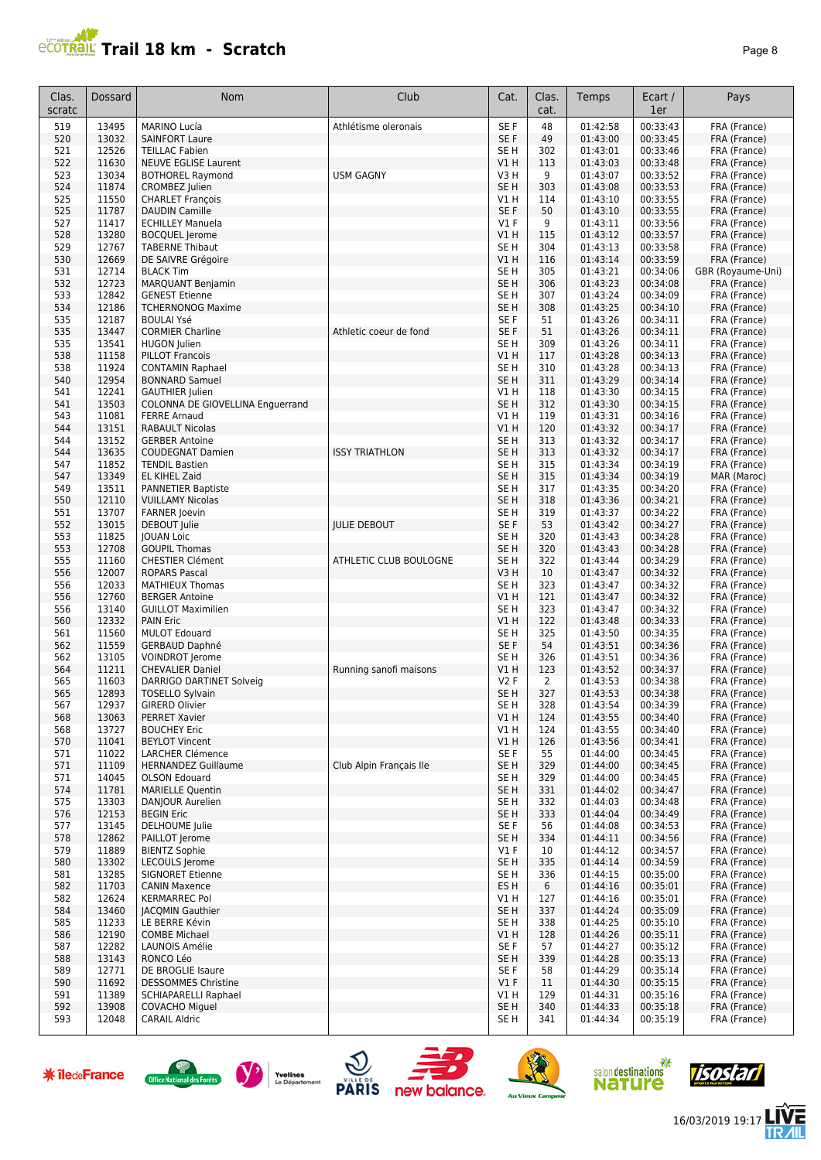

| Clas.      | Dossard        | Nom                                                  | Club                    | Cat.                    | Clas.      | Temps                | Ecart /              | Pays                         |
|------------|----------------|------------------------------------------------------|-------------------------|-------------------------|------------|----------------------|----------------------|------------------------------|
| scratc     |                |                                                      |                         |                         | cat.       |                      | 1er                  |                              |
| 519        | 13495          | <b>MARINO Lucía</b>                                  | Athlétisme oleronais    | SE <sub>F</sub>         | 48         | 01:42:58             | 00:33:43             | FRA (France)                 |
| 520        | 13032          | <b>SAINFORT Laure</b>                                |                         | SE F                    | 49         | 01:43:00             | 00:33:45             | FRA (France)                 |
| 521        | 12526          | <b>TEILLAC Fabien</b>                                |                         | SE <sub>H</sub>         | 302        | 01:43:01             | 00:33:46             | FRA (France)                 |
| 522        | 11630          | <b>NEUVE EGLISE Laurent</b>                          |                         | VIH                     | 113        | 01:43:03             | 00:33:48             | FRA (France)                 |
| 523        | 13034          | <b>BOTHOREL Raymond</b>                              | <b>USM GAGNY</b>        | V3 H                    | 9          | 01:43:07             | 00:33:52             | FRA (France)                 |
| 524        | 11874          | CROMBEZ Julien                                       |                         | SE <sub>H</sub><br>V1 H | 303<br>114 | 01:43:08<br>01:43:10 | 00:33:53<br>00:33:55 | FRA (France)                 |
| 525<br>525 | 11550<br>11787 | <b>CHARLET François</b><br><b>DAUDIN Camille</b>     |                         | SE F                    | 50         | 01:43:10             | 00:33:55             | FRA (France)<br>FRA (France) |
| 527        | 11417          | <b>ECHILLEY Manuela</b>                              |                         | V1 F                    | 9          | 01:43:11             | 00:33:56             | FRA (France)                 |
| 528        | 13280          | <b>BOCQUEL</b> Jerome                                |                         | V1 H                    | 115        | 01:43:12             | 00:33:57             | FRA (France)                 |
| 529        | 12767          | <b>TABERNE Thibaut</b>                               |                         | SE <sub>H</sub>         | 304        | 01:43:13             | 00:33:58             | FRA (France)                 |
| 530        | 12669          | DE SAIVRE Grégoire                                   |                         | V1 H                    | 116        | 01:43:14             | 00:33:59             | FRA (France)                 |
| 531        | 12714          | <b>BLACK Tim</b>                                     |                         | SE <sub>H</sub>         | 305        | 01:43:21             | 00:34:06             | GBR (Royaume-Uni)            |
| 532        | 12723          | <b>MARQUANT Benjamin</b>                             |                         | SE <sub>H</sub>         | 306        | 01:43:23             | 00:34:08             | FRA (France)                 |
| 533        | 12842          | <b>GENEST Etienne</b>                                |                         | SE <sub>H</sub>         | 307        | 01:43:24             | 00:34:09             | FRA (France)                 |
| 534        | 12186          | <b>TCHERNONOG Maxime</b>                             |                         | SE <sub>H</sub>         | 308        | 01:43:25             | 00:34:10             | FRA (France)                 |
| 535        | 12187          | <b>BOULAI Ysé</b>                                    |                         | SE F                    | 51         | 01:43:26             | 00:34:11             | FRA (France)                 |
| 535<br>535 | 13447<br>13541 | <b>CORMIER Charline</b><br><b>HUGON</b> Julien       | Athletic coeur de fond  | SE F<br>SE <sub>H</sub> | 51<br>309  | 01:43:26<br>01:43:26 | 00:34:11<br>00:34:11 | FRA (France)<br>FRA (France) |
| 538        | 11158          | <b>PILLOT Francois</b>                               |                         | V1 H                    | 117        | 01:43:28             | 00:34:13             | FRA (France)                 |
| 538        | 11924          | <b>CONTAMIN Raphael</b>                              |                         | SE H                    | 310        | 01:43:28             | 00:34:13             | FRA (France)                 |
| 540        | 12954          | <b>BONNARD Samuel</b>                                |                         | SE <sub>H</sub>         | 311        | 01:43:29             | 00:34:14             | FRA (France)                 |
| 541        | 12241          | <b>GAUTHIER Julien</b>                               |                         | V1H                     | 118        | 01:43:30             | 00:34:15             | FRA (France)                 |
| 541        | 13503          | COLONNA DE GIOVELLINA Enguerrand                     |                         | SE <sub>H</sub>         | 312        | 01:43:30             | 00:34:15             | FRA (France)                 |
| 543        | 11081          | <b>FERRE Arnaud</b>                                  |                         | V1 H                    | 119        | 01:43:31             | 00:34:16             | FRA (France)                 |
| 544        | 13151          | <b>RABAULT Nicolas</b>                               |                         | V1 H                    | 120        | 01:43:32             | 00:34:17             | FRA (France)                 |
| 544        | 13152          | <b>GERBER Antoine</b>                                |                         | SE H                    | 313        | 01:43:32             | 00:34:17             | FRA (France)                 |
| 544        | 13635          | <b>COUDEGNAT Damien</b>                              | <b>ISSY TRIATHLON</b>   | SE <sub>H</sub>         | 313        | 01:43:32             | 00:34:17             | FRA (France)                 |
| 547        | 11852          | <b>TENDIL Bastien</b>                                |                         | SE H                    | 315        | 01:43:34             | 00:34:19             | FRA (France)                 |
| 547        | 13349          | <b>EL KIHEL Zaid</b>                                 |                         | SE <sub>H</sub>         | 315        | 01:43:34             | 00:34:19             | MAR (Maroc)                  |
| 549<br>550 | 13511<br>12110 | <b>PANNETIER Baptiste</b><br><b>VUILLAMY Nicolas</b> |                         | SE H<br>SE <sub>H</sub> | 317<br>318 | 01:43:35<br>01:43:36 | 00:34:20<br>00:34:21 | FRA (France)<br>FRA (France) |
| 551        | 13707          | <b>FARNER Joevin</b>                                 |                         | SE H                    | 319        | 01:43:37             | 00:34:22             | FRA (France)                 |
| 552        | 13015          | DEBOUT Julie                                         | <b>IULIE DEBOUT</b>     | SE F                    | 53         | 01:43:42             | 00:34:27             | FRA (France)                 |
| 553        | 11825          | <b>JOUAN Loic</b>                                    |                         | SE H                    | 320        | 01:43:43             | 00:34:28             | FRA (France)                 |
| 553        | 12708          | <b>GOUPIL Thomas</b>                                 |                         | SE <sub>H</sub>         | 320        | 01:43:43             | 00:34:28             | FRA (France)                 |
| 555        | 11160          | <b>CHESTIER Clément</b>                              | ATHLETIC CLUB BOULOGNE  | SE <sub>H</sub>         | 322        | 01:43:44             | 00:34:29             | FRA (France)                 |
| 556        | 12007          | <b>ROPARS Pascal</b>                                 |                         | V3H                     | 10         | 01:43:47             | 00:34:32             | FRA (France)                 |
| 556        | 12033          | <b>MATHIEUX Thomas</b>                               |                         | SE H                    | 323        | 01:43:47             | 00:34:32             | FRA (France)                 |
| 556        | 12760          | <b>BERGER Antoine</b>                                |                         | V1H                     | 121        | 01:43:47             | 00:34:32             | FRA (France)                 |
| 556        | 13140          | <b>GUILLOT Maximilien</b>                            |                         | SE <sub>H</sub>         | 323        | 01:43:47             | 00:34:32             | FRA (France)                 |
| 560        | 12332          | <b>PAIN Eric</b>                                     |                         | V1H                     | 122        | 01:43:48             | 00:34:33             | FRA (France)                 |
| 561<br>562 | 11560<br>11559 | <b>MULOT Edouard</b><br><b>GERBAUD Daphné</b>        |                         | SE H<br>SE F            | 325<br>54  | 01:43:50<br>01:43:51 | 00:34:35<br>00:34:36 | FRA (France)<br>FRA (France) |
| 562        | 13105          | VOINDROT Jerome                                      |                         | SE H                    | 326        | 01:43:51             | 00:34:36             | FRA (France)                 |
| 564        | 11211          | <b>CHEVALIER Daniel</b>                              | Running sanofi maisons  | V1 H                    | 123        | 01:43:52             | 00:34:37             | FRA (France)                 |
| 565        | 11603          | DARRIGO DARTINET Solveig                             |                         | V2F                     | 2          | 01:43:53             | 00:34:38             | FRA (France)                 |
| 565        | 12893          | <b>TOSELLO Sylvain</b>                               |                         | SE <sub>H</sub>         | 327        | 01:43:53             | 00:34:38             | FRA (France)                 |
| 567        | 12937          | <b>GIRERD Olivier</b>                                |                         | SE H                    | 328        | 01:43:54             | 00:34:39             | FRA (France)                 |
| 568        | 13063          | <b>PERRET Xavier</b>                                 |                         | V1H                     | 124        | 01:43:55             | 00:34:40             | FRA (France)                 |
| 568        | 13727          | <b>BOUCHEY Eric</b>                                  |                         | V1H                     | 124        | 01:43:55             | 00:34:40             | FRA (France)                 |
| 570        | 11041          | <b>BEYLOT Vincent</b>                                |                         | V1 H                    | 126        | 01:43:56             | 00:34:41             | FRA (France)                 |
| 571        | 11022          | LARCHER Clémence                                     |                         | SE F                    | 55         | 01:44:00             | 00:34:45             | FRA (France)                 |
| 571<br>571 | 11109<br>14045 | <b>HERNANDEZ Guillaume</b><br><b>OLSON Edouard</b>   | Club Alpin Français Ile | SE H<br>SE H            | 329<br>329 | 01:44:00<br>01:44:00 | 00:34:45<br>00:34:45 | FRA (France)<br>FRA (France) |
| 574        | 11781          | <b>MARIELLE Quentin</b>                              |                         | SE H                    | 331        | 01:44:02             | 00:34:47             | FRA (France)                 |
| 575        | 13303          | DANJOUR Aurelien                                     |                         | SE H                    | 332        | 01:44:03             | 00:34:48             | FRA (France)                 |
| 576        | 12153          | <b>BEGIN Eric</b>                                    |                         | SE H                    | 333        | 01:44:04             | 00:34:49             | FRA (France)                 |
| 577        | 13145          | DELHOUME Julie                                       |                         | SE F                    | 56         | 01:44:08             | 00:34:53             | FRA (France)                 |
| 578        | 12862          | PAILLOT Jerome                                       |                         | SE H                    | 334        | 01:44:11             | 00:34:56             | FRA (France)                 |
| 579        | 11889          | <b>BIENTZ Sophie</b>                                 |                         | $VI$ F                  | 10         | 01:44:12             | 00:34:57             | FRA (France)                 |
| 580        | 13302          | LECOULS Jerome                                       |                         | SE <sub>H</sub>         | 335        | 01:44:14             | 00:34:59             | FRA (France)                 |
| 581        | 13285          | <b>SIGNORET Etienne</b>                              |                         | SE H                    | 336        | 01:44:15             | 00:35:00             | FRA (France)                 |
| 582        | 11703          | <b>CANIN Maxence</b>                                 |                         | ES H                    | 6          | 01:44:16             | 00:35:01             | FRA (France)                 |
| 582        | 12624          | <b>KERMARREC Pol</b>                                 |                         | V1 H                    | 127        | 01:44:16             | 00:35:01             | FRA (France)                 |
| 584        | 13460          | <b>JACQMIN Gauthier</b>                              |                         | SE <sub>H</sub>         | 337        | 01:44:24             | 00:35:09             | FRA (France)                 |
| 585<br>586 | 11233<br>12190 | LE BERRE Kévin<br><b>COMBE Michael</b>               |                         | SE H<br>V1 H            | 338<br>128 | 01:44:25<br>01:44:26 | 00:35:10<br>00:35:11 | FRA (France)<br>FRA (France) |
| 587        | 12282          | LAUNOIS Amélie                                       |                         | SE F                    | 57         | 01:44:27             | 00:35:12             | FRA (France)                 |
| 588        | 13143          | RONCO Léo                                            |                         | SE H                    | 339        | 01:44:28             | 00:35:13             | FRA (France)                 |
| 589        | 12771          | DE BROGLIE Isaure                                    |                         | SE F                    | 58         | 01:44:29             | 00:35:14             | FRA (France)                 |
| 590        | 11692          | <b>DESSOMMES Christine</b>                           |                         | $VI$ F                  | 11         | 01:44:30             | 00:35:15             | FRA (France)                 |
| 591        | 11389          | SCHIAPARELLI Raphael                                 |                         | V1 H                    | 129        | 01:44:31             | 00:35:16             | FRA (France)                 |
| 592        | 13908          | <b>COVACHO Miquel</b>                                |                         | SE <sub>H</sub>         | 340        | 01:44:33             | 00:35:18             | FRA (France)                 |
| 593        | 12048          | <b>CARAIL Aldric</b>                                 |                         | SE H                    | 341        | 01:44:34             | 00:35:19             | FRA (France)                 |















怎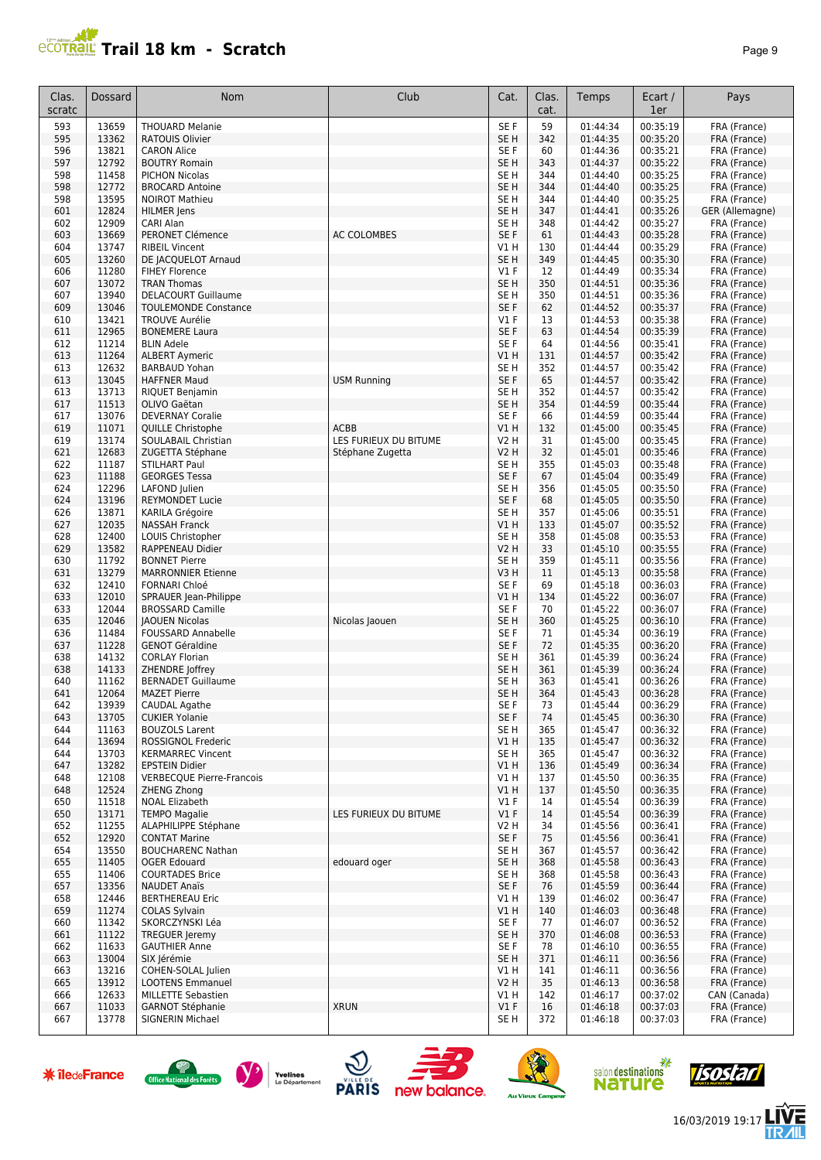

| Clas.<br>scratc | <b>Dossard</b> | Nom                                              | Club                  | Cat.                    | Clas.<br>cat. | Temps                | Ecart /<br>1er       | Pays                         |
|-----------------|----------------|--------------------------------------------------|-----------------------|-------------------------|---------------|----------------------|----------------------|------------------------------|
| 593             | 13659          | <b>THOUARD Melanie</b>                           |                       | SE F                    | 59            | 01:44:34             | 00:35:19             | FRA (France)                 |
| 595             | 13362          | <b>RATOUIS Olivier</b>                           |                       | SE H                    | 342           | 01:44:35             | 00:35:20             | FRA (France)                 |
| 596             | 13821          | <b>CARON Alice</b>                               |                       | SE F                    | 60            | 01:44:36             | 00:35:21             | FRA (France)                 |
| 597             | 12792          | <b>BOUTRY Romain</b>                             |                       | SE H                    | 343           | 01:44:37             | 00:35:22             | FRA (France)                 |
| 598             | 11458          | <b>PICHON Nicolas</b>                            |                       | SE H                    | 344           | 01:44:40             | 00:35:25             | FRA (France)                 |
| 598             | 12772          | <b>BROCARD Antoine</b>                           |                       | SE <sub>H</sub>         | 344           | 01:44:40             | 00:35:25             | FRA (France)                 |
| 598             | 13595          | <b>NOIROT Mathieu</b>                            |                       | SE <sub>H</sub>         | 344           | 01:44:40             | 00:35:25             | FRA (France)                 |
| 601             | 12824<br>12909 | HILMER Jens                                      |                       | SE <sub>H</sub>         | 347           | 01:44:41             | 00:35:26<br>00:35:27 | GER (Allemagne)              |
| 602<br>603      | 13669          | CARI Alan<br>PERONET Clémence                    | <b>AC COLOMBES</b>    | SE H<br>SE F            | 348<br>61     | 01:44:42<br>01:44:43 | 00:35:28             | FRA (France)<br>FRA (France) |
| 604             | 13747          | <b>RIBEIL Vincent</b>                            |                       | V1 H                    | 130           | 01:44:44             | 00:35:29             | FRA (France)                 |
| 605             | 13260          | DE JACQUELOT Arnaud                              |                       | SE H                    | 349           | 01:44:45             | 00:35:30             | FRA (France)                 |
| 606             | 11280          | <b>FIHEY Florence</b>                            |                       | $VI$ F                  | 12            | 01:44:49             | 00:35:34             | FRA (France)                 |
| 607             | 13072          | <b>TRAN Thomas</b>                               |                       | SE H                    | 350           | 01:44:51             | 00:35:36             | FRA (France)                 |
| 607             | 13940          | <b>DELACOURT Guillaume</b>                       |                       | SE H                    | 350           | 01:44:51             | 00:35:36             | FRA (France)                 |
| 609             | 13046<br>13421 | <b>TOULEMONDE Constance</b>                      |                       | SE F                    | 62            | 01:44:52             | 00:35:37             | FRA (France)                 |
| 610<br>611      | 12965          | <b>TROUVE Aurélie</b><br><b>BONEMERE Laura</b>   |                       | V1 F<br>SE F            | 13<br>63      | 01:44:53<br>01:44:54 | 00:35:38<br>00:35:39 | FRA (France)<br>FRA (France) |
| 612             | 11214          | <b>BLIN Adele</b>                                |                       | SE F                    | 64            | 01:44:56             | 00:35:41             | FRA (France)                 |
| 613             | 11264          | <b>ALBERT Aymeric</b>                            |                       | V1 H                    | 131           | 01:44:57             | 00:35:42             | FRA (France)                 |
| 613             | 12632          | <b>BARBAUD Yohan</b>                             |                       | SE H                    | 352           | 01:44:57             | 00:35:42             | FRA (France)                 |
| 613             | 13045          | <b>HAFFNER Maud</b>                              | <b>USM Running</b>    | SE F                    | 65            | 01:44:57             | 00:35:42             | FRA (France)                 |
| 613             | 13713          | RIQUET Benjamin                                  |                       | SE H                    | 352           | 01:44:57             | 00:35:42             | FRA (France)                 |
| 617             | 11513          | OLIVO Gaëtan                                     |                       | SE H                    | 354           | 01:44:59             | 00:35:44             | FRA (France)                 |
| 617<br>619      | 13076<br>11071 | <b>DEVERNAY Coralie</b><br>QUILLE Christophe     | <b>ACBB</b>           | SE F<br>V1 H            | 66<br>132     | 01:44:59<br>01:45:00 | 00:35:44<br>00:35:45 | FRA (France)<br>FRA (France) |
| 619             | 13174          | SOULABAIL Christian                              | LES FURIEUX DU BITUME | V2 H                    | 31            | 01:45:00             | 00:35:45             | FRA (France)                 |
| 621             | 12683          | ZUGETTA Stéphane                                 | Stéphane Zugetta      | V2 H                    | 32            | 01:45:01             | 00:35:46             | FRA (France)                 |
| 622             | 11187          | <b>STILHART Paul</b>                             |                       | SE H                    | 355           | 01:45:03             | 00:35:48             | FRA (France)                 |
| 623             | 11188          | <b>GEORGES Tessa</b>                             |                       | SE F                    | 67            | 01:45:04             | 00:35:49             | FRA (France)                 |
| 624             | 12296          | LAFOND Julien                                    |                       | SE <sub>H</sub>         | 356           | 01:45:05             | 00:35:50             | FRA (France)                 |
| 624             | 13196          | <b>REYMONDET Lucie</b>                           |                       | SE F                    | 68            | 01:45:05             | 00:35:50             | FRA (France)                 |
| 626             | 13871          | <b>KARILA Grégoire</b>                           |                       | SE H                    | 357           | 01:45:06             | 00:35:51             | FRA (France)                 |
| 627<br>628      | 12035<br>12400 | <b>NASSAH Franck</b><br>LOUIS Christopher        |                       | V1 H<br>SE <sub>H</sub> | 133<br>358    | 01:45:07<br>01:45:08 | 00:35:52<br>00:35:53 | FRA (France)<br>FRA (France) |
| 629             | 13582          | RAPPENEAU Didier                                 |                       | <b>V2 H</b>             | 33            | 01:45:10             | 00:35:55             | FRA (France)                 |
| 630             | 11792          | <b>BONNET Pierre</b>                             |                       | SE H                    | 359           | 01:45:11             | 00:35:56             | FRA (France)                 |
| 631             | 13279          | <b>MARRONNIER Etienne</b>                        |                       | V3 H                    | 11            | 01:45:13             | 00:35:58             | FRA (France)                 |
| 632             | 12410          | <b>FORNARI Chloé</b>                             |                       | SE F                    | 69            | 01:45:18             | 00:36:03             | FRA (France)                 |
| 633             | 12010          | SPRAUER Jean-Philippe                            |                       | V1 H                    | 134           | 01:45:22             | 00:36:07             | FRA (France)                 |
| 633<br>635      | 12044<br>12046 | <b>BROSSARD Camille</b><br><b>JAOUEN Nicolas</b> | Nicolas Jaouen        | SE F<br>SE H            | 70<br>360     | 01:45:22<br>01:45:25 | 00:36:07<br>00:36:10 | FRA (France)                 |
| 636             | 11484          | <b>FOUSSARD Annabelle</b>                        |                       | SE F                    | 71            | 01:45:34             | 00:36:19             | FRA (France)<br>FRA (France) |
| 637             | 11228          | <b>GENOT Géraldine</b>                           |                       | SE F                    | 72            | 01:45:35             | 00:36:20             | FRA (France)                 |
| 638             | 14132          | <b>CORLAY Florian</b>                            |                       | SE <sub>H</sub>         | 361           | 01:45:39             | 00:36:24             | FRA (France)                 |
| 638             | 14133          | ZHENDRE Joffrey                                  |                       | SE <sub>H</sub>         | 361           | 01:45:39             | 00:36:24             | FRA (France)                 |
| 640             | 11162          | <b>BERNADET Guillaume</b>                        |                       | SE H                    | 363           | 01:45:41             | 00:36:26             | FRA (France)                 |
| 641             | 12064          | <b>MAZET Pierre</b>                              |                       | SE <sub>H</sub>         | 364           | 01:45:43             | 00:36:28             | FRA (France)                 |
| 642<br>643      | 13939<br>13705 | <b>CAUDAL Agathe</b><br><b>CUKIER Yolanie</b>    |                       | SE F<br>SE F            | 73<br>74      | 01:45:44<br>01:45:45 | 00:36:29<br>00:36:30 | FRA (France)<br>FRA (France) |
| 644             | 11163          | <b>BOUZOLS Larent</b>                            |                       | SE H                    | 365           | 01:45:47             | 00:36:32             | FRA (France)                 |
| 644             | 13694          | ROSSIGNOL Frederic                               |                       | V1 H                    | 135           | 01:45:47             | 00:36:32             | FRA (France)                 |
| 644             | 13703          | <b>KERMARREC Vincent</b>                         |                       | SE H                    | 365           | 01:45:47             | 00:36:32             | FRA (France)                 |
| 647             | 13282          | <b>EPSTEIN Didier</b>                            |                       | V1H                     | 136           | 01:45:49             | 00:36:34             | FRA (France)                 |
| 648             | 12108          | <b>VERBECQUE Pierre-Francois</b>                 |                       | V1 H                    | 137           | 01:45:50             | 00:36:35             | FRA (France)                 |
| 648             | 12524          | <b>ZHENG Zhong</b>                               |                       | V1H                     | 137           | 01:45:50             | 00:36:35             | FRA (France)                 |
| 650<br>650      | 11518<br>13171 | <b>NOAL Elizabeth</b><br><b>TEMPO Magalie</b>    | LES FURIEUX DU BITUME | $VI$ F<br>$VI$ F        | 14<br>14      | 01:45:54<br>01:45:54 | 00:36:39<br>00:36:39 | FRA (France)<br>FRA (France) |
| 652             | 11255          | ALAPHILIPPE Stéphane                             |                       | V2 H                    | 34            | 01:45:56             | 00:36:41             | FRA (France)                 |
| 652             | 12920          | <b>CONTAT Marine</b>                             |                       | SE F                    | 75            | 01:45:56             | 00:36:41             | FRA (France)                 |
| 654             | 13550          | <b>BOUCHARENC Nathan</b>                         |                       | SE H                    | 367           | 01:45:57             | 00:36:42             | FRA (France)                 |
| 655             | 11405          | <b>OGER Edouard</b>                              | edouard oger          | SE H                    | 368           | 01:45:58             | 00:36:43             | FRA (France)                 |
| 655             | 11406          | <b>COURTADES Brice</b>                           |                       | SE H                    | 368           | 01:45:58             | 00:36:43             | FRA (France)                 |
| 657             | 13356          | <b>NAUDET Anaïs</b>                              |                       | SE F                    | 76            | 01:45:59             | 00:36:44             | FRA (France)                 |
| 658<br>659      | 12446<br>11274 | <b>BERTHEREAU Eric</b><br><b>COLAS Sylvain</b>   |                       | V1 H<br>V1 H            | 139<br>140    | 01:46:02<br>01:46:03 | 00:36:47<br>00:36:48 | FRA (France)<br>FRA (France) |
| 660             | 11342          | SKORCZYNSKI Léa                                  |                       | SE F                    | 77            | 01:46:07             | 00:36:52             | FRA (France)                 |
| 661             | 11122          | <b>TREGUER Jeremy</b>                            |                       | SE H                    | 370           | 01:46:08             | 00:36:53             | FRA (France)                 |
| 662             | 11633          | <b>GAUTHIER Anne</b>                             |                       | SE F                    | 78            | 01:46:10             | 00:36:55             | FRA (France)                 |
| 663             | 13004          | SIX Jérémie                                      |                       | SE H                    | 371           | 01:46:11             | 00:36:56             | FRA (France)                 |
| 663             | 13216          | COHEN-SOLAL Julien                               |                       | V1 H                    | 141           | 01:46:11             | 00:36:56             | FRA (France)                 |
| 665             | 13912          | <b>LOOTENS Emmanuel</b>                          |                       | V2 H<br>V1 H            | 35            | 01:46:13             | 00:36:58             | FRA (France)                 |
| 666<br>667      | 12633<br>11033 | MILLETTE Sebastien<br><b>GARNOT Stéphanie</b>    | <b>XRUN</b>           | $VI$ F                  | 142<br>16     | 01:46:17<br>01:46:18 | 00:37:02<br>00:37:03 | CAN (Canada)<br>FRA (France) |
| 667             | 13778          | SIGNERIN Michael                                 |                       | SE H                    | 372           | 01:46:18             | 00:37:03             | FRA (France)                 |
|                 |                |                                                  |                       |                         |               |                      |                      |                              |

















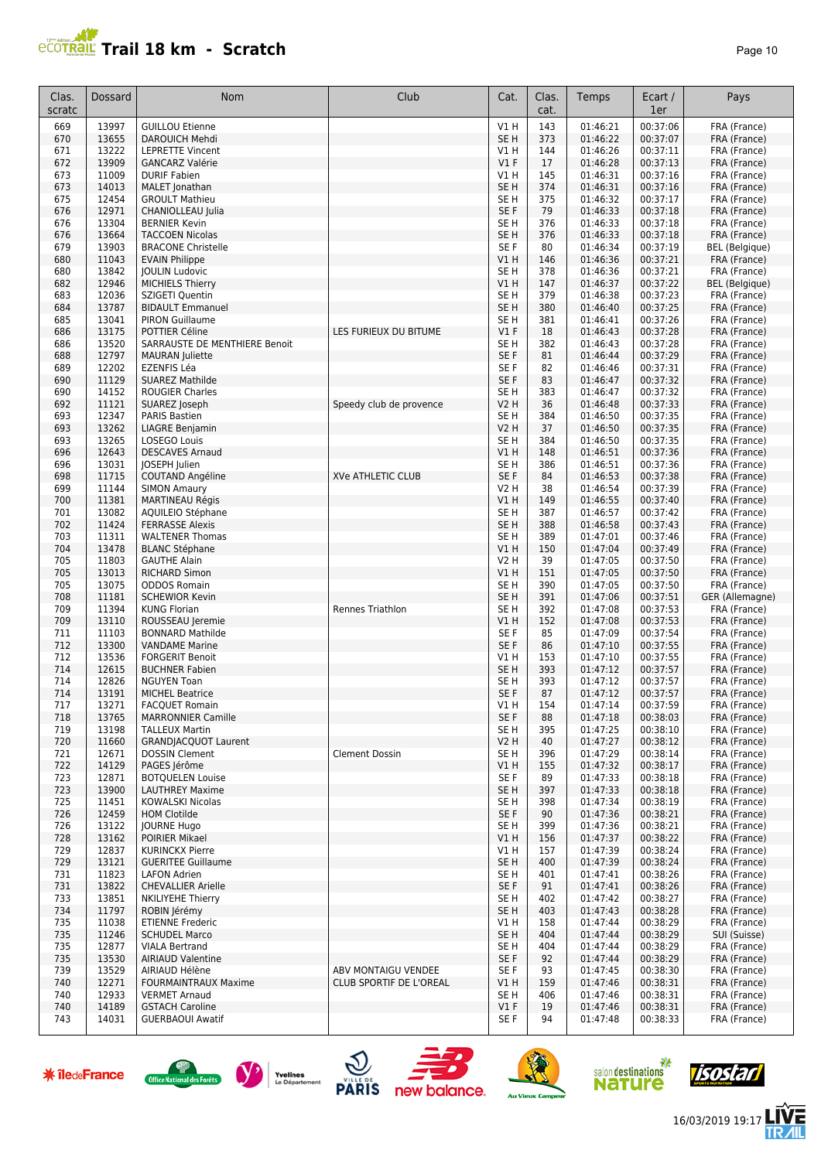

| Clas.<br>scratc | Dossard        | Nom                                                     | Club                     | Cat.                               | Clas.<br>cat. | Temps                | Ecart /<br>1er       | Pays                         |
|-----------------|----------------|---------------------------------------------------------|--------------------------|------------------------------------|---------------|----------------------|----------------------|------------------------------|
| 669             | 13997          | <b>GUILLOU Etienne</b>                                  |                          | VIH                                | 143           | 01:46:21             | 00:37:06             | FRA (France)                 |
| 670             | 13655          | DAROUICH Mehdi                                          |                          | SE <sub>H</sub>                    | 373           | 01:46:22             | 00:37:07             | FRA (France)                 |
| 671             | 13222          | <b>LEPRETTE Vincent</b>                                 |                          | V1 H                               | 144           | 01:46:26             | 00:37:11             | FRA (France)                 |
| 672             | 13909          | <b>GANCARZ Valérie</b>                                  |                          | V1F                                | 17            | 01:46:28             | 00:37:13             | FRA (France)                 |
| 673             | 11009<br>14013 | <b>DURIF Fabien</b>                                     |                          | V1 H<br>SE <sub>H</sub>            | 145<br>374    | 01:46:31<br>01:46:31 | 00:37:16<br>00:37:16 | FRA (France)                 |
| 673<br>675      | 12454          | MALET Jonathan<br><b>GROULT Mathieu</b>                 |                          | SE <sub>H</sub>                    | 375           | 01:46:32             | 00:37:17             | FRA (France)<br>FRA (France) |
| 676             | 12971          | CHANIOLLEAU Julia                                       |                          | SE <sub>F</sub>                    | 79            | 01:46:33             | 00:37:18             | FRA (France)                 |
| 676             | 13304          | <b>BERNIER Kevin</b>                                    |                          | SE <sub>H</sub>                    | 376           | 01:46:33             | 00:37:18             | FRA (France)                 |
| 676             | 13664          | <b>TACCOEN Nicolas</b>                                  |                          | SE <sub>H</sub>                    | 376           | 01:46:33             | 00:37:18             | FRA (France)                 |
| 679             | 13903          | <b>BRACONE Christelle</b>                               |                          | SE F                               | 80            | 01:46:34             | 00:37:19             | <b>BEL</b> (Belgique)        |
| 680             | 11043          | <b>EVAIN Philippe</b>                                   |                          | V1 H                               | 146           | 01:46:36             | 00:37:21             | FRA (France)                 |
| 680             | 13842          | <b>JOULIN Ludovic</b>                                   |                          | SE <sub>H</sub>                    | 378           | 01:46:36             | 00:37:21             | FRA (France)                 |
| 682             | 12946          | <b>MICHIELS Thierry</b>                                 |                          | V1H                                | 147           | 01:46:37             | 00:37:22             | <b>BEL</b> (Belgique)        |
| 683             | 12036          | SZIGETI Quentin                                         |                          | SE <sub>H</sub>                    | 379           | 01:46:38             | 00:37:23             | FRA (France)                 |
| 684             | 13787          | <b>BIDAULT Emmanuel</b>                                 |                          | SE <sub>H</sub>                    | 380           | 01:46:40             | 00:37:25             | FRA (France)                 |
| 685             | 13041          | <b>PIRON Guillaume</b>                                  |                          | SE <sub>H</sub>                    | 381           | 01:46:41             | 00:37:26             | FRA (France)                 |
| 686             | 13175          | POTTIER Céline                                          | LES FURIEUX DU BITUME    | V1F                                | 18            | 01:46:43             | 00:37:28             | FRA (France)                 |
| 686<br>688      | 13520<br>12797 | SARRAUSTE DE MENTHIERE Benoit<br><b>MAURAN</b> Juliette |                          | SE <sub>H</sub><br>SE <sub>F</sub> | 382<br>81     | 01:46:43<br>01:46:44 | 00:37:28<br>00:37:29 | FRA (France)                 |
| 689             | 12202          | EZENFIS Léa                                             |                          | SE F                               | 82            | 01:46:46             | 00:37:31             | FRA (France)<br>FRA (France) |
| 690             | 11129          | <b>SUAREZ Mathilde</b>                                  |                          | SE <sub>F</sub>                    | 83            | 01:46:47             | 00:37:32             | FRA (France)                 |
| 690             | 14152          | <b>ROUGIER Charles</b>                                  |                          | SE <sub>H</sub>                    | 383           | 01:46:47             | 00:37:32             | FRA (France)                 |
| 692             | 11121          | SUAREZ Joseph                                           | Speedy club de provence  | <b>V2 H</b>                        | 36            | 01:46:48             | 00:37:33             | FRA (France)                 |
| 693             | 12347          | <b>PARIS Bastien</b>                                    |                          | SE <sub>H</sub>                    | 384           | 01:46:50             | 00:37:35             | FRA (France)                 |
| 693             | 13262          | LIAGRE Benjamin                                         |                          | <b>V2 H</b>                        | 37            | 01:46:50             | 00:37:35             | FRA (France)                 |
| 693             | 13265          | LOSEGO Louis                                            |                          | SE <sub>H</sub>                    | 384           | 01:46:50             | 00:37:35             | FRA (France)                 |
| 696             | 12643          | <b>DESCAVES Arnaud</b>                                  |                          | V1H                                | 148           | 01:46:51             | 00:37:36             | FRA (France)                 |
| 696             | 13031          | JOSEPH Julien                                           |                          | SE <sub>H</sub>                    | 386           | 01:46:51             | 00:37:36             | FRA (France)                 |
| 698             | 11715          | COUTAND Angéline                                        | <b>XVe ATHLETIC CLUB</b> | SE F                               | 84            | 01:46:53             | 00:37:38             | FRA (France)                 |
| 699             | 11144          | <b>SIMON Amaury</b>                                     |                          | <b>V2 H</b>                        | 38            | 01:46:54             | 00:37:39             | FRA (France)                 |
| 700             | 11381          | <b>MARTINEAU Régis</b>                                  |                          | V1 H                               | 149           | 01:46:55             | 00:37:40             | FRA (France)                 |
| 701             | 13082          | <b>AQUILEIO Stéphane</b>                                |                          | SE <sub>H</sub>                    | 387           | 01:46:57             | 00:37:42             | FRA (France)                 |
| 702<br>703      | 11424<br>11311 | <b>FERRASSE Alexis</b><br><b>WALTENER Thomas</b>        |                          | SE <sub>H</sub><br>SE <sub>H</sub> | 388<br>389    | 01:46:58<br>01:47:01 | 00:37:43<br>00:37:46 | FRA (France)<br>FRA (France) |
| 704             | 13478          | <b>BLANC Stéphane</b>                                   |                          | V1H                                | 150           | 01:47:04             | 00:37:49             | FRA (France)                 |
| 705             | 11803          | <b>GAUTHE Alain</b>                                     |                          | V2 H                               | 39            | 01:47:05             | 00:37:50             | FRA (France)                 |
| 705             | 13013          | <b>RICHARD Simon</b>                                    |                          | VIH                                | 151           | 01:47:05             | 00:37:50             | FRA (France)                 |
| 705             | 13075          | <b>ODDOS Romain</b>                                     |                          | SE <sub>H</sub>                    | 390           | 01:47:05             | 00:37:50             | FRA (France)                 |
| 708             | 11181          | <b>SCHEWIOR Kevin</b>                                   |                          | SE <sub>H</sub>                    | 391           | 01:47:06             | 00:37:51             | GER (Allemagne)              |
| 709             | 11394          | <b>KUNG Florian</b>                                     | Rennes Triathlon         | SE <sub>H</sub>                    | 392           | 01:47:08             | 00:37:53             | FRA (France)                 |
| 709             | 13110          | ROUSSEAU Jeremie                                        |                          | VIH                                | 152           | 01:47:08             | 00:37:53             | FRA (France)                 |
| 711             | 11103          | <b>BONNARD Mathilde</b>                                 |                          | SE F                               | 85            | 01:47:09             | 00:37:54             | FRA (France)                 |
| 712             | 13300          | <b>VANDAME Marine</b>                                   |                          | SE <sub>F</sub>                    | 86            | 01:47:10             | 00:37:55             | FRA (France)                 |
| 712             | 13536          | <b>FORGERIT Benoit</b>                                  |                          | V1 H                               | 153           | 01:47:10             | 00:37:55             | FRA (France)                 |
| 714             | 12615          | <b>BUCHNER Fabien</b>                                   |                          | SE H                               | 393           | 01:47:12             | 00:37:57             | FRA (France)                 |
| 714             | 12826          | <b>NGUYEN Toan</b>                                      |                          | SE <sub>H</sub>                    | 393           | 01:47:12             | 00:37:57             | FRA (France)                 |
| 714             | 13191          | <b>MICHEL Beatrice</b>                                  |                          | SE <sub>F</sub>                    | 87            | 01:47:12             | 00:37:57             | FRA (France)                 |
| 11/<br>718      | 13271<br>13765 | <b>FACQUET Romain</b><br><b>MARRONNIER Camille</b>      |                          | V1 H<br>SE F                       | 154<br>88     | 01:4/14<br>01:47:18  | 00:37:59<br>00:38:03 | FRA (France)<br>FRA (France) |
| 719             | 13198          | <b>TALLEUX Martin</b>                                   |                          | SE <sub>H</sub>                    | 395           | 01:47:25             | 00:38:10             | FRA (France)                 |
| 720             | 11660          | <b>GRANDJACQUOT Laurent</b>                             |                          | V2 H                               | 40            | 01:47:27             | 00:38:12             | FRA (France)                 |
| 721             | 12671          | DOSSIN Clement                                          | <b>Clement Dossin</b>    | SE H                               | 396           | 01:47:29             | 00:38:14             | FRA (France)                 |
| 722             | 14129          | PAGES Jérôme                                            |                          | V1 H                               | 155           | 01:47:32             | 00:38:17             | FRA (France)                 |
| 723             | 12871          | <b>BOTQUELEN Louise</b>                                 |                          | SE F                               | 89            | 01:47:33             | 00:38:18             | FRA (France)                 |
| 723             | 13900          | <b>LAUTHREY Maxime</b>                                  |                          | SE H                               | 397           | 01:47:33             | 00:38:18             | FRA (France)                 |
| 725             | 11451          | <b>KOWALSKI Nicolas</b>                                 |                          | SE H                               | 398           | 01:47:34             | 00:38:19             | FRA (France)                 |
| 726             | 12459          | <b>HOM Clotilde</b>                                     |                          | SE F                               | 90            | 01:47:36             | 00:38:21             | FRA (France)                 |
| 726             | 13122          | JOURNE Hugo                                             |                          | SE H                               | 399           | 01:47:36             | 00:38:21             | FRA (France)                 |
| 728             | 13162          | POIRIER Mikael                                          |                          | V1 H                               | 156           | 01:47:37             | 00:38:22             | FRA (France)                 |
| 729             | 12837          | <b>KURINCKX Pierre</b>                                  |                          | V1 H                               | 157           | 01:47:39             | 00:38:24             | FRA (France)                 |
| 729             | 13121          | <b>GUERITEE Guillaume</b>                               |                          | SE <sub>H</sub>                    | 400           | 01:47:39             | 00:38:24             | FRA (France)                 |
| 731             | 11823          | <b>LAFON Adrien</b>                                     |                          | SE H                               | 401           | 01:47:41             | 00:38:26             | FRA (France)                 |
| 731<br>733      | 13822          | <b>CHEVALLIER Arielle</b>                               |                          | SE F                               | 91            | 01:47:41             | 00:38:26<br>00:38:27 | FRA (France)                 |
| 734             | 13851<br>11797 | <b>NKILIYEHE Thierry</b><br>ROBIN Jérémy                |                          | SE H<br>SE <sub>H</sub>            | 402<br>403    | 01:47:42<br>01:47:43 | 00:38:28             | FRA (France)<br>FRA (France) |
| 735             | 11038          | <b>ETIENNE Frederic</b>                                 |                          | V1 H                               | 158           | 01:47:44             | 00:38:29             | FRA (France)                 |
| 735             | 11246          | <b>SCHUDEL Marco</b>                                    |                          | SE <sub>H</sub>                    | 404           | 01:47:44             | 00:38:29             | SUI (Suisse)                 |
| 735             | 12877          | <b>VIALA Bertrand</b>                                   |                          | SE H                               | 404           | 01:47:44             | 00:38:29             | FRA (France)                 |
| 735             | 13530          | <b>AIRIAUD Valentine</b>                                |                          | SE F                               | 92            | 01:47:44             | 00:38:29             | FRA (France)                 |
| 739             | 13529          | AIRIAUD Hélène                                          | ABV MONTAIGU VENDEE      | SE F                               | 93            | 01:47:45             | 00:38:30             | FRA (France)                 |
| 740             | 12271          | <b>FOURMAINTRAUX Maxime</b>                             | CLUB SPORTIF DE L'OREAL  | V1 H                               | 159           | 01:47:46             | 00:38:31             | FRA (France)                 |
| 740             | 12933          | <b>VERMET Arnaud</b>                                    |                          | SE H                               | 406           | 01:47:46             | 00:38:31             | FRA (France)                 |
| 740             | 14189          | <b>GSTACH Caroline</b>                                  |                          | $VI$ F                             | 19            | 01:47:46             | 00:38:31             | FRA (France)                 |
| 743             | 14031          | <b>GUERBAOUI Awatif</b>                                 |                          | SE F                               | 94            | 01:47:48             | 00:38:33             | FRA (France)                 |















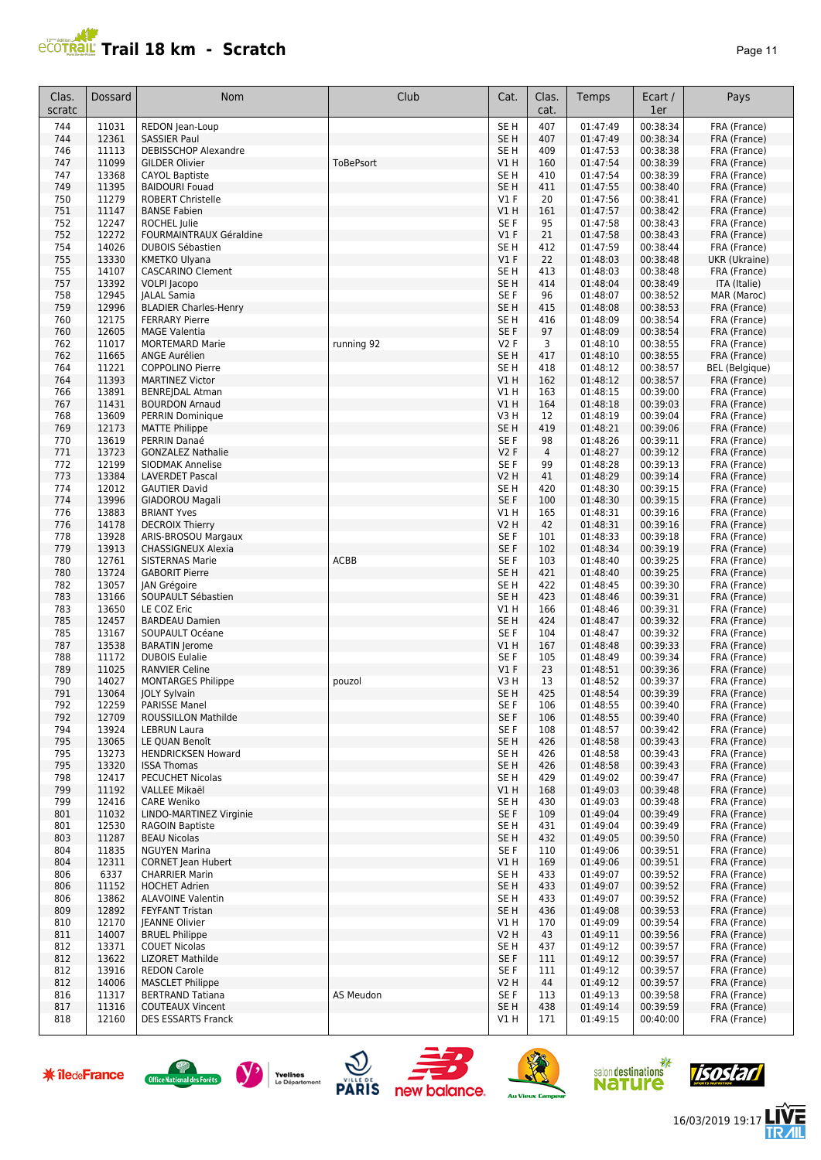

| Clas.<br>scratc | Dossard        | Nom                                              | Club        | Cat.                    | Clas.<br>cat.        | Temps                | Ecart /<br>1er       | Pays                          |
|-----------------|----------------|--------------------------------------------------|-------------|-------------------------|----------------------|----------------------|----------------------|-------------------------------|
| 744             | 11031          | REDON Jean-Loup                                  |             | SE <sub>H</sub>         | 407                  | 01:47:49             | 00:38:34             | FRA (France)                  |
| 744             | 12361          | <b>SASSIER Paul</b>                              |             | SE <sub>H</sub>         | 407                  | 01:47:49             | 00:38:34             | FRA (France)                  |
| 746             | 11113          | <b>DEBISSCHOP Alexandre</b>                      |             | SE <sub>H</sub>         | 409                  | 01:47:53             | 00:38:38             | FRA (France)                  |
| 747<br>747      | 11099<br>13368 | <b>GILDER Olivier</b><br><b>CAYOL Baptiste</b>   | ToBePsort   | VIH<br>SE <sub>H</sub>  | 160<br>410           | 01:47:54<br>01:47:54 | 00:38:39<br>00:38:39 | FRA (France)<br>FRA (France)  |
| 749             | 11395          | <b>BAIDOURI Fouad</b>                            |             | SE <sub>H</sub>         | 411                  | 01:47:55             | 00:38:40             | FRA (France)                  |
| 750             | 11279          | <b>ROBERT Christelle</b>                         |             | $VI$ F                  | 20                   | 01:47:56             | 00:38:41             | FRA (France)                  |
| 751             | 11147          | <b>BANSE Fabien</b>                              |             | V1 H                    | 161                  | 01:47:57             | 00:38:42             | FRA (France)                  |
| 752             | 12247          | ROCHEL Julie                                     |             | SE F                    | 95                   | 01:47:58             | 00:38:43             | FRA (France)                  |
| 752             | 12272          | FOURMAINTRAUX Géraldine                          |             | V1F                     | 21                   | 01:47:58             | 00:38:43             | FRA (France)                  |
| 754<br>755      | 14026<br>13330 | <b>DUBOIS Sébastien</b><br><b>KMETKO Ulyana</b>  |             | SE <sub>H</sub><br>V1F  | 412<br>22            | 01:47:59<br>01:48:03 | 00:38:44<br>00:38:48 | FRA (France)                  |
| 755             | 14107          | <b>CASCARINO Clement</b>                         |             | SE <sub>H</sub>         | 413                  | 01:48:03             | 00:38:48             | UKR (Ukraine)<br>FRA (France) |
| 757             | 13392          | VOLPI Jacopo                                     |             | SE <sub>H</sub>         | 414                  | 01:48:04             | 00:38:49             | ITA (Italie)                  |
| 758             | 12945          | <b>JALAL Samia</b>                               |             | SE F                    | 96                   | 01:48:07             | 00:38:52             | MAR (Maroc)                   |
| 759             | 12996          | <b>BLADIER Charles-Henry</b>                     |             | SE <sub>H</sub>         | 415                  | 01:48:08             | 00:38:53             | FRA (France)                  |
| 760             | 12175          | <b>FERRARY Pierre</b>                            |             | SE <sub>H</sub>         | 416                  | 01:48:09             | 00:38:54             | FRA (France)                  |
| 760             | 12605          | <b>MAGE Valentia</b>                             |             | SE <sub>F</sub>         | 97                   | 01:48:09             | 00:38:54             | FRA (France)                  |
| 762<br>762      | 11017<br>11665 | <b>MORTEMARD Marie</b><br><b>ANGE Aurélien</b>   | running 92  | <b>V2F</b><br>SE H      | 3<br>417             | 01:48:10<br>01:48:10 | 00:38:55<br>00:38:55 | FRA (France)<br>FRA (France)  |
| 764             | 11221          | <b>COPPOLINO Pierre</b>                          |             | SE <sub>H</sub>         | 418                  | 01:48:12             | 00:38:57             | <b>BEL</b> (Belgique)         |
| 764             | 11393          | <b>MARTINEZ Victor</b>                           |             | VIH                     | 162                  | 01:48:12             | 00:38:57             | FRA (France)                  |
| 766             | 13891          | <b>BENREJDAL Atman</b>                           |             | V1 H                    | 163                  | 01:48:15             | 00:39:00             | FRA (France)                  |
| 767             | 11431          | <b>BOURDON Arnaud</b>                            |             | VIH                     | 164                  | 01:48:18             | 00:39:03             | FRA (France)                  |
| 768             | 13609          | <b>PERRIN Dominique</b>                          |             | V3H                     | 12                   | 01:48:19             | 00:39:04             | FRA (France)                  |
| 769             | 12173          | <b>MATTE Philippe</b>                            |             | SE <sub>H</sub>         | 419                  | 01:48:21             | 00:39:06             | FRA (France)                  |
| 770<br>771      | 13619<br>13723 | PERRIN Danaé<br><b>GONZALEZ Nathalie</b>         |             | SE F<br><b>V2F</b>      | 98<br>$\overline{4}$ | 01:48:26<br>01:48:27 | 00:39:11<br>00:39:12 | FRA (France)<br>FRA (France)  |
| 772             | 12199          | <b>SIODMAK Annelise</b>                          |             | SE F                    | 99                   | 01:48:28             | 00:39:13             | FRA (France)                  |
| 773             | 13384          | <b>LAVERDET Pascal</b>                           |             | <b>V2 H</b>             | 41                   | 01:48:29             | 00:39:14             | FRA (France)                  |
| 774             | 12012          | <b>GAUTIER David</b>                             |             | SE <sub>H</sub>         | 420                  | 01:48:30             | 00:39:15             | FRA (France)                  |
| 774             | 13996          | <b>GIADOROU Magali</b>                           |             | SE F                    | 100                  | 01:48:30             | 00:39:15             | FRA (France)                  |
| 776             | 13883          | <b>BRIANT Yves</b>                               |             | V1H                     | 165                  | 01:48:31             | 00:39:16             | FRA (France)                  |
| 776             | 14178          | <b>DECROIX Thierry</b>                           |             | V2 H                    | 42                   | 01:48:31             | 00:39:16             | FRA (France)                  |
| 778<br>779      | 13928<br>13913 | ARIS-BROSOU Margaux<br><b>CHASSIGNEUX Alexia</b> |             | SE F<br>SE <sub>F</sub> | 101<br>102           | 01:48:33<br>01:48:34 | 00:39:18<br>00:39:19 | FRA (France)<br>FRA (France)  |
| 780             | 12761          | <b>SISTERNAS Marie</b>                           | <b>ACBB</b> | SE F                    | 103                  | 01:48:40             | 00:39:25             | FRA (France)                  |
| 780             | 13724          | <b>GABORIT Pierre</b>                            |             | SE <sub>H</sub>         | 421                  | 01:48:40             | 00:39:25             | FRA (France)                  |
| 782             | 13057          | JAN Grégoire                                     |             | SE <sub>H</sub>         | 422                  | 01:48:45             | 00:39:30             | FRA (France)                  |
| 783             | 13166          | SOUPAULT Sébastien                               |             | SE <sub>H</sub>         | 423                  | 01:48:46             | 00:39:31             | FRA (France)                  |
| 783             | 13650          | LE COZ Eric                                      |             | V1 H                    | 166                  | 01:48:46             | 00:39:31             | FRA (France)                  |
| 785             | 12457          | <b>BARDEAU Damien</b>                            |             | SE <sub>H</sub>         | 424                  | 01:48:47             | 00:39:32             | FRA (France)                  |
| 785<br>787      | 13167<br>13538 | SOUPAULT Océane<br><b>BARATIN Jerome</b>         |             | SE F<br>V1 H            | 104<br>167           | 01:48:47<br>01:48:48 | 00:39:32<br>00:39:33 | FRA (France)<br>FRA (France)  |
| 788             | 11172          | <b>DUBOIS Eulalie</b>                            |             | SE F                    | 105                  | 01:48:49             | 00:39:34             | FRA (France)                  |
| 789             | 11025          | <b>RANVIER Celine</b>                            |             | V1F                     | 23                   | 01:48:51             | 00:39:36             | FRA (France)                  |
| 790             | 14027          | <b>MONTARGES Philippe</b>                        | pouzol      | V3 H                    | 13                   | 01:48:52             | 00:39:37             | FRA (France)                  |
| 791             | 13064          | JOLY Sylvain                                     |             | SE <sub>H</sub>         | 425                  | 01:48:54             | 00:39:39             | FRA (France)                  |
| 792             | 12259          | PARISSE Manel                                    |             | SE F                    | 106                  | 01:48:55             | 00:39:40             | FRA (France)                  |
| 792             | 12709          | ROUSSILLON Mathilde                              |             | SE F                    | 106                  | 01:48:55             | 00:39:40             | FRA (France)                  |
| 794<br>795      | 13924<br>13065 | <b>LEBRUN Laura</b><br>LE QUAN Benoît            |             | SE F<br>SE H            | 108<br>426           | 01:48:57<br>01:48:58 | 00:39:42<br>00:39:43 | FRA (France)<br>FRA (France)  |
| 795             | 13273          | <b>HENDRICKSEN Howard</b>                        |             | SE H                    | 426                  | 01:48:58             | 00:39:43             | FRA (France)                  |
| 795             | 13320          | <b>ISSA Thomas</b>                               |             | SE <sub>H</sub>         | 426                  | 01:48:58             | 00:39:43             | FRA (France)                  |
| 798             | 12417          | PECUCHET Nicolas                                 |             | SE H                    | 429                  | 01:49:02             | 00:39:47             | FRA (France)                  |
| 799             | 11192          | VALLEE Mikaël                                    |             | V1 H                    | 168                  | 01:49:03             | 00:39:48             | FRA (France)                  |
| 799             | 12416          | <b>CARE Weniko</b>                               |             | SE H                    | 430                  | 01:49:03             | 00:39:48             | FRA (France)                  |
| 801             | 11032          | LINDO-MARTINEZ Virginie                          |             | SE F                    | 109                  | 01:49:04             | 00:39:49             | FRA (France)                  |
| 801<br>803      | 12530<br>11287 | RAGOIN Baptiste<br><b>BEAU Nicolas</b>           |             | SE H<br>SE <sub>H</sub> | 431<br>432           | 01:49:04<br>01:49:05 | 00:39:49<br>00:39:50 | FRA (France)<br>FRA (France)  |
| 804             | 11835          | <b>NGUYEN Marina</b>                             |             | SE F                    | 110                  | 01:49:06             | 00:39:51             | FRA (France)                  |
| 804             | 12311          | <b>CORNET Jean Hubert</b>                        |             | V1H                     | 169                  | 01:49:06             | 00:39:51             | FRA (France)                  |
| 806             | 6337           | <b>CHARRIER Marin</b>                            |             | SE H                    | 433                  | 01:49:07             | 00:39:52             | FRA (France)                  |
| 806             | 11152          | <b>HOCHET Adrien</b>                             |             | SE <sub>H</sub>         | 433                  | 01:49:07             | 00:39:52             | FRA (France)                  |
| 806             | 13862          | <b>ALAVOINE Valentin</b>                         |             | SE H                    | 433                  | 01:49:07             | 00:39:52             | FRA (France)                  |
| 809             | 12892          | <b>FEYFANT Tristan</b>                           |             | SE H                    | 436                  | 01:49:08             | 00:39:53             | FRA (France)                  |
| 810             | 12170          | JEANNE Olivier                                   |             | V1 H                    | 170                  | 01:49:09             | 00:39:54             | FRA (France)                  |
| 811<br>812      | 14007<br>13371 | <b>BRUEL Philippe</b><br><b>COUET Nicolas</b>    |             | V2 H<br>SE H            | 43<br>437            | 01:49:11<br>01:49:12 | 00:39:56<br>00:39:57 | FRA (France)<br>FRA (France)  |
| 812             | 13622          | LIZORET Mathilde                                 |             | SE F                    | 111                  | 01:49:12             | 00:39:57             | FRA (France)                  |
| 812             | 13916          | <b>REDON Carole</b>                              |             | SE F                    | 111                  | 01:49:12             | 00:39:57             | FRA (France)                  |
| 812             | 14006          | <b>MASCLET Philippe</b>                          |             | V2 H                    | 44                   | 01:49:12             | 00:39:57             | FRA (France)                  |
| 816             | 11317          | <b>BERTRAND Tatiana</b>                          | AS Meudon   | SE F                    | 113                  | 01:49:13             | 00:39:58             | FRA (France)                  |
| 817             | 11316          | <b>COUTEAUX Vincent</b>                          |             | SE <sub>H</sub>         | 438                  | 01:49:14             | 00:39:59             | FRA (France)                  |
| 818             | 12160          | <b>DES ESSARTS Franck</b>                        |             | VIH                     | 171                  | 01:49:15             | 00:40:00             | FRA (France)                  |















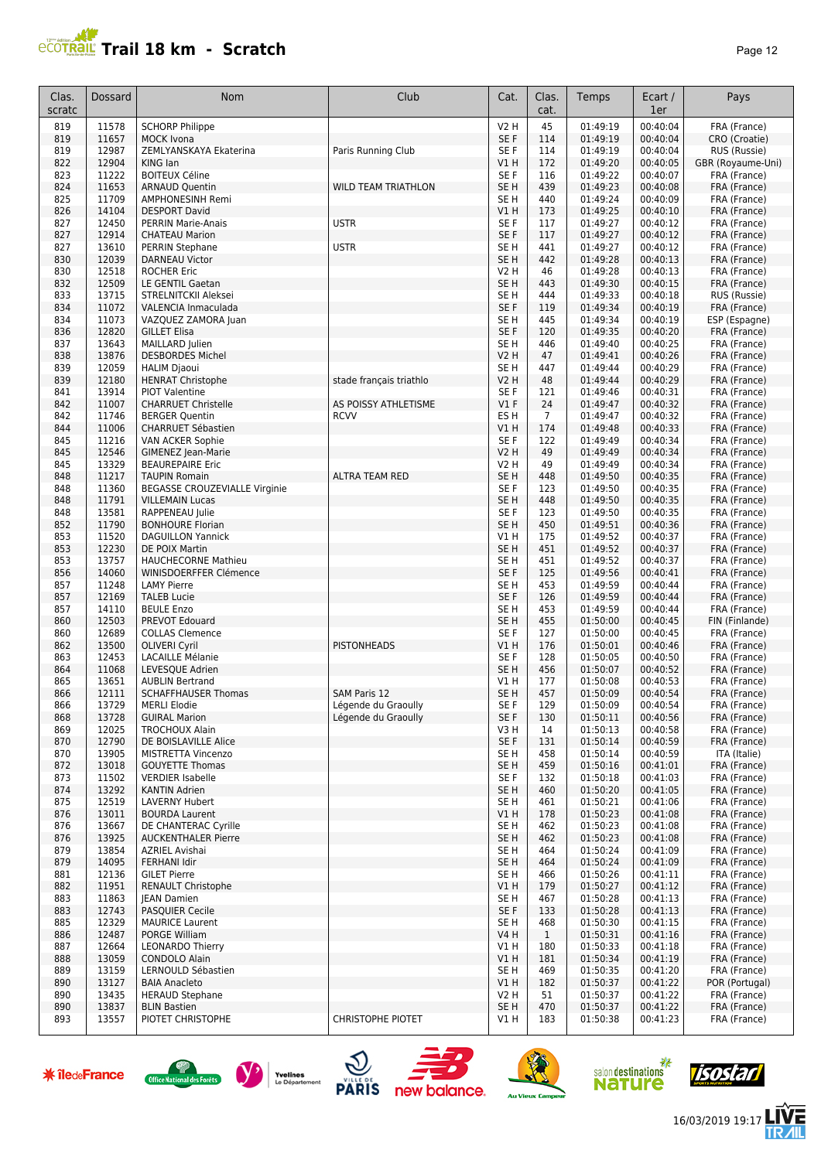## **PCOTRAL Trail 18 km - Scratch**

| але |  |
|-----|--|
|-----|--|

| Clas.<br>scratc | Dossard        | Nom                                                   | Club                                       | Cat.                               | Clas.<br>cat.       | Temps                | Ecart /<br>1er       | Pays                              |
|-----------------|----------------|-------------------------------------------------------|--------------------------------------------|------------------------------------|---------------------|----------------------|----------------------|-----------------------------------|
| 819             | 11578          | <b>SCHORP Philippe</b>                                |                                            | V2 H                               | 45                  | 01:49:19             | 00:40:04             | FRA (France)                      |
| 819             | 11657          | <b>MOCK Ivona</b>                                     |                                            | SE F                               | 114                 | 01:49:19             | 00:40:04             | CRO (Croatie)                     |
| 819<br>822      | 12987<br>12904 | ZEMLYANSKAYA Ekaterina<br>KING Ian                    | Paris Running Club                         | SE F<br>V1 H                       | 114<br>172          | 01:49:19<br>01:49:20 | 00:40:04<br>00:40:05 | RUS (Russie)<br>GBR (Royaume-Uni) |
| 823             | 11222          | <b>BOITEUX Céline</b>                                 |                                            | SE F                               | 116                 | 01:49:22             | 00:40:07             | FRA (France)                      |
| 824             | 11653          | <b>ARNAUD Quentin</b>                                 | <b>WILD TEAM TRIATHLON</b>                 | SE <sub>H</sub>                    | 439                 | 01:49:23             | 00:40:08             | FRA (France)                      |
| 825             | 11709          | <b>AMPHONESINH Remi</b>                               |                                            | SE <sub>H</sub>                    | 440                 | 01:49:24             | 00:40:09             | FRA (France)                      |
| 826             | 14104          | <b>DESPORT David</b>                                  |                                            | V1H                                | 173                 | 01:49:25             | 00:40:10             | FRA (France)                      |
| 827<br>827      | 12450<br>12914 | <b>PERRIN Marie-Anais</b><br><b>CHATEAU Marion</b>    | <b>USTR</b>                                | SE F<br>SE F                       | 117<br>117          | 01:49:27<br>01:49:27 | 00:40:12<br>00:40:12 | FRA (France)<br>FRA (France)      |
| 827             | 13610          | <b>PERRIN Stephane</b>                                | <b>USTR</b>                                | SE <sub>H</sub>                    | 441                 | 01:49:27             | 00:40:12             | FRA (France)                      |
| 830             | 12039          | DARNEAU Victor                                        |                                            | SE <sub>H</sub>                    | 442                 | 01:49:28             | 00:40:13             | FRA (France)                      |
| 830             | 12518          | <b>ROCHER Eric</b>                                    |                                            | <b>V2 H</b>                        | 46                  | 01:49:28             | 00:40:13             | FRA (France)                      |
| 832             | 12509          | LE GENTIL Gaetan                                      |                                            | SE <sub>H</sub>                    | 443                 | 01:49:30             | 00:40:15             | FRA (France)                      |
| 833             | 13715          | STRELNITCKII Aleksei                                  |                                            | SE <sub>H</sub><br>SE <sub>F</sub> | 444                 | 01:49:33             | 00:40:18             | RUS (Russie)                      |
| 834<br>834      | 11072<br>11073 | VALENCIA Inmaculada<br>VAZQUEZ ZAMORA Juan            |                                            | SE <sub>H</sub>                    | 119<br>445          | 01:49:34<br>01:49:34 | 00:40:19<br>00:40:19 | FRA (France)<br>ESP (Espagne)     |
| 836             | 12820          | <b>GILLET Elisa</b>                                   |                                            | SE <sub>F</sub>                    | 120                 | 01:49:35             | 00:40:20             | FRA (France)                      |
| 837             | 13643          | MAILLARD Julien                                       |                                            | SE <sub>H</sub>                    | 446                 | 01:49:40             | 00:40:25             | FRA (France)                      |
| 838             | 13876          | <b>DESBORDES Michel</b>                               |                                            | V2 H                               | 47                  | 01:49:41             | 00:40:26             | FRA (France)                      |
| 839             | 12059          | <b>HALIM Djaoui</b>                                   |                                            | SE <sub>H</sub>                    | 447                 | 01:49:44             | 00:40:29             | FRA (France)                      |
| 839<br>841      | 12180<br>13914 | <b>HENRAT Christophe</b><br><b>PIOT Valentine</b>     | stade français triathlo                    | V2 H<br>SE F                       | 48<br>121           | 01:49:44<br>01:49:46 | 00:40:29<br>00:40:31 | FRA (France)<br>FRA (France)      |
| 842             | 11007          | <b>CHARRUET Christelle</b>                            | AS POISSY ATHLETISME                       | $VI$ F                             | 24                  | 01:49:47             | 00:40:32             | FRA (France)                      |
| 842             | 11746          | <b>BERGER Quentin</b>                                 | <b>RCVV</b>                                | ES <sub>H</sub>                    | $\overline{7}$      | 01:49:47             | 00:40:32             | FRA (France)                      |
| 844             | 11006          | <b>CHARRUET Sébastien</b>                             |                                            | V1 H                               | 174                 | 01:49:48             | 00:40:33             | FRA (France)                      |
| 845             | 11216          | VAN ACKER Sophie                                      |                                            | SE F                               | 122                 | 01:49:49             | 00:40:34             | FRA (France)                      |
| 845             | 12546          | GIMENEZ Jean-Marie                                    |                                            | V2 H                               | 49                  | 01:49:49             | 00:40:34             | FRA (France)                      |
| 845<br>848      | 13329<br>11217 | <b>BEAUREPAIRE Eric</b>                               | <b>ALTRA TEAM RED</b>                      | <b>V2 H</b><br>SE <sub>H</sub>     | 49<br>448           | 01:49:49<br>01:49:50 | 00:40:34<br>00:40:35 | FRA (France)<br>FRA (France)      |
| 848             | 11360          | <b>TAUPIN Romain</b><br>BEGASSE CROUZEVIALLE Virginie |                                            | SE <sub>F</sub>                    | 123                 | 01:49:50             | 00:40:35             | FRA (France)                      |
| 848             | 11791          | <b>VILLEMAIN Lucas</b>                                |                                            | SE <sub>H</sub>                    | 448                 | 01:49:50             | 00:40:35             | FRA (France)                      |
| 848             | 13581          | RAPPENEAU Julie                                       |                                            | SE <sub>F</sub>                    | 123                 | 01:49:50             | 00:40:35             | FRA (France)                      |
| 852             | 11790          | <b>BONHOURE Florian</b>                               |                                            | SE <sub>H</sub>                    | 450                 | 01:49:51             | 00:40:36             | FRA (France)                      |
| 853             | 11520          | <b>DAGUILLON Yannick</b>                              |                                            | V1 H                               | 175                 | 01:49:52             | 00:40:37             | FRA (France)                      |
| 853<br>853      | 12230<br>13757 | DE POIX Martin<br><b>HAUCHECORNE Mathieu</b>          |                                            | SE <sub>H</sub><br>SE H            | 451<br>451          | 01:49:52<br>01:49:52 | 00:40:37<br>00:40:37 | FRA (France)<br>FRA (France)      |
| 856             | 14060          | WINISDOERFFER Clémence                                |                                            | SE F                               | 125                 | 01:49:56             | 00:40:41             | FRA (France)                      |
| 857             | 11248          | <b>LAMY Pierre</b>                                    |                                            | SE <sub>H</sub>                    | 453                 | 01:49:59             | 00:40:44             | FRA (France)                      |
| 857             | 12169          | <b>TALEB Lucie</b>                                    |                                            | SE F                               | 126                 | 01:49:59             | 00:40:44             | FRA (France)                      |
| 857             | 14110          | <b>BEULE Enzo</b>                                     |                                            | SE <sub>H</sub>                    | 453                 | 01:49:59             | 00:40:44             | FRA (France)                      |
| 860<br>860      | 12503<br>12689 | PREVOT Edouard<br><b>COLLAS Clemence</b>              |                                            | SE <sub>H</sub><br>SE <sub>F</sub> | 455<br>127          | 01:50:00<br>01:50:00 | 00:40:45<br>00:40:45 | FIN (Finlande)<br>FRA (France)    |
| 862             | 13500          | <b>OLIVERI Cyril</b>                                  | <b>PISTONHEADS</b>                         | V1H                                | 176                 | 01:50:01             | 00:40:46             | FRA (France)                      |
| 863             | 12453          | <b>LACAILLE Mélanie</b>                               |                                            | SE <sub>F</sub>                    | 128                 | 01:50:05             | 00:40:50             | FRA (France)                      |
| 864             | 11068          | LEVESQUE Adrien                                       |                                            | SE <sub>H</sub>                    | 456                 | 01:50:07             | 00:40:52             | FRA (France)                      |
| 865             | 13651          | <b>AUBLIN Bertrand</b>                                |                                            | V1 H                               | 177                 | 01:50:08             | 00:40:53             | FRA (France)                      |
| 866             | 12111          | <b>SCHAFFHAUSER Thomas</b>                            | SAM Paris 12                               | SE <sub>H</sub>                    | 457                 | 01:50:09             | 00:40:54             | FRA (France)                      |
| 866<br>868      | 13729<br>13728 | <b>MERLI Elodie</b><br><b>GUIRAL Marion</b>           | Légende du Graoully<br>Légende du Graoully | SE F<br>SE F                       | 129<br>130          | 01:50:09<br>01:50:11 | 00:40:54<br>00:40:56 | FRA (France)<br>FRA (France)      |
| 869             | 12025          | <b>TROCHOUX Alain</b>                                 |                                            | V3H                                | 14                  | 01:50:13             | 00:40:58             | FRA (France)                      |
| 870             | 12790          | DE BOISLAVILLE Alice                                  |                                            | SE F                               | 131                 | 01:50:14             | 00:40:59             | FRA (France)                      |
| 870             | 13905          | MISTRETTA Vincenzo                                    |                                            | SE <sub>H</sub>                    | 458                 | 01:50:14             | 00:40:59             | ITA (Italie)                      |
| 872             | 13018<br>11502 | <b>GOUYETTE Thomas</b><br><b>VERDIER Isabelle</b>     |                                            | SE <sub>H</sub><br>SE F            | 459                 | 01:50:16<br>01:50:18 | 00:41:01<br>00:41:03 | FRA (France)                      |
| 873<br>874      | 13292          | <b>KANTIN Adrien</b>                                  |                                            | SE <sub>H</sub>                    | 132<br>460          | 01:50:20             | 00:41:05             | FRA (France)<br>FRA (France)      |
| 875             | 12519          | LAVERNY Hubert                                        |                                            | SE <sub>H</sub>                    | 461                 | 01:50:21             | 00:41:06             | FRA (France)                      |
| 876             | 13011          | <b>BOURDA Laurent</b>                                 |                                            | V1H                                | 178                 | 01:50:23             | 00:41:08             | FRA (France)                      |
| 876             | 13667          | DE CHANTERAC Cyrille                                  |                                            | SE H                               | 462                 | 01:50:23             | 00:41:08             | FRA (France)                      |
| 876             | 13925          | <b>AUCKENTHALER Pierre</b>                            |                                            | SE <sub>H</sub>                    | 462                 | 01:50:23             | 00:41:08             | FRA (France)                      |
| 879             | 13854<br>14095 | <b>AZRIEL Avishai</b><br><b>FERHANI Idir</b>          |                                            | SE H<br>SE <sub>H</sub>            | 464<br>464          | 01:50:24             | 00:41:09             | FRA (France)<br>FRA (France)      |
| 879<br>881      | 12136          | <b>GILET Pierre</b>                                   |                                            | SE H                               | 466                 | 01:50:24<br>01:50:26 | 00:41:09<br>00:41:11 | FRA (France)                      |
| 882             | 11951          | <b>RENAULT Christophe</b>                             |                                            | V1H                                | 179                 | 01:50:27             | 00:41:12             | FRA (France)                      |
| 883             | 11863          | <b>IEAN Damien</b>                                    |                                            | SE H                               | 467                 | 01:50:28             | 00:41:13             | FRA (France)                      |
| 883             | 12743          | PASQUIER Cecile                                       |                                            | SE F                               | 133                 | 01:50:28             | 00:41:13             | FRA (France)                      |
| 885             | 12329<br>12487 | <b>MAURICE Laurent</b><br>PORGE William               |                                            | SE H<br>V4 H                       | 468                 | 01:50:30<br>01:50:31 | 00:41:15<br>00:41:16 | FRA (France)                      |
| 886<br>887      | 12664          | <b>LEONARDO Thierry</b>                               |                                            | V1 H                               | $\mathbf{1}$<br>180 | 01:50:33             | 00:41:18             | FRA (France)<br>FRA (France)      |
| 888             | 13059          | <b>CONDOLO Alain</b>                                  |                                            | V1H                                | 181                 | 01:50:34             | 00:41:19             | FRA (France)                      |
| 889             | 13159          | LERNOULD Sébastien                                    |                                            | SE <sub>H</sub>                    | 469                 | 01:50:35             | 00:41:20             | FRA (France)                      |
| 890             | 13127          | <b>BAIA Anacleto</b>                                  |                                            | VIH                                | 182                 | 01:50:37             | 00:41:22             | POR (Portugal)                    |
| 890             | 13435          | <b>HERAUD Stephane</b>                                |                                            | V2 H                               | 51                  | 01:50:37             | 00:41:22             | FRA (France)                      |
| 890<br>893      | 13837<br>13557 | <b>BLIN Bastien</b><br>PIOTET CHRISTOPHE              | <b>CHRISTOPHE PIOTET</b>                   | SE <sub>H</sub><br>V1 H            | 470<br>183          | 01:50:37<br>01:50:38 | 00:41:22<br>00:41:23 | FRA (France)<br>FRA (France)      |
|                 |                |                                                       |                                            |                                    |                     |                      |                      |                                   |















16/03/2019 19:17

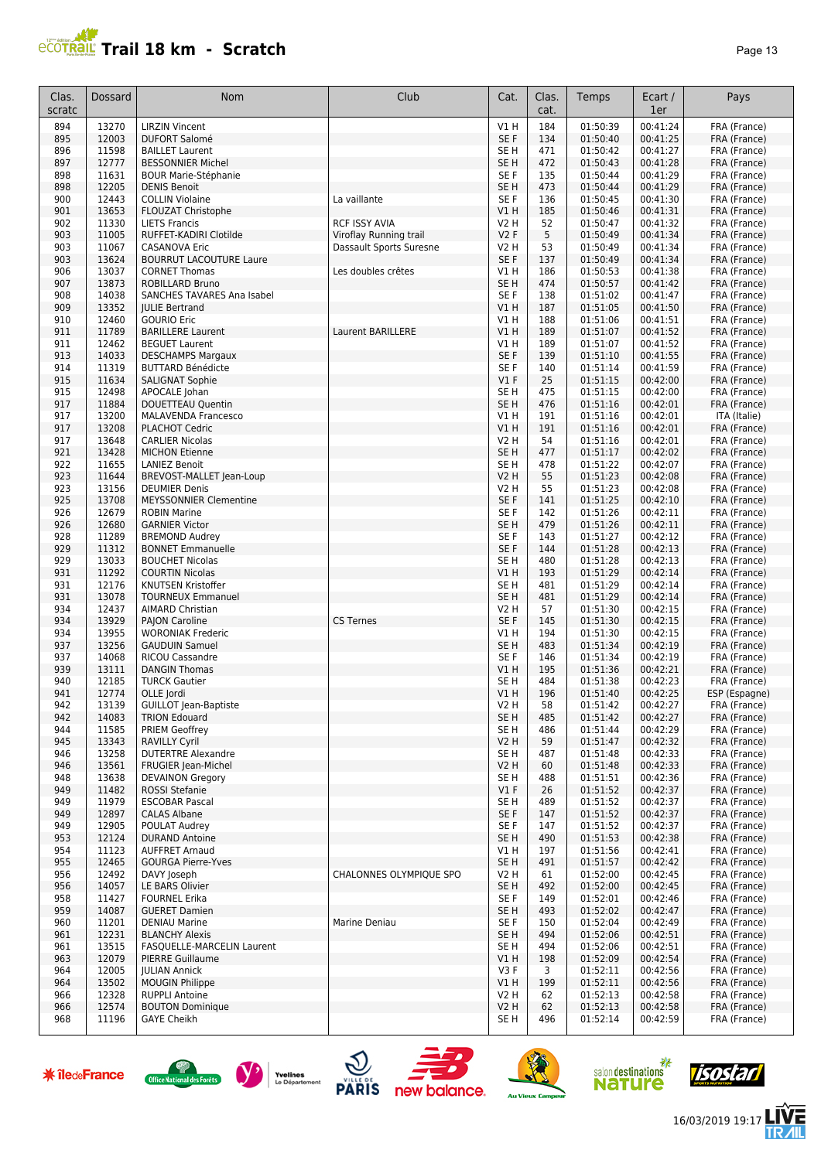## **Trail 18 km - Scratch Page 13** Page 13

| Clas.<br>scratc | <b>Dossard</b> | Nom                                          | Club                    | Cat.             | Clas.<br>cat. | Temps                | Ecart /<br>1er       | Pays                         |
|-----------------|----------------|----------------------------------------------|-------------------------|------------------|---------------|----------------------|----------------------|------------------------------|
| 894             | 13270          | <b>LIRZIN Vincent</b>                        |                         | V1 H             | 184           | 01:50:39             | 00:41:24             | FRA (France)                 |
| 895             | 12003          | <b>DUFORT Salomé</b>                         |                         | SE F             | 134           | 01:50:40             | 00:41:25             | FRA (France)                 |
| 896             | 11598          | <b>BAILLET Laurent</b>                       |                         | SE <sub>H</sub>  | 471           | 01:50:42             | 00:41:27             | FRA (France)                 |
| 897             | 12777          | <b>BESSONNIER Michel</b>                     |                         | SE <sub>H</sub>  | 472           | 01:50:43             | 00:41:28             | FRA (France)                 |
| 898             | 11631          | <b>BOUR Marie-Stéphanie</b>                  |                         | SE F             | 135           | 01:50:44             | 00:41:29             | FRA (France)                 |
| 898             | 12205          | <b>DENIS Benoit</b>                          |                         | SE <sub>H</sub>  | 473           | 01:50:44             | 00:41:29             | FRA (France)                 |
| 900             | 12443          | <b>COLLIN Violaine</b>                       | La vaillante            | SE F             | 136           | 01:50:45             | 00:41:30             | FRA (France)                 |
| 901             | 13653          | FLOUZAT Christophe                           |                         | V1H              | 185           | 01:50:46             | 00:41:31             | FRA (France)                 |
| 902             | 11330          | <b>LIETS Francis</b>                         | <b>RCF ISSY AVIA</b>    | V2 H             | 52            | 01:50:47             | 00:41:32             | FRA (France)                 |
| 903             | 11005          | RUFFET-KADIRI Clotilde                       | Viroflay Running trail  | V2F              | 5             | 01:50:49             | 00:41:34             | FRA (France)                 |
| 903             | 11067          | <b>CASANOVA Eric</b>                         | Dassault Sports Suresne | V <sub>2</sub> H | 53            | 01:50:49             | 00:41:34             | FRA (France)                 |
| 903             | 13624          | <b>BOURRUT LACOUTURE Laure</b>               |                         | SE F             | 137           | 01:50:49             | 00:41:34             | FRA (France)                 |
| 906             | 13037          | <b>CORNET Thomas</b>                         | Les doubles crêtes      | V1 H             | 186           | 01:50:53             | 00:41:38             | FRA (France)                 |
| 907             | 13873          | ROBILLARD Bruno                              |                         | SE <sub>H</sub>  | 474           | 01:50:57             | 00:41:42             | FRA (France)                 |
| 908             | 14038          | SANCHES TAVARES Ana Isabel                   |                         | SE <sub>F</sub>  | 138           | 01:51:02             | 00:41:47             | FRA (France)                 |
| 909             | 13352          | <b>JULIE Bertrand</b>                        |                         | V1H              | 187           | 01:51:05             | 00:41:50             | FRA (France)                 |
| 910             | 12460          | <b>GOURIO Eric</b>                           |                         | V1H              | 188           | 01:51:06             | 00:41:51             | FRA (France)                 |
| 911             | 11789          | <b>BARILLERE Laurent</b>                     | Laurent BARILLERE       | V1H              | 189           | 01:51:07             | 00:41:52             | FRA (France)                 |
| 911             | 12462          | <b>BEGUET Laurent</b>                        |                         | V1H              | 189           | 01:51:07             | 00:41:52             | FRA (France)                 |
| 913             | 14033          | <b>DESCHAMPS Margaux</b>                     |                         | SE F             | 139           | 01:51:10             | 00:41:55             | FRA (France)                 |
| 914             | 11319          | <b>BUTTARD Bénédicte</b>                     |                         | SE F             | 140           | 01:51:14             | 00:41:59             | FRA (France)                 |
| 915             | 11634          | <b>SALIGNAT Sophie</b>                       |                         | V1F              | 25            | 01:51:15             | 00:42:00             | FRA (France)                 |
| 915             | 12498          | APOCALE Johan                                |                         | SE <sub>H</sub>  | 475           | 01:51:15             | 00:42:00             | FRA (France)                 |
| 917             | 11884          | DOUETTEAU Quentin                            |                         | SE <sub>H</sub>  | 476           | 01:51:16             | 00:42:01             | FRA (France)                 |
| 917             | 13200          | <b>MALAVENDA Francesco</b>                   |                         | V1 H             | 191           | 01:51:16             | 00:42:01             | ITA (Italie)                 |
| 917             | 13208          | <b>PLACHOT Cedric</b>                        |                         | V1 H             | 191           | 01:51:16             | 00:42:01             | FRA (France)                 |
| 917             | 13648          | <b>CARLIER Nicolas</b>                       |                         | V2 H             | 54            | 01:51:16             | 00:42:01             | FRA (France)                 |
| 921             | 13428          | <b>MICHON Etienne</b>                        |                         | SE <sub>H</sub>  | 477           | 01:51:17             | 00:42:02             | FRA (France)                 |
| 922             | 11655          | <b>LANIEZ Benoit</b>                         |                         | SE <sub>H</sub>  | 478           | 01:51:22             | 00:42:07             | FRA (France)                 |
| 923             | 11644          | BREVOST-MALLET Jean-Loup                     |                         | <b>V2 H</b>      | 55            | 01:51:23             | 00:42:08             | FRA (France)                 |
| 923             | 13156          | <b>DEUMIER Denis</b>                         |                         | <b>V2 H</b>      | 55            | 01:51:23             | 00:42:08             | FRA (France)                 |
| 925             | 13708          | <b>MEYSSONNIER Clementine</b>                |                         | SE <sub>F</sub>  | 141           | 01:51:25             | 00:42:10             | FRA (France)                 |
| 926             | 12679          | <b>ROBIN Marine</b>                          |                         | SE <sub>F</sub>  | 142           | 01:51:26             | 00:42:11             | FRA (France)                 |
| 926             | 12680          | <b>GARNIER Victor</b>                        |                         | SE <sub>H</sub>  | 479           | 01:51:26             | 00:42:11             | FRA (France)                 |
| 928             | 11289          | <b>BREMOND Audrey</b>                        |                         | SE F             | 143           | 01:51:27             | 00:42:12             | FRA (France)                 |
| 929             | 11312          | <b>BONNET Emmanuelle</b>                     |                         | SE F             | 144           | 01:51:28             | 00:42:13             | FRA (France)                 |
| 929             | 13033          | <b>BOUCHET Nicolas</b>                       |                         | SE <sub>H</sub>  | 480           | 01:51:28             | 00:42:13             | FRA (France)                 |
| 931             | 11292          | <b>COURTIN Nicolas</b>                       |                         | V1 H             | 193           | 01:51:29             | 00:42:14             | FRA (France)                 |
| 931             | 12176          | KNUTSEN Kristoffer                           |                         | SE <sub>H</sub>  | 481           | 01:51:29             | 00:42:14             | FRA (France)                 |
| 931             | 13078          | <b>TOURNEUX Emmanuel</b>                     |                         | SE <sub>H</sub>  | 481           | 01:51:29             | 00:42:14             | FRA (France)                 |
| 934             | 12437          | <b>AIMARD Christian</b>                      |                         | V2 H             | 57            | 01:51:30             | 00:42:15             | FRA (France)                 |
| 934             | 13929          | <b>PAJON Caroline</b>                        | <b>CS Ternes</b>        | SE F             | 145           | 01:51:30             | 00:42:15             | FRA (France)                 |
| 934             | 13955          | <b>WORONIAK Frederic</b>                     |                         | V1H              | 194           | 01:51:30             | 00:42:15             | FRA (France)                 |
| 937             | 13256          | <b>GAUDUIN Samuel</b>                        |                         | SE <sub>H</sub>  | 483           | 01:51:34             | 00:42:19             | FRA (France)                 |
| 937<br>939      | 14068<br>13111 | <b>RICOU Cassandre</b>                       |                         | SE F<br>V1H      | 146           | 01:51:34<br>01:51:36 | 00:42:19<br>00:42:21 | FRA (France)                 |
| 940             | 12185          | <b>DANGIN Thomas</b><br><b>TURCK Gautier</b> |                         | SE <sub>H</sub>  | 195<br>484    | 01:51:38             | 00:42:23             | FRA (France)<br>FRA (France) |
| 941             | 12774          | OLLE Jordi                                   |                         | V1 H             | 196           | 01:51:40             | 00:42:25             | ESP (Espagne)                |
| 942             | 13139          | <b>GUILLOT Jean-Baptiste</b>                 |                         | V2 H             | 58            | 01:51:42             | 00:42:27             | FRA (France)                 |
| 942             | 14083          | <b>TRION Edouard</b>                         |                         | SE H             | 485           | 01:51:42             | 00:42:27             | FRA (France)                 |
| 944             | 11585          | <b>PRIEM Geoffrey</b>                        |                         | SE H             | 486           | 01:51:44             | 00:42:29             | FRA (France)                 |
| 945             | 13343          | <b>RAVILLY Cyril</b>                         |                         | V2 H             | 59            | 01:51:47             | 00:42:32             | FRA (France)                 |
| 946             | 13258          | <b>DUTERTRE Alexandre</b>                    |                         | SE H             | 487           | 01:51:48             | 00:42:33             | FRA (France)                 |
| 946             | 13561          | <b>FRUGIER Jean-Michel</b>                   |                         | V2 H             | 60            | 01:51:48             | 00:42:33             | FRA (France)                 |
| 948             | 13638          | <b>DEVAINON Gregory</b>                      |                         | SE <sub>H</sub>  | 488           | 01:51:51             | 00:42:36             | FRA (France)                 |
| 949             | 11482          | ROSSI Stefanie                               |                         | V1F              | 26            | 01:51:52             | 00:42:37             | FRA (France)                 |
| 949             | 11979          | <b>ESCOBAR Pascal</b>                        |                         | SE H             | 489           | 01:51:52             | 00:42:37             | FRA (France)                 |
| 949             | 12897          | <b>CALAS Albane</b>                          |                         | SE F             | 147           | 01:51:52             | 00:42:37             | FRA (France)                 |
| 949             | 12905          | POULAT Audrey                                |                         | SE F             | 147           | 01:51:52             | 00:42:37             | FRA (France)                 |
| 953             | 12124          | <b>DURAND Antoine</b>                        |                         | SE H             | 490           | 01:51:53             | 00:42:38             | FRA (France)                 |
| 954             | 11123          | <b>AUFFRET Arnaud</b>                        |                         | V1 H             | 197           | 01:51:56             | 00:42:41             | FRA (France)                 |
| 955             | 12465          | <b>GOURGA Pierre-Yves</b>                    |                         | SE <sub>H</sub>  | 491           | 01:51:57             | 00:42:42             | FRA (France)                 |
| 956             | 12492          | DAVY Joseph                                  | CHALONNES OLYMPIOUE SPO | V2 H             | 61            | 01:52:00             | 00:42:45             | FRA (France)                 |
| 956             | 14057          | LE BARS Olivier                              |                         | SE H             | 492           | 01:52:00             | 00:42:45             | FRA (France)                 |
| 958             | 11427          | <b>FOURNEL Erika</b>                         |                         | SE F             | 149           | 01:52:01             | 00:42:46             | FRA (France)                 |
| 959             | 14087          | <b>GUERET Damien</b>                         |                         | SE H             | 493           | 01:52:02             | 00:42:47             | FRA (France)                 |
| 960             | 11201          | <b>DENIAU Marine</b>                         | Marine Deniau           | SE F             | 150           | 01:52:04             | 00:42:49             | FRA (France)                 |
| 961             | 12231          | <b>BLANCHY Alexis</b>                        |                         | SE <sub>H</sub>  | 494           | 01:52:06             | 00:42:51             | FRA (France)                 |
| 961             | 13515          | FASQUELLE-MARCELIN Laurent                   |                         | SE H             | 494           | 01:52:06             | 00:42:51             | FRA (France)                 |
| 963             | 12079          | PIERRE Guillaume                             |                         | V1 H             | 198           | 01:52:09             | 00:42:54             | FRA (France)                 |
| 964             | 12005          | <b>JULIAN Annick</b>                         |                         | V3F              | 3             | 01:52:11             | 00:42:56             | FRA (France)                 |
| 964             | 13502          | <b>MOUGIN Philippe</b>                       |                         | V1 H             | 199           | 01:52:11             | 00:42:56             | FRA (France)                 |
| 966             | 12328          | <b>RUPPLI Antoine</b>                        |                         | V2 H             | 62            | 01:52:13             | 00:42:58             | FRA (France)                 |
| 966             | 12574          | <b>BOUTON Dominique</b>                      |                         | V2 H             | 62            | 01:52:13             | 00:42:58             | FRA (France)                 |
| 968             | 11196          | <b>GAYE Cheikh</b>                           |                         | SE H             | 496           | 01:52:14             | 00:42:59             | FRA (France)                 |

















怎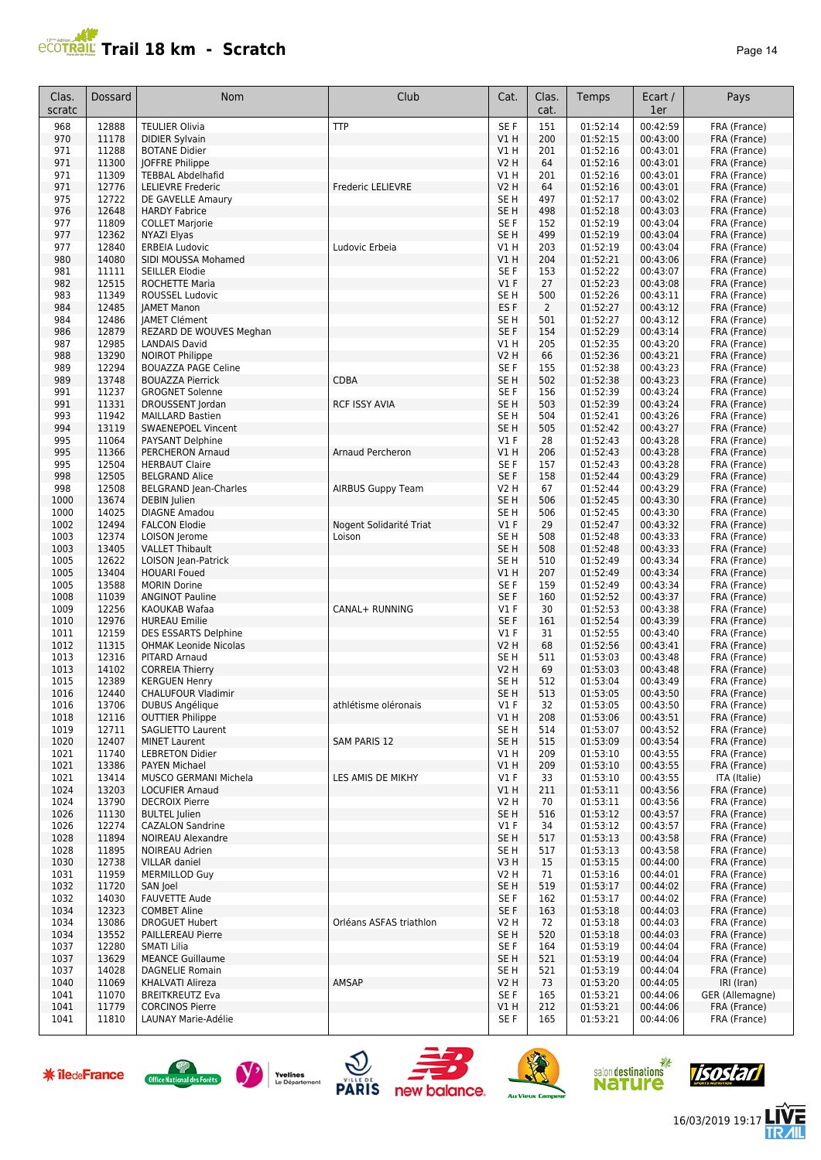## **PCOTRAL Trail 18 km - Scratch**

| ade |  |
|-----|--|
|-----|--|

| Clas.<br>scratc | Dossard        | Nom                                                 | Club                     | Cat.                           | Clas.<br>cat.  | Temps                | Ecart /<br>1er       | Pays                          |
|-----------------|----------------|-----------------------------------------------------|--------------------------|--------------------------------|----------------|----------------------|----------------------|-------------------------------|
| 968             | 12888          | <b>TEULIER Olivia</b>                               | <b>TTP</b>               | SE F                           | 151            | 01:52:14             | 00:42:59             | FRA (France)                  |
| 970             | 11178          | <b>DIDIER Sylvain</b>                               |                          | V1H                            | 200            | 01:52:15             | 00:43:00             | FRA (France)                  |
| 971             | 11288          | <b>BOTANE Didier</b>                                |                          | V1 H                           | 201            | 01:52:16             | 00:43:01             | FRA (France)                  |
| 971<br>971      | 11300<br>11309 | JOFFRE Philippe<br><b>TEBBAL Abdelhafid</b>         |                          | <b>V2 H</b><br>V1H             | 64<br>201      | 01:52:16<br>01:52:16 | 00:43:01<br>00:43:01 | FRA (France)<br>FRA (France)  |
| 971             | 12776          | <b>LELIEVRE Frederic</b>                            | Frederic LELIEVRE        | <b>V2 H</b>                    | 64             | 01:52:16             | 00:43:01             | FRA (France)                  |
| 975             | 12722          | DE GAVELLE Amaury                                   |                          | SE <sub>H</sub>                | 497            | 01:52:17             | 00:43:02             | FRA (France)                  |
| 976             | 12648          | <b>HARDY Fabrice</b>                                |                          | SE <sub>H</sub>                | 498            | 01:52:18             | 00:43:03             | FRA (France)                  |
| 977             | 11809          | <b>COLLET Marjorie</b>                              |                          | SE F                           | 152            | 01:52:19             | 00:43:04             | FRA (France)                  |
| 977             | 12362<br>12840 | NYAZI Elyas                                         | Ludovic Erbeia           | SE <sub>H</sub>                | 499<br>203     | 01:52:19<br>01:52:19 | 00:43:04<br>00:43:04 | FRA (France)                  |
| 977<br>980      | 14080          | <b>ERBEIA Ludovic</b><br>SIDI MOUSSA Mohamed        |                          | V1 H<br>VIH                    | 204            | 01:52:21             | 00:43:06             | FRA (France)<br>FRA (France)  |
| 981             | 11111          | SEILLER Elodie                                      |                          | SE F                           | 153            | 01:52:22             | 00:43:07             | FRA (France)                  |
| 982             | 12515          | ROCHETTE Maria                                      |                          | V1F                            | 27             | 01:52:23             | 00:43:08             | FRA (France)                  |
| 983             | 11349          | ROUSSEL Ludovic                                     |                          | SE <sub>H</sub>                | 500            | 01:52:26             | 00:43:11             | FRA (France)                  |
| 984             | 12485          | <b>JAMET Manon</b>                                  |                          | ES <sub>F</sub>                | $\overline{2}$ | 01:52:27             | 00:43:12             | FRA (France)                  |
| 984<br>986      | 12486<br>12879 | <b>JAMET Clément</b><br>REZARD DE WOUVES Meghan     |                          | SE <sub>H</sub><br>SE F        | 501<br>154     | 01:52:27<br>01:52:29 | 00:43:12<br>00:43:14 | FRA (France)<br>FRA (France)  |
| 987             | 12985          | <b>LANDAIS David</b>                                |                          | V1 H                           | 205            | 01:52:35             | 00:43:20             | FRA (France)                  |
| 988             | 13290          | <b>NOIROT Philippe</b>                              |                          | <b>V2 H</b>                    | 66             | 01:52:36             | 00:43:21             | FRA (France)                  |
| 989             | 12294          | <b>BOUAZZA PAGE Celine</b>                          |                          | SE F                           | 155            | 01:52:38             | 00:43:23             | FRA (France)                  |
| 989             | 13748          | <b>BOUAZZA Pierrick</b>                             | <b>CDBA</b>              | SE <sub>H</sub>                | 502            | 01:52:38             | 00:43:23             | FRA (France)                  |
| 991             | 11237          | <b>GROGNET Solenne</b>                              |                          | SE F                           | 156            | 01:52:39             | 00:43:24             | FRA (France)                  |
| 991<br>993      | 11331<br>11942 | DROUSSENT Jordan<br><b>MAILLARD Bastien</b>         | <b>RCF ISSY AVIA</b>     | SE <sub>H</sub><br>SE H        | 503<br>504     | 01:52:39<br>01:52:41 | 00:43:24<br>00:43:26 | FRA (France)<br>FRA (France)  |
| 994             | 13119          | <b>SWAENEPOEL Vincent</b>                           |                          | SE <sub>H</sub>                | 505            | 01:52:42             | 00:43:27             | FRA (France)                  |
| 995             | 11064          | PAYSANT Delphine                                    |                          | $VI$ F                         | 28             | 01:52:43             | 00:43:28             | FRA (France)                  |
| 995             | 11366          | PERCHERON Arnaud                                    | Arnaud Percheron         | V1H                            | 206            | 01:52:43             | 00:43:28             | FRA (France)                  |
| 995             | 12504          | <b>HERBAUT Claire</b>                               |                          | SE F                           | 157            | 01:52:43             | 00:43:28             | FRA (France)                  |
| 998             | 12505          | <b>BELGRAND Alice</b>                               |                          | SE F                           | 158            | 01:52:44             | 00:43:29             | FRA (France)                  |
| 998<br>1000     | 12508<br>13674 | <b>BELGRAND Jean-Charles</b><br><b>DEBIN Julien</b> | <b>AIRBUS Guppy Team</b> | V2 H<br>SE <sub>H</sub>        | 67<br>506      | 01:52:44<br>01:52:45 | 00:43:29<br>00:43:30 | FRA (France)<br>FRA (France)  |
| 1000            | 14025          | <b>DIAGNE Amadou</b>                                |                          | SE <sub>H</sub>                | 506            | 01:52:45             | 00:43:30             | FRA (France)                  |
| 1002            | 12494          | <b>FALCON Elodie</b>                                | Nogent Solidarité Triat  | V1F                            | 29             | 01:52:47             | 00:43:32             | FRA (France)                  |
| 1003            | 12374          | LOISON Jerome                                       | Loison                   | SE <sub>H</sub>                | 508            | 01:52:48             | 00:43:33             | FRA (France)                  |
| 1003            | 13405          | <b>VALLET Thibault</b>                              |                          | SE <sub>H</sub>                | 508            | 01:52:48             | 00:43:33             | FRA (France)                  |
| 1005            | 12622          | LOISON Jean-Patrick                                 |                          | SE H                           | 510            | 01:52:49             | 00:43:34             | FRA (France)                  |
| 1005<br>1005    | 13404<br>13588 | <b>HOUARI Foued</b><br><b>MORIN Dorine</b>          |                          | V1 H<br>SE F                   | 207<br>159     | 01:52:49<br>01:52:49 | 00:43:34<br>00:43:34 | FRA (France)<br>FRA (France)  |
| 1008            | 11039          | <b>ANGINOT Pauline</b>                              |                          | SE F                           | 160            | 01:52:52             | 00:43:37             | FRA (France)                  |
| 1009            | 12256          | KAOUKAB Wafaa                                       | CANAL+ RUNNING           | $VI$ F                         | 30             | 01:52:53             | 00:43:38             | FRA (France)                  |
| 1010            | 12976          | <b>HUREAU Emilie</b>                                |                          | SE F                           | 161            | 01:52:54             | 00:43:39             | FRA (France)                  |
| 1011            | 12159          | <b>DES ESSARTS Delphine</b>                         |                          | $VI$ F                         | 31             | 01:52:55             | 00:43:40             | FRA (France)                  |
| 1012            | 11315          | <b>OHMAK Leonide Nicolas</b>                        |                          | <b>V2 H</b>                    | 68             | 01:52:56             | 00:43:41             | FRA (France)                  |
| 1013<br>1013    | 12316<br>14102 | PITARD Arnaud<br><b>CORREIA Thierry</b>             |                          | SE <sub>H</sub><br><b>V2 H</b> | 511<br>69      | 01:53:03<br>01:53:03 | 00:43:48<br>00:43:48 | FRA (France)<br>FRA (France)  |
| 1015            | 12389          | <b>KERGUEN Henry</b>                                |                          | SE H                           | 512            | 01:53:04             | 00:43:49             | FRA (France)                  |
| 1016            | 12440          | <b>CHALUFOUR Vladimir</b>                           |                          | SE H                           | 513            | 01:53:05             | 00:43:50             | FRA (France)                  |
| 1016            | 13706          | <b>DUBUS Angélique</b>                              | athlétisme oléronais     | V1 F                           | 32             | 01:53:05             | 00:43:50             | FRA (France)                  |
| 1018            | 12116          | <b>OUTTIER Philippe</b>                             |                          | V1H                            | 208            | 01:53:06             | 00:43:51             | FRA (France)                  |
| 1019<br>1020    | 12711<br>12407 | <b>SAGLIETTO Laurent</b><br><b>MINET Laurent</b>    | <b>SAM PARIS 12</b>      | SE <sub>H</sub><br>SE H        | 514<br>515     | 01:53:07<br>01:53:09 | 00:43:52<br>00:43:54 | FRA (France)<br>FRA (France)  |
| 1021            | 11740          | <b>LEBRETON Didier</b>                              |                          | V1 H                           | 209            | 01:53:10             | 00:43:55             | FRA (France)                  |
| 1021            | 13386          | <b>PAYEN Michael</b>                                |                          | V1H                            | 209            | 01:53:10             | 00:43:55             | FRA (France)                  |
| 1021            | 13414          | MUSCO GERMANI Michela                               | LES AMIS DE MIKHY        | $VI$ F                         | 33             | 01:53:10             | 00:43:55             | ITA (Italie)                  |
| 1024            | 13203          | <b>LOCUFIER Arnaud</b>                              |                          | V1 H                           | 211            | 01:53:11             | 00:43:56             | FRA (France)                  |
| 1024            | 13790          | <b>DECROIX Pierre</b>                               |                          | V2 H                           | 70             | 01:53:11             | 00:43:56             | FRA (France)                  |
| 1026<br>1026    | 11130<br>12274 | <b>BULTEL Julien</b><br><b>CAZALON Sandrine</b>     |                          | SE <sub>H</sub><br>$VI$ F      | 516<br>34      | 01:53:12<br>01:53:12 | 00:43:57<br>00:43:57 | FRA (France)<br>FRA (France)  |
| 1028            | 11894          | <b>NOIREAU Alexandre</b>                            |                          | SE <sub>H</sub>                | 517            | 01:53:13             | 00:43:58             | FRA (France)                  |
| 1028            | 11895          | <b>NOIREAU Adrien</b>                               |                          | SE H                           | 517            | 01:53:13             | 00:43:58             | FRA (France)                  |
| 1030            | 12738          | <b>VILLAR</b> daniel                                |                          | V3H                            | 15             | 01:53:15             | 00:44:00             | FRA (France)                  |
| 1031            | 11959          | <b>MERMILLOD Guy</b>                                |                          | V2 H                           | 71             | 01:53:16             | 00:44:01             | FRA (France)                  |
| 1032            | 11720          | SAN Joel                                            |                          | SE <sub>H</sub>                | 519            | 01:53:17             | 00:44:02             | FRA (France)                  |
| 1032<br>1034    | 14030<br>12323 | <b>FAUVETTE Aude</b><br><b>COMBET Aline</b>         |                          | SE F<br>SE F                   | 162<br>163     | 01:53:17<br>01:53:18 | 00:44:02<br>00:44:03 | FRA (France)<br>FRA (France)  |
| 1034            | 13086          | <b>DROGUET Hubert</b>                               | Orléans ASFAS triathlon  | V2 H                           | 72             | 01:53:18             | 00:44:03             | FRA (France)                  |
| 1034            | 13552          | PAILLEREAU Pierre                                   |                          | SE <sub>H</sub>                | 520            | 01:53:18             | 00:44:03             | FRA (France)                  |
| 1037            | 12280          | <b>SMATI Lilia</b>                                  |                          | SE F                           | 164            | 01:53:19             | 00:44:04             | FRA (France)                  |
| 1037            | 13629          | <b>MEANCE Guillaume</b>                             |                          | SE H                           | 521            | 01:53:19             | 00:44:04             | FRA (France)                  |
| 1037            | 14028          | <b>DAGNELIE Romain</b>                              |                          | SE H                           | 521            | 01:53:19             | 00:44:04             | FRA (France)                  |
| 1040<br>1041    | 11069<br>11070 | KHALVATI Alireza<br><b>BREITKREUTZ Eva</b>          | AMSAP                    | V2 H<br>SE F                   | 73<br>165      | 01:53:20<br>01:53:21 | 00:44:05<br>00:44:06 | IRI (Iran)<br>GER (Allemagne) |
| 1041            | 11779          | <b>CORCINOS Pierre</b>                              |                          | V1 H                           | 212            | 01:53:21             | 00:44:06             | FRA (France)                  |
| 1041            | 11810          | LAUNAY Marie-Adélie                                 |                          | SE F                           | 165            | 01:53:21             | 00:44:06             | FRA (France)                  |















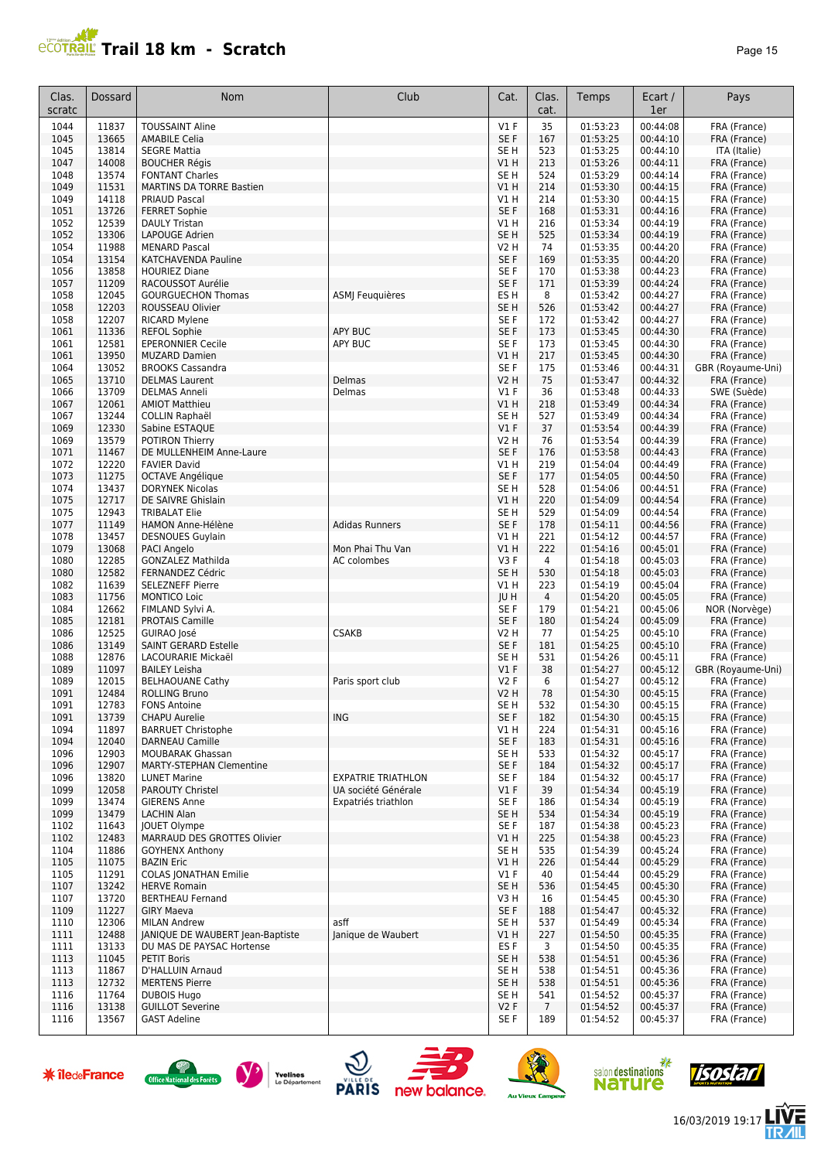

| Clas.<br>scratc | Dossard        | Nom                                              | Club                                       | Cat.                               | Clas.<br>cat.         | Temps                | Ecart /<br>1er       | Pays                              |
|-----------------|----------------|--------------------------------------------------|--------------------------------------------|------------------------------------|-----------------------|----------------------|----------------------|-----------------------------------|
| 1044            | 11837          | <b>TOUSSAINT Aline</b>                           |                                            | $VI$ F                             | 35                    | 01:53:23             | 00:44:08             | FRA (France)                      |
| 1045            | 13665          | <b>AMABILE Celia</b>                             |                                            | SE F                               | 167                   | 01:53:25             | 00:44:10             | FRA (France)                      |
| 1045            | 13814          | <b>SEGRE Mattia</b>                              |                                            | SE <sub>H</sub>                    | 523                   | 01:53:25             | 00:44:10             | ITA (Italie)                      |
| 1047<br>1048    | 14008<br>13574 | <b>BOUCHER Régis</b><br><b>FONTANT Charles</b>   |                                            | V1H<br>SE <sub>H</sub>             | 213<br>524            | 01:53:26<br>01:53:29 | 00:44:11<br>00:44:14 | FRA (France)<br>FRA (France)      |
| 1049            | 11531          | <b>MARTINS DA TORRE Bastien</b>                  |                                            | V1H                                | 214                   | 01:53:30             | 00:44:15             | FRA (France)                      |
| 1049            | 14118          | <b>PRIAUD Pascal</b>                             |                                            | V1 H                               | 214                   | 01:53:30             | 00:44:15             | FRA (France)                      |
| 1051            | 13726          | <b>FERRET Sophie</b>                             |                                            | SE F                               | 168                   | 01:53:31             | 00:44:16             | FRA (France)                      |
| 1052            | 12539          | <b>DAULY Tristan</b>                             |                                            | V1 H                               | 216                   | 01:53:34             | 00:44:19             | FRA (France)                      |
| 1052            | 13306          | LAPOUGE Adrien                                   |                                            | SE <sub>H</sub>                    | 525                   | 01:53:34             | 00:44:19             | FRA (France)                      |
| 1054            | 11988          | <b>MENARD Pascal</b>                             |                                            | V2 H                               | 74                    | 01:53:35             | 00:44:20             | FRA (France)                      |
| 1054<br>1056    | 13154<br>13858 | KATCHAVENDA Pauline<br><b>HOURIEZ Diane</b>      |                                            | SE <sub>F</sub><br>SE <sub>F</sub> | 169<br>170            | 01:53:35<br>01:53:38 | 00:44:20<br>00:44:23 | FRA (France)<br>FRA (France)      |
| 1057            | 11209          | RACOUSSOT Aurélie                                |                                            | SE F                               | 171                   | 01:53:39             | 00:44:24             | FRA (France)                      |
| 1058            | 12045          | <b>GOURGUECHON Thomas</b>                        | ASMJ Feuquières                            | ES <sub>H</sub>                    | 8                     | 01:53:42             | 00:44:27             | FRA (France)                      |
| 1058            | 12203          | ROUSSEAU Olivier                                 |                                            | SE <sub>H</sub>                    | 526                   | 01:53:42             | 00:44:27             | FRA (France)                      |
| 1058            | 12207          | <b>RICARD Mylene</b>                             |                                            | SE <sub>F</sub>                    | 172                   | 01:53:42             | 00:44:27             | FRA (France)                      |
| 1061            | 11336          | <b>REFOL Sophie</b>                              | <b>APY BUC</b>                             | SE F                               | 173                   | 01:53:45             | 00:44:30             | FRA (France)                      |
| 1061            | 12581          | <b>EPERONNIER Cecile</b>                         | <b>APY BUC</b>                             | SE F                               | 173                   | 01:53:45             | 00:44:30             | FRA (France)                      |
| 1061            | 13950          | <b>MUZARD Damien</b>                             |                                            | V1H                                | 217                   | 01:53:45             | 00:44:30             | FRA (France)                      |
| 1064<br>1065    | 13052<br>13710 | <b>BROOKS Cassandra</b><br><b>DELMAS Laurent</b> | Delmas                                     | SE F<br>V2 H                       | 175<br>75             | 01:53:46<br>01:53:47 | 00:44:31<br>00:44:32 | GBR (Royaume-Uni)<br>FRA (France) |
| 1066            | 13709          | <b>DELMAS Anneli</b>                             | Delmas                                     | <b>V1 F</b>                        | 36                    | 01:53:48             | 00:44:33             | SWE (Suède)                       |
| 1067            | 12061          | <b>AMIOT Matthieu</b>                            |                                            | VIH                                | 218                   | 01:53:49             | 00:44:34             | FRA (France)                      |
| 1067            | 13244          | <b>COLLIN Raphaël</b>                            |                                            | SE <sub>H</sub>                    | 527                   | 01:53:49             | 00:44:34             | FRA (France)                      |
| 1069            | 12330          | Sabine ESTAOUE                                   |                                            | V1F                                | 37                    | 01:53:54             | 00:44:39             | FRA (France)                      |
| 1069            | 13579          | POTIRON Thierry                                  |                                            | V2 H                               | 76                    | 01:53:54             | 00:44:39             | FRA (France)                      |
| 1071            | 11467          | DE MULLENHEIM Anne-Laure                         |                                            | SE <sub>F</sub>                    | 176                   | 01:53:58             | 00:44:43             | FRA (France)                      |
| 1072            | 12220          | <b>FAVIER David</b>                              |                                            | V1 H                               | 219                   | 01:54:04             | 00:44:49             | FRA (France)                      |
| 1073            | 11275          | <b>OCTAVE Angélique</b>                          |                                            | SE <sub>F</sub>                    | 177                   | 01:54:05             | 00:44:50             | FRA (France)                      |
| 1074<br>1075    | 13437<br>12717 | <b>DORYNEK Nicolas</b><br>DE SAIVRE Ghislain     |                                            | SE <sub>H</sub><br>VIH             | 528<br>220            | 01:54:06<br>01:54:09 | 00:44:51<br>00:44:54 | FRA (France)<br>FRA (France)      |
| 1075            | 12943          | <b>TRIBALAT Elie</b>                             |                                            | SE <sub>H</sub>                    | 529                   | 01:54:09             | 00:44:54             | FRA (France)                      |
| 1077            | 11149          | HAMON Anne-Hélène                                | <b>Adidas Runners</b>                      | SE <sub>F</sub>                    | 178                   | 01:54:11             | 00:44:56             | FRA (France)                      |
| 1078            | 13457          | <b>DESNOUES Guylain</b>                          |                                            | V1 H                               | 221                   | 01:54:12             | 00:44:57             | FRA (France)                      |
| 1079            | 13068          | PACI Angelo                                      | Mon Phai Thu Van                           | VIH                                | 222                   | 01:54:16             | 00:45:01             | FRA (France)                      |
| 1080            | 12285          | <b>GONZALEZ Mathilda</b>                         | AC colombes                                | V3F                                | $\overline{4}$        | 01:54:18             | 00:45:03             | FRA (France)                      |
| 1080            | 12582          | FERNANDEZ Cédric                                 |                                            | SE <sub>H</sub>                    | 530                   | 01:54:18             | 00:45:03             | FRA (France)                      |
| 1082            | 11639          | <b>SELEZNEFF Pierre</b>                          |                                            | V1 H                               | 223                   | 01:54:19             | 00:45:04             | FRA (France)                      |
| 1083<br>1084    | 11756<br>12662 | <b>MONTICO Loic</b><br>FIMLAND Sylvi A.          |                                            | JU H<br>SE F                       | $\overline{4}$<br>179 | 01:54:20<br>01:54:21 | 00:45:05<br>00:45:06 | FRA (France)<br>NOR (Norvège)     |
| 1085            | 12181          | <b>PROTAIS Camille</b>                           |                                            | SE F                               | 180                   | 01:54:24             | 00:45:09             | FRA (France)                      |
| 1086            | 12525          | GUIRAO José                                      | <b>CSAKB</b>                               | V2 H                               | 77                    | 01:54:25             | 00:45:10             | FRA (France)                      |
| 1086            | 13149          | <b>SAINT GERARD Estelle</b>                      |                                            | SE F                               | 181                   | 01:54:25             | 00:45:10             | FRA (France)                      |
| 1088            | 12876          | LACOURARIE Mickaël                               |                                            | SE <sub>H</sub>                    | 531                   | 01:54:26             | 00:45:11             | FRA (France)                      |
| 1089            | 11097          | <b>BAILEY Leisha</b>                             |                                            | $VI$ F                             | 38                    | 01:54:27             | 00:45:12             | GBR (Royaume-Uni)                 |
| 1089            | 12015          | <b>BELHAOUANE Cathy</b>                          | Paris sport club                           | <b>V2F</b>                         | 6                     | 01:54:27             | 00:45:12             | FRA (France)                      |
| 1091<br>1091    | 12484          | <b>ROLLING Bruno</b><br><b>FONS Antoine</b>      |                                            | V2 H<br>SE H                       | 78<br>532             | 01:54:30             | 00:45:15             | FRA (France)                      |
| 1091            | 12783<br>13739 | <b>CHAPU Aurelie</b>                             | ING                                        | SE F                               | 182                   | 01:54:30<br>01:54:30 | 00:45:15<br>00:45:15 | FRA (France)<br>FRA (France)      |
| 1094            | 11897          | <b>BARRUET Christophe</b>                        |                                            | V1 H                               | 224                   | 01:54:31             | 00:45:16             | FRA (France)                      |
| 1094            | 12040          | <b>DARNEAU Camille</b>                           |                                            | SE F                               | 183                   | 01:54:31             | 00:45:16             | FRA (France)                      |
| 1096            | 12903          | <b>MOUBARAK Ghassan</b>                          |                                            | SE <sub>H</sub>                    | 533                   | 01:54:32             | 00:45:17             | FRA (France)                      |
| 1096            | 12907          | <b>MARTY-STEPHAN Clementine</b>                  |                                            | SE F                               | 184                   | 01:54:32             | 00:45:17             | FRA (France)                      |
| 1096            | 13820          | <b>LUNET Marine</b>                              | <b>EXPATRIE TRIATHLON</b>                  | SE F                               | 184                   | 01:54:32             | 00:45:17             | FRA (France)                      |
| 1099<br>1099    | 12058<br>13474 | <b>PAROUTY Christel</b><br><b>GIERENS Anne</b>   | UA société Générale<br>Expatriés triathlon | $VI$ F<br>SE F                     | 39<br>186             | 01:54:34<br>01:54:34 | 00:45:19<br>00:45:19 | FRA (France)<br>FRA (France)      |
| 1099            | 13479          | <b>LACHIN Alan</b>                               |                                            | SE H                               | 534                   | 01:54:34             | 00:45:19             | FRA (France)                      |
| 1102            | 11643          | JOUET Olympe                                     |                                            | SE F                               | 187                   | 01:54:38             | 00:45:23             | FRA (France)                      |
| 1102            | 12483          | MARRAUD DES GROTTES Olivier                      |                                            | V1 H                               | 225                   | 01:54:38             | 00:45:23             | FRA (France)                      |
| 1104            | 11886          | <b>GOYHENX Anthony</b>                           |                                            | SE H                               | 535                   | 01:54:39             | 00:45:24             | FRA (France)                      |
| 1105            | 11075          | <b>BAZIN Eric</b>                                |                                            | V1 H                               | 226                   | 01:54:44             | 00:45:29             | FRA (France)                      |
| 1105            | 11291          | <b>COLAS JONATHAN Emilie</b>                     |                                            | $VI$ F                             | 40                    | 01:54:44             | 00:45:29             | FRA (France)                      |
| 1107            | 13242          | <b>HERVE Romain</b>                              |                                            | SE H                               | 536                   | 01:54:45             | 00:45:30             | FRA (France)                      |
| 1107<br>1109    | 13720<br>11227 | <b>BERTHEAU Fernand</b><br><b>GIRY Maeva</b>     |                                            | V3 H<br>SE F                       | 16                    | 01:54:45<br>01:54:47 | 00:45:30<br>00:45:32 | FRA (France)<br>FRA (France)      |
| 1110            | 12306          | <b>MILAN Andrew</b>                              | asff                                       | SE H                               | 188<br>537            | 01:54:49             | 00:45:34             | FRA (France)                      |
| 1111            | 12488          | JANIQUE DE WAUBERT Jean-Baptiste                 | Janique de Waubert                         | VIH                                | 227                   | 01:54:50             | 00:45:35             | FRA (France)                      |
| 1111            | 13133          | DU MAS DE PAYSAC Hortense                        |                                            | ES <sub>F</sub>                    | 3                     | 01:54:50             | 00:45:35             | FRA (France)                      |
| 1113            | 11045          | <b>PETIT Boris</b>                               |                                            | SE H                               | 538                   | 01:54:51             | 00:45:36             | FRA (France)                      |
| 1113            | 11867          | D'HALLUIN Arnaud                                 |                                            | SE H                               | 538                   | 01:54:51             | 00:45:36             | FRA (France)                      |
| 1113            | 12732          | <b>MERTENS Pierre</b>                            |                                            | SE H                               | 538                   | 01:54:51             | 00:45:36             | FRA (France)                      |
| 1116            | 11764          | <b>DUBOIS Hugo</b>                               |                                            | SE H                               | 541                   | 01:54:52             | 00:45:37             | FRA (France)                      |
| 1116            | 13138          | <b>GUILLOT Severine</b>                          |                                            | V2F                                | $7\overline{ }$       | 01:54:52             | 00:45:37             | FRA (France)                      |
| 1116            | 13567          | <b>GAST Adeline</b>                              |                                            | SE F                               | 189                   | 01:54:52             | 00:45:37             | FRA (France)                      |

















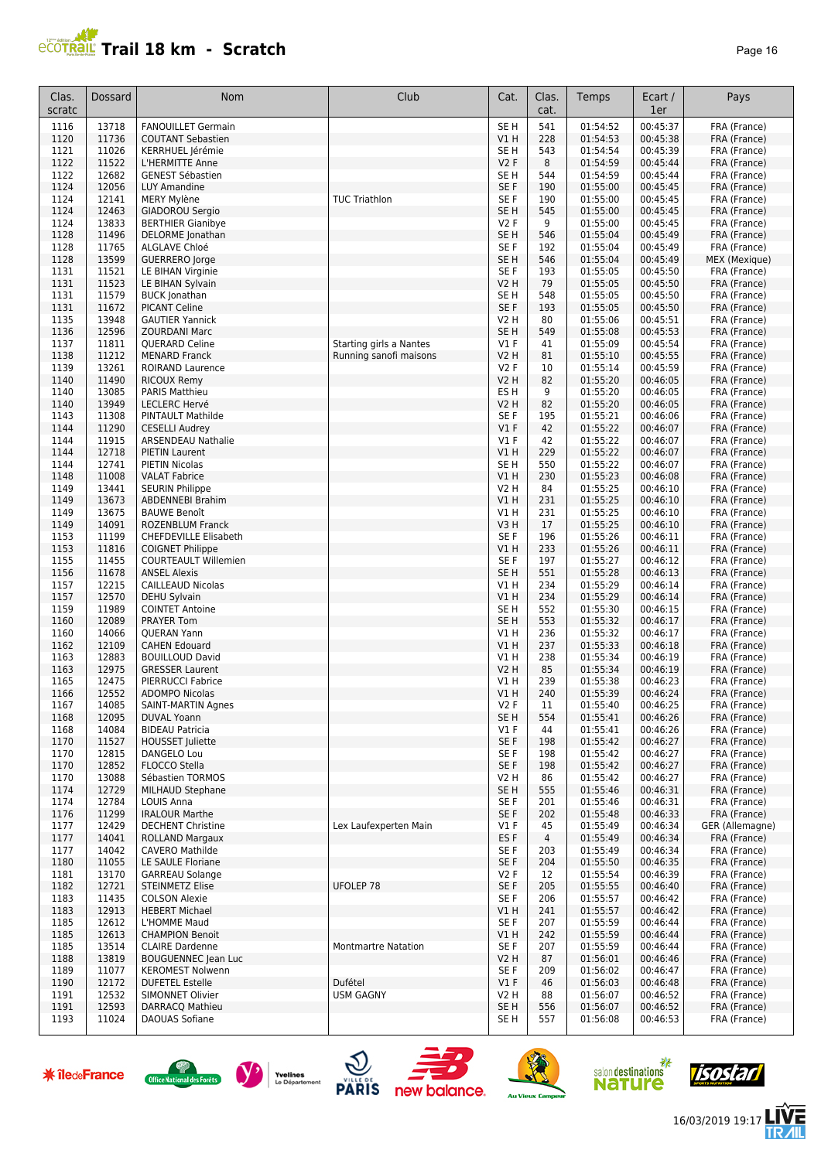

| Clas.<br>scratc | Dossard        | Nom                                                     | Club                                              | Cat.                               | Clas.<br>cat. | Temps                | Ecart /<br>1er       | Pays                          |
|-----------------|----------------|---------------------------------------------------------|---------------------------------------------------|------------------------------------|---------------|----------------------|----------------------|-------------------------------|
| 1116            | 13718          | <b>FANOUILLET Germain</b>                               |                                                   | SE <sub>H</sub>                    | 541           | 01:54:52             | 00:45:37             | FRA (France)                  |
| 1120            | 11736          | <b>COUTANT Sebastien</b>                                |                                                   | V1H                                | 228           | 01:54:53             | 00:45:38             | FRA (France)                  |
| 1121            | 11026          | KERRHUEL Jérémie                                        |                                                   | SE <sub>H</sub>                    | 543           | 01:54:54             | 00:45:39             | FRA (France)                  |
| 1122<br>1122    | 11522<br>12682 | L'HERMITTE Anne<br><b>GENEST Sébastien</b>              |                                                   | <b>V2F</b><br>SE <sub>H</sub>      | 8<br>544      | 01:54:59<br>01:54:59 | 00:45:44<br>00:45:44 | FRA (France)<br>FRA (France)  |
| 1124            | 12056          | LUY Amandine                                            |                                                   | SE F                               | 190           | 01:55:00             | 00:45:45             | FRA (France)                  |
| 1124            | 12141          | MERY Mylène                                             | <b>TUC Triathlon</b>                              | SE F                               | 190           | 01:55:00             | 00:45:45             | FRA (France)                  |
| 1124            | 12463          | GIADOROU Sergio                                         |                                                   | SE <sub>H</sub>                    | 545           | 01:55:00             | 00:45:45             | FRA (France)                  |
| 1124            | 13833          | <b>BERTHIER Gianibye</b>                                |                                                   | <b>V2F</b>                         | 9             | 01:55:00             | 00:45:45             | FRA (France)                  |
| 1128            | 11496          | DELORME Jonathan                                        |                                                   | SE <sub>H</sub>                    | 546           | 01:55:04             | 00:45:49             | FRA (France)                  |
| 1128<br>1128    | 11765<br>13599 | ALGLAVE Chloé<br>GUERRERO Jorge                         |                                                   | SE F<br>SE <sub>H</sub>            | 192<br>546    | 01:55:04<br>01:55:04 | 00:45:49<br>00:45:49 | FRA (France)<br>MEX (Mexique) |
| 1131            | 11521          | LE BIHAN Virginie                                       |                                                   | SE F                               | 193           | 01:55:05             | 00:45:50             | FRA (France)                  |
| 1131            | 11523          | LE BIHAN Sylvain                                        |                                                   | <b>V2 H</b>                        | 79            | 01:55:05             | 00:45:50             | FRA (France)                  |
| 1131            | 11579          | <b>BUCK Jonathan</b>                                    |                                                   | SE <sub>H</sub>                    | 548           | 01:55:05             | 00:45:50             | FRA (France)                  |
| 1131            | 11672          | <b>PICANT Celine</b>                                    |                                                   | SE F                               | 193           | 01:55:05             | 00:45:50             | FRA (France)                  |
| 1135            | 13948          | <b>GAUTIER Yannick</b>                                  |                                                   | V2 H                               | 80            | 01:55:06             | 00:45:51             | FRA (France)                  |
| 1136<br>1137    | 12596<br>11811 | <b>ZOURDANI Marc</b><br>QUERARD Celine                  |                                                   | SE <sub>H</sub><br>$VI$ F          | 549<br>41     | 01:55:08<br>01:55:09 | 00:45:53<br>00:45:54 | FRA (France)                  |
| 1138            | 11212          | <b>MENARD Franck</b>                                    | Starting girls a Nantes<br>Running sanofi maisons | V2 H                               | 81            | 01:55:10             | 00:45:55             | FRA (France)<br>FRA (France)  |
| 1139            | 13261          | <b>ROIRAND Laurence</b>                                 |                                                   | V2 F                               | 10            | 01:55:14             | 00:45:59             | FRA (France)                  |
| 1140            | 11490          | <b>RICOUX Remy</b>                                      |                                                   | V2 H                               | 82            | 01:55:20             | 00:46:05             | FRA (France)                  |
| 1140            | 13085          | <b>PARIS Matthieu</b>                                   |                                                   | ES H                               | 9             | 01:55:20             | 00:46:05             | FRA (France)                  |
| 1140            | 13949          | LECLERC Hervé                                           |                                                   | V2 H                               | 82            | 01:55:20             | 00:46:05             | FRA (France)                  |
| 1143            | 11308          | PINTAULT Mathilde                                       |                                                   | SE F                               | 195           | 01:55:21             | 00:46:06             | FRA (France)                  |
| 1144<br>1144    | 11290<br>11915 | <b>CESELLI Audrey</b><br><b>ARSENDEAU Nathalie</b>      |                                                   | $VI$ F<br>V1 F                     | 42<br>42      | 01:55:22<br>01:55:22 | 00:46:07<br>00:46:07 | FRA (France)<br>FRA (France)  |
| 1144            | 12718          | <b>PIETIN Laurent</b>                                   |                                                   | V1H                                | 229           | 01:55:22             | 00:46:07             | FRA (France)                  |
| 1144            | 12741          | PIETIN Nicolas                                          |                                                   | SE <sub>H</sub>                    | 550           | 01:55:22             | 00:46:07             | FRA (France)                  |
| 1148            | 11008          | <b>VALAT Fabrice</b>                                    |                                                   | V1H                                | 230           | 01:55:23             | 00:46:08             | FRA (France)                  |
| 1149            | 13441          | <b>SEURIN Philippe</b>                                  |                                                   | <b>V2 H</b>                        | 84            | 01:55:25             | 00:46:10             | FRA (France)                  |
| 1149            | 13673          | <b>ABDENNEBI Brahim</b>                                 |                                                   | <b>V1 H</b>                        | 231           | 01:55:25             | 00:46:10             | FRA (France)                  |
| 1149            | 13675<br>14091 | <b>BAUWE Benoît</b>                                     |                                                   | VIH                                | 231<br>17     | 01:55:25             | 00:46:10             | FRA (France)                  |
| 1149<br>1153    | 11199          | <b>ROZENBLUM Franck</b><br><b>CHEFDEVILLE Elisabeth</b> |                                                   | V3H<br>SE F                        | 196           | 01:55:25<br>01:55:26 | 00:46:10<br>00:46:11 | FRA (France)<br>FRA (France)  |
| 1153            | 11816          | <b>COIGNET Philippe</b>                                 |                                                   | V1 H                               | 233           | 01:55:26             | 00:46:11             | FRA (France)                  |
| 1155            | 11455          | <b>COURTEAULT Willemien</b>                             |                                                   | SE F                               | 197           | 01:55:27             | 00:46:12             | FRA (France)                  |
| 1156            | 11678          | <b>ANSEL Alexis</b>                                     |                                                   | SE <sub>H</sub>                    | 551           | 01:55:28             | 00:46:13             | FRA (France)                  |
| 1157            | 12215          | <b>CAILLEAUD Nicolas</b>                                |                                                   | V1H                                | 234           | 01:55:29             | 00:46:14             | FRA (France)                  |
| 1157            | 12570          | DEHU Sylvain                                            |                                                   | V1H                                | 234           | 01:55:29             | 00:46:14             | FRA (France)                  |
| 1159<br>1160    | 11989<br>12089 | <b>COINTET Antoine</b><br><b>PRAYER Tom</b>             |                                                   | SE <sub>H</sub><br>SE <sub>H</sub> | 552<br>553    | 01:55:30<br>01:55:32 | 00:46:15<br>00:46:17 | FRA (France)<br>FRA (France)  |
| 1160            | 14066          | QUERAN Yann                                             |                                                   | V1 H                               | 236           | 01:55:32             | 00:46:17             | FRA (France)                  |
| 1162            | 12109          | <b>CAHEN Edouard</b>                                    |                                                   | VIH                                | 237           | 01:55:33             | 00:46:18             | FRA (France)                  |
| 1163            | 12883          | <b>BOUILLOUD David</b>                                  |                                                   | V1 H                               | 238           | 01:55:34             | 00:46:19             | FRA (France)                  |
| 1163            | 12975          | <b>GRESSER Laurent</b>                                  |                                                   | V2 H                               | 85            | 01:55:34             | 00:46:19             | FRA (France)                  |
| 1165            | 12475          | <b>PIERRUCCI Fabrice</b>                                |                                                   | V1 H                               | 239           | 01:55:38             | 00:46:23             | FRA (France)                  |
| 1166            | 12552          | <b>ADOMPO Nicolas</b>                                   |                                                   | V1 H                               | 240           | 01:55:39             | 00:46:24             | FRA (France)                  |
| 1167<br>1168    | 14085<br>12095 | SAINT-MARTIN Agnes<br>DUVAL Yoann                       |                                                   | V2 F<br>SE <sub>H</sub>            | 11<br>554     | 01:55:40<br>01:55:41 | 00:46:25<br>00:46:26 | FRA (France)<br>FRA (France)  |
| 1168            | 14084          | <b>BIDEAU Patricia</b>                                  |                                                   | $VI$ F                             | 44            | 01:55:41             | 00:46:26             | FRA (France)                  |
| 1170            | 11527          | <b>HOUSSET Juliette</b>                                 |                                                   | SE F                               | 198           | 01:55:42             | 00:46:27             | FRA (France)                  |
| 1170            | 12815          | DANGELO Lou                                             |                                                   | SE F                               | 198           | 01:55:42             | 00:46:27             | FRA (France)                  |
| 1170            | 12852          | FLOCCO Stella                                           |                                                   | SE F                               | 198           | 01:55:42             | 00:46:27             | FRA (France)                  |
| 1170            | 13088          | Sébastien TORMOS                                        |                                                   | V2 H                               | 86            | 01:55:42             | 00:46:27             | FRA (France)                  |
| 1174<br>1174    | 12729<br>12784 | MILHAUD Stephane<br>LOUIS Anna                          |                                                   | SE <sub>H</sub><br>SE F            | 555<br>201    | 01:55:46<br>01:55:46 | 00:46:31<br>00:46:31 | FRA (France)<br>FRA (France)  |
| 1176            | 11299          | <b>IRALOUR Marthe</b>                                   |                                                   | SE F                               | 202           | 01:55:48             | 00:46:33             | FRA (France)                  |
| 1177            | 12429          | <b>DECHENT Christine</b>                                | Lex Laufexperten Main                             | V1 F                               | 45            | 01:55:49             | 00:46:34             | GER (Allemagne)               |
| 1177            | 14041          | <b>ROLLAND Margaux</b>                                  |                                                   | ES <sub>F</sub>                    | 4             | 01:55:49             | 00:46:34             | FRA (France)                  |
| 1177            | 14042          | CAVERO Mathilde                                         |                                                   | SE F                               | 203           | 01:55:49             | 00:46:34             | FRA (France)                  |
| 1180            | 11055<br>13170 | LE SAULE Floriane                                       |                                                   | SE F<br>V2F                        | 204           | 01:55:50<br>01:55:54 | 00:46:35             | FRA (France)<br>FRA (France)  |
| 1181<br>1182    | 12721          | <b>GARREAU Solange</b><br><b>STEINMETZ Elise</b>        | UFOLEP 78                                         | SE F                               | 12<br>205     | 01:55:55             | 00:46:39<br>00:46:40 | FRA (France)                  |
| 1183            | 11435          | <b>COLSON Alexie</b>                                    |                                                   | SE F                               | 206           | 01:55:57             | 00:46:42             | FRA (France)                  |
| 1183            | 12913          | <b>HEBERT Michael</b>                                   |                                                   | V1 H                               | 241           | 01:55:57             | 00:46:42             | FRA (France)                  |
| 1185            | 12612          | L'HOMME Maud                                            |                                                   | SE F                               | 207           | 01:55:59             | 00:46:44             | FRA (France)                  |
| 1185            | 12613          | <b>CHAMPION Benoit</b>                                  |                                                   | V1H                                | 242           | 01:55:59             | 00:46:44             | FRA (France)                  |
| 1185            | 13514          | <b>CLAIRE Dardenne</b>                                  | <b>Montmartre Natation</b>                        | SE F                               | 207           | 01:55:59             | 00:46:44             | FRA (France)                  |
| 1188            | 13819          | <b>BOUGUENNEC</b> Jean Luc                              |                                                   | V2 H                               | 87            | 01:56:01             | 00:46:46             | FRA (France)                  |
| 1189<br>1190    | 11077<br>12172 | <b>KEROMEST Nolwenn</b><br><b>DUFETEL Estelle</b>       | Dufétel                                           | SE F<br>$VI$ F                     | 209<br>46     | 01:56:02<br>01:56:03 | 00:46:47<br>00:46:48 | FRA (France)<br>FRA (France)  |
| 1191            | 12532          | SIMONNET Olivier                                        | <b>USM GAGNY</b>                                  | V <sub>2</sub> H                   | 88            | 01:56:07             | 00:46:52             | FRA (France)                  |
| 1191            | 12593          | <b>DARRACQ Mathieu</b>                                  |                                                   | SE <sub>H</sub>                    | 556           | 01:56:07             | 00:46:52             | FRA (France)                  |
| 1193            | 11024          | DAOUAS Sofiane                                          |                                                   | SE H                               | 557           | 01:56:08             | 00:46:53             | FRA (France)                  |

















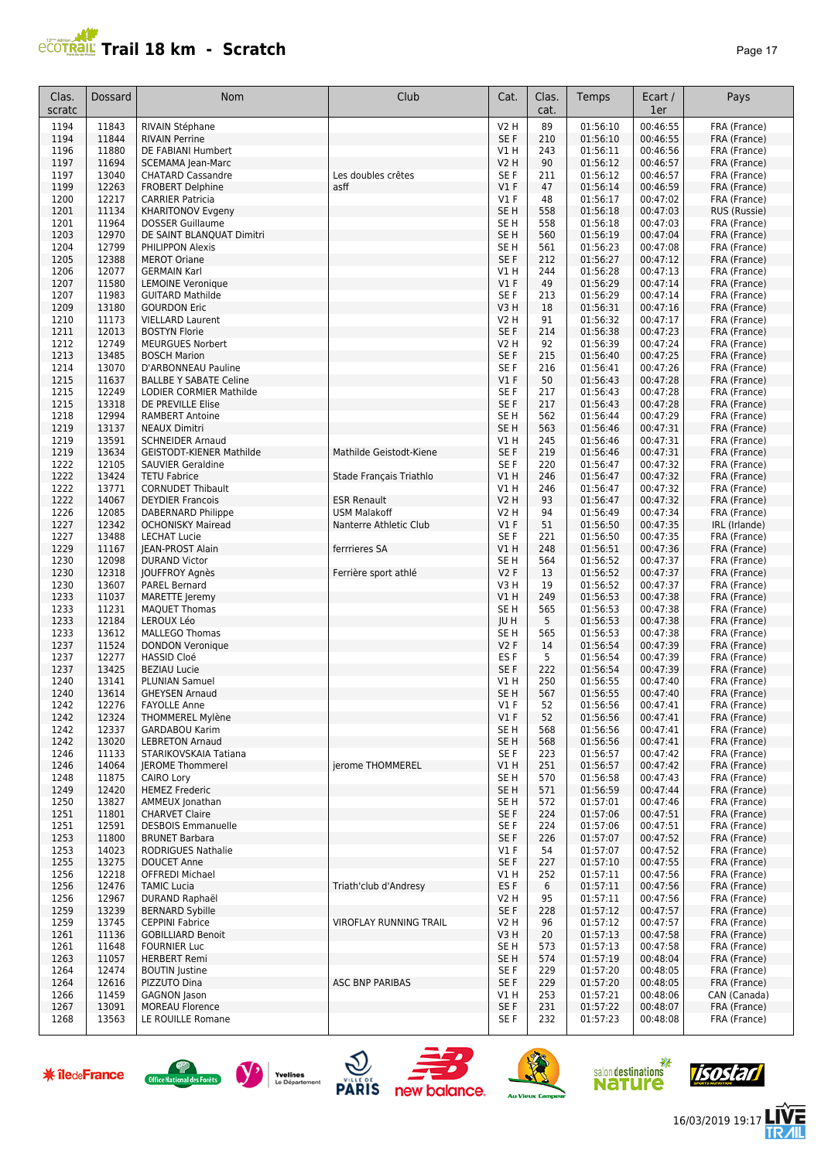#### **PCOTRAIL Trail 18 km - Scratch Page 17**

| Clas.<br>scratc | Dossard        | Nom                                                  | Club                          | Cat.                           | Clas.<br>cat. | Temps                | Ecart /<br>1er       | Pays                         |
|-----------------|----------------|------------------------------------------------------|-------------------------------|--------------------------------|---------------|----------------------|----------------------|------------------------------|
| 1194            | 11843          | RIVAIN Stéphane                                      |                               | V2 H                           | 89            | 01:56:10             | 00:46:55             | FRA (France)                 |
| 1194            | 11844          | <b>RIVAIN Perrine</b>                                |                               | SE F                           | 210           | 01:56:10             | 00:46:55             | FRA (France)                 |
| 1196            | 11880          | DE FABIANI Humbert                                   |                               | V1 H                           | 243           | 01:56:11             | 00:46:56             | FRA (France)                 |
| 1197<br>1197    | 11694<br>13040 | <b>SCEMAMA Jean-Marc</b><br><b>CHATARD Cassandre</b> | Les doubles crêtes            | <b>V2 H</b><br>SE <sub>F</sub> | 90<br>211     | 01:56:12<br>01:56:12 | 00:46:57<br>00:46:57 | FRA (France)                 |
| 1199            | 12263          | <b>FROBERT Delphine</b>                              | asff                          | V1F                            | 47            | 01:56:14             | 00:46:59             | FRA (France)<br>FRA (France) |
| 1200            | 12217          | <b>CARRIER Patricia</b>                              |                               | $VI$ F                         | 48            | 01:56:17             | 00:47:02             | FRA (France)                 |
| 1201            | 11134          | <b>KHARITONOV Evgeny</b>                             |                               | SE <sub>H</sub>                | 558           | 01:56:18             | 00:47:03             | RUS (Russie)                 |
| 1201            | 11964          | <b>DOSSER Guillaume</b>                              |                               | SE H                           | 558           | 01:56:18             | 00:47:03             | FRA (France)                 |
| 1203            | 12970          | DE SAINT BLANQUAT Dimitri                            |                               | SE <sub>H</sub>                | 560           | 01:56:19             | 00:47:04             | FRA (France)                 |
| 1204            | 12799          | <b>PHILIPPON Alexis</b>                              |                               | SE H                           | 561           | 01:56:23             | 00:47:08             | FRA (France)                 |
| 1205<br>1206    | 12388<br>12077 | <b>MEROT Oriane</b><br><b>GERMAIN Karl</b>           |                               | SE F<br>V1 H                   | 212<br>244    | 01:56:27<br>01:56:28 | 00:47:12<br>00:47:13 | FRA (France)<br>FRA (France) |
| 1207            | 11580          | <b>LEMOINE Veronique</b>                             |                               | V1F                            | 49            | 01:56:29             | 00:47:14             | FRA (France)                 |
| 1207            | 11983          | <b>GUITARD Mathilde</b>                              |                               | SE F                           | 213           | 01:56:29             | 00:47:14             | FRA (France)                 |
| 1209            | 13180          | <b>GOURDON Eric</b>                                  |                               | V3H                            | 18            | 01:56:31             | 00:47:16             | FRA (France)                 |
| 1210            | 11173          | <b>VIELLARD Laurent</b>                              |                               | V2 H                           | 91            | 01:56:32             | 00:47:17             | FRA (France)                 |
| 1211            | 12013          | <b>BOSTYN Florie</b>                                 |                               | SE F                           | 214           | 01:56:38             | 00:47:23             | FRA (France)                 |
| 1212            | 12749          | <b>MEURGUES Norbert</b>                              |                               | V2 H                           | 92            | 01:56:39             | 00:47:24             | FRA (France)                 |
| 1213            | 13485          | <b>BOSCH Marion</b>                                  |                               | SE <sub>F</sub>                | 215           | 01:56:40             | 00:47:25             | FRA (France)                 |
| 1214<br>1215    | 13070<br>11637 | D'ARBONNEAU Pauline<br><b>BALLBE Y SABATE Celine</b> |                               | SE F<br>$VI$ F                 | 216<br>50     | 01:56:41<br>01:56:43 | 00:47:26<br>00:47:28 | FRA (France)<br>FRA (France) |
| 1215            | 12249          | LODIER CORMIER Mathilde                              |                               | SE F                           | 217           | 01:56:43             | 00:47:28             | FRA (France)                 |
| 1215            | 13318          | DE PREVILLE Elise                                    |                               | SE F                           | 217           | 01:56:43             | 00:47:28             | FRA (France)                 |
| 1218            | 12994          | <b>RAMBERT Antoine</b>                               |                               | SE <sub>H</sub>                | 562           | 01:56:44             | 00:47:29             | FRA (France)                 |
| 1219            | 13137          | <b>NEAUX Dimitri</b>                                 |                               | SE <sub>H</sub>                | 563           | 01:56:46             | 00:47:31             | FRA (France)                 |
| 1219            | 13591          | <b>SCHNEIDER Arnaud</b>                              |                               | V1 H                           | 245           | 01:56:46             | 00:47:31             | FRA (France)                 |
| 1219            | 13634          | <b>GEISTODT-KIENER Mathilde</b>                      | Mathilde Geistodt-Kiene       | SE F                           | 219           | 01:56:46             | 00:47:31             | FRA (France)                 |
| 1222            | 12105          | SAUVIER Geraldine                                    |                               | SE F                           | 220           | 01:56:47             | 00:47:32             | FRA (France)                 |
| 1222            | 13424          | <b>TETU Fabrice</b>                                  | Stade Français Triathlo       | V1H                            | 246           | 01:56:47             | 00:47:32             | FRA (France)                 |
| 1222<br>1222    | 13771<br>14067 | <b>CORNUDET Thibault</b><br><b>DEYDIER Francois</b>  | <b>ESR Renault</b>            | V1 H<br>V2 H                   | 246<br>93     | 01:56:47<br>01:56:47 | 00:47:32             | FRA (France)                 |
| 1226            | 12085          | DABERNARD Philippe                                   | <b>USM Malakoff</b>           | V2 H                           | 94            | 01:56:49             | 00:47:32<br>00:47:34 | FRA (France)<br>FRA (France) |
| 1227            | 12342          | <b>OCHONISKY Mairead</b>                             | Nanterre Athletic Club        | $VI$ F                         | 51            | 01:56:50             | 00:47:35             | IRL (Irlande)                |
| 1227            | 13488          | <b>LECHAT Lucie</b>                                  |                               | SE F                           | 221           | 01:56:50             | 00:47:35             | FRA (France)                 |
| 1229            | 11167          | JEAN-PROST Alain                                     | ferrrieres SA                 | V1 H                           | 248           | 01:56:51             | 00:47:36             | FRA (France)                 |
| 1230            | 12098          | <b>DURAND Victor</b>                                 |                               | SE H                           | 564           | 01:56:52             | 00:47:37             | FRA (France)                 |
| 1230            | 12318          | JOUFFROY Agnès                                       | Ferrière sport athlé          | V2F                            | 13            | 01:56:52             | 00:47:37             | FRA (France)                 |
| 1230            | 13607          | <b>PAREL Bernard</b>                                 |                               | V3H                            | 19            | 01:56:52             | 00:47:37             | FRA (France)                 |
| 1233            | 11037          | <b>MARETTE Jeremy</b>                                |                               | V1 H                           | 249           | 01:56:53             | 00:47:38             | FRA (France)                 |
| 1233<br>1233    | 11231<br>12184 | <b>MAQUET Thomas</b><br>LEROUX Léo                   |                               | SE H<br>JU H                   | 565<br>5      | 01:56:53<br>01:56:53 | 00:47:38<br>00:47:38 | FRA (France)<br>FRA (France) |
| 1233            | 13612          | <b>MALLEGO Thomas</b>                                |                               | SE H                           | 565           | 01:56:53             | 00:47:38             | FRA (France)                 |
| 1237            | 11524          | <b>DONDON Veronique</b>                              |                               | <b>V2F</b>                     | 14            | 01:56:54             | 00:47:39             | FRA (France)                 |
| 1237            | 12277          | <b>HASSID Cloé</b>                                   |                               | ES <sub>F</sub>                | 5             | 01:56:54             | 00:47:39             | FRA (France)                 |
| 1237            | 13425          | <b>BEZIAU Lucie</b>                                  |                               | SE <sub>F</sub>                | 222           | 01:56:54             | 00:47:39             | FRA (France)                 |
| 1240            | 13141          | <b>PLUNIAN Samuel</b>                                |                               | V1 H                           | 250           | 01:56:55             | 00:47:40             | FRA (France)                 |
| 1240            | 13614          | <b>GHEYSEN Arnaud</b>                                |                               | SE H                           | 567           | 01:56:55             | 00:47:40             | FRA (France)                 |
| 1242            | 12276          | <b>FAYOLLE Anne</b>                                  |                               | V1 F<br>V1F                    | 52            | 01:56:56             | 00:47:41             | FRA (France)                 |
| 1242<br>1242    | 12324<br>12337 | <b>THOMMEREL Mylène</b><br><b>GARDABOU Karim</b>     |                               | SE <sub>H</sub>                | 52<br>568     | 01:56:56<br>01:56:56 | 00:47:41<br>00:47:41 | FRA (France)<br>FRA (France) |
| 1242            | 13020          | <b>LEBRETON Arnaud</b>                               |                               | SE H                           | 568           | 01:56:56             | 00:47:41             | FRA (France)                 |
| 1246            | 11133          | STARIKOVSKAIA Tatiana                                |                               | SE F                           | 223           | 01:56:57             | 00:47:42             | FRA (France)                 |
| 1246            | 14064          | <b>IEROME Thommerel</b>                              | jerome THOMMEREL              | V1 H                           | 251           | 01:56:57             | 00:47:42             | FRA (France)                 |
| 1248            | 11875          | CAIRO Lory                                           |                               | SE H                           | 570           | 01:56:58             | 00:47:43             | FRA (France)                 |
| 1249            | 12420          | <b>HEMEZ Frederic</b>                                |                               | SE H                           | 571           | 01:56:59             | 00:47:44             | FRA (France)                 |
| 1250            | 13827          | AMMEUX Jonathan                                      |                               | SE H                           | 572           | 01:57:01             | 00:47:46             | FRA (France)                 |
| 1251<br>1251    | 11801<br>12591 | <b>CHARVET Claire</b><br><b>DESBOIS Emmanuelle</b>   |                               | SE F<br>SE F                   | 224<br>224    | 01:57:06<br>01:57:06 | 00:47:51<br>00:47:51 | FRA (France)<br>FRA (France) |
| 1253            | 11800          | <b>BRUNET Barbara</b>                                |                               | SE F                           | 226           | 01:57:07             | 00:47:52             | FRA (France)                 |
| 1253            | 14023          | <b>RODRIGUES Nathalie</b>                            |                               | $VI$ F                         | 54            | 01:57:07             | 00:47:52             | FRA (France)                 |
| 1255            | 13275          | <b>DOUCET Anne</b>                                   |                               | SE F                           | 227           | 01:57:10             | 00:47:55             | FRA (France)                 |
| 1256            | 12218          | <b>OFFREDI Michael</b>                               |                               | V1 H                           | 252           | 01:57:11             | 00:47:56             | FRA (France)                 |
| 1256            | 12476          | <b>TAMIC Lucia</b>                                   | Triath'club d'Andresy         | ES F                           | 6             | 01:57:11             | 00:47:56             | FRA (France)                 |
| 1256            | 12967          | DURAND Raphaël                                       |                               | V2 H                           | 95            | 01:57:11             | 00:47:56             | FRA (France)                 |
| 1259            | 13239          | <b>BERNARD Sybille</b>                               |                               | SE F                           | 228           | 01:57:12             | 00:47:57             | FRA (France)                 |
| 1259<br>1261    | 13745<br>11136 | <b>CEPPINI Fabrice</b><br><b>GOBILLIARD Benoit</b>   | <b>VIROFLAY RUNNING TRAIL</b> | V2 H<br>V3H                    | 96<br>20      | 01:57:12<br>01:57:13 | 00:47:57<br>00:47:58 | FRA (France)<br>FRA (France) |
| 1261            | 11648          | <b>FOURNIER Luc</b>                                  |                               | SE H                           | 573           | 01:57:13             | 00:47:58             | FRA (France)                 |
| 1263            | 11057          | <b>HERBERT Remi</b>                                  |                               | SE H                           | 574           | 01:57:19             | 00:48:04             | FRA (France)                 |
| 1264            | 12474          | <b>BOUTIN</b> Justine                                |                               | SE F                           | 229           | 01:57:20             | 00:48:05             | FRA (France)                 |
| 1264            | 12616          | PIZZUTO Dina                                         | <b>ASC BNP PARIBAS</b>        | SE F                           | 229           | 01:57:20             | 00:48:05             | FRA (France)                 |
| 1266            | 11459          | GAGNON Jason                                         |                               | V1 H                           | 253           | 01:57:21             | 00:48:06             | CAN (Canada)                 |
| 1267            | 13091          | <b>MOREAU Florence</b>                               |                               | SE F                           | 231           | 01:57:22             | 00:48:07             | FRA (France)                 |
| 1268            | 13563          | LE ROUILLE Romane                                    |                               | SE F                           | 232           | 01:57:23             | 00:48:08             | FRA (France)                 |

















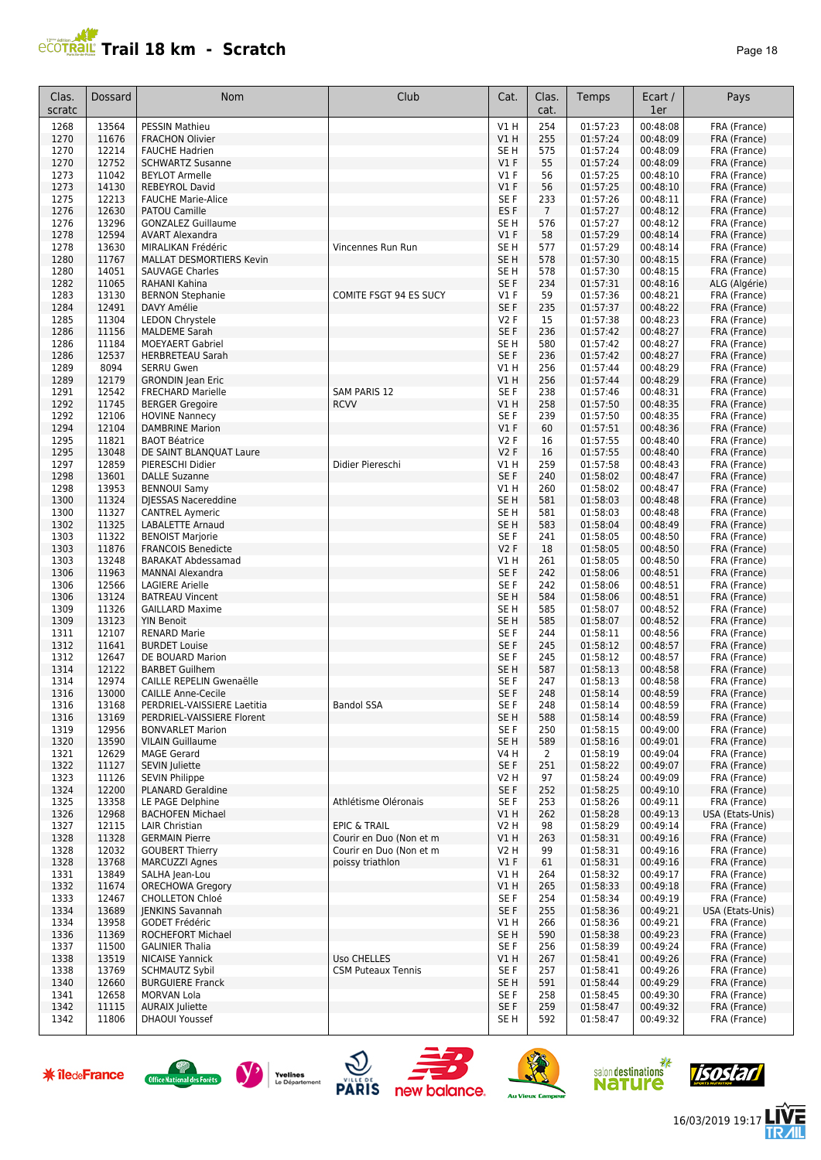#### **Trail 18 km - Scratch Page 18** Page 18

| Clas.<br>scratc | Dossard        | Nom                                                  | Club                      | Cat.                    | Clas.<br>cat.  | Temps                | Ecart /<br>1er       | Pays                          |
|-----------------|----------------|------------------------------------------------------|---------------------------|-------------------------|----------------|----------------------|----------------------|-------------------------------|
| 1268            | 13564          | <b>PESSIN Mathieu</b>                                |                           | V1H                     | 254            | 01:57:23             | 00:48:08             | FRA (France)                  |
| 1270            | 11676          | <b>FRACHON Olivier</b>                               |                           | V1H                     | 255            | 01:57:24             | 00:48:09             | FRA (France)                  |
| 1270            | 12214          | <b>FAUCHE Hadrien</b>                                |                           | SE H                    | 575            | 01:57:24             | 00:48:09             | FRA (France)                  |
| 1270            | 12752          | <b>SCHWARTZ Susanne</b>                              |                           | V1F                     | 55             | 01:57:24             | 00:48:09             | FRA (France)                  |
| 1273<br>1273    | 11042<br>14130 | <b>BEYLOT Armelle</b><br><b>REBEYROL David</b>       |                           | $VI$ F<br>$VI$ F        | 56<br>56       | 01:57:25<br>01:57:25 | 00:48:10<br>00:48:10 | FRA (France)<br>FRA (France)  |
| 1275            | 12213          | <b>FAUCHE Marie-Alice</b>                            |                           | SE F                    | 233            | 01:57:26             | 00:48:11             | FRA (France)                  |
| 1276            | 12630          | <b>PATOU Camille</b>                                 |                           | ES <sub>F</sub>         | $\overline{7}$ | 01:57:27             | 00:48:12             | FRA (France)                  |
| 1276            | 13296          | <b>GONZALEZ Guillaume</b>                            |                           | SE <sub>H</sub>         | 576            | 01:57:27             | 00:48:12             | FRA (France)                  |
| 1278            | 12594          | <b>AVART Alexandra</b>                               |                           | V1F                     | 58             | 01:57:29             | 00:48:14             | FRA (France)                  |
| 1278            | 13630          | MIRALIKAN Frédéric                                   | Vincennes Run Run         | SE <sub>H</sub>         | 577            | 01:57:29             | 00:48:14             | FRA (France)                  |
| 1280            | 11767          | MALLAT DESMORTIERS Kevin                             |                           | SE <sub>H</sub>         | 578            | 01:57:30             | 00:48:15             | FRA (France)                  |
| 1280<br>1282    | 14051<br>11065 | <b>SAUVAGE Charles</b><br><b>RAHANI Kahina</b>       |                           | SE <sub>H</sub><br>SE F | 578<br>234     | 01:57:30<br>01:57:31 | 00:48:15<br>00:48:16 | FRA (France)<br>ALG (Algérie) |
| 1283            | 13130          | <b>BERNON Stephanie</b>                              | COMITE FSGT 94 ES SUCY    | $VI$ F                  | 59             | 01:57:36             | 00:48:21             | FRA (France)                  |
| 1284            | 12491          | DAVY Amélie                                          |                           | SE F                    | 235            | 01:57:37             | 00:48:22             | FRA (France)                  |
| 1285            | 11304          | <b>LEDON Chrystele</b>                               |                           | V2F                     | 15             | 01:57:38             | 00:48:23             | FRA (France)                  |
| 1286            | 11156          | <b>MALDEME Sarah</b>                                 |                           | SE F                    | 236            | 01:57:42             | 00:48:27             | FRA (France)                  |
| 1286            | 11184          | <b>MOEYAERT Gabriel</b>                              |                           | SE <sub>H</sub>         | 580            | 01:57:42             | 00:48:27             | FRA (France)                  |
| 1286            | 12537          | <b>HERBRETEAU Sarah</b>                              |                           | SE F                    | 236            | 01:57:42             | 00:48:27             | FRA (France)                  |
| 1289            | 8094           | <b>SERRU Gwen</b>                                    |                           | V1 H                    | 256            | 01:57:44             | 00:48:29             | FRA (France)                  |
| 1289<br>1291    | 12179<br>12542 | <b>GRONDIN</b> Jean Eric<br><b>FRECHARD Marielle</b> | <b>SAM PARIS 12</b>       | VIH<br>SE F             | 256<br>238     | 01:57:44<br>01:57:46 | 00:48:29<br>00:48:31 | FRA (France)<br>FRA (France)  |
| 1292            | 11745          | <b>BERGER Gregoire</b>                               | <b>RCVV</b>               | V1H                     | 258            | 01:57:50             | 00:48:35             | FRA (France)                  |
| 1292            | 12106          | <b>HOVINE Nannecy</b>                                |                           | SE F                    | 239            | 01:57:50             | 00:48:35             | FRA (France)                  |
| 1294            | 12104          | <b>DAMBRINE Marion</b>                               |                           | V1F                     | 60             | 01:57:51             | 00:48:36             | FRA (France)                  |
| 1295            | 11821          | <b>BAOT Béatrice</b>                                 |                           | V2F                     | 16             | 01:57:55             | 00:48:40             | FRA (France)                  |
| 1295            | 13048          | DE SAINT BLANQUAT Laure                              |                           | V2F                     | 16             | 01:57:55             | 00:48:40             | FRA (France)                  |
| 1297            | 12859          | PIERESCHI Didier                                     | Didier Piereschi          | V1 H                    | 259            | 01:57:58             | 00:48:43             | FRA (France)                  |
| 1298            | 13601          | <b>DALLE Suzanne</b>                                 |                           | SE F<br>VIH             | 240            | 01:58:02             | 00:48:47             | FRA (France)                  |
| 1298<br>1300    | 13953<br>11324 | <b>BENNOUI Samy</b><br>DJESSAS Nacereddine           |                           | SE <sub>H</sub>         | 260<br>581     | 01:58:02<br>01:58:03 | 00:48:47<br>00:48:48 | FRA (France)<br>FRA (France)  |
| 1300            | 11327          | <b>CANTREL Aymeric</b>                               |                           | SE H                    | 581            | 01:58:03             | 00:48:48             | FRA (France)                  |
| 1302            | 11325          | LABALETTE Arnaud                                     |                           | SE <sub>H</sub>         | 583            | 01:58:04             | 00:48:49             | FRA (France)                  |
| 1303            | 11322          | <b>BENOIST Marjorie</b>                              |                           | SE F                    | 241            | 01:58:05             | 00:48:50             | FRA (France)                  |
| 1303            | 11876          | <b>FRANCOIS Benedicte</b>                            |                           | V2F                     | 18             | 01:58:05             | 00:48:50             | FRA (France)                  |
| 1303            | 13248          | <b>BARAKAT Abdessamad</b>                            |                           | V1 H                    | 261            | 01:58:05             | 00:48:50             | FRA (France)                  |
| 1306            | 11963          | <b>MANNAI Alexandra</b>                              |                           | SE F                    | 242            | 01:58:06             | 00:48:51             | FRA (France)                  |
| 1306<br>1306    | 12566<br>13124 | <b>LAGIERE Arielle</b><br><b>BATREAU Vincent</b>     |                           | SE F<br>SE <sub>H</sub> | 242<br>584     | 01:58:06<br>01:58:06 | 00:48:51<br>00:48:51 | FRA (France)<br>FRA (France)  |
| 1309            | 11326          | <b>GAILLARD Maxime</b>                               |                           | SE <sub>H</sub>         | 585            | 01:58:07             | 00:48:52             | FRA (France)                  |
| 1309            | 13123          | <b>YIN Benoit</b>                                    |                           | SE <sub>H</sub>         | 585            | 01:58:07             | 00:48:52             | FRA (France)                  |
| 1311            | 12107          | <b>RENARD Marie</b>                                  |                           | SE F                    | 244            | 01:58:11             | 00:48:56             | FRA (France)                  |
| 1312            | 11641          | <b>BURDET Louise</b>                                 |                           | SE F                    | 245            | 01:58:12             | 00:48:57             | FRA (France)                  |
| 1312            | 12647          | DE BOUARD Marion                                     |                           | SE F                    | 245            | 01:58:12             | 00:48:57             | FRA (France)                  |
| 1314<br>1314    | 12122<br>12974 | <b>BARBET Guilhem</b><br>CAILLE REPELIN Gwenaëlle    |                           | SE H<br>SE F            | 587<br>247     | 01:58:13<br>01:58:13 | 00:48:58<br>00:48:58 | FRA (France)<br>FRA (France)  |
| 1316            | 13000          | <b>CAILLE Anne-Cecile</b>                            |                           | SE F                    | 248            | 01:58:14             | 00:48:59             | FRA (France)                  |
| 1316            | 13168          | PERDRIEL-VAISSIERE Laetitia                          | Bandol SSA                | SE F                    | 248            | 01:58:14             | 00:48:59             | FRA (France)                  |
| 1316            | 13169          | PERDRIEL-VAISSIERE Florent                           |                           | SE <sub>H</sub>         | 588            | 01:58:14             | 00:48:59             | FRA (France)                  |
| 1319            | 12956          | <b>BONVARLET Marion</b>                              |                           | SE F                    | 250            | 01:58:15             | 00:49:00             | FRA (France)                  |
| 1320            | 13590          | <b>VILAIN Guillaume</b>                              |                           | SE <sub>H</sub>         | 589            | 01:58:16             | 00:49:01             | FRA (France)                  |
| 1321            | 12629          | <b>MAGE Gerard</b>                                   |                           | V4 H                    | 2              | 01:58:19             | 00:49:04             | FRA (France)                  |
| 1322<br>1323    | 11127<br>11126 | SEVIN Juliette<br><b>SEVIN Philippe</b>              |                           | SE F<br>V2 H            | 251<br>97      | 01:58:22<br>01:58:24 | 00:49:07<br>00:49:09 | FRA (France)<br>FRA (France)  |
| 1324            | 12200          | <b>PLANARD Geraldine</b>                             |                           | SE F                    | 252            | 01:58:25             | 00:49:10             | FRA (France)                  |
| 1325            | 13358          | LE PAGE Delphine                                     | Athlétisme Oléronais      | SE F                    | 253            | 01:58:26             | 00:49:11             | FRA (France)                  |
| 1326            | 12968          | <b>BACHOFEN Michael</b>                              |                           | V1H                     | 262            | 01:58:28             | 00:49:13             | USA (Etats-Unis)              |
| 1327            | 12115          | LAIR Christian                                       | <b>EPIC &amp; TRAIL</b>   | V2 H                    | 98             | 01:58:29             | 00:49:14             | FRA (France)                  |
| 1328            | 11328          | <b>GERMAIN Pierre</b>                                | Courir en Duo (Non et m   | V1H                     | 263            | 01:58:31             | 00:49:16             | FRA (France)                  |
| 1328<br>1328    | 12032<br>13768 | <b>GOUBERT Thierry</b>                               | Courir en Duo (Non et m   | V2 H<br>V1F             | 99             | 01:58:31<br>01:58:31 | 00:49:16<br>00:49:16 | FRA (France)<br>FRA (France)  |
| 1331            | 13849          | <b>MARCUZZI Agnes</b><br>SALHA Jean-Lou              | poissy triathlon          | V1 H                    | 61<br>264      | 01:58:32             | 00:49:17             | FRA (France)                  |
| 1332            | 11674          | <b>ORECHOWA Gregory</b>                              |                           | V1H                     | 265            | 01:58:33             | 00:49:18             | FRA (France)                  |
| 1333            | 12467          | <b>CHOLLETON Chloé</b>                               |                           | SE F                    | 254            | 01:58:34             | 00:49:19             | FRA (France)                  |
| 1334            | 13689          | JENKINS Savannah                                     |                           | SE F                    | 255            | 01:58:36             | 00:49:21             | USA (Etats-Unis)              |
| 1334            | 13958          | GODET Frédéric                                       |                           | V1 H                    | 266            | 01:58:36             | 00:49:21             | FRA (France)                  |
| 1336            | 11369          | ROCHEFORT Michael                                    |                           | SE H                    | 590            | 01:58:38             | 00:49:23             | FRA (France)                  |
| 1337<br>1338    | 11500<br>13519 | <b>GALINIER Thalia</b><br><b>NICAISE Yannick</b>     | Uso CHELLES               | SE F<br>V1 H            | 256<br>267     | 01:58:39<br>01:58:41 | 00:49:24<br>00:49:26 | FRA (France)<br>FRA (France)  |
| 1338            | 13769          | <b>SCHMAUTZ Sybil</b>                                | <b>CSM Puteaux Tennis</b> | SE F                    | 257            | 01:58:41             | 00:49:26             | FRA (France)                  |
| 1340            | 12660          | <b>BURGUIERE Franck</b>                              |                           | SE H                    | 591            | 01:58:44             | 00:49:29             | FRA (France)                  |
| 1341            | 12658          | MORVAN Lola                                          |                           | SE F                    | 258            | 01:58:45             | 00:49:30             | FRA (France)                  |
| 1342            | 11115          | <b>AURAIX Juliette</b>                               |                           | SE F                    | 259            | 01:58:47             | 00:49:32             | FRA (France)                  |
| 1342            | 11806          | <b>DHAOUI Youssef</b>                                |                           | SE H                    | 592            | 01:58:47             | 00:49:32             | FRA (France)                  |

















信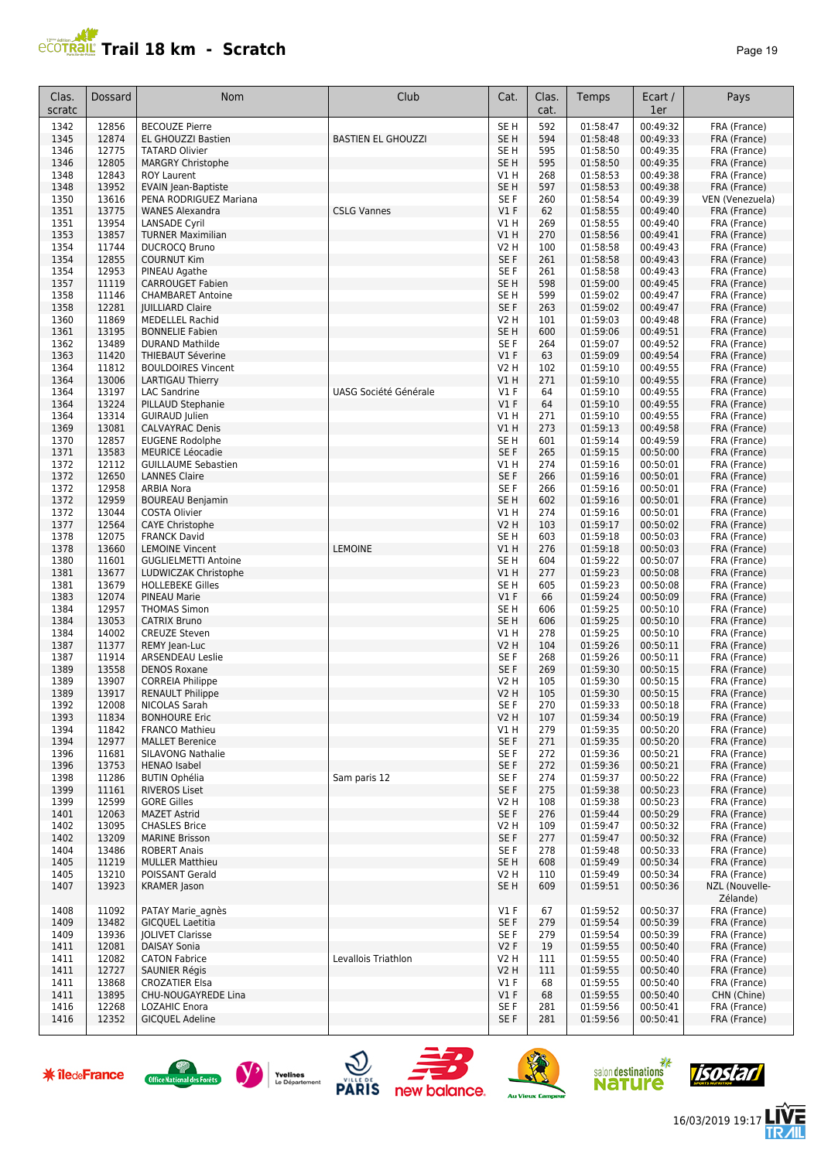# **PROTRAIL Trail 18 km - Scratch**

| aae |  |  |
|-----|--|--|
|-----|--|--|

| Clas.<br>scratc      | <b>Dossard</b> | Nom                                                             | Club                         | Cat.             | Clas.<br>cat.           | Temps                        | Ecart /<br>1er | Pays            |
|----------------------|----------------|-----------------------------------------------------------------|------------------------------|------------------|-------------------------|------------------------------|----------------|-----------------|
| 1342                 | 12856          | <b>BECOUZE Pierre</b>                                           |                              | SE <sub>H</sub>  | 592                     | 01:58:47                     | 00:49:32       | FRA (France)    |
| 1345                 | 12874          | EL GHOUZZI Bastien                                              | <b>BASTIEN EL GHOUZZI</b>    | SE <sub>H</sub>  | 594                     | 01:58:48                     | 00:49:33       | FRA (France)    |
| 1346                 | 12775          | <b>TATARD Olivier</b>                                           |                              | SE <sub>H</sub>  | 595                     | 01:58:50                     | 00:49:35       | FRA (France)    |
| 1346                 | 12805          | MARGRY Christophe                                               |                              | SE <sub>H</sub>  | 595                     | 01:58:50                     | 00:49:35       | FRA (France)    |
| 1348                 | 12843          | <b>ROY Laurent</b>                                              |                              | V1 H             | 268                     | 01:58:53                     | 00:49:38       | FRA (France)    |
| 1348                 | 13952          | <b>EVAIN Jean-Baptiste</b>                                      |                              | SE H             | 597                     | 01:58:53                     | 00:49:38       | FRA (France)    |
| 1350                 | 13616          | PENA RODRIGUEZ Mariana                                          |                              | SE F             | 260                     | 01:58:54                     | 00:49:39       | VEN (Venezuela) |
| 1351                 | 13775          | <b>WANES Alexandra</b>                                          | <b>CSLG Vannes</b>           | V1F              | 62                      | 01:58:55                     | 00:49:40       | FRA (France)    |
| 1351                 | 13954          | <b>LANSADE Cyril</b>                                            |                              | V1 H             | 269                     | 01:58:55                     | 00:49:40       | FRA (France)    |
| 1353                 | 13857          | <b>TURNER Maximilian</b>                                        |                              | VIH              | 270                     | 01:58:56                     | 00:49:41       | FRA (France)    |
| 1354                 | 11744          | <b>DUCROCQ Bruno</b>                                            |                              | V2 H             | 100                     | 01:58:58                     | 00:49:43       | FRA (France)    |
| 1354                 | 12855          | <b>COURNUT Kim</b>                                              |                              | SE F             | 261                     | 01:58:58                     | 00:49:43       | FRA (France)    |
| 1354                 | 12953          | PINEAU Agathe                                                   |                              | SE F             | 261                     | 01:58:58                     | 00:49:43       | FRA (France)    |
| 1357                 | 11119          | <b>CARROUGET Fabien</b>                                         |                              | SE <sub>H</sub>  | 598                     | 01:59:00                     | 00:49:45       | FRA (France)    |
| 1358                 | 11146          | <b>CHAMBARET Antoine</b>                                        |                              | SE <sub>H</sub>  | 599                     | 01:59:02                     | 00:49:47       | FRA (France)    |
| 1358                 | 12281          | <b>IUILLIARD Claire</b>                                         |                              | SE F             | 263                     | 01:59:02                     | 00:49:47       | FRA (France)    |
| 1360                 | 11869          | MEDELLEL Rachid                                                 |                              | V2 H             | 101                     | 01:59:03                     | 00:49:48       | FRA (France)    |
| 1361                 | 13195          | <b>BONNELIE Fabien</b>                                          |                              | SE <sub>H</sub>  | 600                     | 01:59:06                     | 00:49:51       | FRA (France)    |
| 1362                 | 13489          | <b>DURAND Mathilde</b>                                          |                              | SE F             | 264                     | 01:59:07                     | 00:49:52       | FRA (France)    |
| 1363                 | 11420          | <b>THIEBAUT Séverine</b>                                        |                              | $VI$ F           | 63                      | 01:59:09                     | 00:49:54       | FRA (France)    |
| 1364                 | 11812          | <b>BOULDOIRES Vincent</b>                                       |                              | <b>V2 H</b>      | 102                     | 01:59:10                     | 00:49:55       | FRA (France)    |
| 1364                 | 13006          | <b>LARTIGAU Thierry</b>                                         |                              | V1H              | 271                     | 01:59:10                     | 00:49:55       | FRA (France)    |
| 1364                 | 13197          | <b>LAC Sandrine</b>                                             | UASG Société Générale        | $VI$ F           | 64                      | 01:59:10                     | 00:49:55       | FRA (France)    |
| 1364                 | 13224          | PILLAUD Stephanie                                               |                              | V1F              | 64                      | 01:59:10                     | 00:49:55       | FRA (France)    |
| 1364                 | 13314          | <b>GUIRAUD Julien</b>                                           |                              | V1H              | 271                     | 01:59:10                     | 00:49:55       | FRA (France)    |
| 1369                 | 13081          | <b>CALVAYRAC Denis</b>                                          |                              | V1H              | 273                     | 01:59:13                     | 00:49:58       | FRA (France)    |
| 1370                 | 12857          | <b>EUGENE Rodolphe</b>                                          |                              | SE <sub>H</sub>  | 601                     | 01:59:14                     | 00:49:59       | FRA (France)    |
| 1371                 | 13583          | <b>MEURICE Léocadie</b>                                         |                              | SE F             | 265                     | 01:59:15                     | 00:50:00       | FRA (France)    |
| 1372                 | 12112          | <b>GUILLAUME Sebastien</b>                                      |                              | V1 H             | 274                     | 01:59:16                     | 00:50:01       | FRA (France)    |
| 1372                 | 12650          | <b>LANNES Claire</b>                                            |                              | SE F             | 266                     | 01:59:16                     | 00:50:01       | FRA (France)    |
| 1372                 | 12958          | <b>ARBIA Nora</b>                                               |                              | SE F             | 266                     | 01:59:16                     | 00:50:01       | FRA (France)    |
| 1372                 | 12959          | <b>BOUREAU Benjamin</b>                                         |                              | SE H             | 602                     | 01:59:16                     | 00:50:01       | FRA (France)    |
| 1372                 | 13044          | COSTA Olivier                                                   |                              | V1 H             | 274                     | 01:59:16                     | 00:50:01       | FRA (France)    |
| 1377                 | 12564          | <b>CAYE Christophe</b>                                          |                              | V <sub>2</sub> H | 103                     | 01:59:17                     | 00:50:02       | FRA (France)    |
| 1378                 | 12075          | <b>FRANCK David</b>                                             |                              | SE <sub>H</sub>  | 603                     | 01:59:18                     | 00:50:03       | FRA (France)    |
| 1378                 | 13660          | <b>LEMOINE Vincent</b>                                          | <b>LEMOINE</b>               | VIH              | 276                     | 01:59:18                     | 00:50:03       | FRA (France)    |
| 1380                 | 11601          | <b>GUGLIELMETTI Antoine</b>                                     |                              | SE <sub>H</sub>  | 604                     | 01:59:22                     | 00:50:07       | FRA (France)    |
| 1381                 | 13677          | LUDWICZAK Christophe                                            |                              | V1H              | 277                     | 01:59:23                     | 00:50:08       | FRA (France)    |
| 1381                 | 13679          | <b>HOLLEBEKE Gilles</b>                                         |                              | SE <sub>H</sub>  | 605                     | 01:59:23                     | 00:50:08       | FRA (France)    |
| 1383                 | 12074          | <b>PINEAU Marie</b>                                             |                              | V1F              | 66                      | 01:59:24                     | 00:50:09       | FRA (France)    |
| 1384                 | 12957          | <b>THOMAS Simon</b>                                             |                              | SE <sub>H</sub>  | 606                     | 01:59:25                     | 00:50:10       | FRA (France)    |
| 1384                 | 13053          | <b>CATRIX Bruno</b>                                             |                              | SE <sub>H</sub>  | 606                     | 01:59:25                     | 00:50:10       | FRA (France)    |
| 1384                 | 14002          | <b>CREUZE Steven</b>                                            |                              | V1 H             | 278                     | 01:59:25                     | 00:50:10       | FRA (France)    |
| 1387                 | 11377          | REMY Jean-Luc                                                   |                              | V2 H             | 104                     | 01:59:26                     | 00:50:11       | FRA (France)    |
| 1387                 | 11914          | <b>ARSENDEAU Leslie</b>                                         |                              | SE F             | 268                     | 01:59:26                     | 00:50:11       | FRA (France)    |
| 1389                 | 13558          | <b>DENOS Roxane</b>                                             |                              | SE F             | 269                     | 01:59:30                     | 00:50:15       | FRA (France)    |
| 1389                 | 13907          | <b>CORREIA Philippe</b>                                         |                              | V2 H             | 105                     | 01:59:30                     | 00:50:15       | FRA (France)    |
| 1389                 | 13917          | <b>RENAULT Philippe</b>                                         |                              | <b>V2 H</b>      | 105                     | 01:59:30                     | 00:50:15       | FRA (France)    |
| 1392                 | 12008          | NICOLAS Sarah                                                   |                              | SE F             | 270                     | 01:59:33                     | 00:50:18       | FRA (France)    |
| 1393                 | 11834          | <b>BONHOURE Eric</b>                                            |                              | <b>V2 H</b>      | 107                     | 01:59:34                     | 00:50:19       | FRA (France)    |
| 1394                 | 11842          | <b>FRANCO Mathieu</b>                                           |                              | V1 H             | 279                     | 01:59:35                     | 00:50:20       | FRA (France)    |
| 1394                 | 12977          | <b>MALLET Berenice</b>                                          |                              | SE F             | 271                     | 01:59:35                     | 00:50:20       | FRA (France)    |
| 1396                 | 11681          | <b>SILAVONG Nathalie</b>                                        |                              | SE F             | 272                     | 01:59:36                     | 00:50:21       | FRA (France)    |
| 1396                 | 13753          | <b>HENAO Isabel</b>                                             |                              | SE F             | 272                     | 01:59:36                     | 00:50:21       | FRA (France)    |
| 1398                 | 11286          | <b>BUTIN Ophélia</b>                                            | Sam paris 12                 | SE F             | 274                     | 01:59:37                     | 00:50:22       | FRA (France)    |
| 1399                 | 11161          | <b>RIVEROS Liset</b>                                            |                              | SE F             | 275                     | 01:59:38                     | 00:50:23       | FRA (France)    |
| 1399                 | 12599          | <b>GORE Gilles</b>                                              |                              | V2 H             | 108                     | 01:59:38                     | 00:50:23       | FRA (France)    |
| 1401                 | 12063          | <b>MAZET Astrid</b>                                             |                              | SE F             | 276                     | 01:59:44                     | 00:50:29       | FRA (France)    |
| 1402                 | 13095          | <b>CHASLES Brice</b>                                            |                              | V2 H             | 109                     | 01:59:47                     | 00:50:32       | FRA (France)    |
| 1402                 | 13209          | <b>MARINE Brisson</b>                                           |                              | SE F             | 277                     | 01:59:47                     | 00:50:32       | FRA (France)    |
| 1404                 | 13486          | <b>ROBERT Anais</b>                                             |                              | SE F             | 278                     | 01:59:48                     | 00:50:33       | FRA (France)    |
| 1405                 | 11219          | <b>MULLER Matthieu</b>                                          |                              | SE <sub>H</sub>  | 608                     | 01:59:49                     | 00:50:34       | FRA (France)    |
| 1405                 | 13210          | POISSANT Gerald                                                 |                              | <b>V2 H</b>      | 110                     | 01:59:49                     | 00:50:34       | FRA (France)    |
| 1407                 | 13923          | <b>KRAMER Jason</b>                                             |                              | SE <sub>H</sub>  | 609                     | 01:59:51                     | 00:50:36       | NZL (Nouvelle-  |
|                      |                |                                                                 |                              |                  |                         |                              |                | Zélande)        |
| 1408                 | 11092          | PATAY Marie agnès                                               |                              | $VI$ F           | 67                      | 01:59:52                     | 00:50:37       | FRA (France)    |
| 1409                 | 13482          | <b>GICQUEL Laetitia</b>                                         |                              | SE F             | 279                     | 01:59:54                     | 00:50:39       | FRA (France)    |
| 1409                 | 13936          | <b>JOLIVET Clarisse</b>                                         |                              | SE F             | 279                     | 01:59:54                     | 00:50:39       | FRA (France)    |
| 1411                 | 12081          | DAISAY Sonia                                                    |                              | V2F              | 19                      | 01:59:55                     | 00:50:40       | FRA (France)    |
| 1411                 | 12082          | <b>CATON Fabrice</b>                                            | Levallois Triathlon          | V2 H             | 111                     | 01:59:55                     | 00:50:40       | FRA (France)    |
| 1411                 | 12727          | SAUNIER Régis                                                   |                              | V2 H             | 111                     | 01:59:55                     | 00:50:40       | FRA (France)    |
| 1411                 | 13868          | <b>CROZATIER Elsa</b>                                           |                              | $VI$ F           | 68                      | 01:59:55                     | 00:50:40       | FRA (France)    |
| 1411                 | 13895          | CHU-NOUGAYREDE Lina                                             |                              | $VI$ F           | 68                      | 01:59:55                     | 00:50:40       | CHN (Chine)     |
| 1416                 | 12268          | LOZAHIC Enora                                                   |                              | SE F             | 281                     | 01:59:56                     | 00:50:41       | FRA (France)    |
| 1416                 | 12352          | <b>GICQUEL Adeline</b>                                          |                              | SE F             | 281                     | 01:59:56                     | 00:50:41       | FRA (France)    |
|                      |                |                                                                 |                              |                  |                         |                              |                |                 |
| <b>*</b> îledeFrance |                | Yvelines<br><b>Office National des Forêts</b><br>Le Département | <b>PARIS</b><br>new balance. |                  | <b>Au Vieux Campeur</b> | salon destinations<br>nature |                | isostar         |















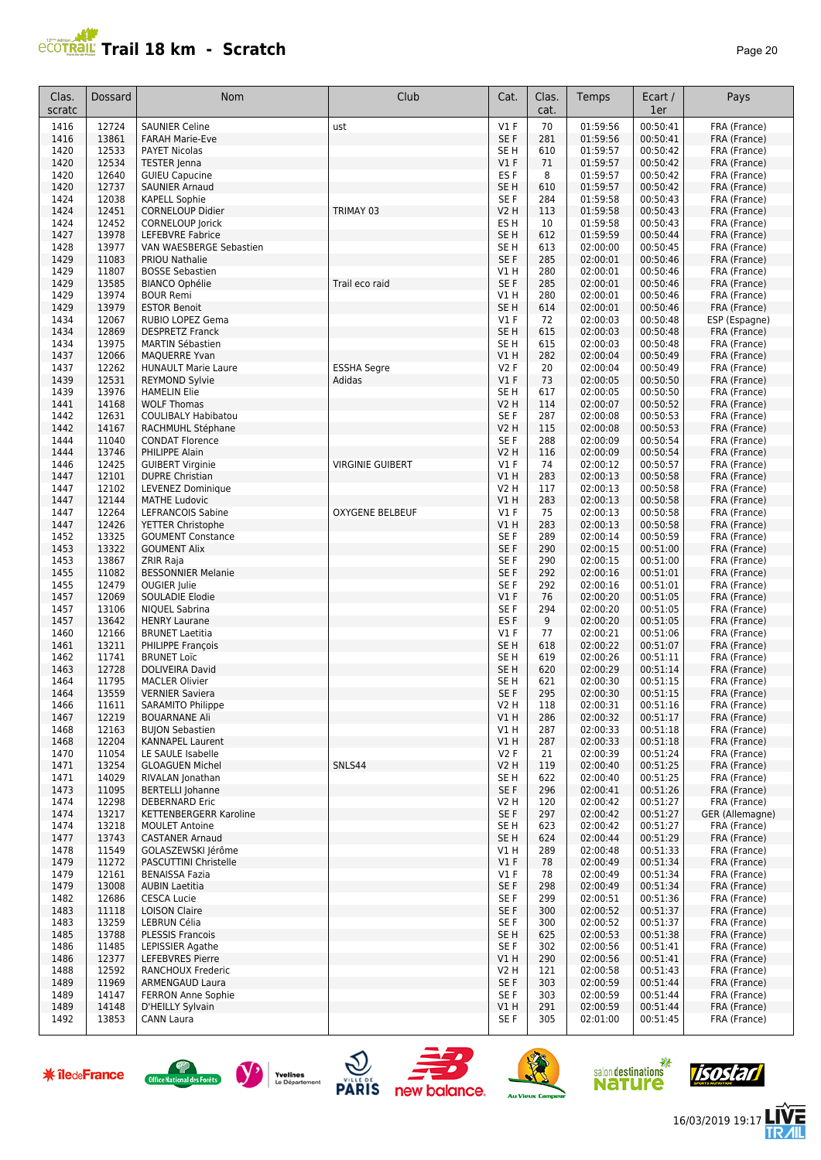#### **Trail 18 km - Scratch Page 20** Page 20

| Clas.<br>scratc | Dossard        | Nom                                             | Club                    | Cat.                               | Clas.<br>cat. | Temps                | Ecart /<br>1er       | Pays                         |
|-----------------|----------------|-------------------------------------------------|-------------------------|------------------------------------|---------------|----------------------|----------------------|------------------------------|
| 1416            | 12724          | <b>SAUNIER Celine</b>                           | ust                     | $VI$ F                             | 70            | 01:59:56             | 00:50:41             | FRA (France)                 |
| 1416            | 13861          | <b>FARAH Marie-Eve</b>                          |                         | SE F                               | 281           | 01:59:56             | 00:50:41             | FRA (France)                 |
| 1420            | 12533          | <b>PAYET Nicolas</b>                            |                         | SE <sub>H</sub>                    | 610           | 01:59:57             | 00:50:42             | FRA (France)                 |
| 1420            | 12534          | <b>TESTER Jenna</b>                             |                         | V1F                                | 71            | 01:59:57             | 00:50:42             | FRA (France)                 |
| 1420<br>1420    | 12640<br>12737 | <b>GUIEU Capucine</b><br><b>SAUNIER Arnaud</b>  |                         | ES <sub>F</sub><br>SE <sub>H</sub> | 8<br>610      | 01:59:57<br>01:59:57 | 00:50:42<br>00:50:42 | FRA (France)                 |
| 1424            | 12038          | <b>KAPELL Sophie</b>                            |                         | SE F                               | 284           | 01:59:58             | 00:50:43             | FRA (France)<br>FRA (France) |
| 1424            | 12451          | <b>CORNELOUP Didier</b>                         | TRIMAY 03               | V2 H                               | 113           | 01:59:58             | 00:50:43             | FRA (France)                 |
| 1424            | 12452          | <b>CORNELOUP Jorick</b>                         |                         | ES <sub>H</sub>                    | 10            | 01:59:58             | 00:50:43             | FRA (France)                 |
| 1427            | 13978          | LEFEBVRE Fabrice                                |                         | SE <sub>H</sub>                    | 612           | 01:59:59             | 00:50:44             | FRA (France)                 |
| 1428            | 13977          | VAN WAESBERGE Sebastien                         |                         | SE H                               | 613           | 02:00:00             | 00:50:45             | FRA (France)                 |
| 1429            | 11083          | <b>PRIOU Nathalie</b>                           |                         | SE F                               | 285           | 02:00:01             | 00:50:46             | FRA (France)                 |
| 1429            | 11807          | <b>BOSSE Sebastien</b>                          |                         | V1 H                               | 280           | 02:00:01             | 00:50:46             | FRA (France)                 |
| 1429            | 13585          | <b>BIANCO Ophélie</b>                           | Trail eco raid          | SE F                               | 285           | 02:00:01             | 00:50:46             | FRA (France)                 |
| 1429<br>1429    | 13974<br>13979 | <b>BOUR Remi</b><br><b>ESTOR Benoit</b>         |                         | V1 H<br>SE <sub>H</sub>            | 280<br>614    | 02:00:01<br>02:00:01 | 00:50:46<br>00:50:46 | FRA (France)<br>FRA (France) |
| 1434            | 12067          | RUBIO LOPEZ Gema                                |                         | $VI$ F                             | 72            | 02:00:03             | 00:50:48             | ESP (Espagne)                |
| 1434            | 12869          | <b>DESPRETZ Franck</b>                          |                         | SE <sub>H</sub>                    | 615           | 02:00:03             | 00:50:48             | FRA (France)                 |
| 1434            | 13975          | <b>MARTIN Sébastien</b>                         |                         | SE H                               | 615           | 02:00:03             | 00:50:48             | FRA (France)                 |
| 1437            | 12066          | <b>MAOUERRE Yvan</b>                            |                         | V1 H                               | 282           | 02:00:04             | 00:50:49             | FRA (France)                 |
| 1437            | 12262          | <b>HUNAULT Marie Laure</b>                      | <b>ESSHA Segre</b>      | <b>V2F</b>                         | 20            | 02:00:04             | 00:50:49             | FRA (France)                 |
| 1439            | 12531          | <b>REYMOND Sylvie</b>                           | Adidas                  | V1F                                | 73            | 02:00:05             | 00:50:50             | FRA (France)                 |
| 1439            | 13976          | <b>HAMELIN Elie</b>                             |                         | SE H                               | 617           | 02:00:05             | 00:50:50             | FRA (France)                 |
| 1441            | 14168          | <b>WOLF Thomas</b>                              |                         | V2 H                               | 114           | 02:00:07             | 00:50:52             | FRA (France)                 |
| 1442<br>1442    | 12631<br>14167 | <b>COULIBALY Habibatou</b>                      |                         | SE F<br>V2 H                       | 287<br>115    | 02:00:08<br>02:00:08 | 00:50:53<br>00:50:53 | FRA (France)                 |
| 1444            | 11040          | RACHMUHL Stéphane<br><b>CONDAT Florence</b>     |                         | SE F                               | 288           | 02:00:09             | 00:50:54             | FRA (France)<br>FRA (France) |
| 1444            | 13746          | PHILIPPE Alain                                  |                         | V2 H                               | 116           | 02:00:09             | 00:50:54             | FRA (France)                 |
| 1446            | 12425          | <b>GUIBERT Virginie</b>                         | <b>VIRGINIE GUIBERT</b> | $VI$ F                             | 74            | 02:00:12             | 00:50:57             | FRA (France)                 |
| 1447            | 12101          | <b>DUPRE Christian</b>                          |                         | V1H                                | 283           | 02:00:13             | 00:50:58             | FRA (France)                 |
| 1447            | 12102          | LEVENEZ Dominique                               |                         | V2 H                               | 117           | 02:00:13             | 00:50:58             | FRA (France)                 |
| 1447            | 12144          | <b>MATHE Ludovic</b>                            |                         | V1 H                               | 283           | 02:00:13             | 00:50:58             | FRA (France)                 |
| 1447            | 12264          | LEFRANCOIS Sabine                               | <b>OXYGENE BELBEUF</b>  | $VI$ F                             | 75            | 02:00:13             | 00:50:58             | FRA (France)                 |
| 1447            | 12426<br>13325 | YETTER Christophe                               |                         | V1 H<br>SE F                       | 283<br>289    | 02:00:13             | 00:50:58<br>00:50:59 | FRA (France)                 |
| 1452<br>1453    | 13322          | <b>GOUMENT Constance</b><br><b>GOUMENT Alix</b> |                         | SE F                               | 290           | 02:00:14<br>02:00:15 | 00:51:00             | FRA (France)<br>FRA (France) |
| 1453            | 13867          | <b>ZRIR Raja</b>                                |                         | SE F                               | 290           | 02:00:15             | 00:51:00             | FRA (France)                 |
| 1455            | 11082          | <b>BESSONNIER Melanie</b>                       |                         | SE F                               | 292           | 02:00:16             | 00:51:01             | FRA (France)                 |
| 1455            | 12479          | <b>OUGIER Julie</b>                             |                         | SE F                               | 292           | 02:00:16             | 00:51:01             | FRA (France)                 |
| 1457            | 12069          | SOULADIE Elodie                                 |                         | V1F                                | 76            | 02:00:20             | 00:51:05             | FRA (France)                 |
| 1457            | 13106          | <b>NIQUEL Sabrina</b>                           |                         | SE F                               | 294           | 02:00:20             | 00:51:05             | FRA (France)                 |
| 1457            | 13642          | <b>HENRY Laurane</b>                            |                         | ES <sub>F</sub>                    | 9             | 02:00:20             | 00:51:05             | FRA (France)                 |
| 1460<br>1461    | 12166<br>13211 | <b>BRUNET Laetitia</b><br>PHILIPPE François     |                         | $VI$ F<br>SE <sub>H</sub>          | 77<br>618     | 02:00:21<br>02:00:22 | 00:51:06<br>00:51:07 | FRA (France)<br>FRA (France) |
| 1462            | 11741          | <b>BRUNET Loïc</b>                              |                         | SE H                               | 619           | 02:00:26             | 00:51:11             | FRA (France)                 |
| 1463            | 12728          | <b>DOLIVEIRA David</b>                          |                         | SE H                               | 620           | 02:00:29             | 00:51:14             | FRA (France)                 |
| 1464            | 11795          | <b>MACLER Olivier</b>                           |                         | SE H                               | 621           | 02:00:30             | 00:51:15             | FRA (France)                 |
| 1464            | 13559          | <b>VERNIER Saviera</b>                          |                         | SE F                               | 295           | 02:00:30             | 00:51:15             | FRA (France)                 |
| 1466            | 11611          | SARAMITO Philippe                               |                         | V2 H                               | 118           | 02:00:31             | 00:51:16             | FRA (France)                 |
| 1467            | 12219          | <b>BOUARNANE Ali</b>                            |                         | VIH                                | 286           | 02:00:32             | 00:51:17             | FRA (France)                 |
| 1468            | 12163          | <b>BUJON Sebastien</b>                          |                         | VIH                                | 287           | 02:00:33             | 00:51:18             | FRA (France)                 |
| 1468<br>1470    | 12204<br>11054 | KANNAPEL Laurent<br>LE SAULE Isabelle           |                         | V1 H<br>V2F                        | 287<br>21     | 02:00:33<br>02:00:39 | 00:51:18<br>00:51:24 | FRA (France)<br>FRA (France) |
| 1471            | 13254          | <b>GLOAGUEN Michel</b>                          | SNLS44                  | V <sub>2</sub> H                   | 119           | 02:00:40             | 00:51:25             | FRA (France)                 |
| 1471            | 14029          | RIVALAN Jonathan                                |                         | SE H                               | 622           | 02:00:40             | 00:51:25             | FRA (France)                 |
| 1473            | 11095          | <b>BERTELLI Johanne</b>                         |                         | SE F                               | 296           | 02:00:41             | 00:51:26             | FRA (France)                 |
| 1474            | 12298          | DEBERNARD Eric                                  |                         | V2 H                               | 120           | 02:00:42             | 00:51:27             | FRA (France)                 |
| 1474            | 13217          | <b>KETTENBERGERR Karoline</b>                   |                         | SE F                               | 297           | 02:00:42             | 00:51:27             | GER (Allemagne)              |
| 1474            | 13218          | <b>MOULET Antoine</b>                           |                         | SE H                               | 623           | 02:00:42             | 00:51:27             | FRA (France)                 |
| 1477            | 13743          | <b>CASTANER Arnaud</b>                          |                         | SE <sub>H</sub>                    | 624           | 02:00:44             | 00:51:29             | FRA (France)                 |
| 1478<br>1479    | 11549<br>11272 | GOLASZEWSKI Jérôme<br>PASCUTTINI Christelle     |                         | V1 H<br>V1F                        | 289<br>78     | 02:00:48<br>02:00:49 | 00:51:33<br>00:51:34 | FRA (France)<br>FRA (France) |
| 1479            | 12161          | <b>BENAISSA Fazia</b>                           |                         | $VI$ F                             | 78            | 02:00:49             | 00:51:34             | FRA (France)                 |
| 1479            | 13008          | <b>AUBIN Laetitia</b>                           |                         | SE F                               | 298           | 02:00:49             | 00:51:34             | FRA (France)                 |
| 1482            | 12686          | <b>CESCA Lucie</b>                              |                         | SE F                               | 299           | 02:00:51             | 00:51:36             | FRA (France)                 |
| 1483            | 11118          | <b>LOISON Claire</b>                            |                         | SE F                               | 300           | 02:00:52             | 00:51:37             | FRA (France)                 |
| 1483            | 13259          | LEBRUN Célia                                    |                         | SE F                               | 300           | 02:00:52             | 00:51:37             | FRA (France)                 |
| 1485            | 13788          | PLESSIS Francois                                |                         | SE H                               | 625           | 02:00:53             | 00:51:38             | FRA (France)                 |
| 1486            | 11485          | LEPISSIER Agathe                                |                         | SE F                               | 302           | 02:00:56             | 00:51:41             | FRA (France)                 |
| 1486<br>1488    | 12377<br>12592 | <b>LEFEBVRES Pierre</b><br>RANCHOUX Frederic    |                         | V1 H<br>V2 H                       | 290<br>121    | 02:00:56<br>02:00:58 | 00:51:41<br>00:51:43 | FRA (France)<br>FRA (France) |
| 1489            | 11969          | <b>ARMENGAUD Laura</b>                          |                         | SE F                               | 303           | 02:00:59             | 00:51:44             | FRA (France)                 |
| 1489            | 14147          | <b>FERRON Anne Sophie</b>                       |                         | SE F                               | 303           | 02:00:59             | 00:51:44             | FRA (France)                 |
| 1489            | 14148          | D'HEILLY Sylvain                                |                         | V1 H                               | 291           | 02:00:59             | 00:51:44             | FRA (France)                 |
| 1492            | 13853          | CANN Laura                                      |                         | SE F                               | 305           | 02:01:00             | 00:51:45             | FRA (France)                 |

















后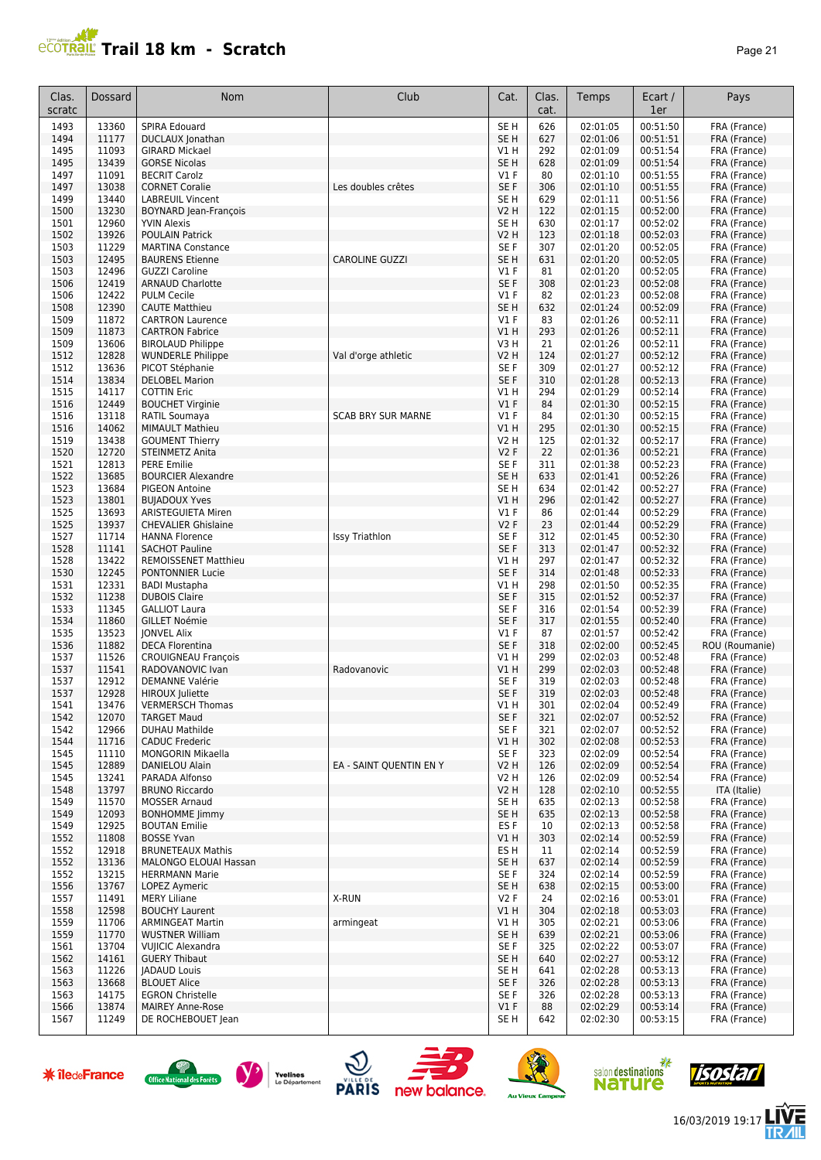## **Trail 18 km - Scratch Page 21 Page 21 Page 21 Page 21**

| Clas.<br>scratc | Dossard        | Nom                                                  | Club                      | Cat.                               | Clas.<br>cat. | Temps                | Ecart /<br>1er       | Pays                         |
|-----------------|----------------|------------------------------------------------------|---------------------------|------------------------------------|---------------|----------------------|----------------------|------------------------------|
| 1493            | 13360          | SPIRA Edouard                                        |                           | SE <sub>H</sub>                    | 626           | 02:01:05             | 00:51:50             | FRA (France)                 |
| 1494            | 11177          | DUCLAUX Jonathan                                     |                           | SE <sub>H</sub>                    | 627           | 02:01:06             | 00:51:51             | FRA (France)                 |
| 1495            | 11093          | <b>GIRARD Mickael</b>                                |                           | V1 H                               | 292           | 02:01:09             | 00:51:54             | FRA (France)                 |
| 1495<br>1497    | 13439<br>11091 | <b>GORSE Nicolas</b><br><b>BECRIT Carolz</b>         |                           | SE <sub>H</sub><br>$VI$ F          | 628<br>80     | 02:01:09<br>02:01:10 | 00:51:54<br>00:51:55 | FRA (France)<br>FRA (France) |
| 1497            | 13038          | <b>CORNET Coralie</b>                                | Les doubles crêtes        | SE F                               | 306           | 02:01:10             | 00:51:55             | FRA (France)                 |
| 1499            | 13440          | <b>LABREUIL Vincent</b>                              |                           | SE <sub>H</sub>                    | 629           | 02:01:11             | 00:51:56             | FRA (France)                 |
| 1500            | 13230          | <b>BOYNARD Jean-François</b>                         |                           | V2 H                               | 122           | 02:01:15             | 00:52:00             | FRA (France)                 |
| 1501            | 12960          | <b>YVIN Alexis</b>                                   |                           | SE H                               | 630           | 02:01:17             | 00:52:02             | FRA (France)                 |
| 1502            | 13926          | <b>POULAIN Patrick</b>                               |                           | V2 H                               | 123           | 02:01:18             | 00:52:03             | FRA (France)                 |
| 1503<br>1503    | 11229<br>12495 | <b>MARTINA Constance</b><br><b>BAURENS Etienne</b>   | <b>CAROLINE GUZZI</b>     | SE <sub>F</sub><br>SE <sub>H</sub> | 307<br>631    | 02:01:20<br>02:01:20 | 00:52:05<br>00:52:05 | FRA (France)                 |
| 1503            | 12496          | <b>GUZZI Caroline</b>                                |                           | $VI$ F                             | 81            | 02:01:20             | 00:52:05             | FRA (France)<br>FRA (France) |
| 1506            | 12419          | <b>ARNAUD Charlotte</b>                              |                           | SE F                               | 308           | 02:01:23             | 00:52:08             | FRA (France)                 |
| 1506            | 12422          | <b>PULM Cecile</b>                                   |                           | $VI$ F                             | 82            | 02:01:23             | 00:52:08             | FRA (France)                 |
| 1508            | 12390          | <b>CAUTE Matthieu</b>                                |                           | SE <sub>H</sub>                    | 632           | 02:01:24             | 00:52:09             | FRA (France)                 |
| 1509            | 11872          | <b>CARTRON Laurence</b>                              |                           | $VI$ F                             | 83            | 02:01:26             | 00:52:11             | FRA (France)                 |
| 1509            | 11873          | <b>CARTRON Fabrice</b>                               |                           | V1H                                | 293           | 02:01:26             | 00:52:11             | FRA (France)                 |
| 1509<br>1512    | 13606<br>12828 | <b>BIROLAUD Philippe</b><br><b>WUNDERLE Philippe</b> | Val d'orge athletic       | V3H<br>V2 H                        | 21<br>124     | 02:01:26<br>02:01:27 | 00:52:11<br>00:52:12 | FRA (France)<br>FRA (France) |
| 1512            | 13636          | PICOT Stéphanie                                      |                           | SE F                               | 309           | 02:01:27             | 00:52:12             | FRA (France)                 |
| 1514            | 13834          | <b>DELOBEL Marion</b>                                |                           | SE <sub>F</sub>                    | 310           | 02:01:28             | 00:52:13             | FRA (France)                 |
| 1515            | 14117          | <b>COTTIN Eric</b>                                   |                           | V1 H                               | 294           | 02:01:29             | 00:52:14             | FRA (France)                 |
| 1516            | 12449          | <b>BOUCHET Virginie</b>                              |                           | V1F                                | 84            | 02:01:30             | 00:52:15             | FRA (France)                 |
| 1516            | 13118          | <b>RATIL Soumaya</b>                                 | <b>SCAB BRY SUR MARNE</b> | $VI$ F                             | 84            | 02:01:30             | 00:52:15             | FRA (France)                 |
| 1516            | 14062          | <b>MIMAULT Mathieu</b>                               |                           | V1H                                | 295           | 02:01:30             | 00:52:15             | FRA (France)                 |
| 1519            | 13438          | <b>GOUMENT Thierry</b>                               |                           | <b>V2 H</b>                        | 125           | 02:01:32             | 00:52:17             | FRA (France)                 |
| 1520            | 12720          | <b>STEINMETZ Anita</b>                               |                           | <b>V2F</b>                         | 22            | 02:01:36             | 00:52:21             | FRA (France)                 |
| 1521<br>1522    | 12813<br>13685 | <b>PERE Emilie</b><br><b>BOURCIER Alexandre</b>      |                           | SE <sub>F</sub><br>SE <sub>H</sub> | 311<br>633    | 02:01:38<br>02:01:41 | 00:52:23<br>00:52:26 | FRA (France)<br>FRA (France) |
| 1523            | 13684          | <b>PIGEON Antoine</b>                                |                           | SE <sub>H</sub>                    | 634           | 02:01:42             | 00:52:27             | FRA (France)                 |
| 1523            | 13801          | <b>BUJADOUX Yves</b>                                 |                           | V1 H                               | 296           | 02:01:42             | 00:52:27             | FRA (France)                 |
| 1525            | 13693          | ARISTEGUIETA Miren                                   |                           | $VI$ F                             | 86            | 02:01:44             | 00:52:29             | FRA (France)                 |
| 1525            | 13937          | <b>CHEVALIER Ghislaine</b>                           |                           | <b>V2F</b>                         | 23            | 02:01:44             | 00:52:29             | FRA (France)                 |
| 1527            | 11714          | <b>HANNA Florence</b>                                | <b>Issy Triathlon</b>     | SE <sub>F</sub>                    | 312           | 02:01:45             | 00:52:30             | FRA (France)                 |
| 1528            | 11141          | <b>SACHOT Pauline</b>                                |                           | SE <sub>F</sub>                    | 313           | 02:01:47             | 00:52:32             | FRA (France)                 |
| 1528            | 13422          | <b>REMOISSENET Matthieu</b>                          |                           | V1H                                | 297           | 02:01:47             | 00:52:32             | FRA (France)                 |
| 1530<br>1531    | 12245<br>12331 | <b>PONTONNIER Lucie</b><br><b>BADI Mustapha</b>      |                           | SE F<br>V1H                        | 314<br>298    | 02:01:48<br>02:01:50 | 00:52:33<br>00:52:35 | FRA (France)<br>FRA (France) |
| 1532            | 11238          | <b>DUBOIS Claire</b>                                 |                           | SE <sub>F</sub>                    | 315           | 02:01:52             | 00:52:37             | FRA (France)                 |
| 1533            | 11345          | <b>GALLIOT Laura</b>                                 |                           | SE <sub>F</sub>                    | 316           | 02:01:54             | 00:52:39             | FRA (France)                 |
| 1534            | 11860          | <b>GILLET Noémie</b>                                 |                           | SE <sub>F</sub>                    | 317           | 02:01:55             | 00:52:40             | FRA (France)                 |
| 1535            | 13523          | <b>IONVEL Alix</b>                                   |                           | $VI$ F                             | 87            | 02:01:57             | 00:52:42             | FRA (France)                 |
| 1536            | 11882          | <b>DECA Florentina</b>                               |                           | SE <sub>F</sub>                    | 318           | 02:02:00             | 00:52:45             | ROU (Roumanie)               |
| 1537            | 11526          | CROUIGNEAU François                                  |                           | V1 H                               | 299           | 02:02:03             | 00:52:48             | FRA (France)                 |
| 1537            | 11541          | <b>RADOVANOVIC Ivan</b>                              | Radovanovic               | V1 H                               | 299           | 02:02:03             | 00:52:48             | FRA (France)                 |
| 1537<br>1537    | 12912<br>12928 | DEMANNE Valérie<br>HIROUX Juliette                   |                           | SE F<br>SE <sub>F</sub>            | 319<br>319    | 02:02:03<br>02:02:03 | 00:52:48<br>00:52:48 | FRA (France)<br>FRA (France) |
| 1541            | 13476          | <b>VERMERSCH Thomas</b>                              |                           | V1 H                               | 301           | 02:02:04             | 00:52:49             | FRA (France)                 |
| 1542            | 12070          | <b>TARGET Maud</b>                                   |                           | SE F                               | 321           | 02:02:07             | 00:52:52             | FRA (France)                 |
| 1542            | 12966          | <b>DUHAU Mathilde</b>                                |                           | SE F                               | 321           | 02:02:07             | 00:52:52             | FRA (France)                 |
| 1544            | 11716          | <b>CADUC Frederic</b>                                |                           | V1 H                               | 302           | 02:02:08             | 00:52:53             | FRA (France)                 |
| 1545            | 11110          | MONGORIN Mikaella                                    |                           | SE F                               | 323           | 02:02:09             | 00:52:54             | FRA (France)                 |
| 1545            | 12889          | DANIELOU Alain                                       | EA - SAINT QUENTIN EN Y   | <b>V2 H</b>                        | 126           | 02:02:09             | 00:52:54             | FRA (France)                 |
| 1545            | 13241          | PARADA Alfonso                                       |                           | V2 H                               | 126           | 02:02:09             | 00:52:54             | FRA (France)                 |
| 1548<br>1549    | 13797<br>11570 | <b>BRUNO Riccardo</b><br><b>MOSSER Arnaud</b>        |                           | <b>V2 H</b><br>SE H                | 128<br>635    | 02:02:10<br>02:02:13 | 00:52:55<br>00:52:58 | ITA (Italie)<br>FRA (France) |
| 1549            | 12093          | <b>BONHOMME limmy</b>                                |                           | SE H                               | 635           | 02:02:13             | 00:52:58             | FRA (France)                 |
| 1549            | 12925          | <b>BOUTAN Emilie</b>                                 |                           | ES F                               | 10            | 02:02:13             | 00:52:58             | FRA (France)                 |
| 1552            | 11808          | <b>BOSSE Yvan</b>                                    |                           | V1 H                               | 303           | 02:02:14             | 00:52:59             | FRA (France)                 |
| 1552            | 12918          | <b>BRUNETEAUX Mathis</b>                             |                           | ES H                               | 11            | 02:02:14             | 00:52:59             | FRA (France)                 |
| 1552            | 13136          | MALONGO ELOUAI Hassan                                |                           | SE <sub>H</sub>                    | 637           | 02:02:14             | 00:52:59             | FRA (France)                 |
| 1552            | 13215          | <b>HERRMANN Marie</b>                                |                           | SE F                               | 324           | 02:02:14             | 00:52:59             | FRA (France)                 |
| 1556            | 13767          | LOPEZ Aymeric                                        |                           | SE H                               | 638           | 02:02:15             | 00:53:00             | FRA (France)                 |
| 1557<br>1558    | 11491<br>12598 | <b>MERY Liliane</b><br><b>BOUCHY Laurent</b>         | X-RUN                     | V2F<br>VIH                         | 24<br>304     | 02:02:16<br>02:02:18 | 00:53:01<br>00:53:03 | FRA (France)<br>FRA (France) |
| 1559            | 11706          | <b>ARMINGEAT Martin</b>                              | armingeat                 | V1 H                               | 305           | 02:02:21             | 00:53:06             | FRA (France)                 |
| 1559            | 11770          | <b>WUSTNER William</b>                               |                           | SE <sub>H</sub>                    | 639           | 02:02:21             | 00:53:06             | FRA (France)                 |
| 1561            | 13704          | <b>VUIICIC Alexandra</b>                             |                           | SE F                               | 325           | 02:02:22             | 00:53:07             | FRA (France)                 |
| 1562            | 14161          | <b>GUERY Thibaut</b>                                 |                           | SE H                               | 640           | 02:02:27             | 00:53:12             | FRA (France)                 |
| 1563            | 11226          | <b>JADAUD Louis</b>                                  |                           | SE H                               | 641           | 02:02:28             | 00:53:13             | FRA (France)                 |
| 1563            | 13668          | <b>BLOUET Alice</b>                                  |                           | SE F                               | 326           | 02:02:28             | 00:53:13             | FRA (France)                 |
| 1563            | 14175          | <b>EGRON Christelle</b>                              |                           | SE F                               | 326           | 02:02:28             | 00:53:13             | FRA (France)                 |
| 1566<br>1567    | 13874<br>11249 | <b>MAIREY Anne-Rose</b><br>DE ROCHEBOUET Jean        |                           | $VI$ F<br>SE H                     | 88<br>642     | 02:02:29<br>02:02:30 | 00:53:14<br>00:53:15 | FRA (France)<br>FRA (France) |
|                 |                |                                                      |                           |                                    |               |                      |                      |                              |













信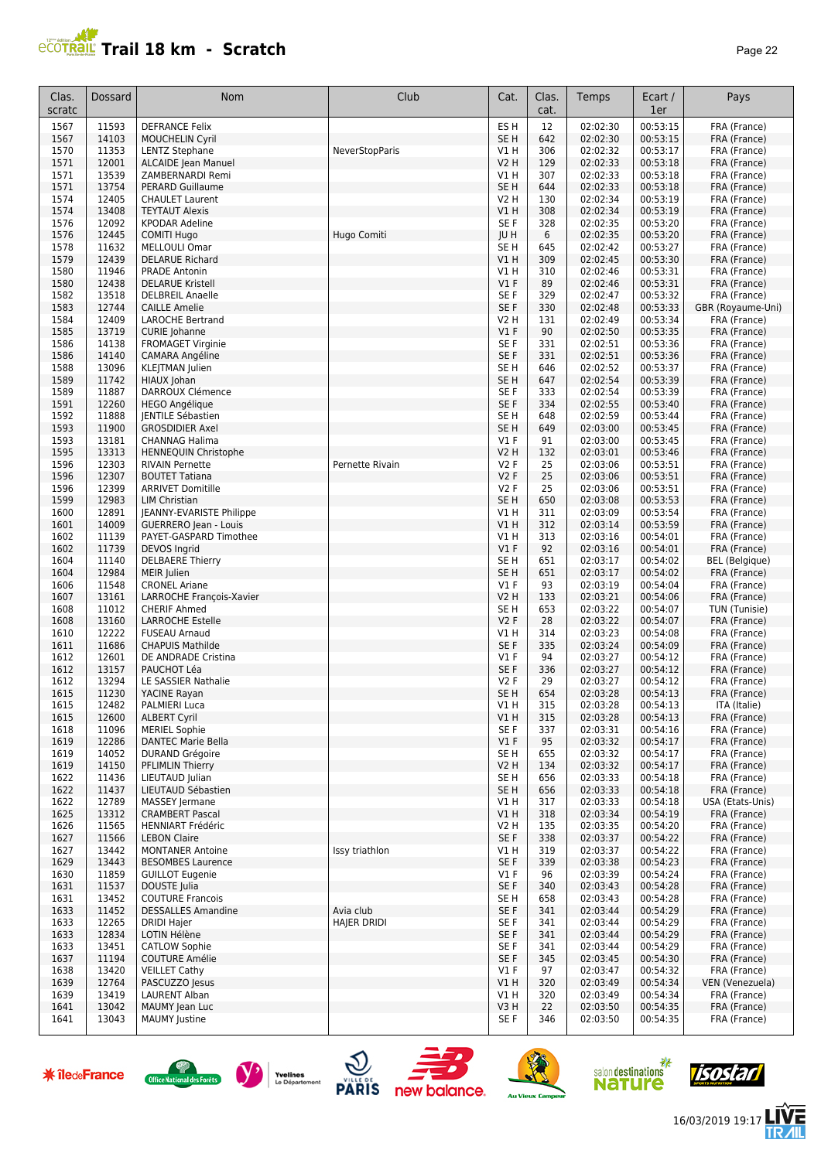

| Clas.<br>scratc | Dossard        | Nom                                               | Club                  | Cat.                          | Clas.<br>cat. | Temps                | Ecart /<br>1er       | Pays                         |
|-----------------|----------------|---------------------------------------------------|-----------------------|-------------------------------|---------------|----------------------|----------------------|------------------------------|
| 1567            | 11593          | <b>DEFRANCE Felix</b>                             |                       | ES H                          | 12            | 02:02:30             | 00:53:15             | FRA (France)                 |
| 1567            | 14103          | <b>MOUCHELIN Cyril</b>                            |                       | SE <sub>H</sub>               | 642           | 02:02:30             | 00:53:15             | FRA (France)                 |
| 1570            | 11353          | <b>LENTZ Stephane</b>                             | <b>NeverStopParis</b> | V1 H                          | 306           | 02:02:32             | 00:53:17             | FRA (France)                 |
| 1571            | 12001          | ALCAIDE Jean Manuel                               |                       | <b>V2 H</b>                   | 129           | 02:02:33             | 00:53:18             | FRA (France)                 |
| 1571            | 13539          | ZAMBERNARDI Remi                                  |                       | V1 H                          | 307           | 02:02:33             | 00:53:18             | FRA (France)                 |
| 1571<br>1574    | 13754<br>12405 | <b>PERARD Guillaume</b><br><b>CHAULET Laurent</b> |                       | SE <sub>H</sub><br>V2 H       | 644<br>130    | 02:02:33<br>02:02:34 | 00:53:18<br>00:53:19 | FRA (France)                 |
| 1574            | 13408          | <b>TEYTAUT Alexis</b>                             |                       | V1H                           | 308           | 02:02:34             | 00:53:19             | FRA (France)<br>FRA (France) |
| 1576            | 12092          | <b>KPODAR Adeline</b>                             |                       | SE F                          | 328           | 02:02:35             | 00:53:20             | FRA (France)                 |
| 1576            | 12445          | <b>COMITI Hugo</b>                                | Hugo Comiti           | JU H                          | 6             | 02:02:35             | 00:53:20             | FRA (France)                 |
| 1578            | 11632          | MELLOULI Omar                                     |                       | SE H                          | 645           | 02:02:42             | 00:53:27             | FRA (France)                 |
| 1579            | 12439          | <b>DELARUE Richard</b>                            |                       | V1 H                          | 309           | 02:02:45             | 00:53:30             | FRA (France)                 |
| 1580            | 11946          | <b>PRADE Antonin</b>                              |                       | V1 H                          | 310           | 02:02:46             | 00:53:31             | FRA (France)                 |
| 1580            | 12438          | <b>DELARUE Kristell</b>                           |                       | V1F                           | 89            | 02:02:46             | 00:53:31             | FRA (France)                 |
| 1582            | 13518          | <b>DELBREIL Anaelle</b>                           |                       | SE F                          | 329           | 02:02:47             | 00:53:32             | FRA (France)                 |
| 1583            | 12744          | <b>CAILLE Amelie</b>                              |                       | SE F                          | 330           | 02:02:48             | 00:53:33             | GBR (Royaume-Uni)            |
| 1584            | 12409          | <b>LAROCHE Bertrand</b>                           |                       | V2 H                          | 131           | 02:02:49             | 00:53:34             | FRA (France)                 |
| 1585<br>1586    | 13719<br>14138 | CURIE Johanne<br>FROMAGET Virginie                |                       | V1F<br>SE F                   | 90<br>331     | 02:02:50<br>02:02:51 | 00:53:35<br>00:53:36 | FRA (France)                 |
| 1586            | 14140          | CAMARA Angéline                                   |                       | SE F                          | 331           | 02:02:51             | 00:53:36             | FRA (France)<br>FRA (France) |
| 1588            | 13096          | KLEJTMAN Julien                                   |                       | SE <sub>H</sub>               | 646           | 02:02:52             | 00:53:37             | FRA (France)                 |
| 1589            | 11742          | <b>HIAUX Johan</b>                                |                       | SE <sub>H</sub>               | 647           | 02:02:54             | 00:53:39             | FRA (France)                 |
| 1589            | 11887          | DARROUX Clémence                                  |                       | SE <sub>F</sub>               | 333           | 02:02:54             | 00:53:39             | FRA (France)                 |
| 1591            | 12260          | <b>HEGO Angélique</b>                             |                       | SE <sub>F</sub>               | 334           | 02:02:55             | 00:53:40             | FRA (France)                 |
| 1592            | 11888          | <b>IENTILE Sébastien</b>                          |                       | SE H                          | 648           | 02:02:59             | 00:53:44             | FRA (France)                 |
| 1593            | 11900          | <b>GROSDIDIER Axel</b>                            |                       | SE H                          | 649           | 02:03:00             | 00:53:45             | FRA (France)                 |
| 1593            | 13181          | <b>CHANNAG Halima</b>                             |                       | V1F                           | 91            | 02:03:00             | 00:53:45             | FRA (France)                 |
| 1595            | 13313          | <b>HENNEQUIN Christophe</b>                       |                       | <b>V2 H</b>                   | 132           | 02:03:01             | 00:53:46             | FRA (France)                 |
| 1596            | 12303          | <b>RIVAIN Pernette</b>                            | Pernette Rivain       | <b>V2F</b>                    | 25            | 02:03:06             | 00:53:51             | FRA (France)                 |
| 1596            | 12307          | <b>BOUTET Tatiana</b>                             |                       | <b>V2F</b>                    | 25            | 02:03:06             | 00:53:51             | FRA (France)                 |
| 1596<br>1599    | 12399<br>12983 | <b>ARRIVET Domitille</b><br><b>LIM Christian</b>  |                       | <b>V2F</b><br>SE <sub>H</sub> | 25<br>650     | 02:03:06<br>02:03:08 | 00:53:51<br>00:53:53 | FRA (France)<br>FRA (France) |
| 1600            | 12891          | JEANNY-EVARISTE Philippe                          |                       | V1 H                          | 311           | 02:03:09             | 00:53:54             | FRA (France)                 |
| 1601            | 14009          | GUERRERO Jean - Louis                             |                       | V1H                           | 312           | 02:03:14             | 00:53:59             | FRA (France)                 |
| 1602            | 11139          | PAYET-GASPARD Timothee                            |                       | V1 H                          | 313           | 02:03:16             | 00:54:01             | FRA (France)                 |
| 1602            | 11739          | DEVOS Ingrid                                      |                       | V1F                           | 92            | 02:03:16             | 00:54:01             | FRA (France)                 |
| 1604            | 11140          | <b>DELBAERE Thierry</b>                           |                       | SE H                          | 651           | 02:03:17             | 00:54:02             | <b>BEL</b> (Belgique)        |
| 1604            | 12984          | MEIR Julien                                       |                       | SE <sub>H</sub>               | 651           | 02:03:17             | 00:54:02             | FRA (France)                 |
| 1606            | 11548          | <b>CRONEL Ariane</b>                              |                       | $VI$ F                        | 93            | 02:03:19             | 00:54:04             | FRA (France)                 |
| 1607            | 13161          | LARROCHE François-Xavier                          |                       | <b>V2 H</b>                   | 133           | 02:03:21             | 00:54:06             | FRA (France)                 |
| 1608            | 11012          | <b>CHERIF Ahmed</b>                               |                       | SE <sub>H</sub>               | 653           | 02:03:22             | 00:54:07             | TUN (Tunisie)                |
| 1608            | 13160          | <b>LARROCHE Estelle</b>                           |                       | <b>V2F</b>                    | 28            | 02:03:22             | 00:54:07<br>00:54:08 | FRA (France)                 |
| 1610<br>1611    | 12222<br>11686 | <b>FUSEAU Arnaud</b><br><b>CHAPUIS Mathilde</b>   |                       | VIH<br>SE F                   | 314<br>335    | 02:03:23<br>02:03:24 | 00:54:09             | FRA (France)<br>FRA (France) |
| 1612            | 12601          | DE ANDRADE Cristina                               |                       | $VI$ F                        | 94            | 02:03:27             | 00:54:12             | FRA (France)                 |
| 1612            | 13157          | PAUCHOT Léa                                       |                       | SE F                          | 336           | 02:03:27             | 00:54:12             | FRA (France)                 |
| 1612            | 13294          | LE SASSIER Nathalie                               |                       | <b>V2F</b>                    | 29            | 02:03:27             | 00:54:12             | FRA (France)                 |
| 1615            | 11230          | YACINE Rayan                                      |                       | SE H                          | 654           | 02:03:28             | 00:54:13             | FRA (France)                 |
| 1615            | 12482          | PALMIERI Luca                                     |                       | V1 H                          | 315           | 02:03:28             | 00:54:13             | ITA (Italie)                 |
| 1615            | 12600          | <b>ALBERT Cyril</b>                               |                       | V1H                           | 315           | 02:03:28             | 00:54:13             | FRA (France)                 |
| 1618            | 11096          | <b>MERIEL Sophie</b>                              |                       | SE F                          | 337           | 02:03:31             | 00:54:16             | FRA (France)                 |
| 1619            | 12286          | <b>DANTEC Marie Bella</b>                         |                       | $VI$ F                        | 95            | 02:03:32             | 00:54:17             | FRA (France)                 |
| 1619            | 14052          | <b>DURAND Grégoire</b>                            |                       | SE H                          | 655           | 02:03:32             | 00:54:17             | FRA (France)                 |
| 1619<br>1622    | 14150<br>11436 | <b>PFLIMLIN Thierry</b><br>LIEUTAUD Julian        |                       | <b>V2 H</b>                   | 134           | 02:03:32<br>02:03:33 | 00:54:17<br>00:54:18 | FRA (France)<br>FRA (France) |
| 1622            | 11437          | LIEUTAUD Sébastien                                |                       | SE H<br>SE <sub>H</sub>       | 656<br>656    | 02:03:33             | 00:54:18             | FRA (France)                 |
| 1622            | 12789          | MASSEY Jermane                                    |                       | V1 H                          | 317           | 02:03:33             | 00:54:18             | USA (Etats-Unis)             |
| 1625            | 13312          | <b>CRAMBERT Pascal</b>                            |                       | V1 H                          | 318           | 02:03:34             | 00:54:19             | FRA (France)                 |
| 1626            | 11565          | HENNIART Frédéric                                 |                       | V2 H                          | 135           | 02:03:35             | 00:54:20             | FRA (France)                 |
| 1627            | 11566          | <b>LEBON Claire</b>                               |                       | SE F                          | 338           | 02:03:37             | 00:54:22             | FRA (France)                 |
| 1627            | 13442          | <b>MONTANER Antoine</b>                           | Issy triathlon        | V1 H                          | 319           | 02:03:37             | 00:54:22             | FRA (France)                 |
| 1629            | 13443          | <b>BESOMBES Laurence</b>                          |                       | SE F                          | 339           | 02:03:38             | 00:54:23             | FRA (France)                 |
| 1630            | 11859          | <b>GUILLOT Eugenie</b>                            |                       | $VI$ F                        | 96            | 02:03:39             | 00:54:24             | FRA (France)                 |
| 1631            | 11537          | DOUSTE Julia                                      |                       | SE F                          | 340           | 02:03:43             | 00:54:28             | FRA (France)                 |
| 1631            | 13452          | <b>COUTURE Francois</b>                           |                       | SE H                          | 658           | 02:03:43             | 00:54:28             | FRA (France)                 |
| 1633            | 11452          | <b>DESSALLES Amandine</b>                         | Avia club             | SE F                          | 341           | 02:03:44             | 00:54:29             | FRA (France)                 |
| 1633            | 12265          | <b>DRIDI Hajer</b>                                | HAJER DRIDI           | SE F                          | 341           | 02:03:44             | 00:54:29             | FRA (France)                 |
| 1633<br>1633    | 12834<br>13451 | LOTIN Hélène<br><b>CATLOW Sophie</b>              |                       | SE F<br>SE F                  | 341<br>341    | 02:03:44<br>02:03:44 | 00:54:29<br>00:54:29 | FRA (France)<br>FRA (France) |
| 1637            | 11194          | <b>COUTURE Amélie</b>                             |                       | SE F                          | 345           | 02:03:45             | 00:54:30             | FRA (France)                 |
| 1638            | 13420          | <b>VEILLET Cathy</b>                              |                       | $VI$ F                        | 97            | 02:03:47             | 00:54:32             | FRA (France)                 |
| 1639            | 12764          | PASCUZZO Jesus                                    |                       | V1 H                          | 320           | 02:03:49             | 00:54:34             | VEN (Venezuela)              |
| 1639            | 13419          | LAURENT Alban                                     |                       | V1 H                          | 320           | 02:03:49             | 00:54:34             | FRA (France)                 |
| 1641            | 13042          | <b>MAUMY Jean Luc</b>                             |                       | V3 H                          | 22            | 02:03:50             | 00:54:35             | FRA (France)                 |
| 1641            | 13043          | <b>MAUMY</b> Justine                              |                       | SE F                          | 346           | 02:03:50             | 00:54:35             | FRA (France)                 |

**米 îledeFrance** 













怎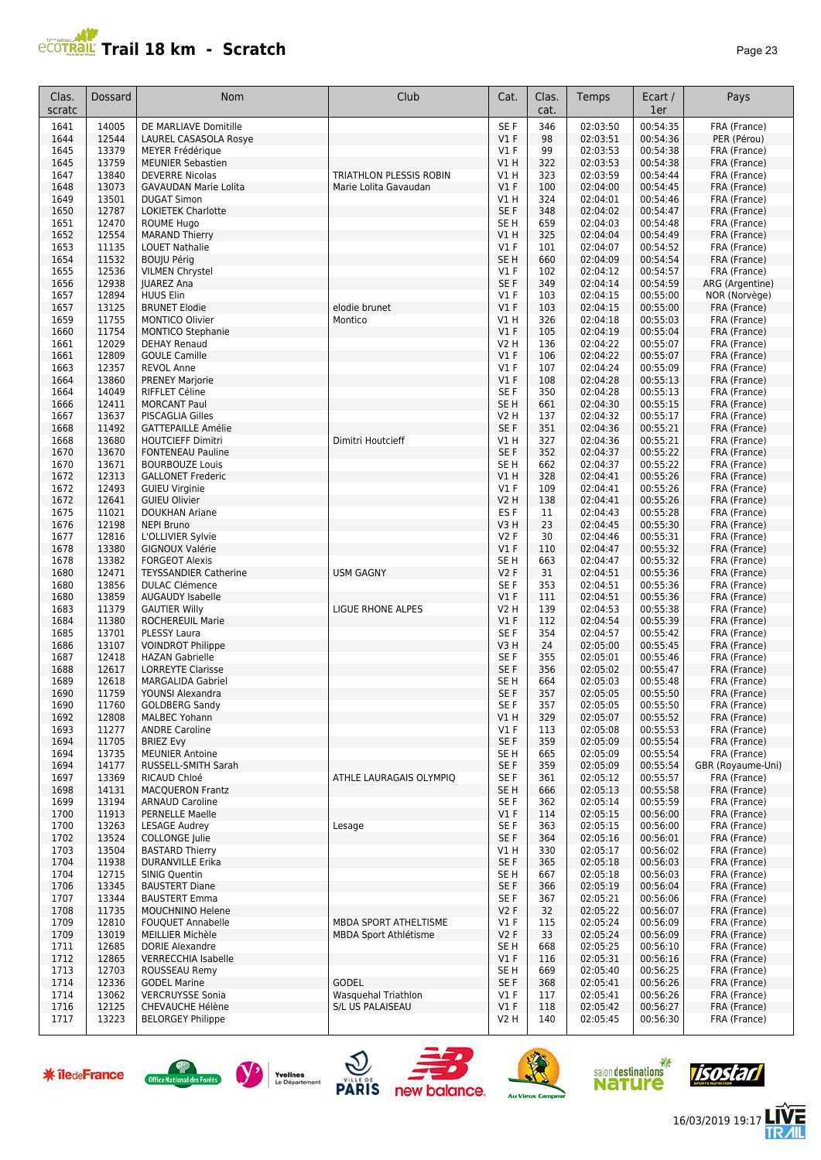

| Clas.<br>scratc | Dossard        | <b>Nom</b>                                           | Club                    | Cat.                    | Clas.<br>cat. | Temps                | Ecart /<br>1er       | Pays                         |
|-----------------|----------------|------------------------------------------------------|-------------------------|-------------------------|---------------|----------------------|----------------------|------------------------------|
| 1641            | 14005          | DE MARLIAVE Domitille                                |                         | SE F                    | 346           | 02:03:50             | 00:54:35             | FRA (France)                 |
| 1644            | 12544          | LAUREL CASASOLA Rosye                                |                         | $VI$ F                  | 98            | 02:03:51             | 00:54:36             | PER (Pérou)                  |
| 1645            | 13379          | MEYER Frédérique                                     |                         | V1 F                    | 99            | 02:03:53             | 00:54:38             | FRA (France)                 |
| 1645            | 13759          | <b>MEUNIER Sebastien</b>                             |                         | V1H                     | 322           | 02:03:53             | 00:54:38             | FRA (France)                 |
| 1647<br>1648    | 13840<br>13073 | <b>DEVERRE Nicolas</b>                               | TRIATHLON PLESSIS ROBIN | V1 H<br>$VI$ F          | 323<br>100    | 02:03:59<br>02:04:00 | 00:54:44<br>00:54:45 | FRA (France)                 |
| 1649            | 13501          | <b>GAVAUDAN Marie Lolita</b><br><b>DUGAT Simon</b>   | Marie Lolita Gavaudan   | V1 H                    | 324           | 02:04:01             | 00:54:46             | FRA (France)<br>FRA (France) |
| 1650            | 12787          | LOKIETEK Charlotte                                   |                         | SE F                    | 348           | 02:04:02             | 00:54:47             | FRA (France)                 |
| 1651            | 12470          | <b>ROUME Hugo</b>                                    |                         | SE <sub>H</sub>         | 659           | 02:04:03             | 00:54:48             | FRA (France)                 |
| 1652            | 12554          | <b>MARAND Thierry</b>                                |                         | V1H                     | 325           | 02:04:04             | 00:54:49             | FRA (France)                 |
| 1653            | 11135          | <b>LOUET Nathalie</b>                                |                         | $VI$ F                  | 101           | 02:04:07             | 00:54:52             | FRA (France)                 |
| 1654            | 11532          | <b>BOUJU Périg</b>                                   |                         | SE <sub>H</sub>         | 660           | 02:04:09             | 00:54:54             | FRA (France)                 |
| 1655            | 12536          | <b>VILMEN Chrystel</b>                               |                         | $VI$ F                  | 102           | 02:04:12             | 00:54:57             | FRA (France)                 |
| 1656            | 12938          | <b>JUAREZ Ana</b>                                    |                         | SE F                    | 349           | 02:04:14             | 00:54:59             | ARG (Argentine)              |
| 1657            | 12894          | <b>HUUS Elin</b>                                     |                         | V1 F                    | 103           | 02:04:15             | 00:55:00             | NOR (Norvège)                |
| 1657            | 13125          | <b>BRUNET Elodie</b>                                 | elodie brunet           | V1F                     | 103           | 02:04:15             | 00:55:00             | FRA (France)                 |
| 1659            | 11755          | MONTICO Olivier                                      | Montico                 | V1H                     | 326           | 02:04:18             | 00:55:03             | FRA (France)                 |
| 1660<br>1661    | 11754<br>12029 | MONTICO Stephanie                                    |                         | $VI$ F<br><b>V2 H</b>   | 105           | 02:04:19<br>02:04:22 | 00:55:04<br>00:55:07 | FRA (France)                 |
| 1661            | 12809          | <b>DEHAY Renaud</b><br><b>GOULE Camille</b>          |                         | $VI$ F                  | 136<br>106    | 02:04:22             | 00:55:07             | FRA (France)<br>FRA (France) |
| 1663            | 12357          | <b>REVOL Anne</b>                                    |                         | $VI$ F                  | 107           | 02:04:24             | 00:55:09             | FRA (France)                 |
| 1664            | 13860          | <b>PRENEY Marjorie</b>                               |                         | $VI$ F                  | 108           | 02:04:28             | 00:55:13             | FRA (France)                 |
| 1664            | 14049          | RIFFLET Céline                                       |                         | SE F                    | 350           | 02:04:28             | 00:55:13             | FRA (France)                 |
| 1666            | 12411          | <b>MORCANT Paul</b>                                  |                         | SE <sub>H</sub>         | 661           | 02:04:30             | 00:55:15             | FRA (France)                 |
| 1667            | 13637          | <b>PISCAGLIA Gilles</b>                              |                         | <b>V2 H</b>             | 137           | 02:04:32             | 00:55:17             | FRA (France)                 |
| 1668            | 11492          | <b>GATTEPAILLE Amélie</b>                            |                         | SE F                    | 351           | 02:04:36             | 00:55:21             | FRA (France)                 |
| 1668            | 13680          | HOUTCIEFF Dimitri                                    | Dimitri Houtcieff       | V1 H                    | 327           | 02:04:36             | 00:55:21             | FRA (France)                 |
| 1670            | 13670          | <b>FONTENEAU Pauline</b>                             |                         | SE F                    | 352           | 02:04:37             | 00:55:22             | FRA (France)                 |
| 1670            | 13671          | <b>BOURBOUZE Louis</b>                               |                         | SE <sub>H</sub>         | 662           | 02:04:37             | 00:55:22             | FRA (France)                 |
| 1672            | 12313          | <b>GALLONET Frederic</b>                             |                         | V1H                     | 328           | 02:04:41             | 00:55:26             | FRA (France)                 |
| 1672            | 12493          | <b>GUIEU Virginie</b>                                |                         | $VI$ F                  | 109           | 02:04:41             | 00:55:26             | FRA (France)                 |
| 1672<br>1675    | 12641<br>11021 | <b>GUIEU Olivier</b>                                 |                         | <b>V2 H</b><br>ES F     | 138           | 02:04:41<br>02:04:43 | 00:55:26<br>00:55:28 | FRA (France)                 |
| 1676            | 12198          | <b>DOUKHAN Ariane</b><br><b>NEPI Bruno</b>           |                         | V3H                     | 11<br>23      | 02:04:45             | 00:55:30             | FRA (France)<br>FRA (France) |
| 1677            | 12816          | L'OLLIVIER Sylvie                                    |                         | V2F                     | 30            | 02:04:46             | 00:55:31             | FRA (France)                 |
| 1678            | 13380          | GIGNOUX Valérie                                      |                         | $VI$ F                  | 110           | 02:04:47             | 00:55:32             | FRA (France)                 |
| 1678            | 13382          | <b>FORGEOT Alexis</b>                                |                         | SE <sub>H</sub>         | 663           | 02:04:47             | 00:55:32             | FRA (France)                 |
| 1680            | 12471          | <b>TEYSSANDIER Catherine</b>                         | <b>USM GAGNY</b>        | <b>V2F</b>              | 31            | 02:04:51             | 00:55:36             | FRA (France)                 |
| 1680            | 13856          | <b>DULAC Clémence</b>                                |                         | SE F                    | 353           | 02:04:51             | 00:55:36             | FRA (France)                 |
| 1680            | 13859          | <b>AUGAUDY Isabelle</b>                              |                         | $VI$ F                  | 111           | 02:04:51             | 00:55:36             | FRA (France)                 |
| 1683            | 11379          | <b>GAUTIER Willy</b>                                 | LIGUE RHONE ALPES       | <b>V2 H</b>             | 139           | 02:04:53             | 00:55:38             | FRA (France)                 |
| 1684            | 11380          | <b>ROCHEREUIL Marie</b>                              |                         | $VI$ F                  | 112           | 02:04:54             | 00:55:39             | FRA (France)                 |
| 1685<br>1686    | 13701<br>13107 | PLESSY Laura<br><b>VOINDROT Philippe</b>             |                         | SE F<br>V3H             | 354<br>24     | 02:04:57             | 00:55:42<br>00:55:45 | FRA (France)                 |
| 1687            | 12418          | <b>HAZAN Gabrielle</b>                               |                         | SE F                    | 355           | 02:05:00<br>02:05:01 | 00:55:46             | FRA (France)<br>FRA (France) |
| 1688            | 12617          | <b>LORREYTE Clarisse</b>                             |                         | SE F                    | 356           | 02:05:02             | 00:55:47             | FRA (France)                 |
| 1689            | 12618          | <b>MARGALIDA Gabriel</b>                             |                         | SE H                    | 664           | 02:05:03             | 00:55:48             | FRA (France)                 |
| 1690            | 11759          | YOUNSI Alexandra                                     |                         | SE F                    | 357           | 02:05:05             | 00:55:50             | FRA (France)                 |
| 1690            | 11760          | <b>GOLDBERG Sandy</b>                                |                         | SE F                    | 357           | 02:05:05             | 00:55:50             | FRA (France)                 |
| 1692            | 12808          | <b>MALBEC Yohann</b>                                 |                         | V1 H                    | 329           | 02:05:07             | 00:55:52             | FRA (France)                 |
| 1693            | 11277          | <b>ANDRE Caroline</b>                                |                         | $VI$ F                  | 113           | 02:05:08             | 00:55:53             | FRA (France)                 |
| 1694            | 11705          | <b>BRIEZ Evy</b>                                     |                         | SE F                    | 359           | 02:05:09             | 00:55:54             | FRA (France)                 |
| 1694            | 13735          | <b>MEUNIER Antoine</b>                               |                         | SE H                    | 665           | 02:05:09             | 00:55:54             | FRA (France)                 |
| 1694            | 14177          | RUSSELL-SMITH Sarah                                  |                         | SE F                    | 359           | 02:05:09             | 00:55:54             | GBR (Royaume-Uni)            |
| 1697<br>1698    | 13369<br>14131 | RICAUD Chloé<br><b>MACQUERON Frantz</b>              | ATHLE LAURAGAIS OLYMPIQ | SE F<br>SE <sub>H</sub> | 361<br>666    | 02:05:12<br>02:05:13 | 00:55:57<br>00:55:58 | FRA (France)<br>FRA (France) |
| 1699            | 13194          | <b>ARNAUD Caroline</b>                               |                         | SE F                    | 362           | 02:05:14             | 00:55:59             | FRA (France)                 |
| 1700            | 11913          | <b>PERNELLE Maelle</b>                               |                         | V1F                     | 114           | 02:05:15             | 00:56:00             | FRA (France)                 |
| 1700            | 13263          | LESAGE Audrey                                        | Lesage                  | SE F                    | 363           | 02:05:15             | 00:56:00             | FRA (France)                 |
| 1702            | 13524          | <b>COLLONGE</b> Julie                                |                         | SE F                    | 364           | 02:05:16             | 00:56:01             | FRA (France)                 |
| 1703            | 13504          | <b>BASTARD Thierry</b>                               |                         | V1 H                    | 330           | 02:05:17             | 00:56:02             | FRA (France)                 |
| 1704            | 11938          | <b>DURANVILLE Erika</b>                              |                         | SE F                    | 365           | 02:05:18             | 00:56:03             | FRA (France)                 |
| 1704            | 12715          | SINIG Quentin                                        |                         | SE H                    | 667           | 02:05:18             | 00:56:03             | FRA (France)                 |
| 1706            | 13345          | <b>BAUSTERT Diane</b>                                |                         | SE F                    | 366           | 02:05:19             | 00:56:04             | FRA (France)                 |
| 1707            | 13344          | <b>BAUSTERT Emma</b>                                 |                         | SE F                    | 367           | 02:05:21             | 00:56:06             | FRA (France)                 |
| 1708            | 11735          | MOUCHNINO Helene                                     |                         | V2 F                    | 32            | 02:05:22             | 00:56:07             | FRA (France)                 |
| 1709            | 12810          | FOUQUET Annabelle                                    | MBDA SPORT ATHELTISME   | $VI$ F                  | 115           | 02:05:24             | 00:56:09             | FRA (France)                 |
| 1709            | 13019          | MEILLIER Michèle                                     | MBDA Sport Athlétisme   | V2F                     | 33            | 02:05:24             | 00:56:09             | FRA (France)                 |
| 1711<br>1712    | 12685<br>12865 | <b>DORIE Alexandre</b><br><b>VERRECCHIA Isabelle</b> |                         | SE H<br>$VI$ F          | 668<br>116    | 02:05:25<br>02:05:31 | 00:56:10<br>00:56:16 | FRA (France)<br>FRA (France) |
| 1713            | 12703          | ROUSSEAU Remy                                        |                         | SE <sub>H</sub>         | 669           | 02:05:40             | 00:56:25             | FRA (France)                 |
| 1714            | 12336          | <b>GODEL Marine</b>                                  | <b>GODEL</b>            | SE F                    | 368           | 02:05:41             | 00:56:26             | FRA (France)                 |
| 1714            | 13062          | <b>VERCRUYSSE Sonia</b>                              | Wasquehal Triathlon     | V1 F                    | 117           | 02:05:41             | 00:56:26             | FRA (France)                 |
| 1716            | 12125          | CHEVAUCHE Hélène                                     | S/L US PALAISEAU        | $VI$ F                  | 118           | 02:05:42             | 00:56:27             | FRA (France)                 |
| 1717            | 13223          | <b>BELORGEY Philippe</b>                             |                         | V <sub>2</sub> H        | 140           | 02:05:45             | 00:56:30             | FRA (France)                 |

















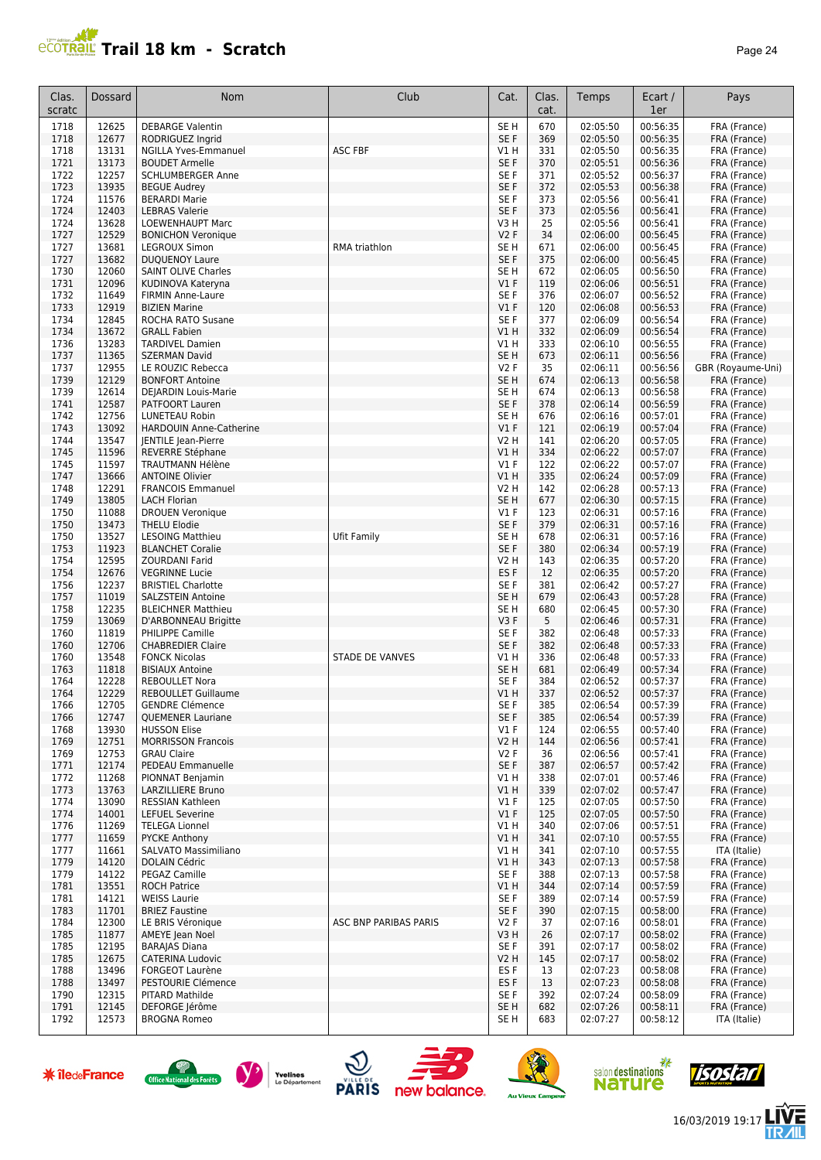

| Clas.<br>scratc | Dossard        | <b>Nom</b>                                     | Club                  | Cat.                    | Clas.<br>cat. | Temps                | Ecart /<br>1er       | Pays                         |
|-----------------|----------------|------------------------------------------------|-----------------------|-------------------------|---------------|----------------------|----------------------|------------------------------|
| 1718            | 12625          | <b>DEBARGE Valentin</b>                        |                       | SE <sub>H</sub>         | 670           | 02:05:50             | 00:56:35             | FRA (France)                 |
| 1718            | 12677          | RODRIGUEZ Ingrid                               |                       | SE F                    | 369           | 02:05:50             | 00:56:35             | FRA (France)                 |
| 1718            | 13131          | <b>NGILLA Yves-Emmanuel</b>                    | <b>ASC FBF</b>        | V1 H                    | 331           | 02:05:50             | 00:56:35             | FRA (France)                 |
| 1721            | 13173          | <b>BOUDET Armelle</b>                          |                       | SE F                    | 370           | 02:05:51             | 00:56:36             | FRA (France)                 |
| 1722            | 12257          | <b>SCHLUMBERGER Anne</b>                       |                       | SE F                    | 371           | 02:05:52             | 00:56:37             | FRA (France)                 |
| 1723            | 13935          | <b>BEGUE Audrey</b>                            |                       | SE <sub>F</sub>         | 372           | 02:05:53             | 00:56:38             | FRA (France)                 |
| 1724            | 11576<br>12403 | <b>BERARDI Marie</b>                           |                       | SE F                    | 373<br>373    | 02:05:56             | 00:56:41             | FRA (France)                 |
| 1724<br>1724    | 13628          | <b>LEBRAS Valerie</b><br>LOEWENHAUPT Marc      |                       | SE <sub>F</sub><br>V3 H | 25            | 02:05:56<br>02:05:56 | 00:56:41<br>00:56:41 | FRA (France)<br>FRA (France) |
| 1727            | 12529          | <b>BONICHON Veronique</b>                      |                       | <b>V2F</b>              | 34            | 02:06:00             | 00:56:45             | FRA (France)                 |
| 1727            | 13681          | <b>LEGROUX Simon</b>                           | RMA triathlon         | SE H                    | 671           | 02:06:00             | 00:56:45             | FRA (France)                 |
| 1727            | 13682          | <b>DUQUENOY Laure</b>                          |                       | SE F                    | 375           | 02:06:00             | 00:56:45             | FRA (France)                 |
| 1730            | 12060          | <b>SAINT OLIVE Charles</b>                     |                       | SE H                    | 672           | 02:06:05             | 00:56:50             | FRA (France)                 |
| 1731            | 12096          | KUDINOVA Kateryna                              |                       | V1F                     | 119           | 02:06:06             | 00:56:51             | FRA (France)                 |
| 1732            | 11649          | FIRMIN Anne-Laure                              |                       | SE <sub>F</sub>         | 376           | 02:06:07             | 00:56:52             | FRA (France)                 |
| 1733            | 12919          | <b>BIZIEN Marine</b>                           |                       | V1F                     | 120           | 02:06:08             | 00:56:53             | FRA (France)                 |
| 1734            | 12845          | ROCHA RATO Susane                              |                       | SE <sub>F</sub>         | 377           | 02:06:09             | 00:56:54             | FRA (France)                 |
| 1734            | 13672          | <b>GRALL Fabien</b>                            |                       | V1 H                    | 332           | 02:06:09             | 00:56:54             | FRA (France)                 |
| 1736            | 13283          | <b>TARDIVEL Damien</b>                         |                       | V1 H                    | 333           | 02:06:10             | 00:56:55             | FRA (France)                 |
| 1737            | 11365          | <b>SZERMAN David</b>                           |                       | SE H                    | 673           | 02:06:11             | 00:56:56             | FRA (France)                 |
| 1737            | 12955          | LE ROUZIC Rebecca                              |                       | <b>V2F</b>              | 35            | 02:06:11             | 00:56:56             | GBR (Royaume-Uni)            |
| 1739            | 12129          | <b>BONFORT Antoine</b>                         |                       | SE <sub>H</sub>         | 674           | 02:06:13             | 00:56:58             | FRA (France)                 |
| 1739<br>1741    | 12614<br>12587 | DEJARDIN Louis-Marie<br><b>PATFOORT Lauren</b> |                       | SE H<br>SE <sub>F</sub> | 674           | 02:06:13<br>02:06:14 | 00:56:58<br>00:56:59 | FRA (France)                 |
| 1742            | 12756          | LUNETEAU Robin                                 |                       | SE H                    | 378<br>676    | 02:06:16             | 00:57:01             | FRA (France)                 |
| 1743            | 13092          | HARDOUIN Anne-Catherine                        |                       | V1F                     | 121           | 02:06:19             | 00:57:04             | FRA (France)<br>FRA (France) |
| 1744            | 13547          | <b>IENTILE Jean-Pierre</b>                     |                       | V2 H                    | 141           | 02:06:20             | 00:57:05             | FRA (France)                 |
| 1745            | 11596          | REVERRE Stéphane                               |                       | V1H                     | 334           | 02:06:22             | 00:57:07             | FRA (France)                 |
| 1745            | 11597          | <b>TRAUTMANN Hélène</b>                        |                       | $VI$ F                  | 122           | 02:06:22             | 00:57:07             | FRA (France)                 |
| 1747            | 13666          | <b>ANTOINE Olivier</b>                         |                       | V1 H                    | 335           | 02:06:24             | 00:57:09             | FRA (France)                 |
| 1748            | 12291          | <b>FRANCOIS Emmanuel</b>                       |                       | V2 H                    | 142           | 02:06:28             | 00:57:13             | FRA (France)                 |
| 1749            | 13805          | <b>LACH Florian</b>                            |                       | SE H                    | 677           | 02:06:30             | 00:57:15             | FRA (France)                 |
| 1750            | 11088          | <b>DROUEN Veronique</b>                        |                       | $VI$ F                  | 123           | 02:06:31             | 00:57:16             | FRA (France)                 |
| 1750            | 13473          | <b>THELU Elodie</b>                            |                       | SE F                    | 379           | 02:06:31             | 00:57:16             | FRA (France)                 |
| 1750            | 13527          | <b>LESOING Matthieu</b>                        | Ufit Family           | SE H                    | 678           | 02:06:31             | 00:57:16             | FRA (France)                 |
| 1753            | 11923          | <b>BLANCHET Coralie</b>                        |                       | SE F                    | 380           | 02:06:34             | 00:57:19             | FRA (France)                 |
| 1754            | 12595          | <b>ZOURDANI Farid</b>                          |                       | V2 H                    | 143           | 02:06:35             | 00:57:20             | FRA (France)                 |
| 1754            | 12676          | <b>VEGRINNE Lucie</b>                          |                       | ES <sub>F</sub>         | 12            | 02:06:35             | 00:57:20             | FRA (France)                 |
| 1756            | 12237          | <b>BRISTIEL Charlotte</b>                      |                       | SE <sub>F</sub>         | 381           | 02:06:42             | 00:57:27             | FRA (France)                 |
| 1757            | 11019          | <b>SALZSTEIN Antoine</b>                       |                       | SE <sub>H</sub>         | 679           | 02:06:43             | 00:57:28             | FRA (France)                 |
| 1758            | 12235          | <b>BLEICHNER Matthieu</b>                      |                       | SE H                    | 680           | 02:06:45             | 00:57:30             | FRA (France)                 |
| 1759<br>1760    | 13069<br>11819 | D'ARBONNEAU Brigitte<br>PHILIPPE Camille       |                       | V3F<br>SE F             | 5<br>382      | 02:06:46<br>02:06:48 | 00:57:31<br>00:57:33 | FRA (France)<br>FRA (France) |
| 1760            | 12706          | <b>CHABREDIER Claire</b>                       |                       | SE F                    | 382           | 02:06:48             | 00:57:33             | FRA (France)                 |
| 1760            | 13548          | <b>FONCK Nicolas</b>                           | STADE DE VANVES       | V1 H                    | 336           | 02:06:48             | 00:57:33             | FRA (France)                 |
| 1763            | 11818          | <b>BISIAUX Antoine</b>                         |                       | SE <sub>H</sub>         | 681           | 02:06:49             | 00:57:34             | FRA (France)                 |
| 1764            | 12228          | <b>REBOULLET Nora</b>                          |                       | SE <sub>F</sub>         | 384           | 02:06:52             | 00:57:37             | FRA (France)                 |
| 1764            | 12229          | <b>REBOULLET Guillaume</b>                     |                       | V1 H                    | 337           | 02:06:52             | 00:57:37             | FRA (France)                 |
| 1766            | 12705          | <b>GENDRE Clémence</b>                         |                       | SE F                    | 385           | 02:06:54             | 00:57:39             | FRA (France)                 |
| 1766            | 12747          | <b>QUEMENER Lauriane</b>                       |                       | SE F                    | 385           | 02:06:54             | 00:57:39             | FRA (France)                 |
| 1768            | 13930          | <b>HUSSON Elise</b>                            |                       | $VI$ F                  | 124           | 02:06:55             | 00:57:40             | FRA (France)                 |
| 1769            | 12751          | <b>MORRISSON Francois</b>                      |                       | V2 H                    | 144           | 02:06:56             | 00:57:41             | FRA (France)                 |
| 1769            | 12753          | <b>GRAU Claire</b>                             |                       | V2F                     | 36            | 02:06:56             | 00:57:41             | FRA (France)                 |
| 1771            | 12174          | PEDEAU Emmanuelle                              |                       | SE F                    | 387           | 02:06:57             | 00:57:42             | FRA (France)                 |
| 1772            | 11268          | PIONNAT Benjamin                               |                       | V1 H                    | 338           | 02:07:01             | 00:57:46             | FRA (France)                 |
| 1773            | 13763          | LARZILLIERE Bruno                              |                       | V1 H                    | 339           | 02:07:02             | 00:57:47             | FRA (France)                 |
| 1774<br>1774    | 13090          | RESSIAN Kathleen<br><b>LEFUEL Severine</b>     |                       | $VI$ F                  | 125<br>125    | 02:07:05             | 00:57:50<br>00:57:50 | FRA (France)<br>FRA (France) |
| 1776            | 14001<br>11269 | <b>TELEGA Lionnel</b>                          |                       | $VI$ F<br>VIH           | 340           | 02:07:05<br>02:07:06 | 00:57:51             | FRA (France)                 |
| 1777            | 11659          | <b>PYCKE Anthony</b>                           |                       | V1H                     | 341           | 02:07:10             | 00:57:55             | FRA (France)                 |
| 1777            | 11661          | SALVATO Massimiliano                           |                       | V1 H                    | 341           | 02:07:10             | 00:57:55             | ITA (Italie)                 |
| 1779            | 14120          | DOLAIN Cédric                                  |                       | V1 H                    | 343           | 02:07:13             | 00:57:58             | FRA (France)                 |
| 1779            | 14122          | PEGAZ Camille                                  |                       | SE F                    | 388           | 02:07:13             | 00:57:58             | FRA (France)                 |
| 1781            | 13551          | <b>ROCH Patrice</b>                            |                       | V1 H                    | 344           | 02:07:14             | 00:57:59             | FRA (France)                 |
| 1781            | 14121          | <b>WEISS Laurie</b>                            |                       | SE F                    | 389           | 02:07:14             | 00:57:59             | FRA (France)                 |
| 1783            | 11701          | <b>BRIEZ Faustine</b>                          |                       | SE F                    | 390           | 02:07:15             | 00:58:00             | FRA (France)                 |
| 1784            | 12300          | LE BRIS Véronique                              | ASC BNP PARIBAS PARIS | V2F                     | 37            | 02:07:16             | 00:58:01             | FRA (France)                 |
| 1785            | 11877          | AMEYE Jean Noel                                |                       | V3 H                    | 26            | 02:07:17             | 00:58:02             | FRA (France)                 |
| 1785            | 12195          | <b>BARAJAS Diana</b>                           |                       | SE F                    | 391           | 02:07:17             | 00:58:02             | FRA (France)                 |
| 1785            | 12675          | CATERINA Ludovic                               |                       | V2 H                    | 145           | 02:07:17             | 00:58:02             | FRA (France)                 |
| 1788            | 13496          | <b>FORGEOT Laurène</b>                         |                       | ES <sub>F</sub>         | 13            | 02:07:23             | 00:58:08             | FRA (France)                 |
| 1788            | 13497          | PESTOURIE Clémence                             |                       | ES <sub>F</sub>         | 13            | 02:07:23             | 00:58:08             | FRA (France)                 |
| 1790            | 12315          | PITARD Mathilde                                |                       | SE F                    | 392           | 02:07:24             | 00:58:09             | FRA (France)                 |
| 1791            | 12145          | DEFORGE Jérôme                                 |                       | SE H                    | 682           | 02:07:26             | 00:58:11             | FRA (France)                 |
| 1792            | 12573          | <b>BROGNA Romeo</b>                            |                       | SE H                    | 683           | 02:07:27             | 00:58:12             | ITA (Italie)                 |











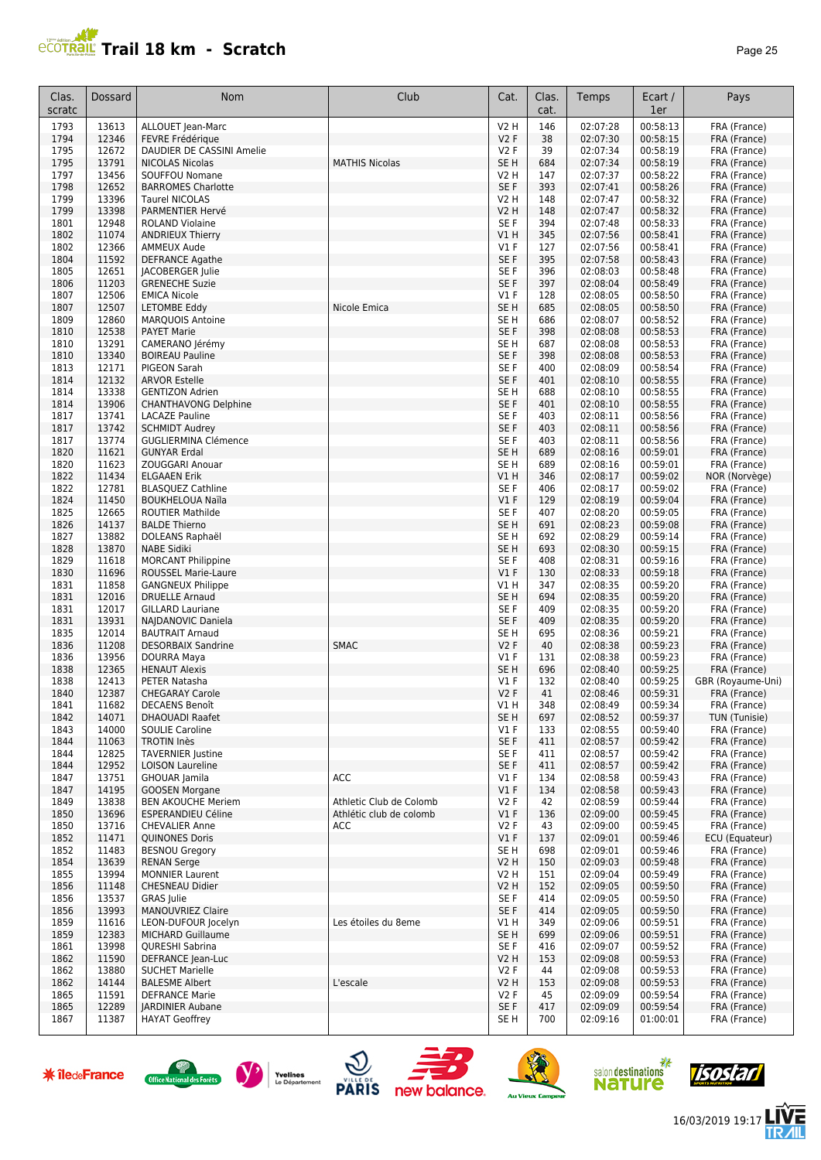

| Clas.<br>scratc | <b>Dossard</b> | Nom                                               | Club                    | Cat.                               | Clas.<br>cat. | Temps                | Ecart /<br>1er       | Pays                              |
|-----------------|----------------|---------------------------------------------------|-------------------------|------------------------------------|---------------|----------------------|----------------------|-----------------------------------|
| 1793            | 13613          | ALLOUET Jean-Marc                                 |                         | <b>V2 H</b>                        | 146           | 02:07:28             | 00:58:13             | FRA (France)                      |
| 1794            | 12346          | FEVRE Frédérique                                  |                         | V2F                                | 38            | 02:07:30             | 00:58:15             | FRA (France)                      |
| 1795            | 12672          | DAUDIER DE CASSINI Amelie                         |                         | V2F                                | 39            | 02:07:34             | 00:58:19             | FRA (France)                      |
| 1795<br>1797    | 13791<br>13456 | <b>NICOLAS Nicolas</b>                            | <b>MATHIS Nicolas</b>   | SE <sub>H</sub>                    | 684           | 02:07:34<br>02:07:37 | 00:58:19<br>00:58:22 | FRA (France)                      |
| 1798            | 12652          | SOUFFOU Nomane<br><b>BARROMES Charlotte</b>       |                         | V2 H<br>SE <sub>F</sub>            | 147<br>393    | 02:07:41             | 00:58:26             | FRA (France)<br>FRA (France)      |
| 1799            | 13396          | <b>Taurel NICOLAS</b>                             |                         | V2 H                               | 148           | 02:07:47             | 00:58:32             | FRA (France)                      |
| 1799            | 13398          | PARMENTIER Hervé                                  |                         | <b>V2 H</b>                        | 148           | 02:07:47             | 00:58:32             | FRA (France)                      |
| 1801            | 12948          | <b>ROLAND Violaine</b>                            |                         | SE F                               | 394           | 02:07:48             | 00:58:33             | FRA (France)                      |
| 1802            | 11074          | <b>ANDRIEUX Thierry</b>                           |                         | V1H                                | 345           | 02:07:56             | 00:58:41             | FRA (France)                      |
| 1802            | 12366          | <b>AMMEUX Aude</b>                                |                         | <b>V1 F</b>                        | 127           | 02:07:56             | 00:58:41             | FRA (France)                      |
| 1804<br>1805    | 11592<br>12651 | <b>DEFRANCE Agathe</b><br><b>JACOBERGER Julie</b> |                         | SE F<br>SE <sub>F</sub>            | 395<br>396    | 02:07:58<br>02:08:03 | 00:58:43<br>00:58:48 | FRA (France)<br>FRA (France)      |
| 1806            | 11203          | <b>GRENECHE Suzie</b>                             |                         | SE F                               | 397           | 02:08:04             | 00:58:49             | FRA (France)                      |
| 1807            | 12506          | <b>EMICA Nicole</b>                               |                         | $VI$ F                             | 128           | 02:08:05             | 00:58:50             | FRA (France)                      |
| 1807            | 12507          | LETOMBE Eddy                                      | Nicole Emica            | SE <sub>H</sub>                    | 685           | 02:08:05             | 00:58:50             | FRA (France)                      |
| 1809            | 12860          | <b>MARQUOIS Antoine</b>                           |                         | SE <sub>H</sub>                    | 686           | 02:08:07             | 00:58:52             | FRA (France)                      |
| 1810            | 12538          | <b>PAYET Marie</b>                                |                         | SE F                               | 398           | 02:08:08             | 00:58:53             | FRA (France)                      |
| 1810            | 13291          | CAMERANO Jérémy                                   |                         | SE <sub>H</sub>                    | 687           | 02:08:08             | 00:58:53             | FRA (France)                      |
| 1810<br>1813    | 13340<br>12171 | <b>BOIREAU Pauline</b><br><b>PIGEON Sarah</b>     |                         | SE <sub>F</sub><br>SE <sub>F</sub> | 398<br>400    | 02:08:08<br>02:08:09 | 00:58:53<br>00:58:54 | FRA (France)<br>FRA (France)      |
| 1814            | 12132          | <b>ARVOR Estelle</b>                              |                         | SE F                               | 401           | 02:08:10             | 00:58:55             | FRA (France)                      |
| 1814            | 13338          | <b>GENTIZON Adrien</b>                            |                         | SE <sub>H</sub>                    | 688           | 02:08:10             | 00:58:55             | FRA (France)                      |
| 1814            | 13906          | <b>CHANTHAVONG Delphine</b>                       |                         | SE F                               | 401           | 02:08:10             | 00:58:55             | FRA (France)                      |
| 1817            | 13741          | <b>LACAZE Pauline</b>                             |                         | SE <sub>F</sub>                    | 403           | 02:08:11             | 00:58:56             | FRA (France)                      |
| 1817            | 13742          | <b>SCHMIDT Audrey</b>                             |                         | SE <sub>F</sub>                    | 403           | 02:08:11             | 00:58:56             | FRA (France)                      |
| 1817            | 13774          | <b>GUGLIERMINA Clémence</b>                       |                         | SE <sub>F</sub>                    | 403           | 02:08:11             | 00:58:56             | FRA (France)                      |
| 1820            | 11621          | <b>GUNYAR Erdal</b>                               |                         | SE <sub>H</sub>                    | 689           | 02:08:16             | 00:59:01             | FRA (France)                      |
| 1820            | 11623          | ZOUGGARI Anouar                                   |                         | SE <sub>H</sub>                    | 689           | 02:08:16             | 00:59:01             | FRA (France)                      |
| 1822<br>1822    | 11434<br>12781 | <b>ELGAAEN Erik</b><br><b>BLASQUEZ Cathline</b>   |                         | V1H<br>SE <sub>F</sub>             | 346<br>406    | 02:08:17<br>02:08:17 | 00:59:02<br>00:59:02 | NOR (Norvège)<br>FRA (France)     |
| 1824            | 11450          | <b>BOUKHELOUA Naïla</b>                           |                         | $VI$ F                             | 129           | 02:08:19             | 00:59:04             | FRA (France)                      |
| 1825            | 12665          | <b>ROUTIER Mathilde</b>                           |                         | SE F                               | 407           | 02:08:20             | 00:59:05             | FRA (France)                      |
| 1826            | 14137          | <b>BALDE Thierno</b>                              |                         | SE <sub>H</sub>                    | 691           | 02:08:23             | 00:59:08             | FRA (France)                      |
| 1827            | 13882          | DOLEANS Raphaël                                   |                         | SE H                               | 692           | 02:08:29             | 00:59:14             | FRA (France)                      |
| 1828            | 13870          | <b>NABE Sidiki</b>                                |                         | SE <sub>H</sub>                    | 693           | 02:08:30             | 00:59:15             | FRA (France)                      |
| 1829            | 11618          | <b>MORCANT Philippine</b>                         |                         | SE F                               | 408           | 02:08:31             | 00:59:16             | FRA (France)                      |
| 1830            | 11696          | ROUSSEL Marie-Laure                               |                         | V1F                                | 130           | 02:08:33             | 00:59:18             | FRA (France)                      |
| 1831<br>1831    | 11858<br>12016 | <b>GANGNEUX Philippe</b><br><b>DRUELLE Arnaud</b> |                         | V1H<br>SE <sub>H</sub>             | 347<br>694    | 02:08:35<br>02:08:35 | 00:59:20<br>00:59:20 | FRA (France)<br>FRA (France)      |
| 1831            | 12017          | <b>GILLARD Lauriane</b>                           |                         | SE F                               | 409           | 02:08:35             | 00:59:20             | FRA (France)                      |
| 1831            | 13931          | NAJDANOVIC Daniela                                |                         | SE F                               | 409           | 02:08:35             | 00:59:20             | FRA (France)                      |
| 1835            | 12014          | <b>BAUTRAIT Arnaud</b>                            |                         | SE <sub>H</sub>                    | 695           | 02:08:36             | 00:59:21             | FRA (France)                      |
| 1836            | 11208          | <b>DESORBAIX Sandrine</b>                         | <b>SMAC</b>             | <b>V2F</b>                         | 40            | 02:08:38             | 00:59:23             | FRA (France)                      |
| 1836            | 13956          | DOURRA Maya                                       |                         | $VI$ F                             | 131           | 02:08:38             | 00:59:23             | FRA (France)                      |
| 1838<br>1838    | 12365<br>12413 | <b>HENAUT Alexis</b><br>PETER Natasha             |                         | SE <sub>H</sub><br><b>V1 F</b>     | 696<br>132    | 02:08:40<br>02:08:40 | 00:59:25<br>00:59:25 | FRA (France)<br>GBR (Royaume-Uni) |
| 1840            | 12387          | <b>CHEGARAY Carole</b>                            |                         | <b>V2F</b>                         | 41            | 02:08:46             | 00:59:31             | FRA (France)                      |
| 1841            | 11682          | DECAENS Benoît                                    |                         | V1 H                               | 348           | 02:08:49             | 00:59:34             | FRA (France)                      |
| 1842            | 14071          | <b>DHAOUADI Raafet</b>                            |                         | SE <sub>H</sub>                    | 697           | 02:08:52             | 00:59:37             | TUN (Tunisie)                     |
| 1843            | 14000          | <b>SOULIE Caroline</b>                            |                         | V1F                                | 133           | 02:08:55             | 00:59:40             | FRA (France)                      |
| 1844            | 11063          | <b>TROTIN Inès</b>                                |                         | SE F                               | 411           | 02:08:57             | 00:59:42             | FRA (France)                      |
| 1844            | 12825          | <b>TAVERNIER Justine</b>                          |                         | SE F                               | 411           | 02:08:57             | 00:59:42             | FRA (France)                      |
| 1844            | 12952          | <b>LOISON Laureline</b>                           | ACC                     | SE F<br>V1F                        | 411           | 02:08:57<br>02:08:58 | 00:59:42<br>00:59:43 | FRA (France)                      |
| 1847<br>1847    | 13751<br>14195 | GHOUAR Jamila<br><b>GOOSEN Morgane</b>            |                         | $VI$ F                             | 134<br>134    | 02:08:58             | 00:59:43             | FRA (France)<br>FRA (France)      |
| 1849            | 13838          | <b>BEN AKOUCHE Meriem</b>                         | Athletic Club de Colomb | V2F                                | 42            | 02:08:59             | 00:59:44             | FRA (France)                      |
| 1850            | 13696          | <b>ESPERANDIEU Céline</b>                         | Athlétic club de colomb | $VI$ F                             | 136           | 02:09:00             | 00:59:45             | FRA (France)                      |
| 1850            | 13716          | <b>CHEVALIER Anne</b>                             | <b>ACC</b>              | V2F                                | 43            | 02:09:00             | 00:59:45             | FRA (France)                      |
| 1852            | 11471          | <b>OUINONES Doris</b>                             |                         | $VI$ F                             | 137           | 02:09:01             | 00:59:46             | ECU (Equateur)                    |
| 1852            | 11483          | <b>BESNOU Gregory</b>                             |                         | SE H                               | 698           | 02:09:01             | 00:59:46             | FRA (France)                      |
| 1854            | 13639          | <b>RENAN Serge</b>                                |                         | V2 H                               | 150           | 02:09:03             | 00:59:48             | FRA (France)                      |
| 1855<br>1856    | 13994<br>11148 | <b>MONNIER Laurent</b><br>CHESNEAU Didier         |                         | V2 H<br>V2H                        | 151<br>152    | 02:09:04<br>02:09:05 | 00:59:49<br>00:59:50 | FRA (France)<br>FRA (France)      |
| 1856            | 13537          | <b>GRAS</b> Julie                                 |                         | SE F                               | 414           | 02:09:05             | 00:59:50             | FRA (France)                      |
| 1856            | 13993          | MANOUVRIEZ Claire                                 |                         | SE F                               | 414           | 02:09:05             | 00:59:50             | FRA (France)                      |
| 1859            | 11616          | LEON-DUFOUR Jocelyn                               | Les étoiles du 8eme     | V1 H                               | 349           | 02:09:06             | 00:59:51             | FRA (France)                      |
| 1859            | 12383          | MICHARD Guillaume                                 |                         | SE <sub>H</sub>                    | 699           | 02:09:06             | 00:59:51             | FRA (France)                      |
| 1861            | 13998          | QURESHI Sabrina                                   |                         | SE F                               | 416           | 02:09:07             | 00:59:52             | FRA (France)                      |
| 1862            | 11590          | DEFRANCE Jean-Luc                                 |                         | V2 H                               | 153           | 02:09:08             | 00:59:53             | FRA (France)                      |
| 1862            | 13880          | <b>SUCHET Marielle</b>                            |                         | V2F                                | 44            | 02:09:08             | 00:59:53             | FRA (France)                      |
| 1862<br>1865    | 14144<br>11591 | <b>BALESME Albert</b>                             | L'escale                | V2 H<br>V2F                        | 153<br>45     | 02:09:08<br>02:09:09 | 00:59:53<br>00:59:54 | FRA (France)<br>FRA (France)      |
| 1865            | 12289          | <b>DEFRANCE Marie</b><br><b>JARDINIER Aubane</b>  |                         | SE F                               | 417           | 02:09:09             | 00:59:54             | FRA (France)                      |
| 1867            | 11387          | <b>HAYAT Geoffrey</b>                             |                         | SE H                               | 700           | 02:09:16             | 01:00:01             | FRA (France)                      |
|                 |                |                                                   |                         |                                    |               |                      |                      |                                   |















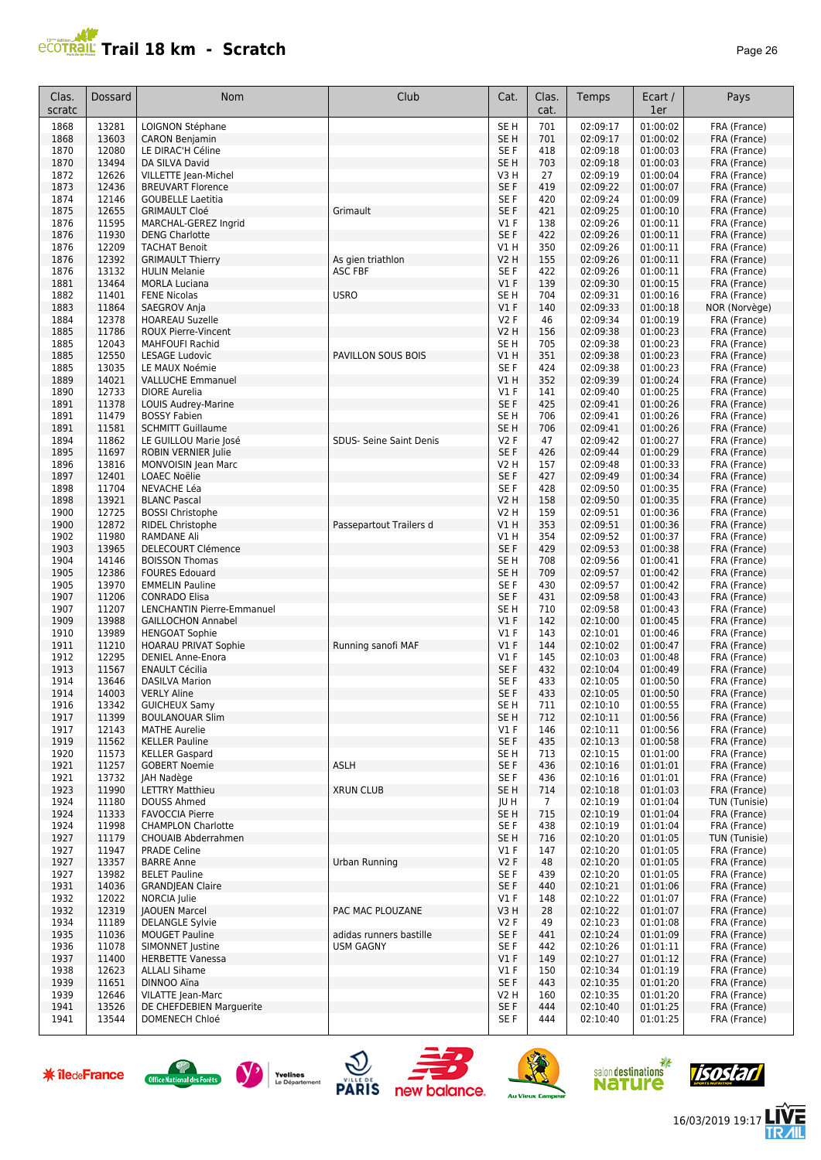

| Clas.<br>scratc | Dossard        | <b>Nom</b>                                           | Club                                        | Cat.                               | Clas.<br>cat.   | Temps                | Ecart /<br>1er       | Pays                         |
|-----------------|----------------|------------------------------------------------------|---------------------------------------------|------------------------------------|-----------------|----------------------|----------------------|------------------------------|
| 1868            | 13281          | LOIGNON Stéphane                                     |                                             | SE <sub>H</sub>                    | 701             | 02:09:17             | 01:00:02             | FRA (France)                 |
| 1868            | 13603          | <b>CARON Benjamin</b>                                |                                             | SE <sub>H</sub>                    | 701             | 02:09:17             | 01:00:02             | FRA (France)                 |
| 1870            | 12080          | LE DIRAC'H Céline                                    |                                             | SE F                               | 418             | 02:09:18             | 01:00:03             | FRA (France)                 |
| 1870<br>1872    | 13494<br>12626 | DA SILVA David<br>VILLETTE Jean-Michel               |                                             | SE <sub>H</sub><br>V3 H            | 703<br>27       | 02:09:18<br>02:09:19 | 01:00:03<br>01:00:04 | FRA (France)<br>FRA (France) |
| 1873            | 12436          | <b>BREUVART Florence</b>                             |                                             | SE F                               | 419             | 02:09:22             | 01:00:07             | FRA (France)                 |
| 1874            | 12146          | <b>GOUBELLE Laetitia</b>                             |                                             | SE <sub>F</sub>                    | 420             | 02:09:24             | 01:00:09             | FRA (France)                 |
| 1875            | 12655          | <b>GRIMAULT Cloé</b>                                 | Grimault                                    | SE F                               | 421             | 02:09:25             | 01:00:10             | FRA (France)                 |
| 1876            | 11595          | MARCHAL-GEREZ Ingrid                                 |                                             | V1F                                | 138             | 02:09:26             | 01:00:11             | FRA (France)                 |
| 1876<br>1876    | 11930<br>12209 | <b>DENG Charlotte</b><br><b>TACHAT Benoit</b>        |                                             | SE F<br>V1 H                       | 422<br>350      | 02:09:26<br>02:09:26 | 01:00:11<br>01:00:11 | FRA (France)<br>FRA (France) |
| 1876            | 12392          | <b>GRIMAULT Thierry</b>                              | As gien triathlon                           | <b>V2 H</b>                        | 155             | 02:09:26             | 01:00:11             | FRA (France)                 |
| 1876            | 13132          | <b>HULIN Melanie</b>                                 | <b>ASC FBF</b>                              | SE <sub>F</sub>                    | 422             | 02:09:26             | 01:00:11             | FRA (France)                 |
| 1881            | 13464          | <b>MORLA Luciana</b>                                 |                                             | $VI$ F                             | 139             | 02:09:30             | 01:00:15             | FRA (France)                 |
| 1882            | 11401          | <b>FENE Nicolas</b>                                  | <b>USRO</b>                                 | SE <sub>H</sub>                    | 704             | 02:09:31             | 01:00:16             | FRA (France)                 |
| 1883            | 11864          | SAEGROV Anja                                         |                                             | $VI$ F                             | 140             | 02:09:33             | 01:00:18             | NOR (Norvège)                |
| 1884<br>1885    | 12378<br>11786 | <b>HOAREAU Suzelle</b><br><b>ROUX Pierre-Vincent</b> |                                             | <b>V2F</b><br><b>V2 H</b>          | 46<br>156       | 02:09:34<br>02:09:38 | 01:00:19<br>01:00:23 | FRA (France)<br>FRA (France) |
| 1885            | 12043          | <b>MAHFOUFI Rachid</b>                               |                                             | SE <sub>H</sub>                    | 705             | 02:09:38             | 01:00:23             | FRA (France)                 |
| 1885            | 12550          | <b>LESAGE Ludovic</b>                                | PAVILLON SOUS BOIS                          | V1H                                | 351             | 02:09:38             | 01:00:23             | FRA (France)                 |
| 1885            | 13035          | LE MAUX Noémie                                       |                                             | SE F                               | 424             | 02:09:38             | 01:00:23             | FRA (France)                 |
| 1889            | 14021          | <b>VALLUCHE Emmanuel</b>                             |                                             | V1H                                | 352             | 02:09:39             | 01:00:24             | FRA (France)                 |
| 1890<br>1891    | 12733<br>11378 | <b>DIORE</b> Aurelia<br>LOUIS Audrey-Marine          |                                             | <b>V1 F</b><br>SE F                | 141<br>425      | 02:09:40<br>02:09:41 | 01:00:25<br>01:00:26 | FRA (France)<br>FRA (France) |
| 1891            | 11479          | <b>BOSSY Fabien</b>                                  |                                             | SE <sub>H</sub>                    | 706             | 02:09:41             | 01:00:26             | FRA (France)                 |
| 1891            | 11581          | <b>SCHMITT Guillaume</b>                             |                                             | SE <sub>H</sub>                    | 706             | 02:09:41             | 01:00:26             | FRA (France)                 |
| 1894            | 11862          | LE GUILLOU Marie José                                | SDUS- Seine Saint Denis                     | <b>V2F</b>                         | 47              | 02:09:42             | 01:00:27             | FRA (France)                 |
| 1895            | 11697          | <b>ROBIN VERNIER Julie</b>                           |                                             | SE F                               | 426             | 02:09:44             | 01:00:29             | FRA (France)                 |
| 1896            | 13816          | MONVOISIN Jean Marc                                  |                                             | V2 H                               | 157             | 02:09:48             | 01:00:33             | FRA (France)                 |
| 1897<br>1898    | 12401<br>11704 | <b>LOAEC Noëlie</b><br>NEVACHE Léa                   |                                             | SE F<br>SE <sub>F</sub>            | 427<br>428      | 02:09:49<br>02:09:50 | 01:00:34<br>01:00:35 | FRA (France)<br>FRA (France) |
| 1898            | 13921          | <b>BLANC Pascal</b>                                  |                                             | <b>V2 H</b>                        | 158             | 02:09:50             | 01:00:35             | FRA (France)                 |
| 1900            | 12725          | <b>BOSSI Christophe</b>                              |                                             | V2 H                               | 159             | 02:09:51             | 01:00:36             | FRA (France)                 |
| 1900            | 12872          | <b>RIDEL Christophe</b>                              | Passepartout Trailers d                     | V1H                                | 353             | 02:09:51             | 01:00:36             | FRA (France)                 |
| 1902            | 11980          | <b>RAMDANE Ali</b>                                   |                                             | V1 H                               | 354             | 02:09:52             | 01:00:37             | FRA (France)                 |
| 1903            | 13965          | <b>DELECOURT Clémence</b>                            |                                             | SE F                               | 429             | 02:09:53             | 01:00:38             | FRA (France)                 |
| 1904<br>1905    | 14146<br>12386 | <b>BOISSON Thomas</b><br><b>FOURES Edouard</b>       |                                             | SE <sub>H</sub><br>SE <sub>H</sub> | 708<br>709      | 02:09:56<br>02:09:57 | 01:00:41<br>01:00:42 | FRA (France)<br>FRA (France) |
| 1905            | 13970          | <b>EMMELIN Pauline</b>                               |                                             | SE <sub>F</sub>                    | 430             | 02:09:57             | 01:00:42             | FRA (France)                 |
| 1907            | 11206          | <b>CONRADO Elisa</b>                                 |                                             | SE F                               | 431             | 02:09:58             | 01:00:43             | FRA (France)                 |
| 1907            | 11207          | <b>LENCHANTIN Pierre-Emmanuel</b>                    |                                             | SE <sub>H</sub>                    | 710             | 02:09:58             | 01:00:43             | FRA (France)                 |
| 1909            | 13988          | <b>GAILLOCHON Annabel</b>                            |                                             | $VI$ F                             | 142             | 02:10:00             | 01:00:45<br>01:00:46 | FRA (France)                 |
| 1910<br>1911    | 13989<br>11210 | <b>HENGOAT Sophie</b><br><b>HOARAU PRIVAT Sophie</b> | Running sanofi MAF                          | V1F<br>$VI$ F                      | 143<br>144      | 02:10:01<br>02:10:02 | 01:00:47             | FRA (France)<br>FRA (France) |
| 1912            | 12295          | <b>DENIEL Anne-Enora</b>                             |                                             | V1F                                | 145             | 02:10:03             | 01:00:48             | FRA (France)                 |
| 1913            | 11567          | <b>ENAULT Cécilia</b>                                |                                             | SE F                               | 432             | 02:10:04             | 01:00:49             | FRA (France)                 |
| 1914            | 13646          | <b>DASILVA Marion</b>                                |                                             | SE <sub>F</sub>                    | 433             | 02:10:05             | 01:00:50             | FRA (France)                 |
| 1914            | 14003          | <b>VERLY Aline</b>                                   |                                             | SE F                               | 433             | 02:10:05             | 01:00:50             | FRA (France)                 |
| 1916<br>1917    | 13342<br>11399 | <b>GUICHEUX Samy</b><br><b>BOULANOUAR Slim</b>       |                                             | SE <sub>H</sub><br>SE H            | 711<br>712      | 02:10:10<br>02:10:11 | 01:00:55<br>01:00:56 | FRA (France)<br>FRA (France) |
| 1917            | 12143          | <b>MATHE Aurelie</b>                                 |                                             | <b>V1 F</b>                        | 146             | 02:10:11             | 01:00:56             | FRA (France)                 |
| 1919            | 11562          | <b>KELLER Pauline</b>                                |                                             | SE F                               | 435             | 02:10:13             | 01:00:58             | FRA (France)                 |
| 1920            | 11573          | <b>KELLER Gaspard</b>                                |                                             | SE H                               | 713             | 02:10:15             | 01:01:00             | FRA (France)                 |
| 1921            | 11257          | <b>GOBERT Noemie</b>                                 | ASLH                                        | SE F                               | 436             | 02:10:16             | 01:01:01             | FRA (France)                 |
| 1921<br>1923    | 13732<br>11990 | JAH Nadège<br><b>LETTRY Matthieu</b>                 | <b>XRUN CLUB</b>                            | SE F<br>SE <sub>H</sub>            | 436<br>714      | 02:10:16<br>02:10:18 | 01:01:01<br>01:01:03 | FRA (France)<br>FRA (France) |
| 1924            | 11180          | DOUSS Ahmed                                          |                                             | JU H                               | $7\overline{ }$ | 02:10:19             | 01:01:04             | TUN (Tunisie)                |
| 1924            | 11333          | <b>FAVOCCIA Pierre</b>                               |                                             | SE <sub>H</sub>                    | 715             | 02:10:19             | 01:01:04             | FRA (France)                 |
| 1924            | 11998          | <b>CHAMPLON Charlotte</b>                            |                                             | SE F                               | 438             | 02:10:19             | 01:01:04             | FRA (France)                 |
| 1927            | 11179          | CHOUAIB Abderrahmen                                  |                                             | SE <sub>H</sub>                    | 716             | 02:10:20             | 01:01:05             | TUN (Tunisie)                |
| 1927<br>1927    | 11947<br>13357 | <b>PRADE Celine</b><br><b>BARRE Anne</b>             | Urban Running                               | $VI$ F<br>V2F                      | 147<br>48       | 02:10:20<br>02:10:20 | 01:01:05<br>01:01:05 | FRA (France)<br>FRA (France) |
| 1927            | 13982          | <b>BELET Pauline</b>                                 |                                             | SE <sub>F</sub>                    | 439             | 02:10:20             | 01:01:05             | FRA (France)                 |
| 1931            | 14036          | <b>GRANDJEAN Claire</b>                              |                                             | SE F                               | 440             | 02:10:21             | 01:01:06             | FRA (France)                 |
| 1932            | 12022          | NORCIA Julie                                         |                                             | $VI$ F                             | 148             | 02:10:22             | 01:01:07             | FRA (France)                 |
| 1932            | 12319          | <b>JAOUEN Marcel</b>                                 | PAC MAC PLOUZANE                            | V3 H                               | 28              | 02:10:22             | 01:01:07             | FRA (France)                 |
| 1934<br>1935    | 11189          | <b>DELANGLE Sylvie</b>                               |                                             | V2F<br>SE F                        | 49              | 02:10:23             | 01:01:08<br>01:01:09 | FRA (France)                 |
| 1936            | 11036<br>11078 | <b>MOUGET Pauline</b><br>SIMONNET Justine            | adidas runners bastille<br><b>USM GAGNY</b> | SE F                               | 441<br>442      | 02:10:24<br>02:10:26 | 01:01:11             | FRA (France)<br>FRA (France) |
| 1937            | 11400          | <b>HERBETTE Vanessa</b>                              |                                             | $VI$ F                             | 149             | 02:10:27             | 01:01:12             | FRA (France)                 |
| 1938            | 12623          | <b>ALLALI Sihame</b>                                 |                                             | <b>V1 F</b>                        | 150             | 02:10:34             | 01:01:19             | FRA (France)                 |
| 1939            | 11651          | DINNOO Aïna                                          |                                             | SE F                               | 443             | 02:10:35             | 01:01:20             | FRA (France)                 |
| 1939            | 12646          | VILATTE Jean-Marc                                    |                                             | V2 H                               | 160             | 02:10:35             | 01:01:20             | FRA (France)                 |
| 1941<br>1941    | 13526<br>13544 | DE CHEFDEBIEN Marguerite<br>DOMENECH Chloé           |                                             | SE F<br>SE F                       | 444<br>444      | 02:10:40<br>02:10:40 | 01:01:25<br>01:01:25 | FRA (France)<br>FRA (France) |













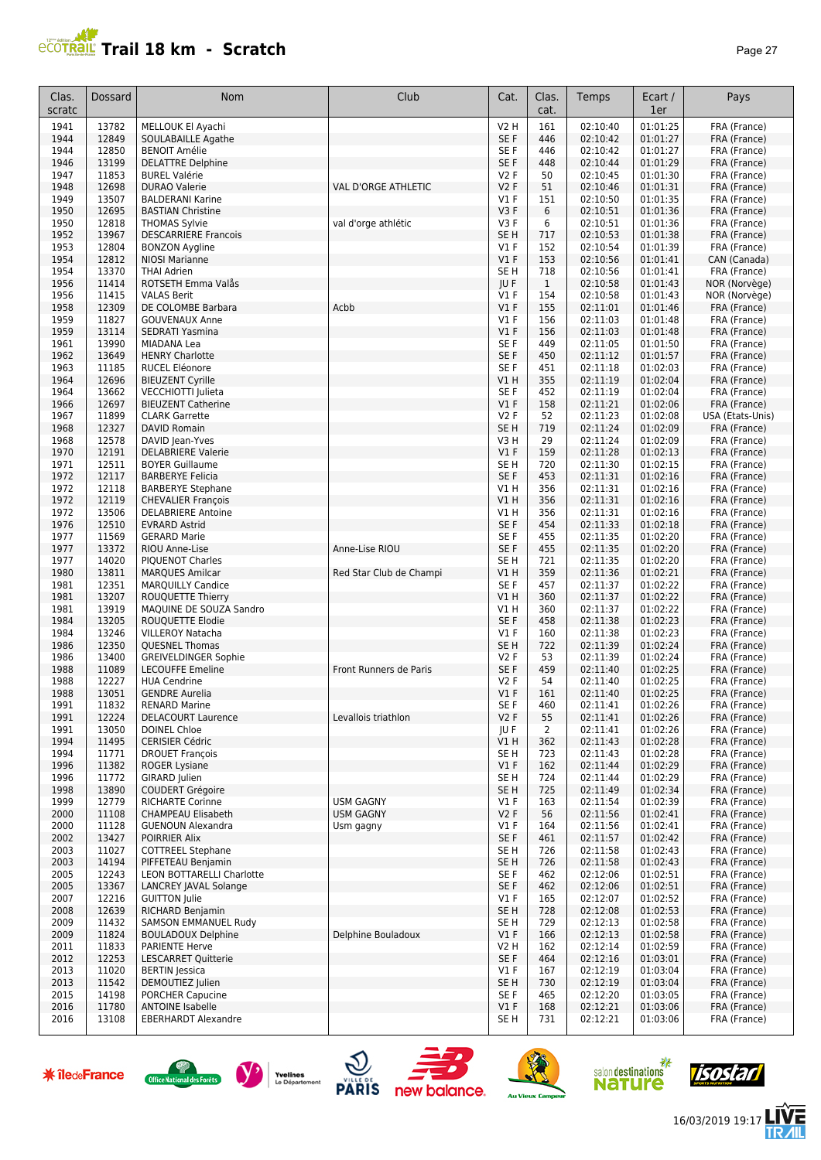

| Clas.<br>scratc | Dossard        | <b>Nom</b>                                               | Club                    | Cat.                           | Clas.<br>cat. | Temps                | Ecart /<br>1er       | Pays                         |
|-----------------|----------------|----------------------------------------------------------|-------------------------|--------------------------------|---------------|----------------------|----------------------|------------------------------|
| 1941            | 13782          | MELLOUK El Ayachi                                        |                         | V2 H                           | 161           | 02:10:40             | 01:01:25             | FRA (France)                 |
| 1944            | 12849          | SOULABAILLE Agathe                                       |                         | SE F                           | 446           | 02:10:42             | 01:01:27             | FRA (France)                 |
| 1944            | 12850          | <b>BENOIT Amélie</b>                                     |                         | SE F                           | 446           | 02:10:42             | 01:01:27             | FRA (France)                 |
| 1946            | 13199<br>11853 | <b>DELATTRE Delphine</b>                                 |                         | SE F                           | 448           | 02:10:44             | 01:01:29<br>01:01:30 | FRA (France)                 |
| 1947<br>1948    | 12698          | <b>BUREL Valérie</b><br><b>DURAO Valerie</b>             | VAL D'ORGE ATHLETIC     | <b>V2F</b><br>V <sub>2</sub> F | 50<br>51      | 02:10:45<br>02:10:46 | 01:01:31             | FRA (France)<br>FRA (France) |
| 1949            | 13507          | <b>BALDERANI Karine</b>                                  |                         | V1F                            | 151           | 02:10:50             | 01:01:35             | FRA (France)                 |
| 1950            | 12695          | <b>BASTIAN Christine</b>                                 |                         | V3F                            | 6             | 02:10:51             | 01:01:36             | FRA (France)                 |
| 1950            | 12818          | <b>THOMAS Sylvie</b>                                     | val d'orge athlétic     | V3F                            | 6             | 02:10:51             | 01:01:36             | FRA (France)                 |
| 1952            | 13967          | <b>DESCARRIERE Francois</b>                              |                         | SE <sub>H</sub>                | 717           | 02:10:53             | 01:01:38             | FRA (France)                 |
| 1953            | 12804          | <b>BONZON Aygline</b>                                    |                         | V1F<br>V1F                     | 152           | 02:10:54             | 01:01:39             | FRA (France)                 |
| 1954<br>1954    | 12812<br>13370 | <b>NIOSI Marianne</b><br><b>THAI Adrien</b>              |                         | SE <sub>H</sub>                | 153<br>718    | 02:10:56<br>02:10:56 | 01:01:41<br>01:01:41 | CAN (Canada)<br>FRA (France) |
| 1956            | 11414          | ROTSETH Emma Valås                                       |                         | JU F                           | $\mathbf{1}$  | 02:10:58             | 01:01:43             | NOR (Norvège)                |
| 1956            | 11415          | <b>VALAS Berit</b>                                       |                         | V1F                            | 154           | 02:10:58             | 01:01:43             | NOR (Norvège)                |
| 1958            | 12309          | DE COLOMBE Barbara                                       | Acbb                    | V1F                            | 155           | 02:11:01             | 01:01:46             | FRA (France)                 |
| 1959            | 11827          | <b>GOUVENAUX Anne</b>                                    |                         | V1F                            | 156           | 02:11:03             | 01:01:48             | FRA (France)                 |
| 1959            | 13114<br>13990 | SEDRATI Yasmina                                          |                         | V1F<br>SE F                    | 156           | 02:11:03             | 01:01:48<br>01:01:50 | FRA (France)                 |
| 1961<br>1962    | 13649          | MIADANA Lea<br><b>HENRY Charlotte</b>                    |                         | SE F                           | 449<br>450    | 02:11:05<br>02:11:12 | 01:01:57             | FRA (France)<br>FRA (France) |
| 1963            | 11185          | RUCEL Eléonore                                           |                         | SE <sub>F</sub>                | 451           | 02:11:18             | 01:02:03             | FRA (France)                 |
| 1964            | 12696          | <b>BIEUZENT Cyrille</b>                                  |                         | VIH                            | 355           | 02:11:19             | 01:02:04             | FRA (France)                 |
| 1964            | 13662          | VECCHIOTTI Julieta                                       |                         | SE F                           | 452           | 02:11:19             | 01:02:04             | FRA (France)                 |
| 1966            | 12697          | <b>BIEUZENT Catherine</b>                                |                         | V1F                            | 158           | 02:11:21             | 01:02:06             | FRA (France)                 |
| 1967            | 11899          | <b>CLARK Garrette</b>                                    |                         | <b>V2F</b>                     | 52            | 02:11:23             | 01:02:08             | USA (Etats-Unis)             |
| 1968<br>1968    | 12327<br>12578 | DAVID Romain<br>DAVID Jean-Yves                          |                         | SE <sub>H</sub><br>V3 H        | 719<br>29     | 02:11:24<br>02:11:24 | 01:02:09<br>01:02:09 | FRA (France)<br>FRA (France) |
| 1970            | 12191          | <b>DELABRIERE Valerie</b>                                |                         | V1F                            | 159           | 02:11:28             | 01:02:13             | FRA (France)                 |
| 1971            | 12511          | <b>BOYER Guillaume</b>                                   |                         | SE H                           | 720           | 02:11:30             | 01:02:15             | FRA (France)                 |
| 1972            | 12117          | <b>BARBERYE Felicia</b>                                  |                         | SE F                           | 453           | 02:11:31             | 01:02:16             | FRA (France)                 |
| 1972            | 12118          | <b>BARBERYE Stephane</b>                                 |                         | V1 H                           | 356           | 02:11:31             | 01:02:16             | FRA (France)                 |
| 1972            | 12119          | <b>CHEVALIER François</b>                                |                         | VIH                            | 356           | 02:11:31             | 01:02:16             | FRA (France)                 |
| 1972<br>1976    | 13506<br>12510 | <b>DELABRIERE Antoine</b><br><b>EVRARD Astrid</b>        |                         | V1 H<br>SE F                   | 356<br>454    | 02:11:31<br>02:11:33 | 01:02:16<br>01:02:18 | FRA (France)<br>FRA (France) |
| 1977            | 11569          | <b>GERARD Marie</b>                                      |                         | SE <sub>F</sub>                | 455           | 02:11:35             | 01:02:20             | FRA (France)                 |
| 1977            | 13372          | RIOU Anne-Lise                                           | Anne-Lise RIOU          | SE F                           | 455           | 02:11:35             | 01:02:20             | FRA (France)                 |
| 1977            | 14020          | <b>PIQUENOT Charles</b>                                  |                         | SE <sub>H</sub>                | 721           | 02:11:35             | 01:02:20             | FRA (France)                 |
| 1980            | 13811          | <b>MARQUES Amilcar</b>                                   | Red Star Club de Champi | V1H                            | 359           | 02:11:36             | 01:02:21             | FRA (France)                 |
| 1981            | 12351          | <b>MARQUILLY Candice</b>                                 |                         | SE F                           | 457           | 02:11:37             | 01:02:22             | FRA (France)                 |
| 1981<br>1981    | 13207<br>13919 | ROUQUETTE Thierry<br>MAQUINE DE SOUZA Sandro             |                         | V1 H<br>V1 H                   | 360<br>360    | 02:11:37<br>02:11:37 | 01:02:22<br>01:02:22 | FRA (France)<br>FRA (France) |
| 1984            | 13205          | <b>ROUOUETTE Elodie</b>                                  |                         | SE F                           | 458           | 02:11:38             | 01:02:23             | FRA (France)                 |
| 1984            | 13246          | <b>VILLEROY Natacha</b>                                  |                         | $VI$ F                         | 160           | 02:11:38             | 01:02:23             | FRA (France)                 |
| 1986            | 12350          | <b>QUESNEL Thomas</b>                                    |                         | SE <sub>H</sub>                | 722           | 02:11:39             | 01:02:24             | FRA (France)                 |
| 1986            | 13400          | <b>GREIVELDINGER Sophie</b>                              |                         | <b>V2F</b>                     | 53            | 02:11:39             | 01:02:24             | FRA (France)                 |
| 1988            | 11089          | <b>LECOUFFE Emeline</b>                                  | Front Runners de Paris  | SE F                           | 459           | 02:11:40<br>02:11:40 | 01:02:25             | FRA (France)                 |
| 1988<br>1988    | 12227<br>13051 | <b>HUA Cendrine</b><br><b>GENDRE Aurelia</b>             |                         | V <sub>2</sub> F<br>V1F        | 54<br>161     | 02:11:40             | 01:02:25<br>01:02:25 | FRA (France)<br>FRA (France) |
| 1991            | 11832          | <b>RENARD Marine</b>                                     |                         | SE F                           | 460           | 02:11:41             | 01:02:26             | FRA (France)                 |
| 1991            | 12224          | <b>DELACOURT Laurence</b>                                | Levallois triathlon     | V2F                            | 55            | 02:11:41             | 01:02:26             | FRA (France)                 |
| 1991            | 13050          | <b>DOINEL Chloe</b>                                      |                         | JU F                           | 2             | 02:11:41             | 01:02:26             | FRA (France)                 |
| 1994            | 11495          | <b>CERISIER Cédric</b>                                   |                         | V1 H                           | 362           | 02:11:43             | 01:02:28             | FRA (France)                 |
| 1994<br>1996    | 11771<br>11382 | <b>DROUET François</b><br><b>ROGER Lysiane</b>           |                         | SE H<br>$VI$ F                 | 723<br>162    | 02:11:43<br>02:11:44 | 01:02:28<br>01:02:29 | FRA (France)<br>FRA (France) |
| 1996            | 11772          | GIRARD Julien                                            |                         | SE H                           | 724           | 02:11:44             | 01:02:29             | FRA (France)                 |
| 1998            | 13890          | <b>COUDERT Grégoire</b>                                  |                         | SE H                           | 725           | 02:11:49             | 01:02:34             | FRA (France)                 |
| 1999            | 12779          | <b>RICHARTE Corinne</b>                                  | <b>USM GAGNY</b>        | <b>V1 F</b>                    | 163           | 02:11:54             | 01:02:39             | FRA (France)                 |
| 2000            | 11108          | <b>CHAMPEAU Elisabeth</b>                                | <b>USM GAGNY</b>        | <b>V2F</b>                     | 56            | 02:11:56             | 01:02:41             | FRA (France)                 |
| 2000            | 11128          | <b>GUENOUN Alexandra</b>                                 | Usm gagny               | $VI$ F                         | 164           | 02:11:56             | 01:02:41             | FRA (France)                 |
| 2002<br>2003    | 13427<br>11027 | <b>POIRRIER Alix</b><br><b>COTTREEL Stephane</b>         |                         | SE F<br>SE <sub>H</sub>        | 461<br>726    | 02:11:57<br>02:11:58 | 01:02:42<br>01:02:43 | FRA (France)<br>FRA (France) |
| 2003            | 14194          | PIFFETEAU Benjamin                                       |                         | SE H                           | 726           | 02:11:58             | 01:02:43             | FRA (France)                 |
| 2005            | 12243          | LEON BOTTARELLI Charlotte                                |                         | SE F                           | 462           | 02:12:06             | 01:02:51             | FRA (France)                 |
| 2005            | 13367          | LANCREY JAVAL Solange                                    |                         | SE F                           | 462           | 02:12:06             | 01:02:51             | FRA (France)                 |
| 2007            | 12216          | <b>GUITTON Julie</b>                                     |                         | $VI$ F                         | 165           | 02:12:07             | 01:02:52             | FRA (France)                 |
| 2008            | 12639          | RICHARD Benjamin                                         |                         | SE H                           | 728           | 02:12:08             | 01:02:53             | FRA (France)                 |
| 2009<br>2009    | 11432<br>11824 | <b>SAMSON EMMANUEL Rudy</b><br><b>BOULADOUX Delphine</b> | Delphine Bouladoux      | SE H<br>$VI$ F                 | 729<br>166    | 02:12:13<br>02:12:13 | 01:02:58<br>01:02:58 | FRA (France)<br>FRA (France) |
| 2011            | 11833          | <b>PARIENTE Herve</b>                                    |                         | V2 H                           | 162           | 02:12:14             | 01:02:59             | FRA (France)                 |
| 2012            | 12253          | <b>LESCARRET Quitterie</b>                               |                         | SE F                           | 464           | 02:12:16             | 01:03:01             | FRA (France)                 |
| 2013            | 11020          | <b>BERTIN</b> Jessica                                    |                         | $VI$ F                         | 167           | 02:12:19             | 01:03:04             | FRA (France)                 |
| 2013            | 11542          | DEMOUTIEZ Julien                                         |                         | SE <sub>H</sub>                | 730           | 02:12:19             | 01:03:04             | FRA (France)                 |
| 2015            | 14198          | PORCHER Capucine                                         |                         | SE F                           | 465           | 02:12:20             | 01:03:05             | FRA (France)                 |
| 2016<br>2016    | 11780<br>13108 | <b>ANTOINE Isabelle</b><br><b>EBERHARDT Alexandre</b>    |                         | $VI$ F<br>SE H                 | 168<br>731    | 02:12:21<br>02:12:21 | 01:03:06<br>01:03:06 | FRA (France)<br>FRA (France) |
|                 |                |                                                          |                         |                                |               |                      |                      |                              |

















信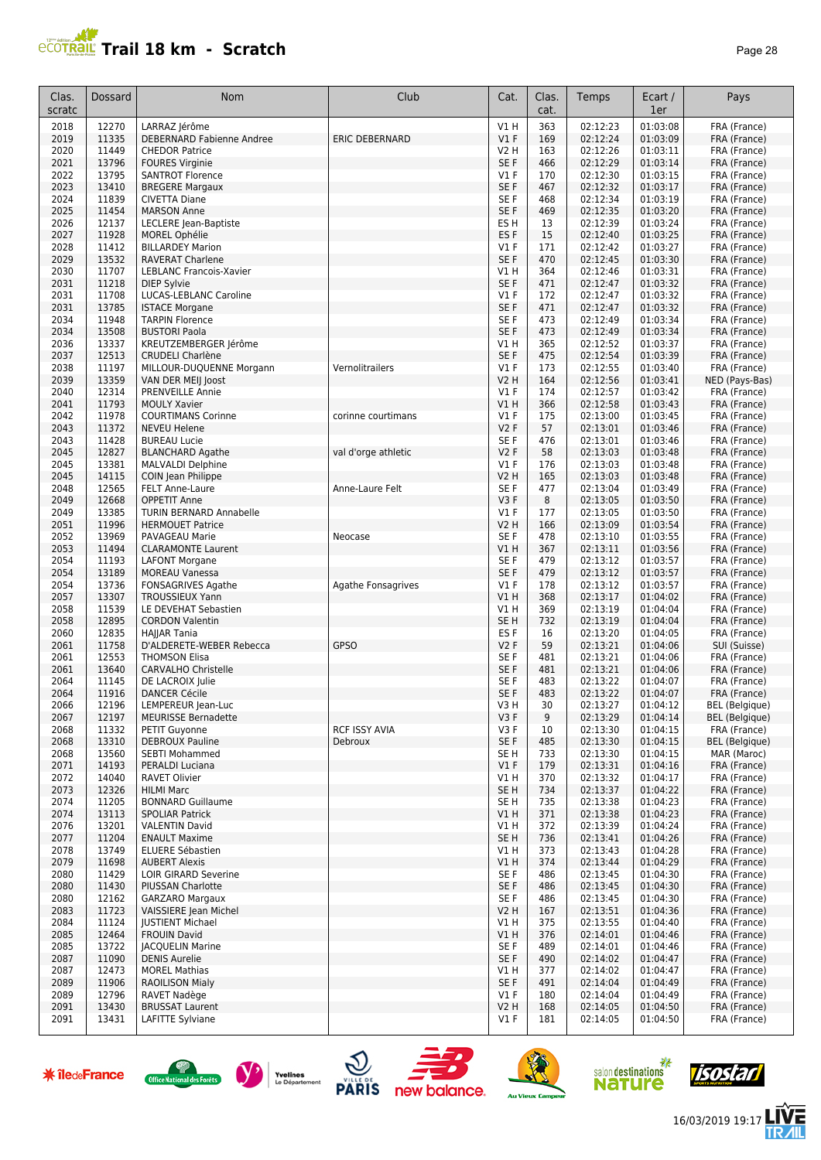# **PROTRAIL Trail 18 km - Scratch**

| юe |  |
|----|--|
|----|--|

| Clas.<br>scratc | Dossard        | <b>Nom</b>                                         | Club                            | Cat.                      | Clas.<br>cat. | Temps                | Ecart /<br>1er       | Pays                                  |
|-----------------|----------------|----------------------------------------------------|---------------------------------|---------------------------|---------------|----------------------|----------------------|---------------------------------------|
| 2018            | 12270          | LARRAZ Jérôme                                      |                                 | V1H                       | 363           | 02:12:23             | 01:03:08             | FRA (France)                          |
| 2019            | 11335          | DEBERNARD Fabienne Andree                          | <b>ERIC DEBERNARD</b>           | V1F                       | 169           | 02:12:24             | 01:03:09             | FRA (France)                          |
| 2020            | 11449          | <b>CHEDOR Patrice</b>                              |                                 | <b>V2 H</b>               | 163           | 02:12:26             | 01:03:11             | FRA (France)                          |
| 2021<br>2022    | 13796<br>13795 | <b>FOURES Virginie</b><br><b>SANTROT Florence</b>  |                                 | SE F<br>$VI$ F            | 466<br>170    | 02:12:29<br>02:12:30 | 01:03:14<br>01:03:15 | FRA (France)<br>FRA (France)          |
| 2023            | 13410          | <b>BREGERE Margaux</b>                             |                                 | SE F                      | 467           | 02:12:32             | 01:03:17             | FRA (France)                          |
| 2024            | 11839          | CIVETTA Diane                                      |                                 | SE F                      | 468           | 02:12:34             | 01:03:19             | FRA (France)                          |
| 2025            | 11454          | <b>MARSON Anne</b>                                 |                                 | SE F                      | 469           | 02:12:35             | 01:03:20             | FRA (France)                          |
| 2026            | 12137          | LECLERE Jean-Baptiste                              |                                 | ES <sub>H</sub>           | 13            | 02:12:39             | 01:03:24             | FRA (France)                          |
| 2027            | 11928          | MOREL Ophélie                                      |                                 | ES <sub>F</sub>           | 15            | 02:12:40             | 01:03:25             | FRA (France)                          |
| 2028<br>2029    | 11412<br>13532 | <b>BILLARDEY Marion</b><br><b>RAVERAT Charlene</b> |                                 | $VI$ F<br>SE <sub>F</sub> | 171<br>470    | 02:12:42<br>02:12:45 | 01:03:27<br>01:03:30 | FRA (France)<br>FRA (France)          |
| 2030            | 11707          | <b>LEBLANC Francois-Xavier</b>                     |                                 | V1H                       | 364           | 02:12:46             | 01:03:31             | FRA (France)                          |
| 2031            | 11218          | <b>DIEP Sylvie</b>                                 |                                 | SE <sub>F</sub>           | 471           | 02:12:47             | 01:03:32             | FRA (France)                          |
| 2031            | 11708          | LUCAS-LEBLANC Caroline                             |                                 | $VI$ F                    | 172           | 02:12:47             | 01:03:32             | FRA (France)                          |
| 2031            | 13785          | <b>ISTACE Morgane</b>                              |                                 | SE F                      | 471           | 02:12:47             | 01:03:32             | FRA (France)                          |
| 2034<br>2034    | 11948<br>13508 | <b>TARPIN Florence</b><br><b>BUSTORI Paola</b>     |                                 | SE F<br>SE F              | 473<br>473    | 02:12:49<br>02:12:49 | 01:03:34<br>01:03:34 | FRA (France)<br>FRA (France)          |
| 2036            | 13337          | KREUTZEMBERGER Jérôme                              |                                 | VIH                       | 365           | 02:12:52             | 01:03:37             | FRA (France)                          |
| 2037            | 12513          | <b>CRUDELI Charlène</b>                            |                                 | SE F                      | 475           | 02:12:54             | 01:03:39             | FRA (France)                          |
| 2038            | 11197          | MILLOUR-DUQUENNE Morgann                           | Vernolitrailers                 | $VI$ F                    | 173           | 02:12:55             | 01:03:40             | FRA (France)                          |
| 2039            | 13359          | VAN DER MEIJ Joost                                 |                                 | <b>V2 H</b>               | 164           | 02:12:56             | 01:03:41             | NED (Pays-Bas)                        |
| 2040            | 12314          | <b>PRENVEILLE Annie</b>                            |                                 | $VI$ F                    | 174           | 02:12:57             | 01:03:42             | FRA (France)                          |
| 2041<br>2042    | 11793<br>11978 | <b>MOULY Xavier</b><br><b>COURTIMANS Corinne</b>   | corinne courtimans              | VIH<br>$VI$ F             | 366<br>175    | 02:12:58<br>02:13:00 | 01:03:43<br>01:03:45 | FRA (France)<br>FRA (France)          |
| 2043            | 11372          | <b>NEVEU Helene</b>                                |                                 | <b>V2F</b>                | 57            | 02:13:01             | 01:03:46             | FRA (France)                          |
| 2043            | 11428          | <b>BUREAU Lucie</b>                                |                                 | SE <sub>F</sub>           | 476           | 02:13:01             | 01:03:46             | FRA (France)                          |
| 2045            | 12827          | <b>BLANCHARD Agathe</b>                            | val d'orge athletic             | <b>V2F</b>                | 58            | 02:13:03             | 01:03:48             | FRA (France)                          |
| 2045            | 13381          | <b>MALVALDI Delphine</b>                           |                                 | $VI$ F                    | 176           | 02:13:03             | 01:03:48             | FRA (France)                          |
| 2045            | 14115          | COIN Jean Philippe                                 |                                 | <b>V2 H</b>               | 165           | 02:13:03             | 01:03:48             | FRA (France)                          |
| 2048<br>2049    | 12565<br>12668 | <b>FELT Anne-Laure</b><br><b>OPPETIT Anne</b>      | Anne-Laure Felt                 | SE F<br>V3F               | 477<br>8      | 02:13:04<br>02:13:05 | 01:03:49<br>01:03:50 | FRA (France)<br>FRA (France)          |
| 2049            | 13385          | TURIN BERNARD Annabelle                            |                                 | $VI$ F                    | 177           | 02:13:05             | 01:03:50             | FRA (France)                          |
| 2051            | 11996          | <b>HERMOUET Patrice</b>                            |                                 | <b>V2 H</b>               | 166           | 02:13:09             | 01:03:54             | FRA (France)                          |
| 2052            | 13969          | PAVAGEAU Marie                                     | Neocase                         | SE <sub>F</sub>           | 478           | 02:13:10             | 01:03:55             | FRA (France)                          |
| 2053            | 11494          | <b>CLARAMONTE Laurent</b>                          |                                 | V1H                       | 367           | 02:13:11             | 01:03:56             | FRA (France)                          |
| 2054            | 11193          | <b>LAFONT Morgane</b>                              |                                 | SE F                      | 479           | 02:13:12             | 01:03:57             | FRA (France)                          |
| 2054<br>2054    | 13189<br>13736 | <b>MOREAU Vanessa</b><br><b>FONSAGRIVES Agathe</b> | <b>Agathe Fonsagrives</b>       | SE <sub>F</sub><br>$VI$ F | 479<br>178    | 02:13:12<br>02:13:12 | 01:03:57<br>01:03:57 | FRA (France)<br>FRA (France)          |
| 2057            | 13307          | TROUSSIEUX Yann                                    |                                 | V1H                       | 368           | 02:13:17             | 01:04:02             | FRA (France)                          |
| 2058            | 11539          | LE DEVEHAT Sebastien                               |                                 | V1H                       | 369           | 02:13:19             | 01:04:04             | FRA (France)                          |
| 2058            | 12895          | <b>CORDON Valentin</b>                             |                                 | SE <sub>H</sub>           | 732           | 02:13:19             | 01:04:04             | FRA (France)                          |
| 2060            | 12835          | HAJJAR Tania                                       |                                 | ES <sub>F</sub>           | 16            | 02:13:20             | 01:04:05             | FRA (France)                          |
| 2061            | 11758          | D'ALDERETE-WEBER Rebecca                           | <b>GPSO</b>                     | <b>V2F</b>                | 59            | 02:13:21             | 01:04:06             | SUI (Suisse)                          |
| 2061<br>2061    | 12553<br>13640 | <b>THOMSON Elisa</b><br><b>CARVALHO Christelle</b> |                                 | SE F<br>SE F              | 481<br>481    | 02:13:21<br>02:13:21 | 01:04:06<br>01:04:06 | FRA (France)<br>FRA (France)          |
| 2064            | 11145          | DE LACROIX Julie                                   |                                 | SE <sub>F</sub>           | 483           | 02:13:22             | 01:04:07             | FRA (France)                          |
| 2064            | 11916          | <b>DANCER Cécile</b>                               |                                 | SE F                      | 483           | 02:13:22             | 01:04:07             | FRA (France)                          |
| 2066            | 12196          | LEMPEREUR Jean-Luc                                 |                                 | V3H                       | 30            | 02:13:27             | 01:04:12             | <b>BEL</b> (Belgique)                 |
| 2067            | 12197          | <b>MEURISSE Bernadette</b>                         |                                 | V3F                       | 9             | 02:13:29             | 01:04:14             | <b>BEL</b> (Belgique)                 |
| 2068<br>2068    | 11332<br>13310 | PETIT Guyonne                                      | <b>RCF ISSY AVIA</b><br>Debroux | V3F<br>SE <sub>F</sub>    | 10<br>485     | 02:13:30<br>02:13:30 | 01:04:15<br>01:04:15 | FRA (France)<br><b>BEL</b> (Belgique) |
| 2068            | 13560          | <b>DEBROUX Pauline</b><br>SEBTI Mohammed           |                                 | SE H                      | 733           | 02:13:30             | 01:04:15             | MAR (Maroc)                           |
| 2071            | 14193          | PERALDI Luciana                                    |                                 | $VI$ F                    | 179           | 02:13:31             | 01:04:16             | FRA (France)                          |
| 2072            | 14040          | <b>RAVET Olivier</b>                               |                                 | V1 H                      | 370           | 02:13:32             | 01:04:17             | FRA (France)                          |
| 2073            | 12326          | <b>HILMI Marc</b>                                  |                                 | SE <sub>H</sub>           | 734           | 02:13:37             | 01:04:22             | FRA (France)                          |
| 2074            | 11205          | <b>BONNARD Guillaume</b>                           |                                 | SE H                      | 735           | 02:13:38             | 01:04:23             | FRA (France)                          |
| 2074<br>2076    | 13113<br>13201 | <b>SPOLIAR Patrick</b><br><b>VALENTIN David</b>    |                                 | VIH<br>V1H                | 371<br>372    | 02:13:38<br>02:13:39 | 01:04:23<br>01:04:24 | FRA (France)<br>FRA (France)          |
| 2077            | 11204          | <b>ENAULT Maxime</b>                               |                                 | SE <sub>H</sub>           | 736           | 02:13:41             | 01:04:26             | FRA (France)                          |
| 2078            | 13749          | ELUERE Sébastien                                   |                                 | V1 H                      | 373           | 02:13:43             | 01:04:28             | FRA (France)                          |
| 2079            | 11698          | <b>AUBERT Alexis</b>                               |                                 | V1H                       | 374           | 02:13:44             | 01:04:29             | FRA (France)                          |
| 2080            | 11429          | <b>LOIR GIRARD Severine</b>                        |                                 | SE F                      | 486           | 02:13:45             | 01:04:30             | FRA (France)                          |
| 2080            | 11430          | PIUSSAN Charlotte                                  |                                 | SE F                      | 486           | 02:13:45             | 01:04:30             | FRA (France)                          |
| 2080<br>2083    | 12162<br>11723 | <b>GARZARO Margaux</b><br>VAISSIERE Jean Michel    |                                 | SE F<br><b>V2 H</b>       | 486<br>167    | 02:13:45<br>02:13:51 | 01:04:30<br>01:04:36 | FRA (France)<br>FRA (France)          |
| 2084            | 11124          | <b>JUSTIENT Michael</b>                            |                                 | V1H                       | 375           | 02:13:55             | 01:04:40             | FRA (France)                          |
| 2085            | 12464          | <b>FROUIN David</b>                                |                                 | VIH                       | 376           | 02:14:01             | 01:04:46             | FRA (France)                          |
| 2085            | 13722          | <b>JACQUELIN Marine</b>                            |                                 | SE F                      | 489           | 02:14:01             | 01:04:46             | FRA (France)                          |
| 2087            | 11090          | <b>DENIS Aurelie</b>                               |                                 | SE F                      | 490           | 02:14:02             | 01:04:47             | FRA (France)                          |
| 2087            | 12473          | <b>MOREL Mathias</b>                               |                                 | VIH                       | 377           | 02:14:02             | 01:04:47             | FRA (France)                          |
| 2089<br>2089    | 11906<br>12796 | <b>RAOILISON Mialy</b><br>RAVET Nadège             |                                 | SE F<br>$VI$ F            | 491<br>180    | 02:14:04<br>02:14:04 | 01:04:49<br>01:04:49 | FRA (France)<br>FRA (France)          |
| 2091            | 13430          | <b>BRUSSAT Laurent</b>                             |                                 | V <sub>2</sub> H          | 168           | 02:14:05             | 01:04:50             | FRA (France)                          |
| 2091            | 13431          | LAFITTE Sylviane                                   |                                 | $VI$ F                    | 181           | 02:14:05             | 01:04:50             | FRA (France)                          |
|                 |                |                                                    |                                 |                           |               |                      |                      |                                       |















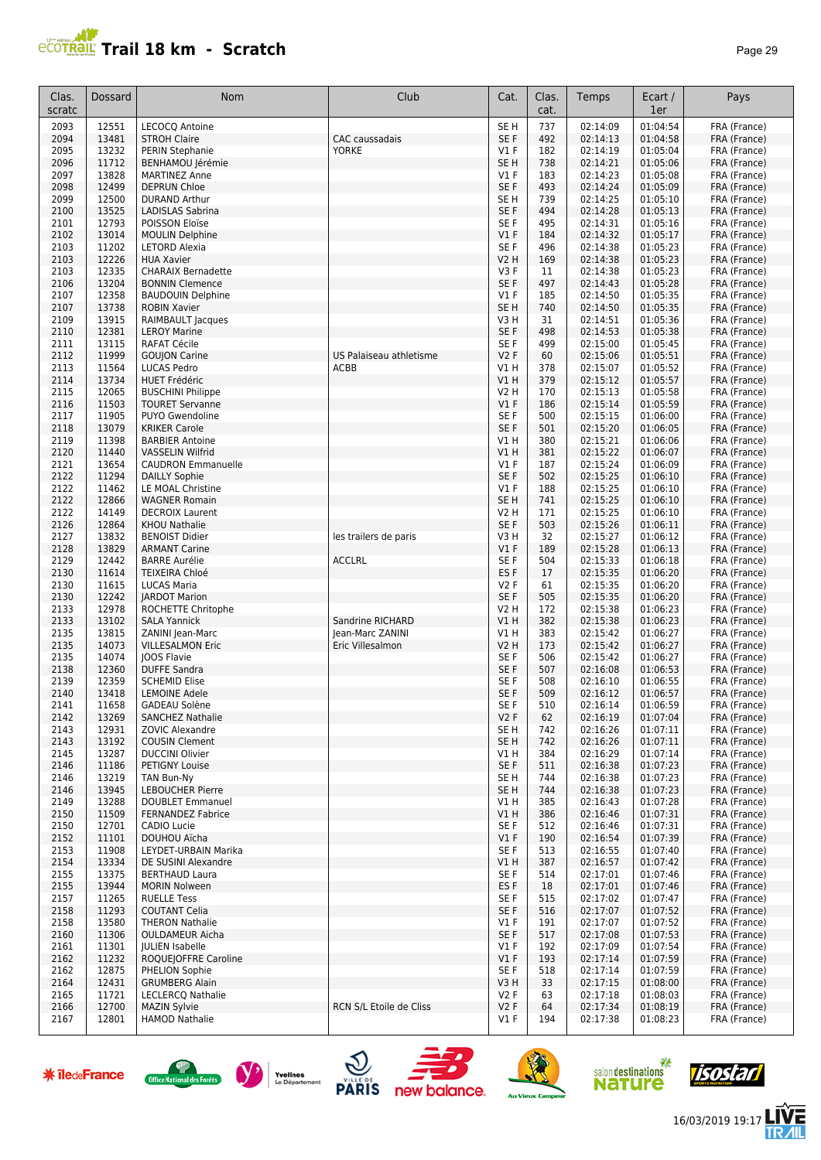# **PROTRAIL Trail 18 km - Scratch**

| ≃י<br>O |  |
|---------|--|
|---------|--|

| Clas.<br>scratc | Dossard        | Nom                                            | Club                                 | Cat.                    | Clas.<br>cat. | Temps                | Ecart /<br>1er       | Pays                         |
|-----------------|----------------|------------------------------------------------|--------------------------------------|-------------------------|---------------|----------------------|----------------------|------------------------------|
| 2093            | 12551          | LECOCQ Antoine                                 |                                      | SE <sub>H</sub>         | 737           | 02:14:09             | 01:04:54             | FRA (France)                 |
| 2094            | 13481          | <b>STROH Claire</b>                            | CAC caussadais                       | SE F                    | 492           | 02:14:13             | 01:04:58             | FRA (France)                 |
| 2095            | 13232          | PERIN Stephanie                                | <b>YORKE</b>                         | $VI$ F                  | 182           | 02:14:19             | 01:05:04             | FRA (France)                 |
| 2096            | 11712          | BENHAMOU Jérémie                               |                                      | SE <sub>H</sub>         | 738           | 02:14:21             | 01:05:06             | FRA (France)                 |
| 2097            | 13828          | <b>MARTINEZ Anne</b>                           |                                      | V1F                     | 183           | 02:14:23             | 01:05:08             | FRA (France)                 |
| 2098            | 12499          | <b>DEPRUN Chloe</b>                            |                                      | SE F                    | 493           | 02:14:24             | 01:05:09             | FRA (France)                 |
| 2099<br>2100    | 12500<br>13525 | <b>DURAND Arthur</b><br>LADISLAS Sabrina       |                                      | SE <sub>H</sub><br>SE F | 739<br>494    | 02:14:25<br>02:14:28 | 01:05:10<br>01:05:13 | FRA (France)<br>FRA (France) |
| 2101            | 12793          | POISSON Eloïse                                 |                                      | SE F                    | 495           | 02:14:31             | 01:05:16             | FRA (France)                 |
| 2102            | 13014          | <b>MOULIN Delphine</b>                         |                                      | $VI$ F                  | 184           | 02:14:32             | 01:05:17             | FRA (France)                 |
| 2103            | 11202          | LETORD Alexia                                  |                                      | SE F                    | 496           | 02:14:38             | 01:05:23             | FRA (France)                 |
| 2103            | 12226          | <b>HUA Xavier</b>                              |                                      | <b>V2 H</b>             | 169           | 02:14:38             | 01:05:23             | FRA (France)                 |
| 2103            | 12335          | <b>CHARAIX Bernadette</b>                      |                                      | V3F                     | 11            | 02:14:38             | 01:05:23             | FRA (France)                 |
| 2106            | 13204          | <b>BONNIN Clemence</b>                         |                                      | SE F                    | 497           | 02:14:43             | 01:05:28             | FRA (France)                 |
| 2107            | 12358          | <b>BAUDOUIN Delphine</b>                       |                                      | $VI$ F                  | 185           | 02:14:50             | 01:05:35             | FRA (France)                 |
| 2107            | 13738          | <b>ROBIN Xavier</b>                            |                                      | SE <sub>H</sub>         | 740           | 02:14:50             | 01:05:35             | FRA (France)                 |
| 2109            | 13915          | RAIMBAULT Jacques                              |                                      | V3H                     | 31            | 02:14:51             | 01:05:36             | FRA (France)                 |
| 2110<br>2111    | 12381<br>13115 | <b>LEROY Marine</b><br><b>RAFAT Cécile</b>     |                                      | SE F<br>SE F            | 498<br>499    | 02:14:53<br>02:15:00 | 01:05:38<br>01:05:45 | FRA (France)<br>FRA (France) |
| 2112            | 11999          | <b>GOUJON Carine</b>                           | US Palaiseau athletisme              | V2F                     | 60            | 02:15:06             | 01:05:51             | FRA (France)                 |
| 2113            | 11564          | <b>LUCAS Pedro</b>                             | ACBB                                 | V1 H                    | 378           | 02:15:07             | 01:05:52             | FRA (France)                 |
| 2114            | 13734          | <b>HUET Frédéric</b>                           |                                      | V1H                     | 379           | 02:15:12             | 01:05:57             | FRA (France)                 |
| 2115            | 12065          | <b>BUSCHINI Philippe</b>                       |                                      | <b>V2 H</b>             | 170           | 02:15:13             | 01:05:58             | FRA (France)                 |
| 2116            | 11503          | <b>TOURET Servanne</b>                         |                                      | $VI$ F                  | 186           | 02:15:14             | 01:05:59             | FRA (France)                 |
| 2117            | 11905          | <b>PUYO Gwendoline</b>                         |                                      | SE F                    | 500           | 02:15:15             | 01:06:00             | FRA (France)                 |
| 2118            | 13079          | <b>KRIKER Carole</b>                           |                                      | SE F                    | 501           | 02:15:20             | 01:06:05             | FRA (France)                 |
| 2119            | 11398          | <b>BARBIER Antoine</b>                         |                                      | V1H                     | 380           | 02:15:21             | 01:06:06             | FRA (France)                 |
| 2120            | 11440          | <b>VASSELIN Wilfrid</b>                        |                                      | V1H                     | 381           | 02:15:22             | 01:06:07             | FRA (France)                 |
| 2121            | 13654          | <b>CAUDRON Emmanuelle</b>                      |                                      | <b>V1 F</b>             | 187           | 02:15:24             | 01:06:09             | FRA (France)                 |
| 2122<br>2122    | 11294<br>11462 | <b>DAILLY Sophie</b><br>LE MOAL Christine      |                                      | SE F<br>V1F             | 502<br>188    | 02:15:25<br>02:15:25 | 01:06:10<br>01:06:10 | FRA (France)                 |
| 2122            | 12866          | <b>WAGNER Romain</b>                           |                                      | SE <sub>H</sub>         | 741           | 02:15:25             | 01:06:10             | FRA (France)<br>FRA (France) |
| 2122            | 14149          | <b>DECROIX Laurent</b>                         |                                      | V2 H                    | 171           | 02:15:25             | 01:06:10             | FRA (France)                 |
| 2126            | 12864          | <b>KHOU Nathalie</b>                           |                                      | SE F                    | 503           | 02:15:26             | 01:06:11             | FRA (France)                 |
| 2127            | 13832          | <b>BENOIST Didier</b>                          | les trailers de paris                | V3H                     | 32            | 02:15:27             | 01:06:12             | FRA (France)                 |
| 2128            | 13829          | <b>ARMANT Carine</b>                           |                                      | $VI$ F                  | 189           | 02:15:28             | 01:06:13             | FRA (France)                 |
| 2129            | 12442          | <b>BARRE Aurélie</b>                           | <b>ACCLRL</b>                        | SE <sub>F</sub>         | 504           | 02:15:33             | 01:06:18             | FRA (France)                 |
| 2130            | 11614          | TEIXEIRA Chloé                                 |                                      | ES <sub>F</sub>         | 17            | 02:15:35             | 01:06:20             | FRA (France)                 |
| 2130            | 11615          | <b>LUCAS Maria</b>                             |                                      | V2F                     | 61            | 02:15:35             | 01:06:20             | FRA (France)                 |
| 2130            | 12242          | <b>JARDOT Marion</b>                           |                                      | SE F                    | 505           | 02:15:35             | 01:06:20             | FRA (France)                 |
| 2133            | 12978          | ROCHETTE Chritophe                             |                                      | <b>V2 H</b>             | 172           | 02:15:38             | 01:06:23             | FRA (France)                 |
| 2133            | 13102          | <b>SALA Yannick</b>                            | Sandrine RICHARD                     | V1H                     | 382           | 02:15:38             | 01:06:23             | FRA (France)                 |
| 2135<br>2135    | 13815<br>14073 | ZANINI Jean-Marc<br><b>VILLESALMON Eric</b>    | Jean-Marc ZANINI<br>Eric Villesalmon | V1H<br>V2 H             | 383<br>173    | 02:15:42<br>02:15:42 | 01:06:27<br>01:06:27 | FRA (France)<br>FRA (France) |
| 2135            | 14074          | JOOS Flavie                                    |                                      | SE F                    | 506           | 02:15:42             | 01:06:27             | FRA (France)                 |
| 2138            | 12360          | <b>DUFFE Sandra</b>                            |                                      | SE F                    | 507           | 02:16:08             | 01:06:53             | FRA (France)                 |
| 2139            | 12359          | <b>SCHEMID Elise</b>                           |                                      | SE F                    | 508           | 02:16:10             | 01:06:55             | FRA (France)                 |
| 2140            | 13418          | <b>LEMOINE Adele</b>                           |                                      | SE F                    | 509           | 02:16:12             | 01:06:57             | FRA (France)                 |
| 2141            | 11658          | GADEAU Solène                                  |                                      | SE F                    | 510           | 02:16:14             | 01:06:59             | FRA (France)                 |
| 2142            | 13269          | <b>SANCHEZ Nathalie</b>                        |                                      | V2F                     | 62            | 02:16:19             | 01:07:04             | FRA (France)                 |
| 2143            | 12931          | ZOVIC Alexandre                                |                                      | SE <sub>H</sub>         | 742           | 02:16:26             | 01:07:11             | FRA (France)                 |
| 2143            | 13192          | <b>COUSIN Clement</b>                          |                                      | SE <sub>H</sub>         | 742           | 02:16:26             | 01:07:11             | FRA (France)                 |
| 2145            | 13287          | <b>DUCCINI Olivier</b>                         |                                      | V1 H                    | 384           | 02:16:29             | 01:07:14             | FRA (France)                 |
| 2146<br>2146    | 11186<br>13219 | <b>PETIGNY Louise</b><br>TAN Bun-Ny            |                                      | SE F<br>SE <sub>H</sub> | 511<br>744    | 02:16:38<br>02:16:38 | 01:07:23<br>01:07:23 | FRA (France)<br>FRA (France) |
| 2146            | 13945          | <b>LEBOUCHER Pierre</b>                        |                                      | SE <sub>H</sub>         | 744           | 02:16:38             | 01:07:23             | FRA (France)                 |
| 2149            | 13288          | <b>DOUBLET Emmanuel</b>                        |                                      | V1 H                    | 385           | 02:16:43             | 01:07:28             | FRA (France)                 |
| 2150            | 11509          | <b>FERNANDEZ Fabrice</b>                       |                                      | VIH                     | 386           | 02:16:46             | 01:07:31             | FRA (France)                 |
| 2150            | 12701          | CADIO Lucie                                    |                                      | SE F                    | 512           | 02:16:46             | 01:07:31             | FRA (France)                 |
| 2152            | 11101          | DOUHOU Aïcha                                   |                                      | $VI$ F                  | 190           | 02:16:54             | 01:07:39             | FRA (France)                 |
| 2153            | 11908          | LEYDET-URBAIN Marika                           |                                      | SE F                    | 513           | 02:16:55             | 01:07:40             | FRA (France)                 |
| 2154            | 13334          | DE SUSINI Alexandre                            |                                      | V1H                     | 387           | 02:16:57             | 01:07:42             | FRA (France)                 |
| 2155            | 13375          | <b>BERTHAUD Laura</b>                          |                                      | SE F                    | 514           | 02:17:01             | 01:07:46             | FRA (France)                 |
| 2155            | 13944          | <b>MORIN Nolween</b>                           |                                      | ES <sub>F</sub>         | 18            | 02:17:01             | 01:07:46             | FRA (France)                 |
| 2157            | 11265          | <b>RUELLE Tess</b>                             |                                      | SE F                    | 515           | 02:17:02             | 01:07:47             | FRA (France)                 |
| 2158<br>2158    | 11293<br>13580 | <b>COUTANT Celia</b><br><b>THERON Nathalie</b> |                                      | SE F<br>$VI$ F          | 516<br>191    | 02:17:07<br>02:17:07 | 01:07:52<br>01:07:52 | FRA (France)<br>FRA (France) |
| 2160            | 11306          | <b>OULDAMEUR Aicha</b>                         |                                      | SE F                    | 517           | 02:17:08             | 01:07:53             | FRA (France)                 |
| 2161            | 11301          | <b>JULIEN Isabelle</b>                         |                                      | $VI$ F                  | 192           | 02:17:09             | 01:07:54             | FRA (France)                 |
| 2162            | 11232          | ROQUEJOFFRE Caroline                           |                                      | $VI$ F                  | 193           | 02:17:14             | 01:07:59             | FRA (France)                 |
| 2162            | 12875          | PHELION Sophie                                 |                                      | SE F                    | 518           | 02:17:14             | 01:07:59             | FRA (France)                 |
| 2164            | 12431          | <b>GRUMBERG Alain</b>                          |                                      | V3H                     | 33            | 02:17:15             | 01:08:00             | FRA (France)                 |
| 2165            | 11721          | <b>LECLERCQ Nathalie</b>                       |                                      | V2F                     | 63            | 02:17:18             | 01:08:03             | FRA (France)                 |
| 2166            | 12700          | <b>MAZIN Sylvie</b>                            | RCN S/L Etoile de Cliss              | V2F                     | 64            | 02:17:34             | 01:08:19             | FRA (France)                 |
| 2167            | 12801          | <b>HAMOD Nathalie</b>                          |                                      | $VI$ F                  | 194           | 02:17:38             | 01:08:23             | FRA (France)                 |
|                 |                |                                                |                                      |                         |               |                      |                      |                              |

















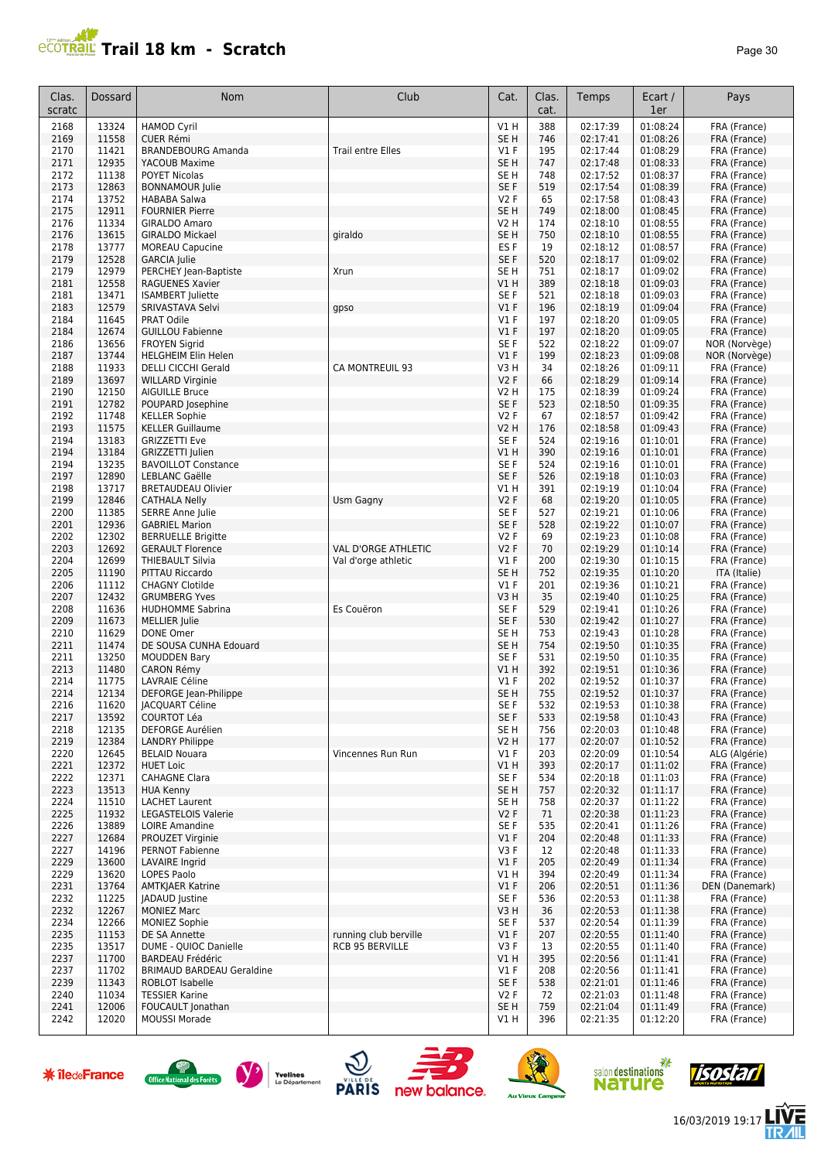## **Trail 18 km - Scratch Page 10** Page 30

| Clas.<br>scratc | Dossard        | Nom                                                         | Club                     | Cat.                      | Clas.<br>cat. | Temps                | Ecart /<br>1er       | Pays                           |
|-----------------|----------------|-------------------------------------------------------------|--------------------------|---------------------------|---------------|----------------------|----------------------|--------------------------------|
| 2168            | 13324          | <b>HAMOD Cyril</b>                                          |                          | V1 H                      | 388           | 02:17:39             | 01:08:24             | FRA (France)                   |
| 2169<br>2170    | 11558<br>11421 | <b>CUER Rémi</b><br><b>BRANDEBOURG Amanda</b>               | <b>Trail entre Elles</b> | SE <sub>H</sub><br>$VI$ F | 746<br>195    | 02:17:41<br>02:17:44 | 01:08:26<br>01:08:29 | FRA (France)<br>FRA (France)   |
| 2171            | 12935          | YACOUB Maxime                                               |                          | SE <sub>H</sub>           | 747           | 02:17:48             | 01:08:33             | FRA (France)                   |
| 2172            | 11138          | <b>POYET Nicolas</b>                                        |                          | SE <sub>H</sub>           | 748           | 02:17:52             | 01:08:37             | FRA (France)                   |
| 2173            | 12863          | <b>BONNAMOUR Julie</b>                                      |                          | SE F                      | 519           | 02:17:54             | 01:08:39             | FRA (France)                   |
| 2174            | 13752          | <b>HABABA Salwa</b>                                         |                          | <b>V2F</b>                | 65            | 02:17:58             | 01:08:43             | FRA (France)                   |
| 2175            | 12911<br>11334 | <b>FOURNIER Pierre</b>                                      |                          | SE <sub>H</sub>           | 749<br>174    | 02:18:00<br>02:18:10 | 01:08:45<br>01:08:55 | FRA (France)                   |
| 2176<br>2176    | 13615          | <b>GIRALDO Amaro</b><br><b>GIRALDO Mickael</b>              | giraldo                  | V2 H<br>SE <sub>H</sub>   | 750           | 02:18:10             | 01:08:55             | FRA (France)<br>FRA (France)   |
| 2178            | 13777          | <b>MOREAU Capucine</b>                                      |                          | ES <sub>F</sub>           | 19            | 02:18:12             | 01:08:57             | FRA (France)                   |
| 2179            | 12528          | <b>GARCIA</b> Julie                                         |                          | SE F                      | 520           | 02:18:17             | 01:09:02             | FRA (France)                   |
| 2179            | 12979          | PERCHEY Jean-Baptiste                                       | Xrun                     | SE <sub>H</sub>           | 751           | 02:18:17             | 01:09:02             | FRA (France)                   |
| 2181            | 12558          | <b>RAGUENES Xavier</b>                                      |                          | V1H                       | 389           | 02:18:18             | 01:09:03             | FRA (France)                   |
| 2181<br>2183    | 13471<br>12579 | <b>ISAMBERT Juliette</b><br>SRIVASTAVA Selvi                | gpso                     | SE <sub>F</sub><br>V1F    | 521<br>196    | 02:18:18<br>02:18:19 | 01:09:03<br>01:09:04 | FRA (France)<br>FRA (France)   |
| 2184            | 11645          | PRAT Odile                                                  |                          | $VI$ F                    | 197           | 02:18:20             | 01:09:05             | FRA (France)                   |
| 2184            | 12674          | <b>GUILLOU Fabienne</b>                                     |                          | V1F                       | 197           | 02:18:20             | 01:09:05             | FRA (France)                   |
| 2186            | 13656          | <b>FROYEN Sigrid</b>                                        |                          | SE <sub>F</sub>           | 522           | 02:18:22             | 01:09:07             | NOR (Norvège)                  |
| 2187            | 13744          | <b>HELGHEIM Elin Helen</b>                                  |                          | V1F                       | 199           | 02:18:23             | 01:09:08             | NOR (Norvège)                  |
| 2188<br>2189    | 11933<br>13697 | <b>DELLI CICCHI Gerald</b><br><b>WILLARD Virginie</b>       | CA MONTREUIL 93          | V3 H<br><b>V2F</b>        | 34<br>66      | 02:18:26<br>02:18:29 | 01:09:11<br>01:09:14 | FRA (France)<br>FRA (France)   |
| 2190            | 12150          | <b>AIGUILLE Bruce</b>                                       |                          | V2 H                      | 175           | 02:18:39             | 01:09:24             | FRA (France)                   |
| 2191            | 12782          | POUPARD Josephine                                           |                          | SE F                      | 523           | 02:18:50             | 01:09:35             | FRA (France)                   |
| 2192            | 11748          | <b>KELLER Sophie</b>                                        |                          | <b>V2F</b>                | 67            | 02:18:57             | 01:09:42             | FRA (France)                   |
| 2193            | 11575          | <b>KELLER Guillaume</b>                                     |                          | V2 H                      | 176           | 02:18:58             | 01:09:43             | FRA (France)                   |
| 2194            | 13183          | <b>GRIZZETTI Eve</b>                                        |                          | SE F                      | 524           | 02:19:16             | 01:10:01<br>01:10:01 | FRA (France)                   |
| 2194<br>2194    | 13184<br>13235 | GRIZZETTI Julien<br><b>BAVOILLOT Constance</b>              |                          | V1 H<br>SE F              | 390<br>524    | 02:19:16<br>02:19:16 | 01:10:01             | FRA (France)<br>FRA (France)   |
| 2197            | 12890          | <b>LEBLANC Gaëlle</b>                                       |                          | SE <sub>F</sub>           | 526           | 02:19:18             | 01:10:03             | FRA (France)                   |
| 2198            | 13717          | <b>BRETAUDEAU Olivier</b>                                   |                          | V1 H                      | 391           | 02:19:19             | 01:10:04             | FRA (France)                   |
| 2199            | 12846          | <b>CATHALA Nelly</b>                                        | Usm Gagny                | V <sub>2</sub> F          | 68            | 02:19:20             | 01:10:05             | FRA (France)                   |
| 2200            | 11385          | <b>SERRE Anne Julie</b>                                     |                          | SE F                      | 527           | 02:19:21             | 01:10:06             | FRA (France)                   |
| 2201<br>2202    | 12936<br>12302 | <b>GABRIEL Marion</b><br><b>BERRUELLE Brigitte</b>          |                          | SE F<br><b>V2F</b>        | 528<br>69     | 02:19:22<br>02:19:23 | 01:10:07<br>01:10:08 | FRA (France)<br>FRA (France)   |
| 2203            | 12692          | <b>GERAULT Florence</b>                                     | VAL D'ORGE ATHLETIC      | <b>V2F</b>                | 70            | 02:19:29             | 01:10:14             | FRA (France)                   |
| 2204            | 12699          | <b>THIEBAULT Silvia</b>                                     | Val d'orge athletic      | $VI$ F                    | 200           | 02:19:30             | 01:10:15             | FRA (France)                   |
| 2205            | 11190          | PITTAU Riccardo                                             |                          | SE <sub>H</sub>           | 752           | 02:19:35             | 01:10:20             | ITA (Italie)                   |
| 2206            | 11112          | <b>CHAGNY Clotilde</b>                                      |                          | $VI$ F                    | 201           | 02:19:36             | 01:10:21             | FRA (France)                   |
| 2207<br>2208    | 12432<br>11636 | <b>GRUMBERG Yves</b><br><b>HUDHOMME Sabrina</b>             | Es Couëron               | V3H<br>SE F               | 35<br>529     | 02:19:40<br>02:19:41 | 01:10:25<br>01:10:26 | FRA (France)<br>FRA (France)   |
| 2209            | 11673          | <b>MELLIER Julie</b>                                        |                          | SE F                      | 530           | 02:19:42             | 01:10:27             | FRA (France)                   |
| 2210            | 11629          | DONE Omer                                                   |                          | SE <sub>H</sub>           | 753           | 02:19:43             | 01:10:28             | FRA (France)                   |
| 2211            | 11474          | DE SOUSA CUNHA Edouard                                      |                          | SE <sub>H</sub>           | 754           | 02:19:50             | 01:10:35             | FRA (France)                   |
| 2211            | 13250          | <b>MOUDDEN Bary</b>                                         |                          | SE F                      | 531           | 02:19:50             | 01:10:35             | FRA (France)                   |
| 2213<br>2214    | 11480<br>11775 | CARON Rémy<br><b>LAVRAIE Céline</b>                         |                          | V1 H<br>$VI$ F            | 392<br>202    | 02:19:51<br>02:19:52 | 01:10:36<br>01:10:37 | FRA (France)<br>FRA (France)   |
| 2214            | 12134          | DEFORGE Jean-Philippe                                       |                          | SE <sub>H</sub>           | 755           | 02:19:52             | 01:10:37             | FRA (France)                   |
| 2216            | 11620          | <b>JACQUART Céline</b>                                      |                          | SE F                      | 532           | 02:19:53             | 01:10:38             | FRA (France)                   |
| 2217            | 13592          | <b>COURTOT Léa</b>                                          |                          | SE F                      | 533           | 02:19:58             | 01:10:43             | FRA (France)                   |
| 2218            | 12135          | DEFORGE Aurélien                                            |                          | SE <sub>H</sub>           | 756           | 02:20:03             | 01:10:48<br>01:10:52 | FRA (France)                   |
| 2219<br>2220    | 12384<br>12645 | <b>LANDRY Philippe</b><br><b>BELAID Nouara</b>              | Vincennes Run Run        | V2 H<br>$VI$ F            | 177<br>203    | 02:20:07<br>02:20:09 | 01:10:54             | FRA (France)<br>ALG (Algérie)  |
| 2221            | 12372          | <b>HUET Loic</b>                                            |                          | V1 H                      | 393           | 02:20:17             | 01:11:02             | FRA (France)                   |
| 2222            | 12371          | <b>CAHAGNE Clara</b>                                        |                          | SE F                      | 534           | 02:20:18             | 01:11:03             | FRA (France)                   |
| 2223            | 13513          | <b>HUA Kenny</b>                                            |                          | SE <sub>H</sub>           | 757           | 02:20:32             | 01:11:17             | FRA (France)                   |
| 2224            | 11510          | <b>LACHET Laurent</b>                                       |                          | SE <sub>H</sub>           | 758           | 02:20:37             | 01:11:22             | FRA (France)                   |
| 2225<br>2226    | 11932<br>13889 | LEGASTELOIS Valerie<br><b>LOIRE Amandine</b>                |                          | V2F<br>SE F               | 71<br>535     | 02:20:38<br>02:20:41 | 01:11:23<br>01:11:26 | FRA (France)<br>FRA (France)   |
| 2227            | 12684          | PROUZET Virginie                                            |                          | $VI$ F                    | 204           | 02:20:48             | 01:11:33             | FRA (France)                   |
| 2227            | 14196          | PERNOT Fabienne                                             |                          | V3F                       | 12            | 02:20:48             | 01:11:33             | FRA (France)                   |
| 2229            | 13600          | LAVAIRE Ingrid                                              |                          | $VI$ F                    | 205           | 02:20:49             | 01:11:34             | FRA (France)                   |
| 2229            | 13620          | <b>LOPES Paolo</b>                                          |                          | VIH                       | 394           | 02:20:49             | 01:11:34             | FRA (France)                   |
| 2231<br>2232    | 13764<br>11225 | <b>AMTKJAER Katrine</b><br><b>JADAUD</b> Justine            |                          | V1F<br>SE F               | 206<br>536    | 02:20:51<br>02:20:53 | 01:11:36<br>01:11:38 | DEN (Danemark)<br>FRA (France) |
| 2232            | 12267          | <b>MONIEZ Marc</b>                                          |                          | V3 H                      | 36            | 02:20:53             | 01:11:38             | FRA (France)                   |
| 2234            | 12266          | <b>MONIEZ Sophie</b>                                        |                          | SE F                      | 537           | 02:20:54             | 01:11:39             | FRA (France)                   |
| 2235            | 11153          | DE SA Annette                                               | running club berville    | V1F                       | 207           | 02:20:55             | 01:11:40             | FRA (France)                   |
| 2235            | 13517          | DUME - QUIOC Danielle                                       | <b>RCB 95 BERVILLE</b>   | V3F                       | 13            | 02:20:55             | 01:11:40             | FRA (France)                   |
| 2237<br>2237    | 11700<br>11702 | <b>BARDEAU Frédéric</b><br><b>BRIMAUD BARDEAU Geraldine</b> |                          | V1 H<br>$VI$ F            | 395<br>208    | 02:20:56<br>02:20:56 | 01:11:41<br>01:11:41 | FRA (France)<br>FRA (France)   |
| 2239            | 11343          | ROBLOT Isabelle                                             |                          | SE F                      | 538           | 02:21:01             | 01:11:46             | FRA (France)                   |
| 2240            | 11034          | <b>TESSIER Karine</b>                                       |                          | V2F                       | 72            | 02:21:03             | 01:11:48             | FRA (France)                   |
| 2241            | 12006          | FOUCAULT Jonathan                                           |                          | SE <sub>H</sub>           | 759           | 02:21:04             | 01:11:49             | FRA (France)                   |
| 2242            | 12020          | <b>MOUSSI Morade</b>                                        |                          | V1 H                      | 396           | 02:21:35             | 01:12:20             | FRA (France)                   |













Ξ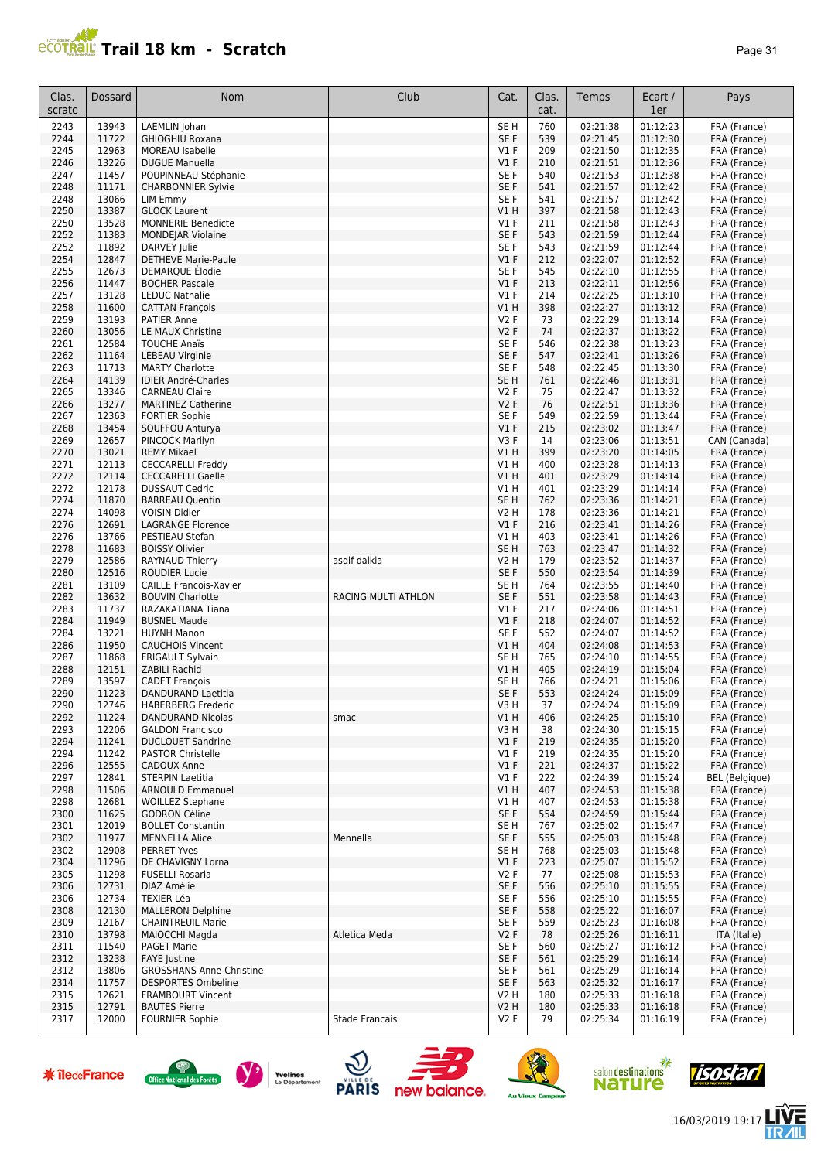

| Clas.<br>scratc | Dossard        | Nom                                                   | Club                  | Cat.                    | Clas.<br>cat. | Temps                | Ecart /<br>1er       | Pays                         |
|-----------------|----------------|-------------------------------------------------------|-----------------------|-------------------------|---------------|----------------------|----------------------|------------------------------|
| 2243            | 13943          | LAEMLIN Johan                                         |                       | SE <sub>H</sub>         | 760           | 02:21:38             | 01:12:23             | FRA (France)                 |
| 2244            | 11722          | <b>GHIOGHIU Roxana</b>                                |                       | SE F                    | 539           | 02:21:45             | 01:12:30             | FRA (France)                 |
| 2245            | 12963          | <b>MOREAU Isabelle</b>                                |                       | V1 F                    | 209           | 02:21:50             | 01:12:35             | FRA (France)                 |
| 2246            | 13226          | <b>DUGUE Manuella</b>                                 |                       | V1F                     | 210           | 02:21:51             | 01:12:36             | FRA (France)                 |
| 2247            | 11457          | POUPINNEAU Stéphanie                                  |                       | SE F                    | 540           | 02:21:53             | 01:12:38             | FRA (France)                 |
| 2248            | 11171          | <b>CHARBONNIER Sylvie</b>                             |                       | SE F                    | 541           | 02:21:57             | 01:12:42             | FRA (France)                 |
| 2248<br>2250    | 13066<br>13387 | LIM Emmy<br><b>GLOCK Laurent</b>                      |                       | SE F<br>V1H             | 541<br>397    | 02:21:57<br>02:21:58 | 01:12:42<br>01:12:43 | FRA (France)                 |
| 2250            | 13528          | <b>MONNERIE Benedicte</b>                             |                       | $VI$ F                  | 211           | 02:21:58             | 01:12:43             | FRA (France)<br>FRA (France) |
| 2252            | 11383          | <b>MONDEJAR Violaine</b>                              |                       | SE F                    | 543           | 02:21:59             | 01:12:44             | FRA (France)                 |
| 2252            | 11892          | <b>DARVEY Julie</b>                                   |                       | SE F                    | 543           | 02:21:59             | 01:12:44             | FRA (France)                 |
| 2254            | 12847          | <b>DETHEVE Marie-Paule</b>                            |                       | $VI$ F                  | 212           | 02:22:07             | 01:12:52             | FRA (France)                 |
| 2255            | 12673          | DEMARQUE Élodie                                       |                       | SE F                    | 545           | 02:22:10             | 01:12:55             | FRA (France)                 |
| 2256            | 11447          | <b>BOCHER Pascale</b>                                 |                       | $VI$ F                  | 213           | 02:22:11             | 01:12:56             | FRA (France)                 |
| 2257            | 13128          | <b>LEDUC Nathalie</b>                                 |                       | $VI$ F                  | 214           | 02:22:25             | 01:13:10             | FRA (France)                 |
| 2258            | 11600          | <b>CATTAN François</b>                                |                       | V1 H                    | 398           | 02:22:27             | 01:13:12             | FRA (France)                 |
| 2259<br>2260    | 13193<br>13056 | <b>PATIER Anne</b>                                    |                       | V2F<br><b>V2F</b>       | 73<br>74      | 02:22:29<br>02:22:37 | 01:13:14             | FRA (France)                 |
| 2261            | 12584          | LE MAUX Christine<br><b>TOUCHE Anaïs</b>              |                       | SE F                    | 546           | 02:22:38             | 01:13:22<br>01:13:23 | FRA (France)<br>FRA (France) |
| 2262            | 11164          | <b>LEBEAU Virginie</b>                                |                       | SE F                    | 547           | 02:22:41             | 01:13:26             | FRA (France)                 |
| 2263            | 11713          | <b>MARTY Charlotte</b>                                |                       | SE F                    | 548           | 02:22:45             | 01:13:30             | FRA (France)                 |
| 2264            | 14139          | <b>IDIER André-Charles</b>                            |                       | SE <sub>H</sub>         | 761           | 02:22:46             | 01:13:31             | FRA (France)                 |
| 2265            | 13346          | <b>CARNEAU Claire</b>                                 |                       | <b>V2F</b>              | 75            | 02:22:47             | 01:13:32             | FRA (France)                 |
| 2266            | 13277          | <b>MARTINEZ Catherine</b>                             |                       | <b>V2F</b>              | 76            | 02:22:51             | 01:13:36             | FRA (France)                 |
| 2267            | 12363          | <b>FORTIER Sophie</b>                                 |                       | SE F                    | 549           | 02:22:59             | 01:13:44             | FRA (France)                 |
| 2268            | 13454          | SOUFFOU Anturya                                       |                       | $VI$ F                  | 215           | 02:23:02             | 01:13:47             | FRA (France)                 |
| 2269            | 12657          | <b>PINCOCK Marilyn</b>                                |                       | V3 F                    | 14            | 02:23:06             | 01:13:51             | CAN (Canada)                 |
| 2270<br>2271    | 13021<br>12113 | <b>REMY Mikael</b><br><b>CECCARELLI Freddy</b>        |                       | V1H<br>V1 H             | 399<br>400    | 02:23:20<br>02:23:28 | 01:14:05<br>01:14:13 | FRA (France)                 |
| 2272            | 12114          | <b>CECCARELLI Gaelle</b>                              |                       | VIH                     | 401           | 02:23:29             | 01:14:14             | FRA (France)<br>FRA (France) |
| 2272            | 12178          | <b>DUSSAUT Cedric</b>                                 |                       | V1H                     | 401           | 02:23:29             | 01:14:14             | FRA (France)                 |
| 2274            | 11870          | <b>BARREAU Quentin</b>                                |                       | SE <sub>H</sub>         | 762           | 02:23:36             | 01:14:21             | FRA (France)                 |
| 2274            | 14098          | <b>VOISIN Didier</b>                                  |                       | V2 H                    | 178           | 02:23:36             | 01:14:21             | FRA (France)                 |
| 2276            | 12691          | <b>LAGRANGE Florence</b>                              |                       | $VI$ F                  | 216           | 02:23:41             | 01:14:26             | FRA (France)                 |
| 2276            | 13766          | PESTIEAU Stefan                                       |                       | V1H                     | 403           | 02:23:41             | 01:14:26             | FRA (France)                 |
| 2278            | 11683          | <b>BOISSY Olivier</b>                                 |                       | SE <sub>H</sub>         | 763           | 02:23:47             | 01:14:32             | FRA (France)                 |
| 2279            | 12586          | RAYNAUD Thierry                                       | asdif dalkia          | V2 H                    | 179           | 02:23:52             | 01:14:37             | FRA (France)                 |
| 2280<br>2281    | 12516<br>13109 | <b>ROUDIER Lucie</b><br><b>CAILLE Francois-Xavier</b> |                       | SE F<br>SE <sub>H</sub> | 550<br>764    | 02:23:54<br>02:23:55 | 01:14:39<br>01:14:40 | FRA (France)<br>FRA (France) |
| 2282            | 13632          | <b>BOUVIN Charlotte</b>                               | RACING MULTI ATHLON   | SE F                    | 551           | 02:23:58             | 01:14:43             | FRA (France)                 |
| 2283            | 11737          | RAZAKATIANA Tiana                                     |                       | $VI$ F                  | 217           | 02:24:06             | 01:14:51             | FRA (France)                 |
| 2284            | 11949          | <b>BUSNEL Maude</b>                                   |                       | $VI$ F                  | 218           | 02:24:07             | 01:14:52             | FRA (France)                 |
| 2284            | 13221          | <b>HUYNH Manon</b>                                    |                       | SE F                    | 552           | 02:24:07             | 01:14:52             | FRA (France)                 |
| 2286            | 11950          | <b>CAUCHOIS Vincent</b>                               |                       | VIH                     | 404           | 02:24:08             | 01:14:53             | FRA (France)                 |
| 2287            | 11868          | <b>FRIGAULT Sylvain</b>                               |                       | SE <sub>H</sub>         | 765           | 02:24:10             | 01:14:55             | FRA (France)                 |
| 2288            | 12151          | <b>ZABILI Rachid</b>                                  |                       | V1H                     | 405           | 02:24:19             | 01:15:04             | FRA (France)                 |
| 2289<br>2290    | 13597<br>11223 | <b>CADET François</b><br><b>DANDURAND Laetitia</b>    |                       | SE <sub>H</sub><br>SE F | 766<br>553    | 02:24:21<br>02:24:24 | 01:15:06<br>01:15:09 | FRA (France)                 |
| 2290            | 12746          | <b>HABERBERG Frederic</b>                             |                       | V3 H                    | 37            | 02:24:24             | 01:15:09             | FRA (France)<br>FRA (France) |
| 2292            | 11224          | DANDURAND Nicolas                                     | smac                  | V1 H                    | 406           | 02:24:25             | 01:15:10             | FRA (France)                 |
| 2293            | 12206          | <b>GALDON Francisco</b>                               |                       | V3H                     | 38            | 02:24:30             | 01:15:15             | FRA (France)                 |
| 2294            | 11241          | <b>DUCLOUET Sandrine</b>                              |                       | $VI$ F                  | 219           | 02:24:35             | 01:15:20             | FRA (France)                 |
| 2294            | 11242          | <b>PASTOR Christelle</b>                              |                       | V1 F                    | 219           | 02:24:35             | 01:15:20             | FRA (France)                 |
| 2296            | 12555          | CADOUX Anne                                           |                       | V1F                     | 221           | 02:24:37             | 01:15:22             | FRA (France)                 |
| 2297            | 12841          | STERPIN Laetitia                                      |                       | V1F                     | 222           | 02:24:39             | 01:15:24             | <b>BEL</b> (Belgique)        |
| 2298<br>2298    | 11506<br>12681 | <b>ARNOULD Emmanuel</b><br><b>WOILLEZ Stephane</b>    |                       | V1 H                    | 407<br>407    | 02:24:53<br>02:24:53 | 01:15:38<br>01:15:38 | FRA (France)<br>FRA (France) |
| 2300            | 11625          | <b>GODRON Céline</b>                                  |                       | V1 H<br>SE F            | 554           | 02:24:59             | 01:15:44             | FRA (France)                 |
| 2301            | 12019          | <b>BOLLET Constantin</b>                              |                       | SE H                    | 767           | 02:25:02             | 01:15:47             | FRA (France)                 |
| 2302            | 11977          | <b>MENNELLA Alice</b>                                 | Mennella              | SE F                    | 555           | 02:25:03             | 01:15:48             | FRA (France)                 |
| 2302            | 12908          | <b>PERRET Yves</b>                                    |                       | SE H                    | 768           | 02:25:03             | 01:15:48             | FRA (France)                 |
| 2304            | 11296          | DE CHAVIGNY Lorna                                     |                       | $VI$ F                  | 223           | 02:25:07             | 01:15:52             | FRA (France)                 |
| 2305            | 11298          | <b>FUSELLI Rosaria</b>                                |                       | V2 F                    | 77            | 02:25:08             | 01:15:53             | FRA (France)                 |
| 2306            | 12731          | DIAZ Amélie                                           |                       | SE F                    | 556           | 02:25:10             | 01:15:55             | FRA (France)                 |
| 2306            | 12734          | <b>TEXIER Léa</b>                                     |                       | SE F                    | 556           | 02:25:10             | 01:15:55             | FRA (France)                 |
| 2308<br>2309    | 12130<br>12167 | <b>MALLERON Delphine</b><br><b>CHAINTREUIL Marie</b>  |                       | SE F<br>SE F            | 558<br>559    | 02:25:22<br>02:25:23 | 01:16:07<br>01:16:08 | FRA (France)<br>FRA (France) |
| 2310            | 13798          | MAIOCCHI Magda                                        | Atletica Meda         | V2F                     | 78            | 02:25:26             | 01:16:11             | ITA (Italie)                 |
| 2311            | 11540          | <b>PAGET Marie</b>                                    |                       | SE F                    | 560           | 02:25:27             | 01:16:12             | FRA (France)                 |
| 2312            | 13238          | FAYE Justine                                          |                       | SE F                    | 561           | 02:25:29             | 01:16:14             | FRA (France)                 |
| 2312            | 13806          | <b>GROSSHANS Anne-Christine</b>                       |                       | SE F                    | 561           | 02:25:29             | 01:16:14             | FRA (France)                 |
| 2314            | 11757          | <b>DESPORTES Ombeline</b>                             |                       | SE F                    | 563           | 02:25:32             | 01:16:17             | FRA (France)                 |
| 2315            | 12621          | <b>FRAMBOURT Vincent</b>                              |                       | V2 H                    | 180           | 02:25:33             | 01:16:18             | FRA (France)                 |
| 2315            | 12791          | <b>BAUTES Pierre</b>                                  |                       | V2 H                    | 180           | 02:25:33             | 01:16:18             | FRA (France)                 |
| 2317            | 12000          | <b>FOURNIER Sophie</b>                                | <b>Stade Francais</b> | V2 F                    | 79            | 02:25:34             | 01:16:19             | FRA (France)                 |















怎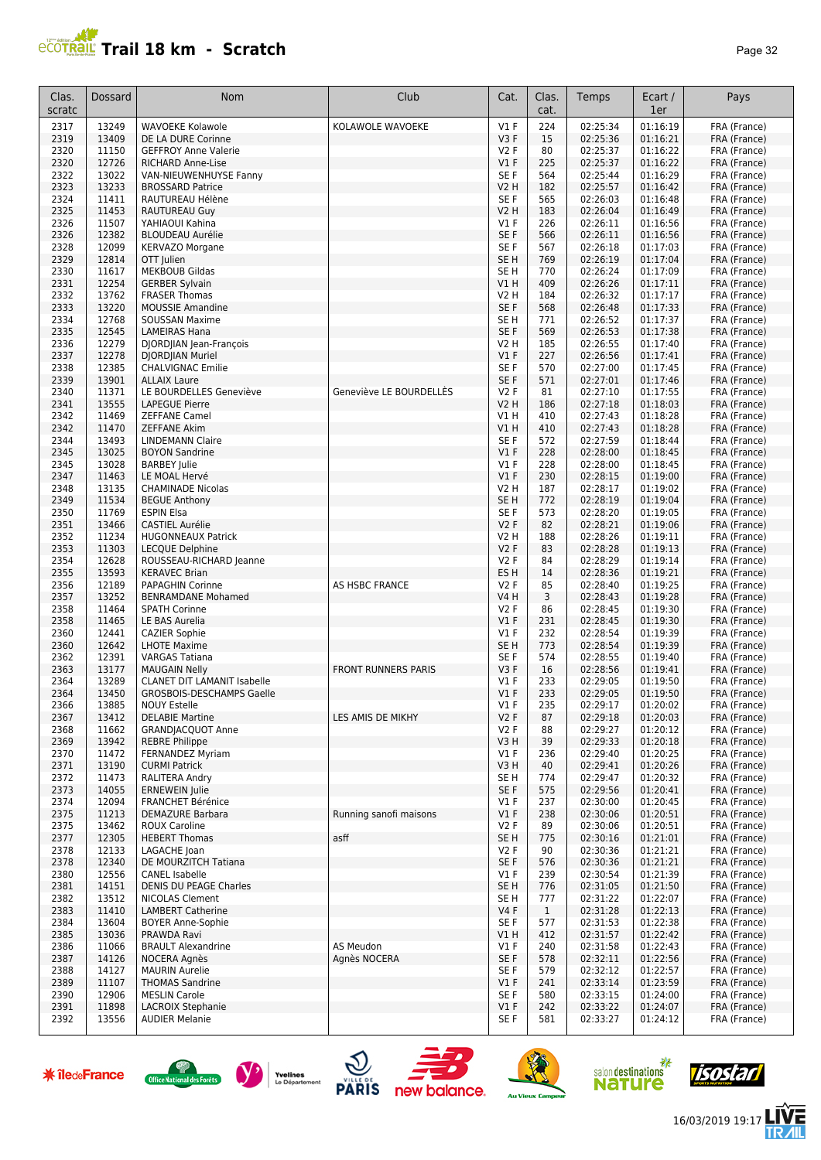## **PCOTRAL Trail 18 km - Scratch**

| age |  |
|-----|--|
|-----|--|

| Clas.<br>scratc | Dossard        | Nom                                                  | Club                       | Cat.                     | Clas.<br>cat.       | Temps                | Ecart /<br>1er       | Pays                         |
|-----------------|----------------|------------------------------------------------------|----------------------------|--------------------------|---------------------|----------------------|----------------------|------------------------------|
| 2317            | 13249          | <b>WAVOEKE Kolawole</b>                              | KOLAWOLE WAVOEKE           | $VI$ F                   | 224                 | 02:25:34             | 01:16:19             | FRA (France)                 |
| 2319            | 13409          | DE LA DURE Corinne                                   |                            | V <sub>3</sub> F         | 15                  | 02:25:36             | 01:16:21             | FRA (France)                 |
| 2320            | 11150          | <b>GEFFROY Anne Valerie</b>                          |                            | V2 F                     | 80                  | 02:25:37             | 01:16:22             | FRA (France)                 |
| 2320            | 12726          | <b>RICHARD Anne-Lise</b>                             |                            | $VI$ F                   | 225                 | 02:25:37             | 01:16:22             | FRA (France)                 |
| 2322<br>2323    | 13022<br>13233 | VAN-NIEUWENHUYSE Fanny<br><b>BROSSARD Patrice</b>    |                            | SE F<br>V <sub>2</sub> H | 564<br>182          | 02:25:44<br>02:25:57 | 01:16:29<br>01:16:42 | FRA (France)<br>FRA (France) |
| 2324            | 11411          | RAUTUREAU Hélène                                     |                            | SE F                     | 565                 | 02:26:03             | 01:16:48             | FRA (France)                 |
| 2325            | 11453          | RAUTUREAU Guy                                        |                            | <b>V2 H</b>              | 183                 | 02:26:04             | 01:16:49             | FRA (France)                 |
| 2326            | 11507          | YAHIAOUI Kahina                                      |                            | $VI$ F                   | 226                 | 02:26:11             | 01:16:56             | FRA (France)                 |
| 2326            | 12382          | <b>BLOUDEAU Aurélie</b>                              |                            | SE <sub>F</sub>          | 566                 | 02:26:11             | 01:16:56             | FRA (France)                 |
| 2328            | 12099          | <b>KERVAZO Morgane</b>                               |                            | SE F                     | 567                 | 02:26:18             | 01:17:03             | FRA (France)                 |
| 2329            | 12814          | OTT Julien                                           |                            | SE <sub>H</sub>          | 769                 | 02:26:19             | 01:17:04             | FRA (France)                 |
| 2330            | 11617          | <b>MEKBOUB Gildas</b>                                |                            | SE <sub>H</sub>          | 770                 | 02:26:24             | 01:17:09             | FRA (France)                 |
| 2331            | 12254          | <b>GERBER Sylvain</b>                                |                            | VIH                      | 409                 | 02:26:26             | 01:17:11             | FRA (France)                 |
| 2332<br>2333    | 13762<br>13220 | <b>FRASER Thomas</b><br><b>MOUSSIE Amandine</b>      |                            | V2 H<br>SE F             | 184<br>568          | 02:26:32<br>02:26:48 | 01:17:17<br>01:17:33 | FRA (France)<br>FRA (France) |
| 2334            | 12768          | <b>SOUSSAN Maxime</b>                                |                            | SE <sub>H</sub>          | 771                 | 02:26:52             | 01:17:37             | FRA (France)                 |
| 2335            | 12545          | <b>LAMEIRAS Hana</b>                                 |                            | SE F                     | 569                 | 02:26:53             | 01:17:38             | FRA (France)                 |
| 2336            | 12279          | DJORDJIAN Jean-François                              |                            | <b>V2 H</b>              | 185                 | 02:26:55             | 01:17:40             | FRA (France)                 |
| 2337            | 12278          | DJORDJIAN Muriel                                     |                            | $VI$ F                   | 227                 | 02:26:56             | 01:17:41             | FRA (France)                 |
| 2338            | 12385          | CHALVIGNAC Emilie                                    |                            | SE <sub>F</sub>          | 570                 | 02:27:00             | 01:17:45             | FRA (France)                 |
| 2339            | 13901          | <b>ALLAIX Laure</b>                                  |                            | SE F                     | 571                 | 02:27:01             | 01:17:46             | FRA (France)                 |
| 2340            | 11371          | LE BOURDELLES Geneviève                              | Geneviève LE BOURDELLÈS    | <b>V2F</b>               | 81                  | 02:27:10             | 01:17:55             | FRA (France)                 |
| 2341<br>2342    | 13555<br>11469 | <b>LAPEGUE Pierre</b><br><b>ZEFFANE Camel</b>        |                            | <b>V2 H</b><br>V1H       | 186<br>410          | 02:27:18<br>02:27:43 | 01:18:03<br>01:18:28 | FRA (France)<br>FRA (France) |
| 2342            | 11470          | <b>ZEFFANE Akim</b>                                  |                            | VIH                      | 410                 | 02:27:43             | 01:18:28             | FRA (France)                 |
| 2344            | 13493          | <b>LINDEMANN Claire</b>                              |                            | SE F                     | 572                 | 02:27:59             | 01:18:44             | FRA (France)                 |
| 2345            | 13025          | <b>BOYON Sandrine</b>                                |                            | $VI$ F                   | 228                 | 02:28:00             | 01:18:45             | FRA (France)                 |
| 2345            | 13028          | <b>BARBEY Julie</b>                                  |                            | V1 F                     | 228                 | 02:28:00             | 01:18:45             | FRA (France)                 |
| 2347            | 11463          | LE MOAL Hervé                                        |                            | $VI$ F                   | 230                 | 02:28:15             | 01:19:00             | FRA (France)                 |
| 2348            | 13135          | <b>CHAMINADE Nicolas</b>                             |                            | V2 H                     | 187                 | 02:28:17             | 01:19:02             | FRA (France)                 |
| 2349            | 11534          | <b>BEGUE Anthony</b>                                 |                            | SE <sub>H</sub>          | 772                 | 02:28:19             | 01:19:04             | FRA (France)                 |
| 2350<br>2351    | 11769<br>13466 | <b>ESPIN Elsa</b><br><b>CASTIEL Aurélie</b>          |                            | SE F<br><b>V2F</b>       | 573<br>82           | 02:28:20<br>02:28:21 | 01:19:05<br>01:19:06 | FRA (France)                 |
| 2352            | 11234          | <b>HUGONNEAUX Patrick</b>                            |                            | V2 H                     | 188                 | 02:28:26             | 01:19:11             | FRA (France)<br>FRA (France) |
| 2353            | 11303          | <b>LECQUE Delphine</b>                               |                            | <b>V2F</b>               | 83                  | 02:28:28             | 01:19:13             | FRA (France)                 |
| 2354            | 12628          | ROUSSEAU-RICHARD Jeanne                              |                            | <b>V2F</b>               | 84                  | 02:28:29             | 01:19:14             | FRA (France)                 |
| 2355            | 13593          | <b>KERAVEC Brian</b>                                 |                            | ES <sub>H</sub>          | 14                  | 02:28:36             | 01:19:21             | FRA (France)                 |
| 2356            | 12189          | PAPAGHIN Corinne                                     | AS HSBC FRANCE             | <b>V2F</b>               | 85                  | 02:28:40             | 01:19:25             | FRA (France)                 |
| 2357            | 13252          | <b>BENRAMDANE Mohamed</b>                            |                            | V4 H                     | 3                   | 02:28:43             | 01:19:28             | FRA (France)                 |
| 2358            | 11464          | <b>SPATH Corinne</b>                                 |                            | V2 F                     | 86                  | 02:28:45             | 01:19:30             | FRA (France)                 |
| 2358<br>2360    | 11465<br>12441 | LE BAS Aurelia<br><b>CAZIER Sophie</b>               |                            | $VI$ F<br>$VI$ F         | 231<br>232          | 02:28:45<br>02:28:54 | 01:19:30<br>01:19:39 | FRA (France)<br>FRA (France) |
| 2360            | 12642          | <b>LHOTE Maxime</b>                                  |                            | SE <sub>H</sub>          | 773                 | 02:28:54             | 01:19:39             | FRA (France)                 |
| 2362            | 12391          | <b>VARGAS Tatiana</b>                                |                            | SE <sub>F</sub>          | 574                 | 02:28:55             | 01:19:40             | FRA (France)                 |
| 2363            | 13177          | <b>MAUGAIN Nelly</b>                                 | <b>FRONT RUNNERS PARIS</b> | V3F                      | 16                  | 02:28:56             | 01:19:41             | FRA (France)                 |
| 2364            | 13289          | <b>CLANET DIT LAMANIT Isabelle</b>                   |                            | V1 F                     | 233                 | 02:29:05             | 01:19:50             | FRA (France)                 |
| 2364            | 13450          | GROSBOIS-DESCHAMPS Gaelle                            |                            | $VI$ F                   | 233                 | 02:29:05             | 01:19:50             | FRA (France)                 |
| 2366<br>2367    | 13885<br>13412 | <b>NOUY Estelle</b><br><b>DELABIE Martine</b>        | LES AMIS DE MIKHY          | V1F<br>V2F               | 235<br>87           | 02:29:17<br>02:29:18 | 01:20:02<br>01:20:03 | FRA (France)<br>FRA (France) |
| 2368            | 11662          | <b>GRANDIACOUOT Anne</b>                             |                            | V2F                      | 88                  | 02:29:27             | 01:20:12             | FRA (France)                 |
| 2369            | 13942          | <b>REBRE Philippe</b>                                |                            | V3 H                     | 39                  | 02:29:33             | 01:20:18             | FRA (France)                 |
| 2370            | 11472          | FERNANDEZ Myriam                                     |                            | $VI$ F                   | 236                 | 02:29:40             | 01:20:25             | FRA (France)                 |
| 2371            | 13190          | <b>CURMI Patrick</b>                                 |                            | V3H                      | 40                  | 02:29:41             | 01:20:26             | FRA (France)                 |
| 2372            | 11473          | RALITERA Andry                                       |                            | SE H                     | 774                 | 02:29:47             | 01:20:32             | FRA (France)                 |
| 2373            | 14055          | <b>ERNEWEIN Julie</b>                                |                            | SE F                     | 575                 | 02:29:56             | 01:20:41             | FRA (France)                 |
| 2374<br>2375    | 12094<br>11213 | <b>FRANCHET Bérénice</b><br><b>DEMAZURE Barbara</b>  | Running sanofi maisons     | $VI$ F<br>$VI$ F         | 237<br>238          | 02:30:00<br>02:30:06 | 01:20:45<br>01:20:51 | FRA (France)<br>FRA (France) |
| 2375            | 13462          | ROUX Caroline                                        |                            | V2F                      | 89                  | 02:30:06             | 01:20:51             | FRA (France)                 |
| 2377            | 12305          | <b>HEBERT Thomas</b>                                 | asff                       | SE <sub>H</sub>          | 775                 | 02:30:16             | 01:21:01             | FRA (France)                 |
| 2378            | 12133          | LAGACHE Joan                                         |                            | V2F                      | 90                  | 02:30:36             | 01:21:21             | FRA (France)                 |
| 2378            | 12340          | DE MOURZITCH Tatiana                                 |                            | SE F                     | 576                 | 02:30:36             | 01:21:21             | FRA (France)                 |
| 2380            | 12556          | CANEL Isabelle                                       |                            | $VI$ F                   | 239                 | 02:30:54             | 01:21:39             | FRA (France)                 |
| 2381            | 14151          | DENIS DU PEAGE Charles                               |                            | SE <sub>H</sub>          | 776                 | 02:31:05             | 01:21:50             | FRA (France)                 |
| 2382            | 13512          | <b>NICOLAS Clement</b>                               |                            | SE H                     | 777                 | 02:31:22             | 01:22:07             | FRA (France)                 |
| 2383<br>2384    | 11410<br>13604 | <b>LAMBERT Catherine</b><br><b>BOYER Anne-Sophie</b> |                            | V4 F<br>SE F             | $\mathbf{1}$<br>577 | 02:31:28<br>02:31:53 | 01:22:13<br>01:22:38 | FRA (France)<br>FRA (France) |
| 2385            | 13036          | PRAWDA Ravi                                          |                            | VIH                      | 412                 | 02:31:57             | 01:22:42             | FRA (France)                 |
| 2386            | 11066          | <b>BRAULT Alexandrine</b>                            | AS Meudon                  | $VI$ F                   | 240                 | 02:31:58             | 01:22:43             | FRA (France)                 |
| 2387            | 14126          | NOCERA Agnès                                         | Agnès NOCERA               | SE F                     | 578                 | 02:32:11             | 01:22:56             | FRA (France)                 |
| 2388            | 14127          | <b>MAURIN Aurelie</b>                                |                            | SE F                     | 579                 | 02:32:12             | 01:22:57             | FRA (France)                 |
| 2389            | 11107          | <b>THOMAS Sandrine</b>                               |                            | V1F                      | 241                 | 02:33:14             | 01:23:59             | FRA (France)                 |
| 2390            | 12906          | <b>MESLIN Carole</b>                                 |                            | SE F                     | 580                 | 02:33:15             | 01:24:00             | FRA (France)                 |
| 2391<br>2392    | 11898<br>13556 | LACROIX Stephanie<br><b>AUDIER Melanie</b>           |                            | $VI$ F<br>SE F           | 242<br>581          | 02:33:22<br>02:33:27 | 01:24:07<br>01:24:12 | FRA (France)<br>FRA (France) |
|                 |                |                                                      |                            |                          |                     |                      |                      |                              |















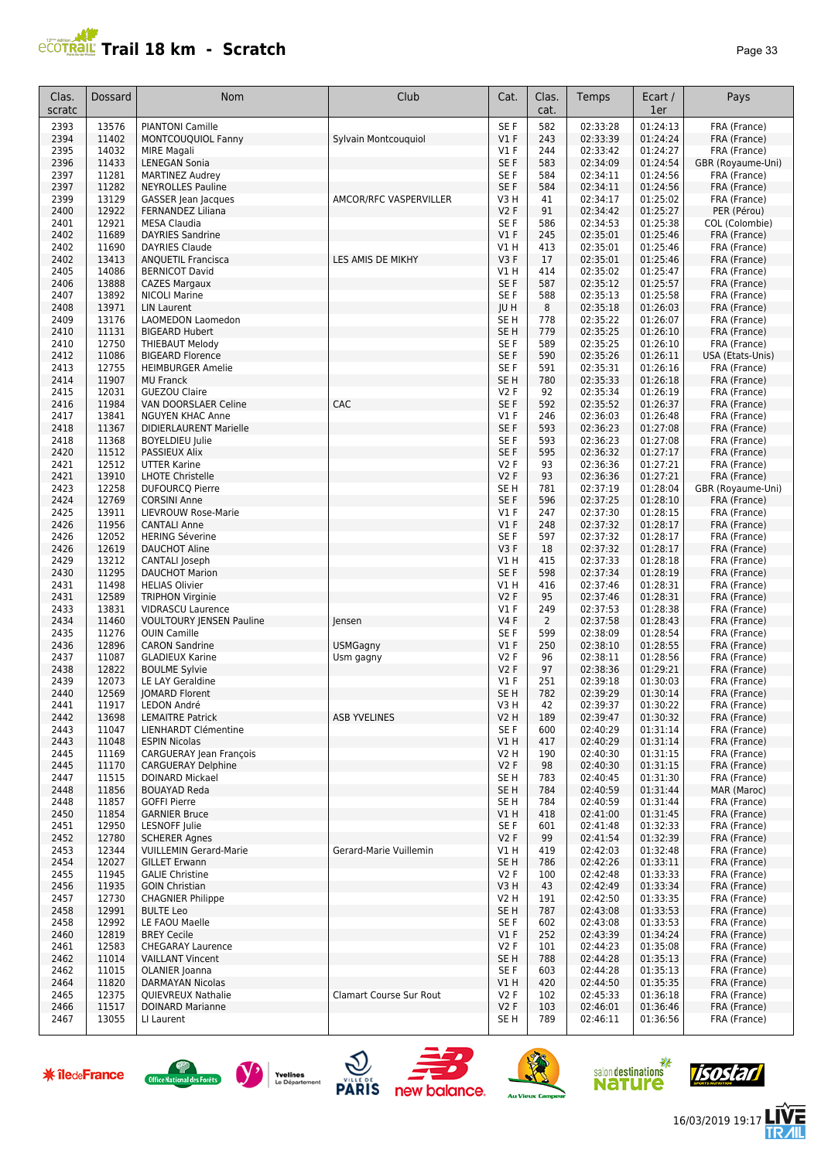## **Trail 18 km - Scratch Page 13** Page 33

| Clas.<br>scratc | <b>Dossard</b> | Nom                                                 | Club                    | Cat.                    | Clas.<br>cat.  | Temps                | Ecart /<br>1er       | Pays                         |
|-----------------|----------------|-----------------------------------------------------|-------------------------|-------------------------|----------------|----------------------|----------------------|------------------------------|
| 2393            | 13576          | <b>PIANTONI Camille</b>                             |                         | SE F                    | 582            | 02:33:28             | 01:24:13             | FRA (France)                 |
| 2394            | 11402          | MONTCOUQUIOL Fanny                                  | Sylvain Montcouquiol    | V1F                     | 243            | 02:33:39             | 01:24:24             | FRA (France)                 |
| 2395            | 14032          | <b>MIRE Magali</b>                                  |                         | $VI$ F                  | 244            | 02:33:42             | 01:24:27             | FRA (France)                 |
| 2396            | 11433          | <b>LENEGAN Sonia</b>                                |                         | SE F                    | 583            | 02:34:09             | 01:24:54             | GBR (Royaume-Uni)            |
| 2397            | 11281          | <b>MARTINEZ Audrey</b>                              |                         | SE F                    | 584            | 02:34:11             | 01:24:56             | FRA (France)                 |
| 2397            | 11282          | <b>NEYROLLES Pauline</b>                            |                         | SE F                    | 584            | 02:34:11             | 01:24:56             | FRA (France)                 |
| 2399            | 13129          | GASSER Jean Jacques                                 | AMCOR/RFC VASPERVILLER  | V3H                     | 41             | 02:34:17             | 01:25:02             | FRA (France)                 |
| 2400            | 12922          | FERNANDEZ Liliana                                   |                         | V2F                     | 91             | 02:34:42             | 01:25:27             | PER (Pérou)                  |
| 2401            | 12921          | <b>MESA Claudia</b>                                 |                         | SE F                    | 586            | 02:34:53             | 01:25:38             | COL (Colombie)               |
| 2402            | 11689          | <b>DAYRIES Sandrine</b>                             |                         | V1F                     | 245            | 02:35:01             | 01:25:46             | FRA (France)                 |
| 2402            | 11690          | <b>DAYRIES Claude</b>                               |                         | V1H                     | 413            | 02:35:01             | 01:25:46             | FRA (France)                 |
| 2402            | 13413          | <b>ANQUETIL Francisca</b>                           | LES AMIS DE MIKHY       | V3F                     | 17             | 02:35:01             | 01:25:46             | FRA (France)                 |
| 2405            | 14086          | <b>BERNICOT David</b>                               |                         | V1H                     | 414            | 02:35:02             | 01:25:47             | FRA (France)                 |
| 2406            | 13888          | <b>CAZES Margaux</b>                                |                         | SE F                    | 587            | 02:35:12             | 01:25:57             | FRA (France)                 |
| 2407            | 13892          | <b>NICOLI Marine</b>                                |                         | SE F                    | 588            | 02:35:13             | 01:25:58             | FRA (France)                 |
| 2408<br>2409    | 13971<br>13176 | <b>LIN Laurent</b>                                  |                         | JU H<br>SE <sub>H</sub> | 8<br>778       | 02:35:18<br>02:35:22 | 01:26:03<br>01:26:07 | FRA (France)                 |
| 2410            | 11131          | LAOMEDON Laomedon<br><b>BIGEARD Hubert</b>          |                         | SE <sub>H</sub>         | 779            | 02:35:25             | 01:26:10             | FRA (France)<br>FRA (France) |
| 2410            | 12750          | <b>THIEBAUT Melody</b>                              |                         | SE F                    | 589            | 02:35:25             | 01:26:10             | FRA (France)                 |
| 2412            | 11086          | <b>BIGEARD Florence</b>                             |                         | SE F                    | 590            | 02:35:26             | 01:26:11             | USA (Etats-Unis)             |
| 2413            | 12755          | <b>HEIMBURGER Amelie</b>                            |                         | SE F                    | 591            | 02:35:31             | 01:26:16             | FRA (France)                 |
| 2414            | 11907          | <b>MU Franck</b>                                    |                         | SE <sub>H</sub>         | 780            | 02:35:33             | 01:26:18             | FRA (France)                 |
| 2415            | 12031          | <b>GUEZOU Claire</b>                                |                         | V2F                     | 92             | 02:35:34             | 01:26:19             | FRA (France)                 |
| 2416            | 11984          | VAN DOORSLAER Celine                                | CAC                     | SE F                    | 592            | 02:35:52             | 01:26:37             | FRA (France)                 |
| 2417            | 13841          | <b>NGUYEN KHAC Anne</b>                             |                         | $VI$ F                  | 246            | 02:36:03             | 01:26:48             | FRA (France)                 |
| 2418            | 11367          | <b>DIDIERLAURENT Marielle</b>                       |                         | SE F                    | 593            | 02:36:23             | 01:27:08             | FRA (France)                 |
| 2418            | 11368          | <b>BOYELDIEU Julie</b>                              |                         | SE F                    | 593            | 02:36:23             | 01:27:08             | FRA (France)                 |
| 2420            | 11512          | PASSIEUX Alix                                       |                         | SE F                    | 595            | 02:36:32             | 01:27:17             | FRA (France)                 |
| 2421            | 12512          | <b>UTTER Karine</b>                                 |                         | V2F                     | 93             | 02:36:36             | 01:27:21             | FRA (France)                 |
| 2421            | 13910          | <b>LHOTE Christelle</b>                             |                         | V2F                     | 93             | 02:36:36             | 01:27:21             | FRA (France)                 |
| 2423            | 12258          | <b>DUFOURCQ Pierre</b>                              |                         | SE <sub>H</sub>         | 781            | 02:37:19             | 01:28:04             | GBR (Royaume-Uni)            |
| 2424            | 12769          | <b>CORSINI Anne</b>                                 |                         | SE F                    | 596            | 02:37:25             | 01:28:10             | FRA (France)                 |
| 2425            | 13911          | LIEVROUW Rose-Marie                                 |                         | V1F                     | 247            | 02:37:30             | 01:28:15             | FRA (France)                 |
| 2426            | 11956          | <b>CANTALI Anne</b>                                 |                         | V1F                     | 248            | 02:37:32             | 01:28:17             | FRA (France)                 |
| 2426            | 12052          | <b>HERING Séverine</b>                              |                         | SE F                    | 597            | 02:37:32             | 01:28:17             | FRA (France)                 |
| 2426            | 12619          | <b>DAUCHOT Aline</b>                                |                         | V3F                     | 18             | 02:37:32             | 01:28:17             | FRA (France)                 |
| 2429            | 13212          | CANTALI Joseph                                      |                         | V1 H                    | 415            | 02:37:33             | 01:28:18             | FRA (France)                 |
| 2430            | 11295          | <b>DAUCHOT Marion</b>                               |                         | SE F                    | 598            | 02:37:34             | 01:28:19             | FRA (France)                 |
| 2431            | 11498          | <b>HELIAS Olivier</b>                               |                         | V1 H                    | 416            | 02:37:46             | 01:28:31             | FRA (France)                 |
| 2431            | 12589          | <b>TRIPHON Virginie</b>                             |                         | V2F                     | 95             | 02:37:46             | 01:28:31             | FRA (France)                 |
| 2433            | 13831          | <b>VIDRASCU Laurence</b>                            |                         | $VI$ F                  | 249            | 02:37:53             | 01:28:38             | FRA (France)                 |
| 2434            | 11460          | <b>VOULTOURY JENSEN Pauline</b>                     | lensen                  | <b>V4F</b>              | $\overline{2}$ | 02:37:58             | 01:28:43             | FRA (France)                 |
| 2435            | 11276          | <b>OUIN Camille</b>                                 |                         | SE F                    | 599            | 02:38:09             | 01:28:54             | FRA (France)                 |
| 2436            | 12896          | <b>CARON Sandrine</b>                               | <b>USMGagny</b>         | $VI$ F                  | 250            | 02:38:10             | 01:28:55             | FRA (France)                 |
| 2437<br>2438    | 11087<br>12822 | <b>GLADIEUX Karine</b><br><b>BOULME Sylvie</b>      | Usm gagny               | V2F<br>V2F              | 96<br>97       | 02:38:11<br>02:38:36 | 01:28:56<br>01:29:21 | FRA (France)<br>FRA (France) |
| 2439            | 12073          | LE LAY Geraldine                                    |                         | $VI$ F                  | 251            | 02:39:18             | 01:30:03             | FRA (France)                 |
| 2440            | 12569          | JOMARD Florent                                      |                         | SE <sub>H</sub>         | 782            | 02:39:29             | 01:30:14             | FRA (France)                 |
| 2441            | 11917          | LEDON André                                         |                         | V3 Н                    | 42             | 02:39:37             | 01:30:22             | FRA (France)                 |
| 2442            | 13698          | <b>LEMAITRE Patrick</b>                             | <b>ASB YVELINES</b>     | V2 H                    | 189            | 02:39:47             | 01:30:32             | FRA (France)                 |
| 2443            | 11047          | LIENHARDT Clémentine                                |                         | SE F                    | 600            | 02:40:29             | 01:31:14             | FRA (France)                 |
| 2443            | 11048          | <b>ESPIN Nicolas</b>                                |                         | V1 H                    | 417            | 02:40:29             | 01:31:14             | FRA (France)                 |
| 2445            | 11169          | CARGUERAY Jean François                             |                         | V2 H                    | 190            | 02:40:30             | 01:31:15             | FRA (France)                 |
| 2445            | 11170          | <b>CARGUERAY Delphine</b>                           |                         | V2F                     | 98             | 02:40:30             | 01:31:15             | FRA (France)                 |
| 2447            | 11515          | <b>DOINARD Mickael</b>                              |                         | SE H                    | 783            | 02:40:45             | 01:31:30             | FRA (France)                 |
| 2448            | 11856          | <b>BOUAYAD Reda</b>                                 |                         | SE H                    | 784            | 02:40:59             | 01:31:44             | MAR (Maroc)                  |
| 2448            | 11857          | <b>GOFFI Pierre</b>                                 |                         | SE H                    | 784            | 02:40:59             | 01:31:44             | FRA (France)                 |
| 2450            | 11854          | <b>GARNIER Bruce</b>                                |                         | V1H                     | 418            | 02:41:00             | 01:31:45             | FRA (France)                 |
| 2451            | 12950          | LESNOFF Julie                                       |                         | SE F                    | 601            | 02:41:48             | 01:32:33             | FRA (France)                 |
| 2452            | 12780          | <b>SCHERER Agnes</b>                                |                         | V2F                     | 99             | 02:41:54             | 01:32:39             | FRA (France)                 |
| 2453            | 12344          | <b>VUILLEMIN Gerard-Marie</b>                       | Gerard-Marie Vuillemin  | V1 H                    | 419            | 02:42:03             | 01:32:48             | FRA (France)                 |
| 2454            | 12027          | <b>GILLET Erwann</b>                                |                         | SE <sub>H</sub>         | 786            | 02:42:26             | 01:33:11             | FRA (France)                 |
| 2455            | 11945          | <b>GALIE Christine</b>                              |                         | V2F                     | 100            | 02:42:48             | 01:33:33             | FRA (France)                 |
| 2456            | 11935          | <b>GOIN Christian</b>                               |                         | V3H                     | 43             | 02:42:49             | 01:33:34             | FRA (France)                 |
| 2457            | 12730          | <b>CHAGNIER Philippe</b>                            |                         | V2 H                    | 191            | 02:42:50             | 01:33:35             | FRA (France)                 |
| 2458            | 12991          | <b>BULTE Leo</b>                                    |                         | SE H                    | 787            | 02:43:08             | 01:33:53             | FRA (France)                 |
| 2458            | 12992          | LE FAOU Maelle                                      |                         | SE F                    | 602            | 02:43:08             | 01:33:53             | FRA (France)                 |
| 2460            | 12819          | <b>BREY Cecile</b>                                  |                         | $VI$ F                  | 252            | 02:43:39             | 01:34:24             | FRA (France)                 |
| 2461<br>2462    | 12583<br>11014 | <b>CHEGARAY Laurence</b><br><b>VAILLANT Vincent</b> |                         | V2F<br>SE H             | 101<br>788     | 02:44:23<br>02:44:28 | 01:35:08<br>01:35:13 | FRA (France)<br>FRA (France) |
| 2462            | 11015          | OLANIER Joanna                                      |                         | SE F                    | 603            | 02:44:28             | 01:35:13             | FRA (France)                 |
| 2464            | 11820          | DARMAYAN Nicolas                                    |                         | V1H                     | 420            | 02:44:50             | 01:35:35             | FRA (France)                 |
| 2465            | 12375          | QUIEVREUX Nathalie                                  | Clamart Course Sur Rout | V2F                     | 102            | 02:45:33             | 01:36:18             | FRA (France)                 |
| 2466            | 11517          | <b>DOINARD Marianne</b>                             |                         | V2F                     | 103            | 02:46:01             | 01:36:46             | FRA (France)                 |
| 2467            | 13055          | LI Laurent                                          |                         | SE H                    | 789            | 02:46:11             | 01:36:56             | FRA (France)                 |
|                 |                |                                                     |                         |                         |                |                      |                      |                              |













信